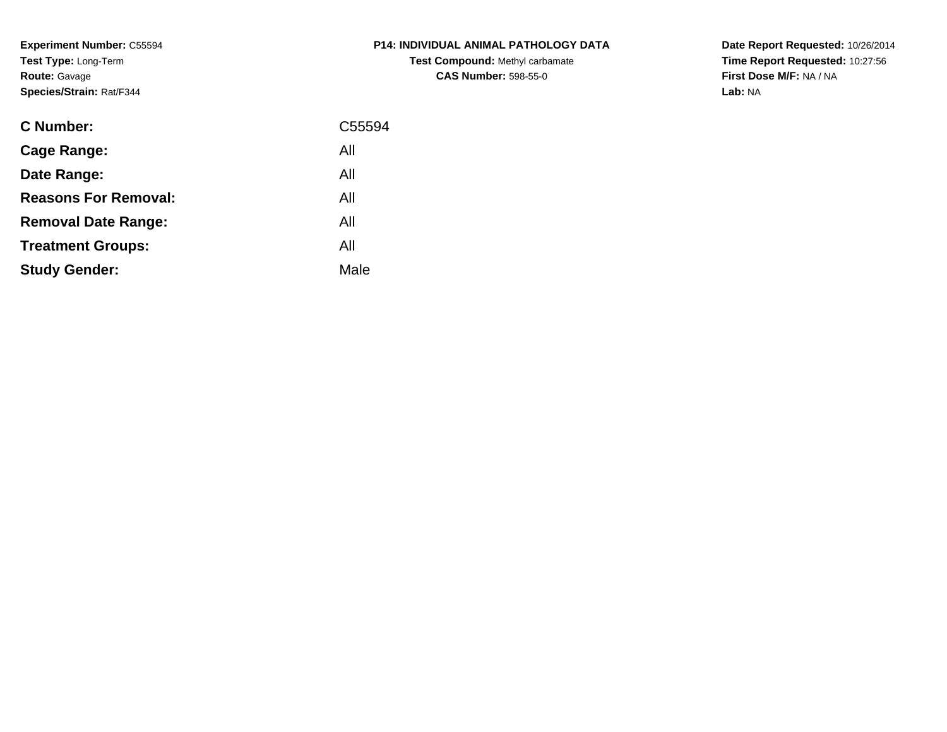**Experiment Number:** C55594**Test Type:** Long-Term**Route:** Gavage**Species/Strain:** Rat/F344

| <b>C Number:</b>            | C55594 |
|-----------------------------|--------|
| <b>Cage Range:</b>          | All    |
| Date Range:                 | All    |
| <b>Reasons For Removal:</b> | All    |
| <b>Removal Date Range:</b>  | All    |
| <b>Treatment Groups:</b>    | All    |
| <b>Study Gender:</b>        | Male   |
|                             |        |

# **P14: INDIVIDUAL ANIMAL PATHOLOGY DATATest Compound:** Methyl carbamate**CAS Number:** 598-55-0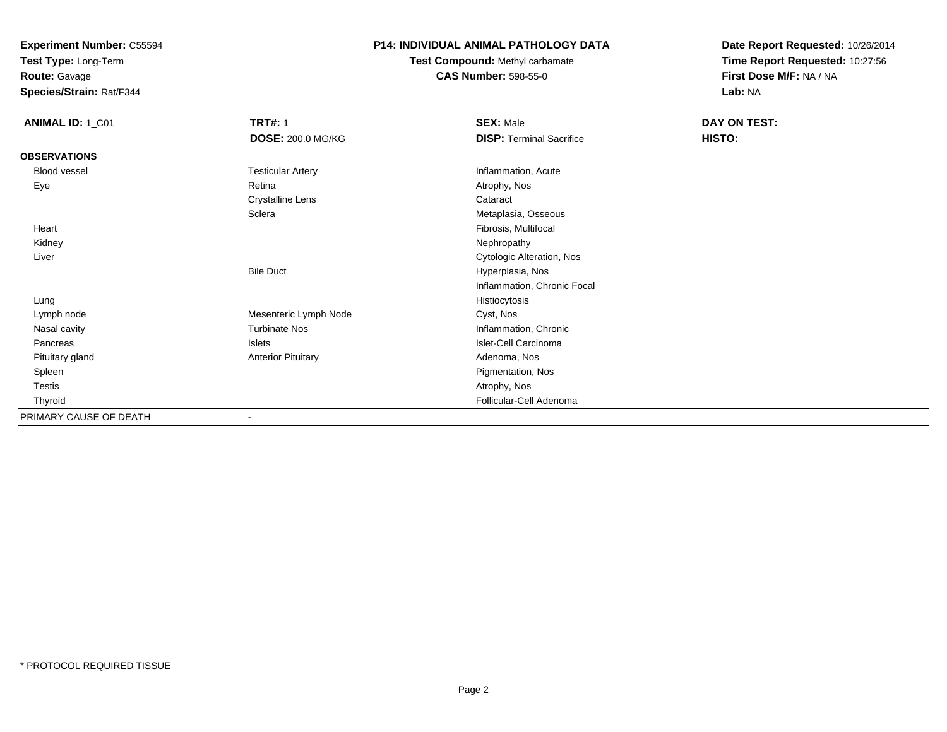**Test Type:** Long-Term

**Route:** Gavage

**Species/Strain:** Rat/F344

### **P14: INDIVIDUAL ANIMAL PATHOLOGY DATA**

**Test Compound:** Methyl carbamate**CAS Number:** 598-55-0

| <b>ANIMAL ID: 1_C01</b> | <b>TRT#: 1</b>            | <b>SEX: Male</b>                | DAY ON TEST: |  |
|-------------------------|---------------------------|---------------------------------|--------------|--|
|                         | DOSE: 200.0 MG/KG         | <b>DISP: Terminal Sacrifice</b> | HISTO:       |  |
| <b>OBSERVATIONS</b>     |                           |                                 |              |  |
| <b>Blood vessel</b>     | <b>Testicular Artery</b>  | Inflammation, Acute             |              |  |
| Eye                     | Retina                    | Atrophy, Nos                    |              |  |
|                         | <b>Crystalline Lens</b>   | Cataract                        |              |  |
|                         | Sclera                    | Metaplasia, Osseous             |              |  |
| Heart                   |                           | Fibrosis, Multifocal            |              |  |
| Kidney                  |                           | Nephropathy                     |              |  |
| Liver                   |                           | Cytologic Alteration, Nos       |              |  |
|                         | <b>Bile Duct</b>          | Hyperplasia, Nos                |              |  |
|                         |                           | Inflammation, Chronic Focal     |              |  |
| Lung                    |                           | Histiocytosis                   |              |  |
| Lymph node              | Mesenteric Lymph Node     | Cyst, Nos                       |              |  |
| Nasal cavity            | <b>Turbinate Nos</b>      | Inflammation, Chronic           |              |  |
| Pancreas                | Islets                    | Islet-Cell Carcinoma            |              |  |
| Pituitary gland         | <b>Anterior Pituitary</b> | Adenoma, Nos                    |              |  |
| Spleen                  |                           | Pigmentation, Nos               |              |  |
| Testis                  |                           | Atrophy, Nos                    |              |  |
| Thyroid                 |                           | Follicular-Cell Adenoma         |              |  |
| PRIMARY CAUSE OF DEATH  | ۰                         |                                 |              |  |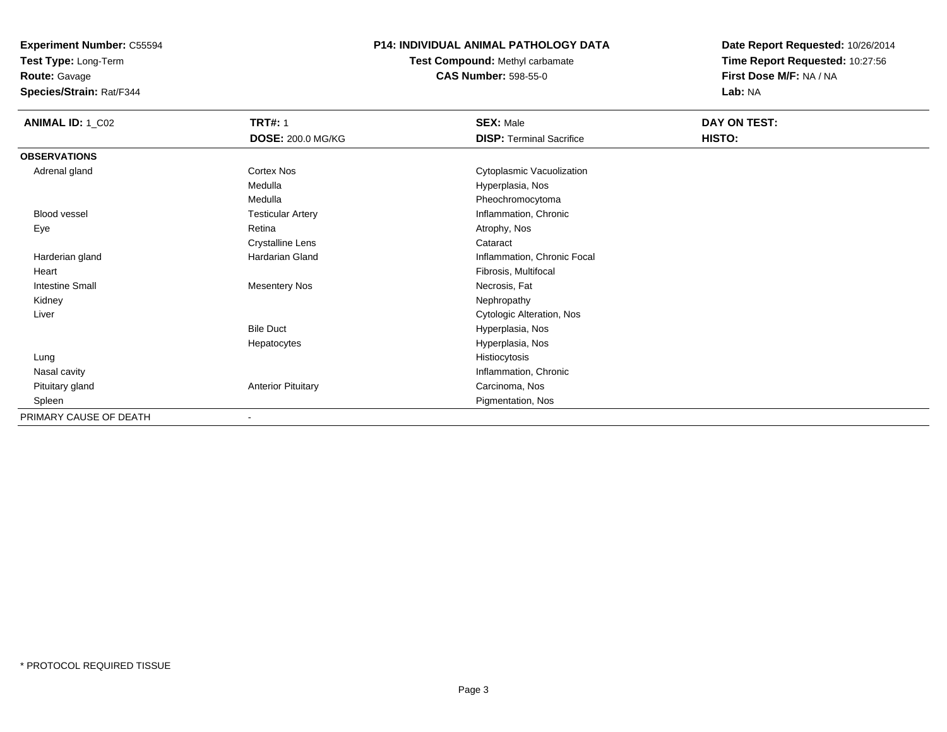**Test Type:** Long-Term

**Route:** Gavage

**Species/Strain:** Rat/F344

#### **P14: INDIVIDUAL ANIMAL PATHOLOGY DATA**

**Test Compound:** Methyl carbamate**CAS Number:** 598-55-0

| <b>ANIMAL ID: 1_C02</b> | <b>TRT#: 1</b>            | <b>SEX: Male</b>                | DAY ON TEST: |
|-------------------------|---------------------------|---------------------------------|--------------|
|                         | DOSE: 200.0 MG/KG         | <b>DISP: Terminal Sacrifice</b> | HISTO:       |
| <b>OBSERVATIONS</b>     |                           |                                 |              |
| Adrenal gland           | Cortex Nos                | Cytoplasmic Vacuolization       |              |
|                         | Medulla                   | Hyperplasia, Nos                |              |
|                         | Medulla                   | Pheochromocytoma                |              |
| Blood vessel            | <b>Testicular Artery</b>  | Inflammation, Chronic           |              |
| Eye                     | Retina                    | Atrophy, Nos                    |              |
|                         | <b>Crystalline Lens</b>   | Cataract                        |              |
| Harderian gland         | Hardarian Gland           | Inflammation, Chronic Focal     |              |
| Heart                   |                           | Fibrosis, Multifocal            |              |
| <b>Intestine Small</b>  | <b>Mesentery Nos</b>      | Necrosis, Fat                   |              |
| Kidney                  |                           | Nephropathy                     |              |
| Liver                   |                           | Cytologic Alteration, Nos       |              |
|                         | <b>Bile Duct</b>          | Hyperplasia, Nos                |              |
|                         | Hepatocytes               | Hyperplasia, Nos                |              |
| Lung                    |                           | Histiocytosis                   |              |
| Nasal cavity            |                           | Inflammation, Chronic           |              |
| Pituitary gland         | <b>Anterior Pituitary</b> | Carcinoma, Nos                  |              |
| Spleen                  |                           | Pigmentation, Nos               |              |
| PRIMARY CAUSE OF DEATH  | $\blacksquare$            |                                 |              |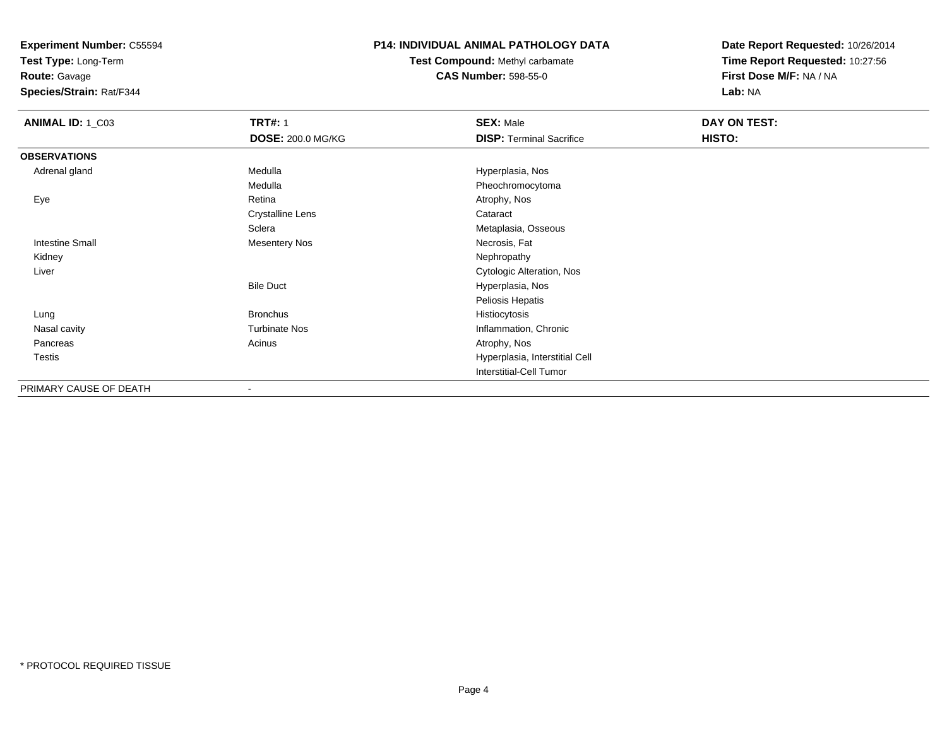**Test Type:** Long-Term

**Route:** Gavage

**Species/Strain:** Rat/F344

#### **P14: INDIVIDUAL ANIMAL PATHOLOGY DATA**

**Test Compound:** Methyl carbamate**CAS Number:** 598-55-0

| <b>ANIMAL ID: 1_C03</b> | <b>TRT#: 1</b>           | <b>SEX: Male</b>                | DAY ON TEST:  |  |
|-------------------------|--------------------------|---------------------------------|---------------|--|
|                         | <b>DOSE: 200.0 MG/KG</b> | <b>DISP: Terminal Sacrifice</b> | <b>HISTO:</b> |  |
| <b>OBSERVATIONS</b>     |                          |                                 |               |  |
| Adrenal gland           | Medulla                  | Hyperplasia, Nos                |               |  |
|                         | Medulla                  | Pheochromocytoma                |               |  |
| Eye                     | Retina                   | Atrophy, Nos                    |               |  |
|                         | <b>Crystalline Lens</b>  | Cataract                        |               |  |
|                         | Sclera                   | Metaplasia, Osseous             |               |  |
| <b>Intestine Small</b>  | <b>Mesentery Nos</b>     | Necrosis, Fat                   |               |  |
| Kidney                  |                          | Nephropathy                     |               |  |
| Liver                   |                          | Cytologic Alteration, Nos       |               |  |
|                         | <b>Bile Duct</b>         | Hyperplasia, Nos                |               |  |
|                         |                          | Peliosis Hepatis                |               |  |
| Lung                    | <b>Bronchus</b>          | Histiocytosis                   |               |  |
| Nasal cavity            | <b>Turbinate Nos</b>     | Inflammation, Chronic           |               |  |
| Pancreas                | Acinus                   | Atrophy, Nos                    |               |  |
| <b>Testis</b>           |                          | Hyperplasia, Interstitial Cell  |               |  |
|                         |                          | Interstitial-Cell Tumor         |               |  |
| PRIMARY CAUSE OF DEATH  | $\overline{\phantom{a}}$ |                                 |               |  |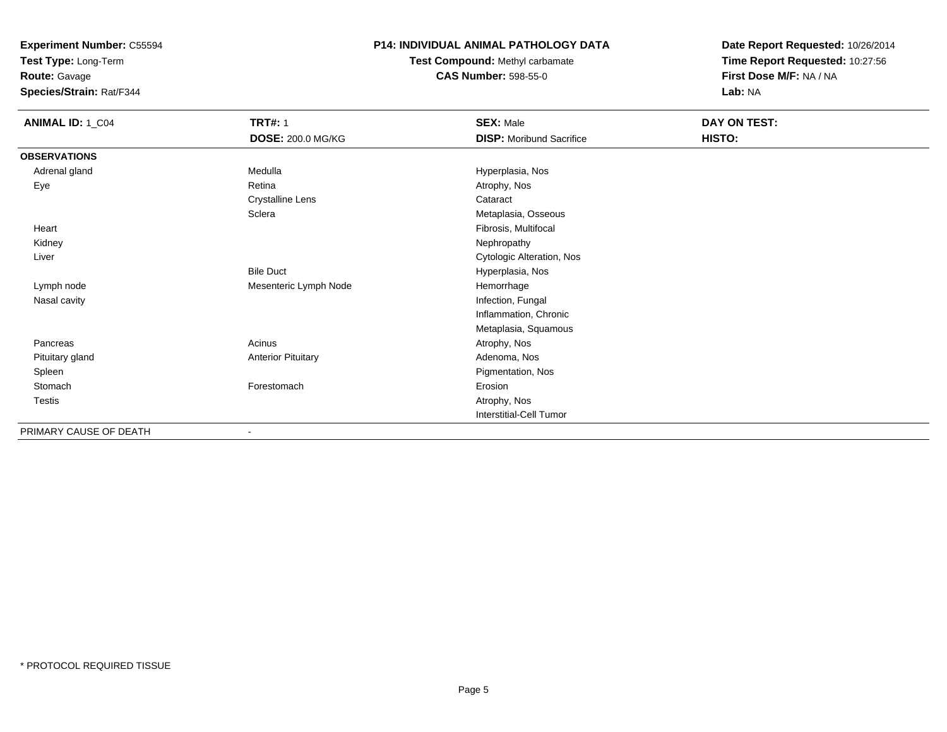**Test Type:** Long-Term

**Route:** Gavage

**Species/Strain:** Rat/F344

### **P14: INDIVIDUAL ANIMAL PATHOLOGY DATA**

**Test Compound:** Methyl carbamate**CAS Number:** 598-55-0

**Date Report Requested:** 10/26/2014**Time Report Requested:** 10:27:56**First Dose M/F:** NA / NA**Lab:** NA

| <b>ANIMAL ID: 1_C04</b> | <b>TRT#: 1</b>            | <b>SEX: Male</b>                | DAY ON TEST: |
|-------------------------|---------------------------|---------------------------------|--------------|
|                         | <b>DOSE: 200.0 MG/KG</b>  | <b>DISP:</b> Moribund Sacrifice | HISTO:       |
| <b>OBSERVATIONS</b>     |                           |                                 |              |
| Adrenal gland           | Medulla                   | Hyperplasia, Nos                |              |
| Eye                     | Retina                    | Atrophy, Nos                    |              |
|                         | <b>Crystalline Lens</b>   | Cataract                        |              |
|                         | Sclera                    | Metaplasia, Osseous             |              |
| Heart                   |                           | Fibrosis, Multifocal            |              |
| Kidney                  |                           | Nephropathy                     |              |
| Liver                   |                           | Cytologic Alteration, Nos       |              |
|                         | <b>Bile Duct</b>          | Hyperplasia, Nos                |              |
| Lymph node              | Mesenteric Lymph Node     | Hemorrhage                      |              |
| Nasal cavity            |                           | Infection, Fungal               |              |
|                         |                           | Inflammation, Chronic           |              |
|                         |                           | Metaplasia, Squamous            |              |
| Pancreas                | Acinus                    | Atrophy, Nos                    |              |
| Pituitary gland         | <b>Anterior Pituitary</b> | Adenoma, Nos                    |              |
| Spleen                  |                           | Pigmentation, Nos               |              |
| Stomach                 | Forestomach               | Erosion                         |              |
| Testis                  |                           | Atrophy, Nos                    |              |
|                         |                           | Interstitial-Cell Tumor         |              |
| PRIMARY CAUSE OF DEATH  | ٠                         |                                 |              |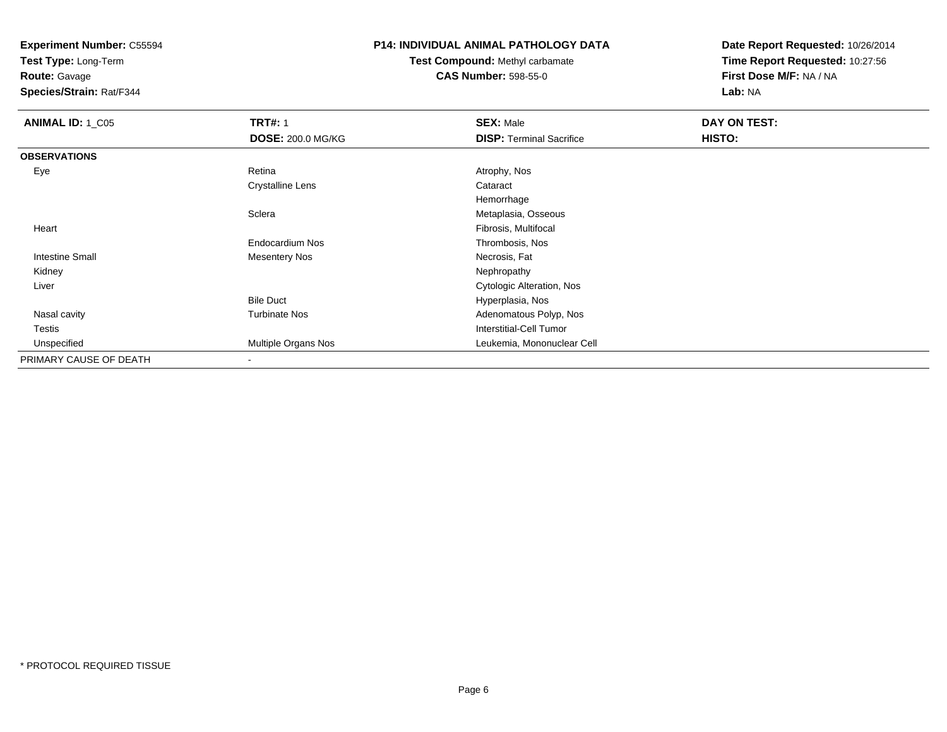**Test Type:** Long-Term

**Route:** Gavage

**Species/Strain:** Rat/F344

# **P14: INDIVIDUAL ANIMAL PATHOLOGY DATA**

**Test Compound:** Methyl carbamate**CAS Number:** 598-55-0

| <b>ANIMAL ID: 1_C05</b> | <b>TRT#: 1</b>           | <b>SEX: Male</b>                | DAY ON TEST: |  |
|-------------------------|--------------------------|---------------------------------|--------------|--|
|                         | <b>DOSE: 200.0 MG/KG</b> | <b>DISP: Terminal Sacrifice</b> | HISTO:       |  |
| <b>OBSERVATIONS</b>     |                          |                                 |              |  |
| Eye                     | Retina                   | Atrophy, Nos                    |              |  |
|                         | <b>Crystalline Lens</b>  | Cataract                        |              |  |
|                         |                          | Hemorrhage                      |              |  |
|                         | Sclera                   | Metaplasia, Osseous             |              |  |
| Heart                   |                          | Fibrosis, Multifocal            |              |  |
|                         | Endocardium Nos          | Thrombosis, Nos                 |              |  |
| <b>Intestine Small</b>  | Mesentery Nos            | Necrosis, Fat                   |              |  |
| Kidney                  |                          | Nephropathy                     |              |  |
| Liver                   |                          | Cytologic Alteration, Nos       |              |  |
|                         | <b>Bile Duct</b>         | Hyperplasia, Nos                |              |  |
| Nasal cavity            | <b>Turbinate Nos</b>     | Adenomatous Polyp, Nos          |              |  |
| <b>Testis</b>           |                          | Interstitial-Cell Tumor         |              |  |
| Unspecified             | Multiple Organs Nos      | Leukemia, Mononuclear Cell      |              |  |
| PRIMARY CAUSE OF DEATH  |                          |                                 |              |  |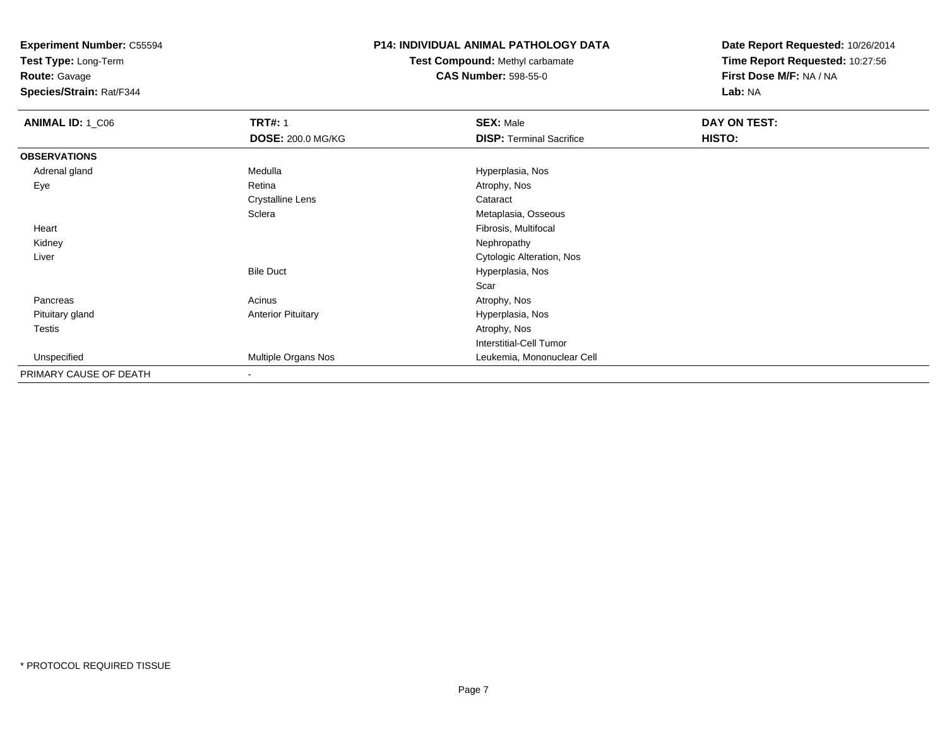**Test Type:** Long-Term

**Route:** Gavage

**Species/Strain:** Rat/F344

### **P14: INDIVIDUAL ANIMAL PATHOLOGY DATA**

**Test Compound:** Methyl carbamate**CAS Number:** 598-55-0

| ANIMAL ID: 1_C06       | <b>TRT#: 1</b>            | <b>SEX: Male</b>                | DAY ON TEST: |  |
|------------------------|---------------------------|---------------------------------|--------------|--|
|                        | <b>DOSE: 200.0 MG/KG</b>  | <b>DISP: Terminal Sacrifice</b> | HISTO:       |  |
| <b>OBSERVATIONS</b>    |                           |                                 |              |  |
| Adrenal gland          | Medulla                   | Hyperplasia, Nos                |              |  |
| Eye                    | Retina                    | Atrophy, Nos                    |              |  |
|                        | <b>Crystalline Lens</b>   | Cataract                        |              |  |
|                        | Sclera                    | Metaplasia, Osseous             |              |  |
| Heart                  |                           | Fibrosis, Multifocal            |              |  |
| Kidney                 |                           | Nephropathy                     |              |  |
| Liver                  |                           | Cytologic Alteration, Nos       |              |  |
|                        | <b>Bile Duct</b>          | Hyperplasia, Nos                |              |  |
|                        |                           | Scar                            |              |  |
| Pancreas               | Acinus                    | Atrophy, Nos                    |              |  |
| Pituitary gland        | <b>Anterior Pituitary</b> | Hyperplasia, Nos                |              |  |
| Testis                 |                           | Atrophy, Nos                    |              |  |
|                        |                           | <b>Interstitial-Cell Tumor</b>  |              |  |
| Unspecified            | Multiple Organs Nos       | Leukemia, Mononuclear Cell      |              |  |
| PRIMARY CAUSE OF DEATH | $\overline{\phantom{a}}$  |                                 |              |  |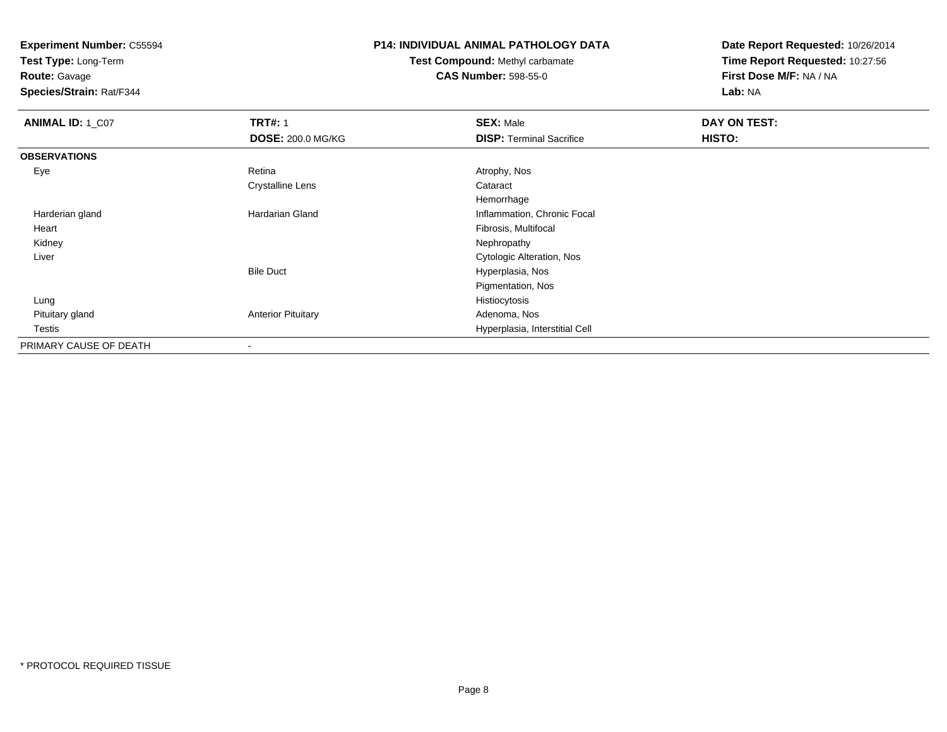**Test Type:** Long-Term

**Route:** Gavage

**Species/Strain:** Rat/F344

# **P14: INDIVIDUAL ANIMAL PATHOLOGY DATA**

**Test Compound:** Methyl carbamate**CAS Number:** 598-55-0

| ANIMAL ID: 1_C07       | <b>TRT#: 1</b>            | <b>SEX: Male</b>                | DAY ON TEST: |  |
|------------------------|---------------------------|---------------------------------|--------------|--|
|                        | <b>DOSE: 200.0 MG/KG</b>  | <b>DISP: Terminal Sacrifice</b> | HISTO:       |  |
| <b>OBSERVATIONS</b>    |                           |                                 |              |  |
| Eye                    | Retina                    | Atrophy, Nos                    |              |  |
|                        | <b>Crystalline Lens</b>   | Cataract                        |              |  |
|                        |                           | Hemorrhage                      |              |  |
| Harderian gland        | Hardarian Gland           | Inflammation, Chronic Focal     |              |  |
| Heart                  |                           | Fibrosis, Multifocal            |              |  |
| Kidney                 |                           | Nephropathy                     |              |  |
| Liver                  |                           | Cytologic Alteration, Nos       |              |  |
|                        | <b>Bile Duct</b>          | Hyperplasia, Nos                |              |  |
|                        |                           | Pigmentation, Nos               |              |  |
| Lung                   |                           | Histiocytosis                   |              |  |
| Pituitary gland        | <b>Anterior Pituitary</b> | Adenoma, Nos                    |              |  |
| Testis                 |                           | Hyperplasia, Interstitial Cell  |              |  |
| PRIMARY CAUSE OF DEATH |                           |                                 |              |  |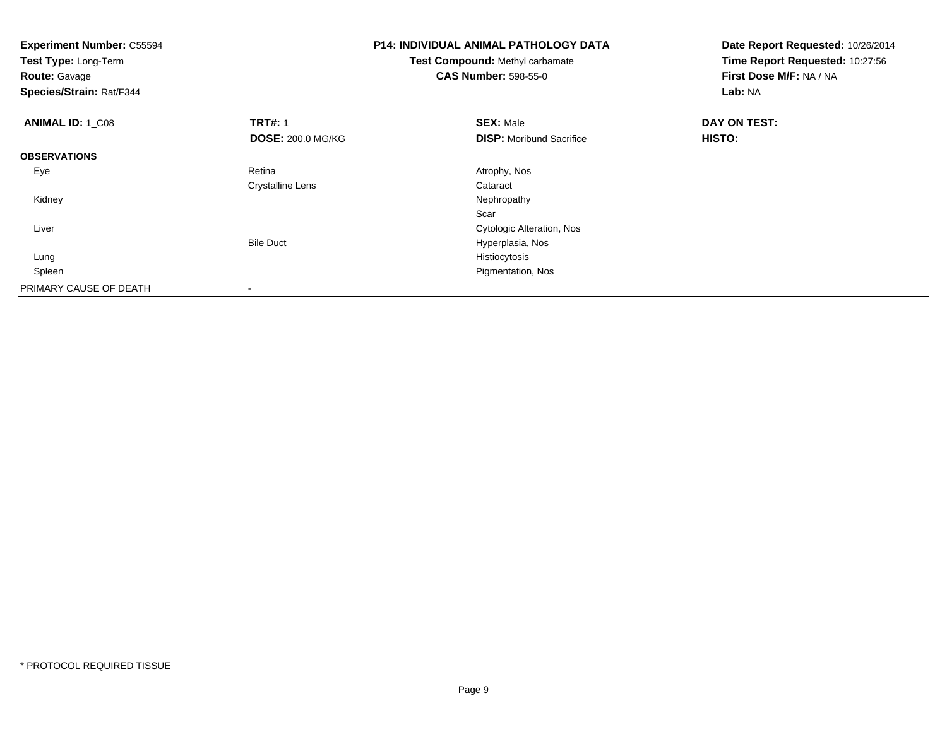| <b>Experiment Number: C55594</b><br>Test Type: Long-Term<br><b>Route: Gavage</b><br>Species/Strain: Rat/F344 |                          | <b>P14: INDIVIDUAL ANIMAL PATHOLOGY DATA</b><br>Test Compound: Methyl carbamate<br><b>CAS Number: 598-55-0</b> | Date Report Requested: 10/26/2014<br>Time Report Requested: 10:27:56<br>First Dose M/F: NA / NA<br>Lab: NA |  |
|--------------------------------------------------------------------------------------------------------------|--------------------------|----------------------------------------------------------------------------------------------------------------|------------------------------------------------------------------------------------------------------------|--|
| <b>ANIMAL ID: 1 C08</b>                                                                                      | <b>TRT#: 1</b>           | <b>SEX: Male</b>                                                                                               | DAY ON TEST:                                                                                               |  |
|                                                                                                              | <b>DOSE: 200.0 MG/KG</b> | <b>DISP:</b> Moribund Sacrifice                                                                                | <b>HISTO:</b>                                                                                              |  |
| <b>OBSERVATIONS</b>                                                                                          |                          |                                                                                                                |                                                                                                            |  |
| Eye                                                                                                          | Retina                   | Atrophy, Nos                                                                                                   |                                                                                                            |  |
|                                                                                                              | <b>Crystalline Lens</b>  | Cataract                                                                                                       |                                                                                                            |  |
| Kidney                                                                                                       |                          | Nephropathy                                                                                                    |                                                                                                            |  |
|                                                                                                              |                          | Scar                                                                                                           |                                                                                                            |  |
| Liver                                                                                                        |                          | Cytologic Alteration, Nos                                                                                      |                                                                                                            |  |
|                                                                                                              | <b>Bile Duct</b>         | Hyperplasia, Nos                                                                                               |                                                                                                            |  |
| Lung                                                                                                         |                          | Histiocytosis                                                                                                  |                                                                                                            |  |
| Spleen                                                                                                       |                          | Pigmentation, Nos                                                                                              |                                                                                                            |  |
| PRIMARY CAUSE OF DEATH                                                                                       | $\,$                     |                                                                                                                |                                                                                                            |  |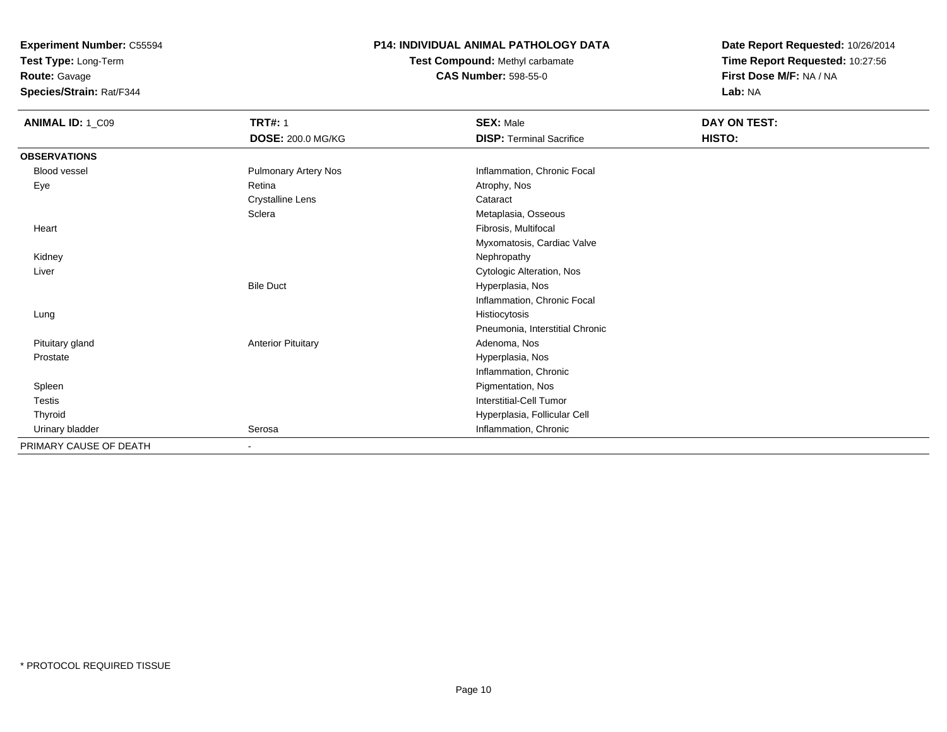**Test Type:** Long-Term

**Route:** Gavage

**Species/Strain:** Rat/F344

## **P14: INDIVIDUAL ANIMAL PATHOLOGY DATA**

**Test Compound:** Methyl carbamate**CAS Number:** 598-55-0

| <b>ANIMAL ID: 1_C09</b> | <b>TRT#: 1</b><br>DOSE: 200.0 MG/KG | <b>SEX: Male</b><br><b>DISP: Terminal Sacrifice</b> | DAY ON TEST:<br>HISTO: |
|-------------------------|-------------------------------------|-----------------------------------------------------|------------------------|
| <b>OBSERVATIONS</b>     |                                     |                                                     |                        |
| <b>Blood vessel</b>     | <b>Pulmonary Artery Nos</b>         | Inflammation, Chronic Focal                         |                        |
| Eye                     | Retina                              | Atrophy, Nos                                        |                        |
|                         | <b>Crystalline Lens</b>             | Cataract                                            |                        |
|                         | Sclera                              | Metaplasia, Osseous                                 |                        |
| Heart                   |                                     | Fibrosis, Multifocal                                |                        |
|                         |                                     | Myxomatosis, Cardiac Valve                          |                        |
| Kidney                  |                                     | Nephropathy                                         |                        |
| Liver                   |                                     | Cytologic Alteration, Nos                           |                        |
|                         | <b>Bile Duct</b>                    | Hyperplasia, Nos                                    |                        |
|                         |                                     | Inflammation, Chronic Focal                         |                        |
| Lung                    |                                     | Histiocytosis                                       |                        |
|                         |                                     | Pneumonia, Interstitial Chronic                     |                        |
| Pituitary gland         | <b>Anterior Pituitary</b>           | Adenoma, Nos                                        |                        |
| Prostate                |                                     | Hyperplasia, Nos                                    |                        |
|                         |                                     | Inflammation, Chronic                               |                        |
| Spleen                  |                                     | Pigmentation, Nos                                   |                        |
| Testis                  |                                     | Interstitial-Cell Tumor                             |                        |
| Thyroid                 |                                     | Hyperplasia, Follicular Cell                        |                        |
| Urinary bladder         | Serosa                              | Inflammation, Chronic                               |                        |
| PRIMARY CAUSE OF DEATH  | $\overline{\phantom{a}}$            |                                                     |                        |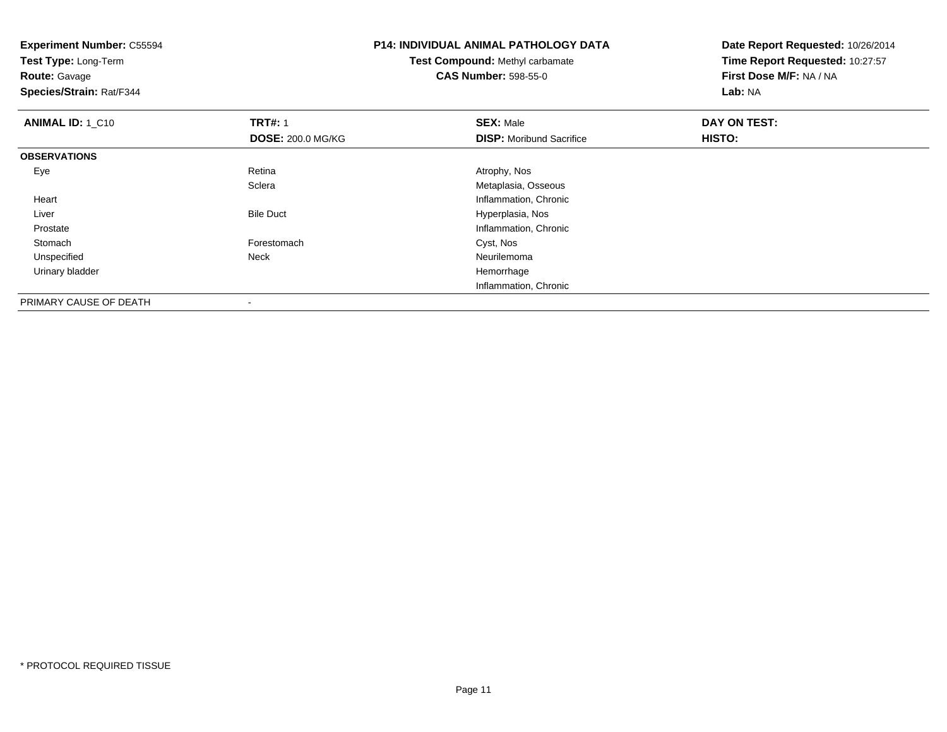**Experiment Number:** C55594**Test Type:** Long-Term**Route:** Gavage **Species/Strain:** Rat/F344**P14: INDIVIDUAL ANIMAL PATHOLOGY DATATest Compound:** Methyl carbamate**CAS Number:** 598-55-0**Date Report Requested:** 10/26/2014**Time Report Requested:** 10:27:57**First Dose M/F:** NA / NA**Lab:** NA**ANIMAL ID: 1 C10 C TRT#:** 1 **SEX:** Male **DAY ON TEST: DOSE:** 200.0 MG/KG**DISP:** Moribund Sacrifice **HISTO: OBSERVATIONS** Eyee and the contract of the Retina Atrophy, Nos and Atrophy, Nos and Atrophy, Nos and Atrophy, Nos and Atrophy, Nos **Sclera**  Metaplasia, Osseous Heart Inflammation, Chronic LiverBile Duct **Hyperplasia**, Nos e and the state of the state of the state of the state of the state of the state of the state of the state of the state of the state of the state of the state of the state of the state of the state of the state of the stat Prostate Stomachh chomach **Forestomach** Cyst, Nos Unspecified Neck Neurilemoma Urinary bladder HemorrhageInflammation, Chronic

PRIMARY CAUSE OF DEATH-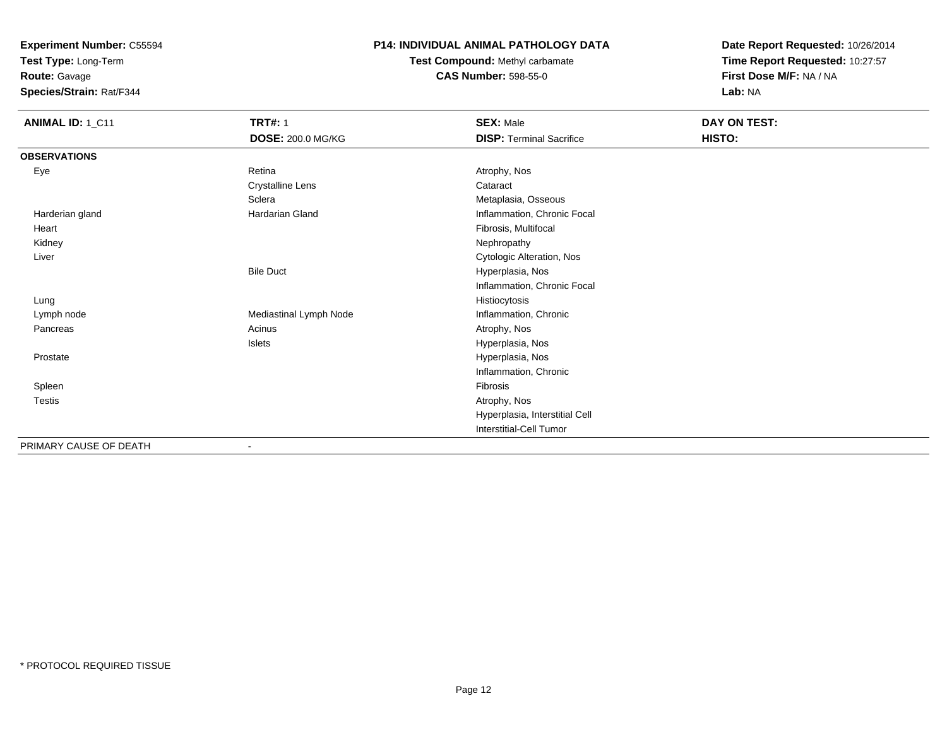**Test Type:** Long-Term

**Route:** Gavage

**Species/Strain:** Rat/F344

#### **P14: INDIVIDUAL ANIMAL PATHOLOGY DATA**

**Test Compound:** Methyl carbamate**CAS Number:** 598-55-0

| ANIMAL ID: 1_C11       | <b>TRT#: 1</b><br>DOSE: 200.0 MG/KG | <b>SEX: Male</b><br><b>DISP: Terminal Sacrifice</b> | DAY ON TEST:<br>HISTO: |
|------------------------|-------------------------------------|-----------------------------------------------------|------------------------|
| <b>OBSERVATIONS</b>    |                                     |                                                     |                        |
| Eye                    | Retina                              | Atrophy, Nos                                        |                        |
|                        | <b>Crystalline Lens</b>             | Cataract                                            |                        |
|                        | Sclera                              | Metaplasia, Osseous                                 |                        |
| Harderian gland        | <b>Hardarian Gland</b>              | Inflammation, Chronic Focal                         |                        |
| Heart                  |                                     | Fibrosis, Multifocal                                |                        |
| Kidney                 |                                     | Nephropathy                                         |                        |
| Liver                  |                                     | Cytologic Alteration, Nos                           |                        |
|                        | <b>Bile Duct</b>                    | Hyperplasia, Nos                                    |                        |
|                        |                                     | Inflammation, Chronic Focal                         |                        |
| Lung                   |                                     | Histiocytosis                                       |                        |
| Lymph node             | Mediastinal Lymph Node              | Inflammation, Chronic                               |                        |
| Pancreas               | Acinus                              | Atrophy, Nos                                        |                        |
|                        | Islets                              | Hyperplasia, Nos                                    |                        |
| Prostate               |                                     | Hyperplasia, Nos                                    |                        |
|                        |                                     | Inflammation, Chronic                               |                        |
| Spleen                 |                                     | Fibrosis                                            |                        |
| <b>Testis</b>          |                                     | Atrophy, Nos                                        |                        |
|                        |                                     | Hyperplasia, Interstitial Cell                      |                        |
|                        |                                     | Interstitial-Cell Tumor                             |                        |
| PRIMARY CAUSE OF DEATH | $\overline{\phantom{a}}$            |                                                     |                        |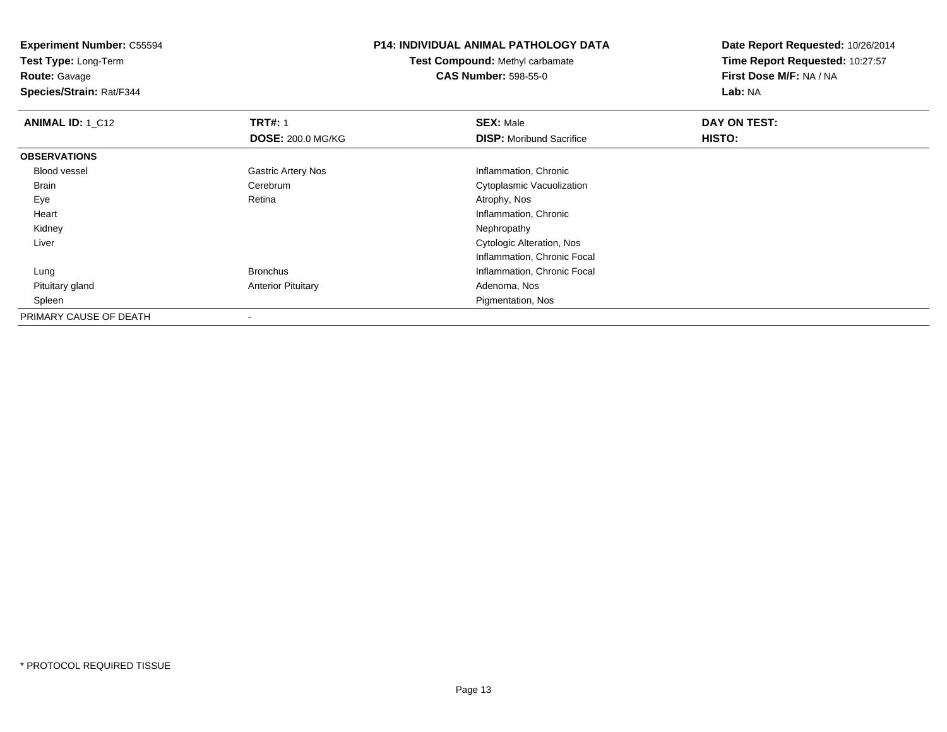**Test Type:** Long-Term

**Route:** Gavage

**Species/Strain:** Rat/F344

# **P14: INDIVIDUAL ANIMAL PATHOLOGY DATA**

**Test Compound:** Methyl carbamate**CAS Number:** 598-55-0

| <b>ANIMAL ID: 1_C12</b> | <b>TRT#: 1</b>            | <b>SEX: Male</b>                 | DAY ON TEST:  |  |
|-------------------------|---------------------------|----------------------------------|---------------|--|
|                         | <b>DOSE: 200.0 MG/KG</b>  | <b>DISP:</b> Moribund Sacrifice  | <b>HISTO:</b> |  |
| <b>OBSERVATIONS</b>     |                           |                                  |               |  |
| <b>Blood vessel</b>     | <b>Gastric Artery Nos</b> | Inflammation, Chronic            |               |  |
| <b>Brain</b>            | Cerebrum                  | Cytoplasmic Vacuolization        |               |  |
| Eye                     | Retina                    | Atrophy, Nos                     |               |  |
| Heart                   |                           | Inflammation, Chronic            |               |  |
| Kidney                  |                           | Nephropathy                      |               |  |
| Liver                   |                           | <b>Cytologic Alteration, Nos</b> |               |  |
|                         |                           | Inflammation, Chronic Focal      |               |  |
| Lung                    | <b>Bronchus</b>           | Inflammation, Chronic Focal      |               |  |
| Pituitary gland         | <b>Anterior Pituitary</b> | Adenoma, Nos                     |               |  |
| Spleen                  |                           | Pigmentation, Nos                |               |  |
| PRIMARY CAUSE OF DEATH  | $\overline{\phantom{a}}$  |                                  |               |  |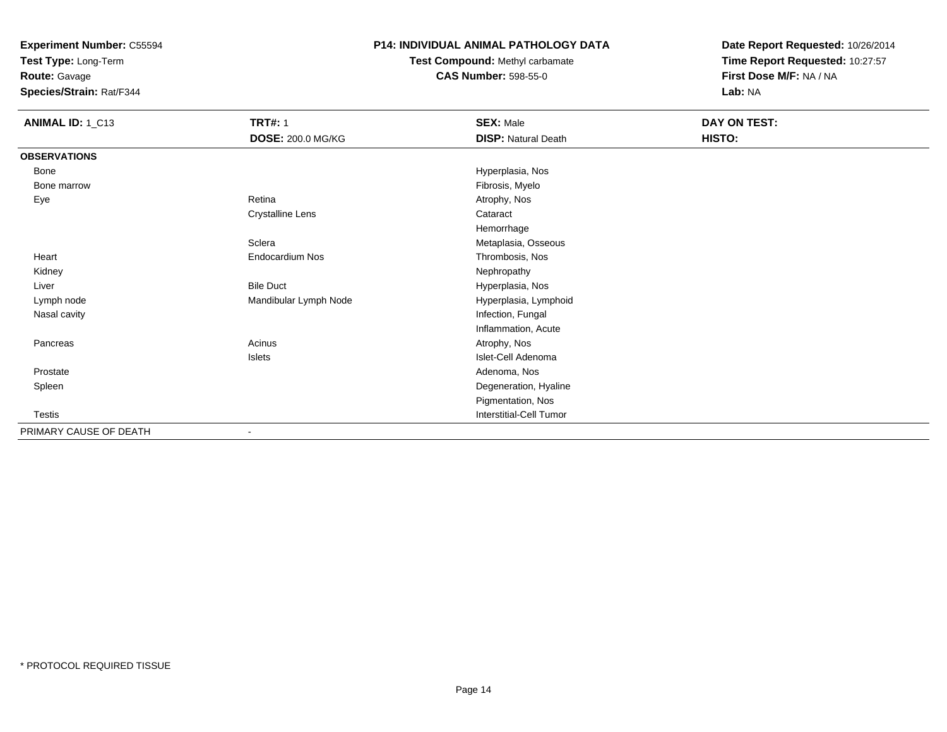**Test Type:** Long-Term

**Route:** Gavage

**Species/Strain:** Rat/F344

### **P14: INDIVIDUAL ANIMAL PATHOLOGY DATA**

**Test Compound:** Methyl carbamate**CAS Number:** 598-55-0

| ANIMAL ID: 1_C13       | <b>TRT#: 1</b>           | <b>SEX: Male</b>           | DAY ON TEST: |  |
|------------------------|--------------------------|----------------------------|--------------|--|
|                        | <b>DOSE: 200.0 MG/KG</b> | <b>DISP: Natural Death</b> | HISTO:       |  |
| <b>OBSERVATIONS</b>    |                          |                            |              |  |
| Bone                   |                          | Hyperplasia, Nos           |              |  |
| Bone marrow            |                          | Fibrosis, Myelo            |              |  |
| Eye                    | Retina                   | Atrophy, Nos               |              |  |
|                        | <b>Crystalline Lens</b>  | Cataract                   |              |  |
|                        |                          | Hemorrhage                 |              |  |
|                        | Sclera                   | Metaplasia, Osseous        |              |  |
| Heart                  | <b>Endocardium Nos</b>   | Thrombosis, Nos            |              |  |
| Kidney                 |                          | Nephropathy                |              |  |
| Liver                  | <b>Bile Duct</b>         | Hyperplasia, Nos           |              |  |
| Lymph node             | Mandibular Lymph Node    | Hyperplasia, Lymphoid      |              |  |
| Nasal cavity           |                          | Infection, Fungal          |              |  |
|                        |                          | Inflammation, Acute        |              |  |
| Pancreas               | Acinus                   | Atrophy, Nos               |              |  |
|                        | Islets                   | Islet-Cell Adenoma         |              |  |
| Prostate               |                          | Adenoma, Nos               |              |  |
| Spleen                 |                          | Degeneration, Hyaline      |              |  |
|                        |                          | Pigmentation, Nos          |              |  |
| Testis                 |                          | Interstitial-Cell Tumor    |              |  |
| PRIMARY CAUSE OF DEATH |                          |                            |              |  |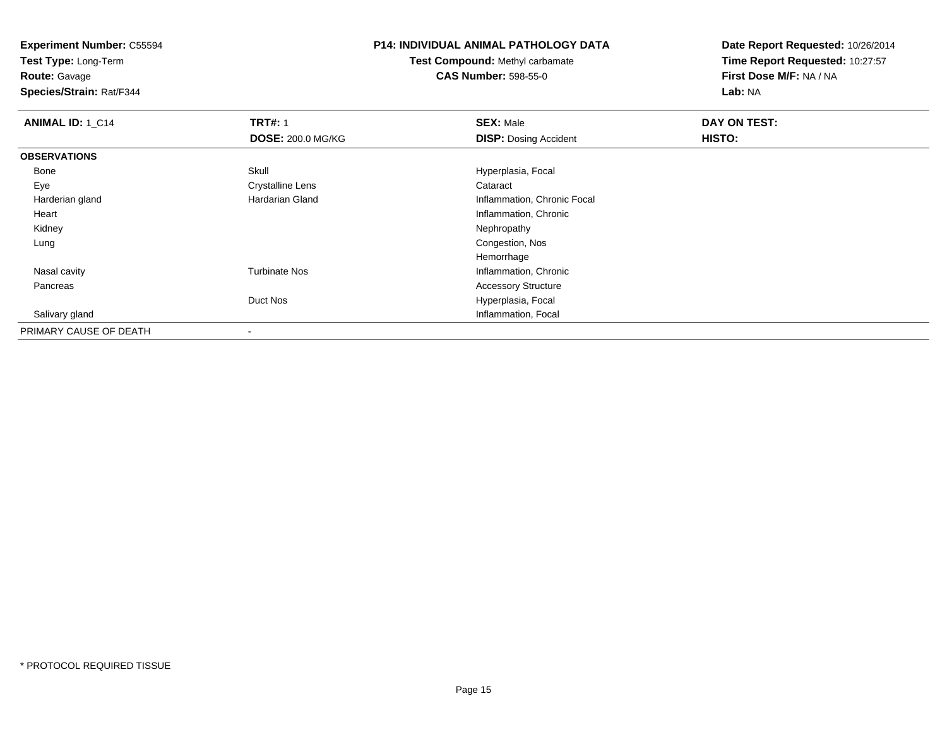**Test Type:** Long-Term

**Route:** Gavage

**Species/Strain:** Rat/F344

# **P14: INDIVIDUAL ANIMAL PATHOLOGY DATA**

## **Test Compound:** Methyl carbamate**CAS Number:** 598-55-0

| ANIMAL ID: 1_C14       | <b>TRT#: 1</b>           | <b>SEX: Male</b>             | DAY ON TEST: |  |
|------------------------|--------------------------|------------------------------|--------------|--|
|                        | <b>DOSE: 200.0 MG/KG</b> | <b>DISP: Dosing Accident</b> | HISTO:       |  |
| <b>OBSERVATIONS</b>    |                          |                              |              |  |
| Bone                   | Skull                    | Hyperplasia, Focal           |              |  |
| Eye                    | <b>Crystalline Lens</b>  | Cataract                     |              |  |
| Harderian gland        | <b>Hardarian Gland</b>   | Inflammation, Chronic Focal  |              |  |
| Heart                  |                          | Inflammation, Chronic        |              |  |
| Kidney                 |                          | Nephropathy                  |              |  |
| Lung                   |                          | Congestion, Nos              |              |  |
|                        |                          | Hemorrhage                   |              |  |
| Nasal cavity           | <b>Turbinate Nos</b>     | Inflammation, Chronic        |              |  |
| Pancreas               |                          | <b>Accessory Structure</b>   |              |  |
|                        | Duct Nos                 | Hyperplasia, Focal           |              |  |
| Salivary gland         |                          | Inflammation, Focal          |              |  |
| PRIMARY CAUSE OF DEATH | $\blacksquare$           |                              |              |  |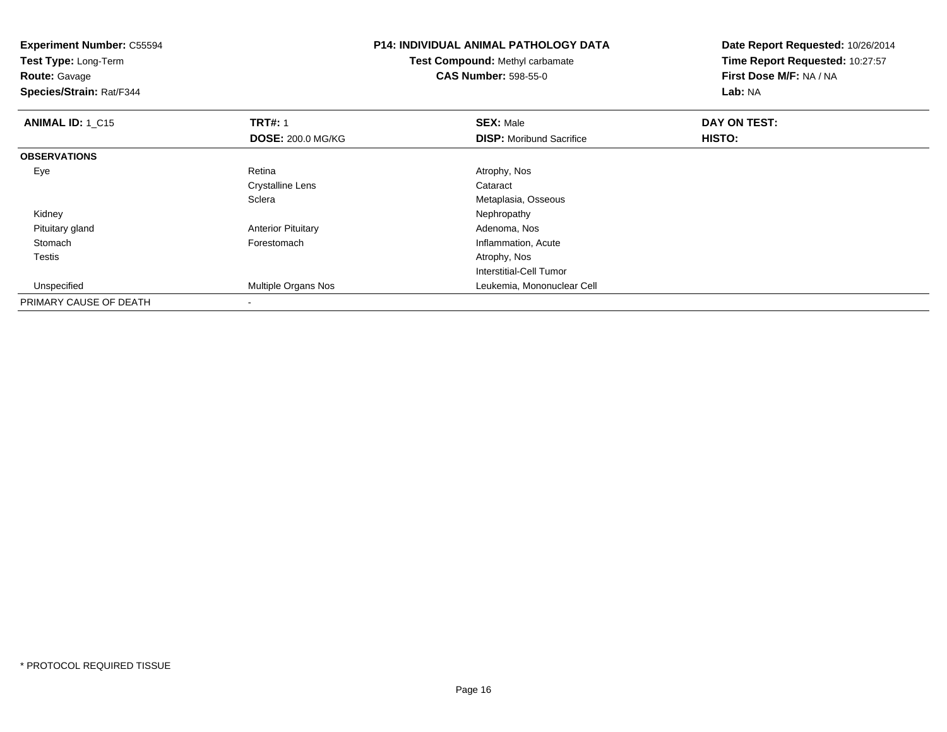**Experiment Number:** C55594**Test Type:** Long-Term**Route:** Gavage **Species/Strain:** Rat/F344**P14: INDIVIDUAL ANIMAL PATHOLOGY DATATest Compound:** Methyl carbamate**CAS Number:** 598-55-0**Date Report Requested:** 10/26/2014**Time Report Requested:** 10:27:57**First Dose M/F:** NA / NA**Lab:** NA**ANIMAL ID: 1 C15 TRT#:** 1 **SEX:** Male **DAY ON TEST: DOSE:** 200.0 MG/KG**DISP:** Moribund Sacrifice **HISTO: OBSERVATIONS** Eyee and the contract of the Retina Atrophy, Nos and Atrophy, Nos and Atrophy, Nos and Atrophy, Nos and Atrophy, Nos Crystalline Lens Cataract **Sclera** Metaplasia, Osseous<br>Nephropathy Kidneyy the control of the control of the control of the control of the control of the control of the control of the control of the control of the control of the control of the control of the control of the control of the contro Pituitary glandAnterior Pituitary **Adenoma, Nosting Community Community** Adenoma, Nosting Prestor Adenoma, Adenoma, A<br> **Adenoma**, Anterior Community Community Community Community Community Community Community Community Community Com StomachInflammation, Acute Testiss and the contract of the contract of the contract of the contract of the contract of the contract of the contract of the contract of the contract of the contract of the contract of the contract of the contract of the cont Interstitial-Cell Tumor Unspecified Multiple Organs Nos Leukemia, Mononuclear Cell PRIMARY CAUSE OF DEATH-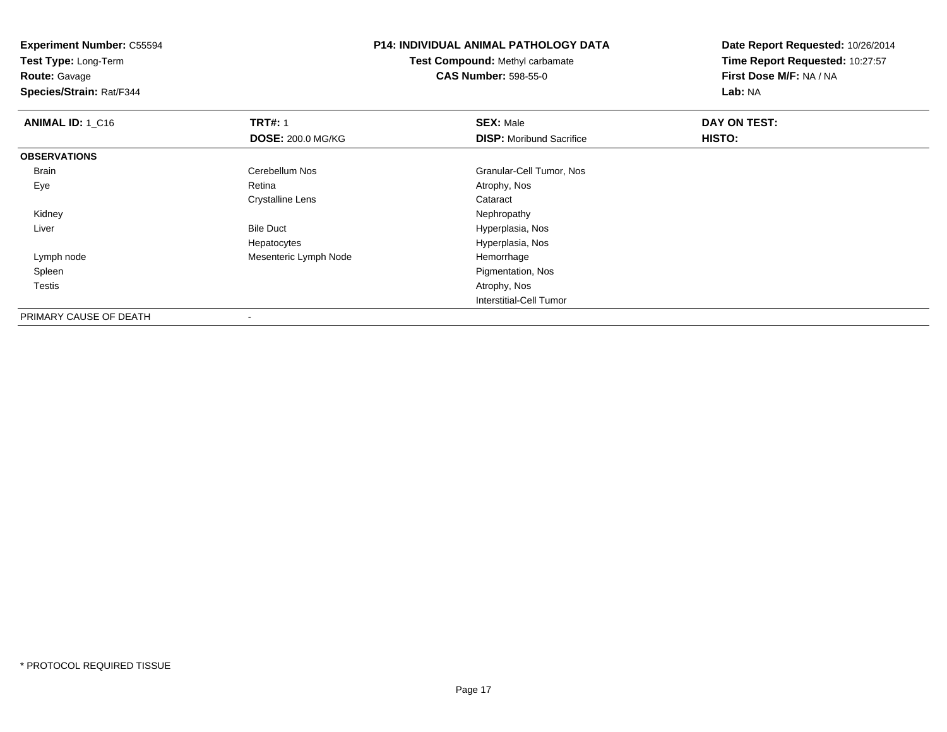**Experiment Number:** C55594**Test Type:** Long-Term**Route:** Gavage **Species/Strain:** Rat/F344**P14: INDIVIDUAL ANIMAL PATHOLOGY DATATest Compound:** Methyl carbamate**CAS Number:** 598-55-0**Date Report Requested:** 10/26/2014**Time Report Requested:** 10:27:57**First Dose M/F:** NA / NA**Lab:** NA**ANIMAL ID: 1 C16 6 DAY ON TRT#:** 1 **SEX:** Male **SEX:** Male **DOSE:** 200.0 MG/KG**DISP:** Moribund Sacrifice **HISTO: OBSERVATIONS** BrainCerebellum Nos Granular-Cell Tumor, Nos Retina and Atrophy, Nos Atrophy, Nos Cranular-Cell Tumor, Nos Eyee and the contract of the Retina Atrophy, Nos and Atrophy, Nos and Atrophy, Nos and Atrophy, Nos and Atrophy, Nos Crystalline Lens Cataract Kidneyy the control of the control of the control of the control of the control of the control of the control of the control of the control of the control of the control of the control of the control of the control of the contro LiverBile Duct **Hyperplasia**, Nos Hyperplasia, Nos Hepatocytes Lymph nodeMesenteric Lymph Node **Hemorrhage**  Spleen Pigmentation, Nos Testiss and the contract of the contract of the contract of the contract of the contract of the contract of the contract of the contract of the contract of the contract of the contract of the contract of the contract of the cont Interstitial-Cell TumorPRIMARY CAUSE OF DEATH

\* PROTOCOL REQUIRED TISSUE

-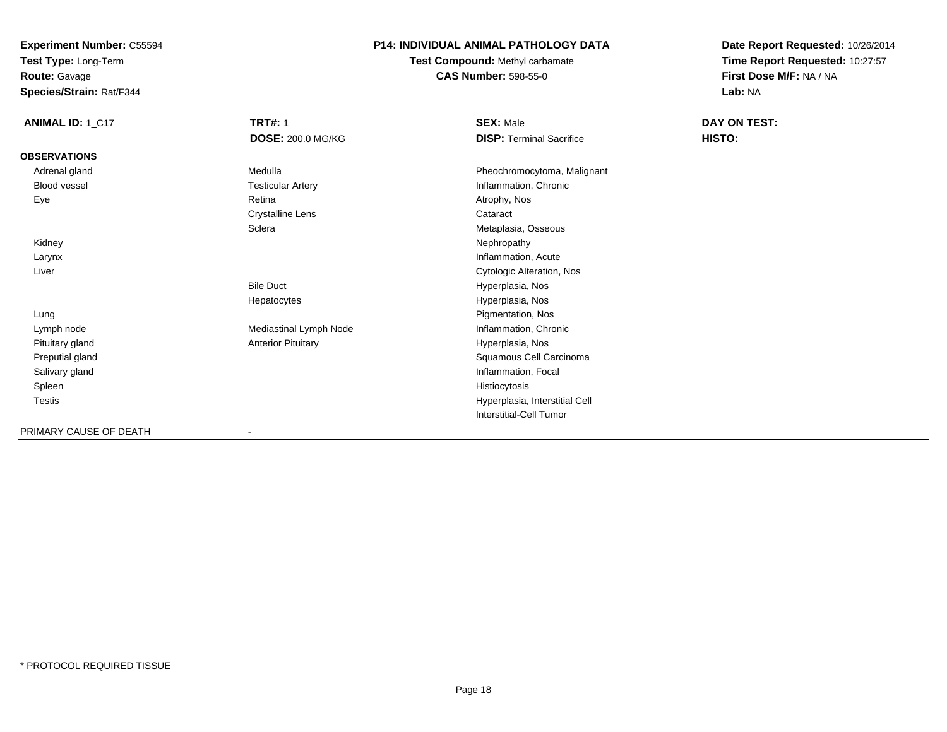**Test Type:** Long-Term

**Route:** Gavage

**Species/Strain:** Rat/F344

#### **P14: INDIVIDUAL ANIMAL PATHOLOGY DATA**

**Test Compound:** Methyl carbamate**CAS Number:** 598-55-0

| ANIMAL ID: 1_C17       | <b>TRT#: 1</b>            | <b>SEX: Male</b>                | DAY ON TEST: |  |
|------------------------|---------------------------|---------------------------------|--------------|--|
|                        | <b>DOSE: 200.0 MG/KG</b>  | <b>DISP: Terminal Sacrifice</b> | HISTO:       |  |
| <b>OBSERVATIONS</b>    |                           |                                 |              |  |
| Adrenal gland          | Medulla                   | Pheochromocytoma, Malignant     |              |  |
| Blood vessel           | <b>Testicular Artery</b>  | Inflammation, Chronic           |              |  |
| Eye                    | Retina                    | Atrophy, Nos                    |              |  |
|                        | <b>Crystalline Lens</b>   | Cataract                        |              |  |
|                        | Sclera                    | Metaplasia, Osseous             |              |  |
| Kidney                 |                           | Nephropathy                     |              |  |
| Larynx                 |                           | Inflammation, Acute             |              |  |
| Liver                  |                           | Cytologic Alteration, Nos       |              |  |
|                        | <b>Bile Duct</b>          | Hyperplasia, Nos                |              |  |
|                        | Hepatocytes               | Hyperplasia, Nos                |              |  |
| Lung                   |                           | Pigmentation, Nos               |              |  |
| Lymph node             | Mediastinal Lymph Node    | Inflammation, Chronic           |              |  |
| Pituitary gland        | <b>Anterior Pituitary</b> | Hyperplasia, Nos                |              |  |
| Preputial gland        |                           | Squamous Cell Carcinoma         |              |  |
| Salivary gland         |                           | Inflammation, Focal             |              |  |
| Spleen                 |                           | Histiocytosis                   |              |  |
| Testis                 |                           | Hyperplasia, Interstitial Cell  |              |  |
|                        |                           | Interstitial-Cell Tumor         |              |  |
| PRIMARY CAUSE OF DEATH |                           |                                 |              |  |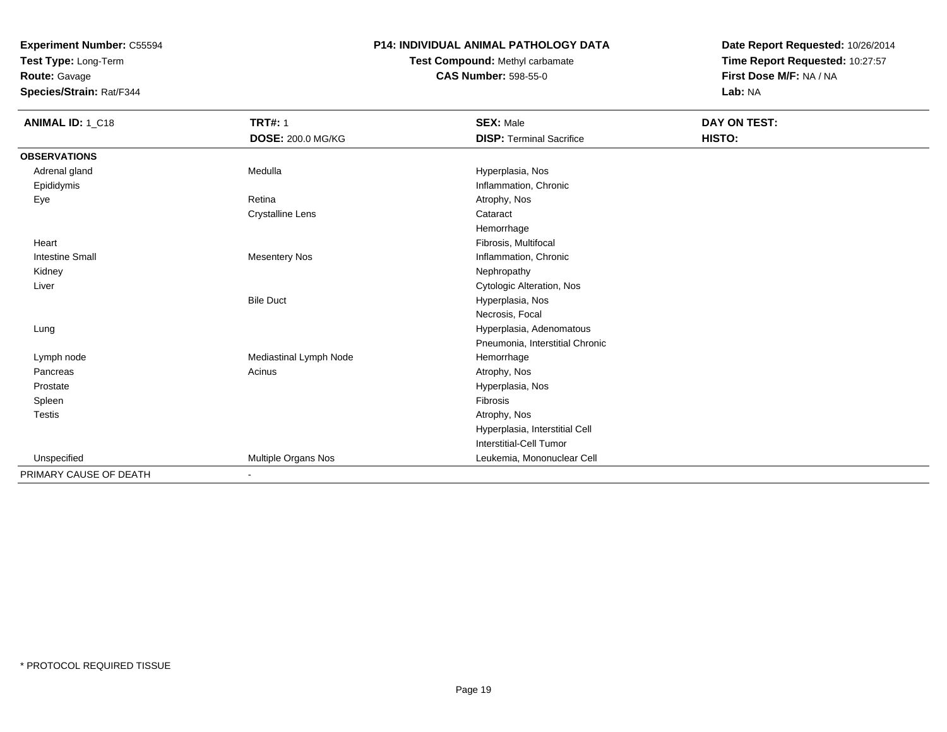**Test Type:** Long-Term

**Route:** Gavage

**Species/Strain:** Rat/F344

#### **P14: INDIVIDUAL ANIMAL PATHOLOGY DATA**

**Test Compound:** Methyl carbamate**CAS Number:** 598-55-0

| ANIMAL ID: 1_C18       | <b>TRT#: 1</b>          | <b>SEX: Male</b>                | DAY ON TEST: |
|------------------------|-------------------------|---------------------------------|--------------|
|                        | DOSE: 200.0 MG/KG       | <b>DISP: Terminal Sacrifice</b> | HISTO:       |
| <b>OBSERVATIONS</b>    |                         |                                 |              |
| Adrenal gland          | Medulla                 | Hyperplasia, Nos                |              |
| Epididymis             |                         | Inflammation, Chronic           |              |
| Eye                    | Retina                  | Atrophy, Nos                    |              |
|                        | <b>Crystalline Lens</b> | Cataract                        |              |
|                        |                         | Hemorrhage                      |              |
| Heart                  |                         | Fibrosis, Multifocal            |              |
| <b>Intestine Small</b> | <b>Mesentery Nos</b>    | Inflammation, Chronic           |              |
| Kidney                 |                         | Nephropathy                     |              |
| Liver                  |                         | Cytologic Alteration, Nos       |              |
|                        | <b>Bile Duct</b>        | Hyperplasia, Nos                |              |
|                        |                         | Necrosis, Focal                 |              |
| Lung                   |                         | Hyperplasia, Adenomatous        |              |
|                        |                         | Pneumonia, Interstitial Chronic |              |
| Lymph node             | Mediastinal Lymph Node  | Hemorrhage                      |              |
| Pancreas               | Acinus                  | Atrophy, Nos                    |              |
| Prostate               |                         | Hyperplasia, Nos                |              |
| Spleen                 |                         | Fibrosis                        |              |
| <b>Testis</b>          |                         | Atrophy, Nos                    |              |
|                        |                         | Hyperplasia, Interstitial Cell  |              |
|                        |                         | Interstitial-Cell Tumor         |              |
| Unspecified            | Multiple Organs Nos     | Leukemia, Mononuclear Cell      |              |
| PRIMARY CAUSE OF DEATH | $\blacksquare$          |                                 |              |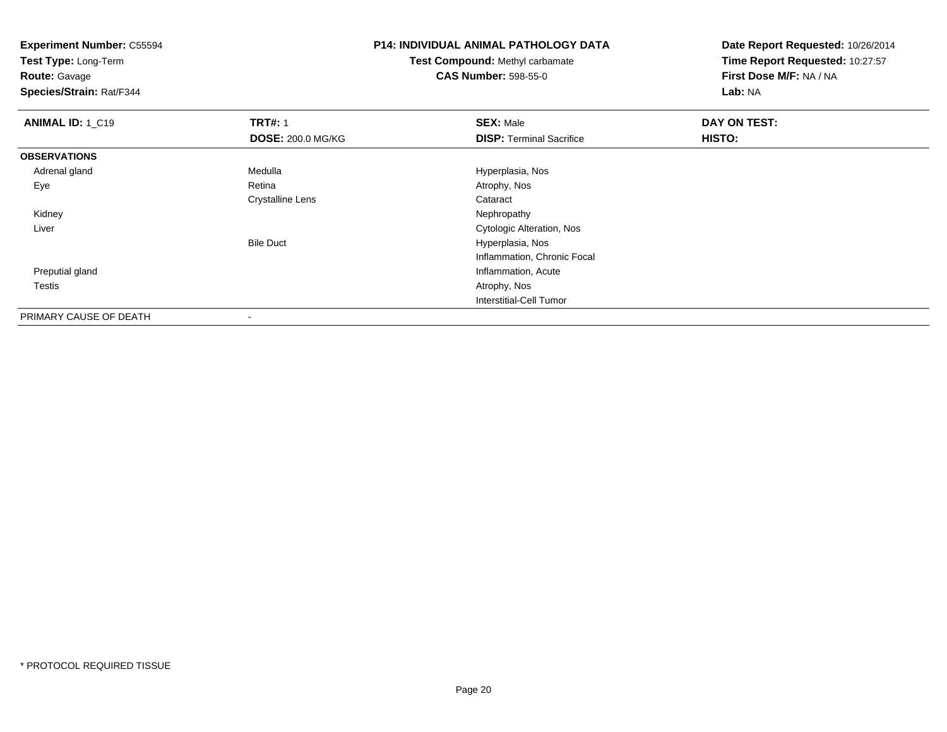**Experiment Number:** C55594**Test Type:** Long-Term**Route:** Gavage **Species/Strain:** Rat/F344**P14: INDIVIDUAL ANIMAL PATHOLOGY DATATest Compound:** Methyl carbamate**CAS Number:** 598-55-0**Date Report Requested:** 10/26/2014**Time Report Requested:** 10:27:57**First Dose M/F:** NA / NA**Lab:** NA**ANIMAL ID: 1 C19 TRT#:** 1 **SEX:** Male **DAY ON TEST: DOSE:** 200.0 MG/KG**DISP:** Terminal Sacrifice **HISTO: OBSERVATIONS** Adrenal glandMedulla Medulla Hyperplasia, Nos<br>
Retina Medulla Atrophy, Nos Eyee and the contract of the Retina Atrophy, Nos and Atrophy, Nos and Atrophy, Nos and Atrophy, Nos and Atrophy, Nos Crystalline Lens Cataract Kidneyy the control of the control of the control of the control of the control of the control of the control of the control of the control of the control of the control of the control of the control of the control of the contro Liver Cytologic Alteration, NosBile Duct Hyperplasia, Nos Inflammation, Chronic Focal Preputial gland Inflammation, Acute Testiss and the contract of the contract of the contract of the contract of the contract of the contract of the contract of the contract of the contract of the contract of the contract of the contract of the contract of the cont Interstitial-Cell Tumor

PRIMARY CAUSE OF DEATH-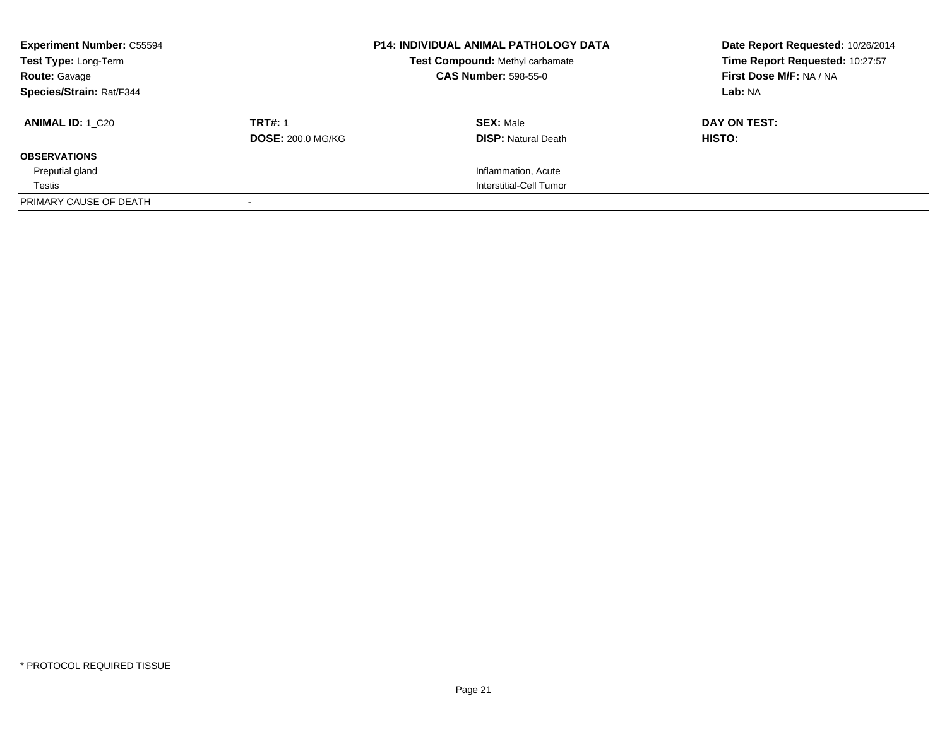| <b>Experiment Number: C55594</b><br>Test Type: Long-Term<br><b>Route: Gavage</b> |                          | <b>P14: INDIVIDUAL ANIMAL PATHOLOGY DATA</b><br><b>Test Compound: Methyl carbamate</b><br><b>CAS Number: 598-55-0</b> | Date Report Requested: 10/26/2014<br>Time Report Requested: 10:27:57<br>First Dose M/F: NA / NA |
|----------------------------------------------------------------------------------|--------------------------|-----------------------------------------------------------------------------------------------------------------------|-------------------------------------------------------------------------------------------------|
| Species/Strain: Rat/F344                                                         |                          |                                                                                                                       | Lab: NA                                                                                         |
| <b>ANIMAL ID: 1 C20</b>                                                          | <b>TRT#: 1</b>           | <b>SEX: Male</b>                                                                                                      | DAY ON TEST:                                                                                    |
|                                                                                  | <b>DOSE: 200.0 MG/KG</b> | <b>DISP: Natural Death</b>                                                                                            | HISTO:                                                                                          |
| <b>OBSERVATIONS</b>                                                              |                          |                                                                                                                       |                                                                                                 |
| Preputial gland                                                                  |                          | Inflammation, Acute                                                                                                   |                                                                                                 |
| Testis                                                                           |                          | Interstitial-Cell Tumor                                                                                               |                                                                                                 |
| PRIMARY CAUSE OF DEATH                                                           |                          |                                                                                                                       |                                                                                                 |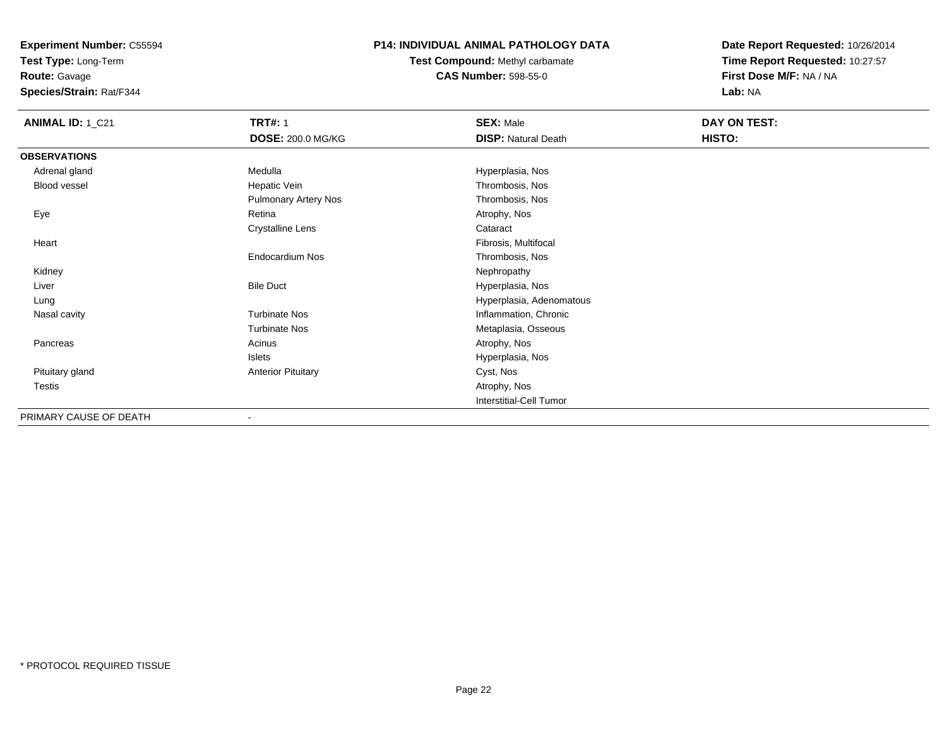**Test Type:** Long-Term

**Route:** Gavage

**Species/Strain:** Rat/F344

## **P14: INDIVIDUAL ANIMAL PATHOLOGY DATA**

# **Test Compound:** Methyl carbamate**CAS Number:** 598-55-0

| <b>ANIMAL ID: 1_C21</b> | <b>TRT#: 1</b>              | <b>SEX: Male</b>           | DAY ON TEST: |  |
|-------------------------|-----------------------------|----------------------------|--------------|--|
|                         | <b>DOSE: 200.0 MG/KG</b>    | <b>DISP: Natural Death</b> | HISTO:       |  |
| <b>OBSERVATIONS</b>     |                             |                            |              |  |
| Adrenal gland           | Medulla                     | Hyperplasia, Nos           |              |  |
| Blood vessel            | Hepatic Vein                | Thrombosis, Nos            |              |  |
|                         | <b>Pulmonary Artery Nos</b> | Thrombosis, Nos            |              |  |
| Eye                     | Retina                      | Atrophy, Nos               |              |  |
|                         | <b>Crystalline Lens</b>     | Cataract                   |              |  |
| Heart                   |                             | Fibrosis, Multifocal       |              |  |
|                         | <b>Endocardium Nos</b>      | Thrombosis, Nos            |              |  |
| Kidney                  |                             | Nephropathy                |              |  |
| Liver                   | <b>Bile Duct</b>            | Hyperplasia, Nos           |              |  |
| Lung                    |                             | Hyperplasia, Adenomatous   |              |  |
| Nasal cavity            | <b>Turbinate Nos</b>        | Inflammation, Chronic      |              |  |
|                         | <b>Turbinate Nos</b>        | Metaplasia, Osseous        |              |  |
| Pancreas                | Acinus                      | Atrophy, Nos               |              |  |
|                         | Islets                      | Hyperplasia, Nos           |              |  |
| Pituitary gland         | <b>Anterior Pituitary</b>   | Cyst, Nos                  |              |  |
| Testis                  |                             | Atrophy, Nos               |              |  |
|                         |                             | Interstitial-Cell Tumor    |              |  |
| PRIMARY CAUSE OF DEATH  | ۰                           |                            |              |  |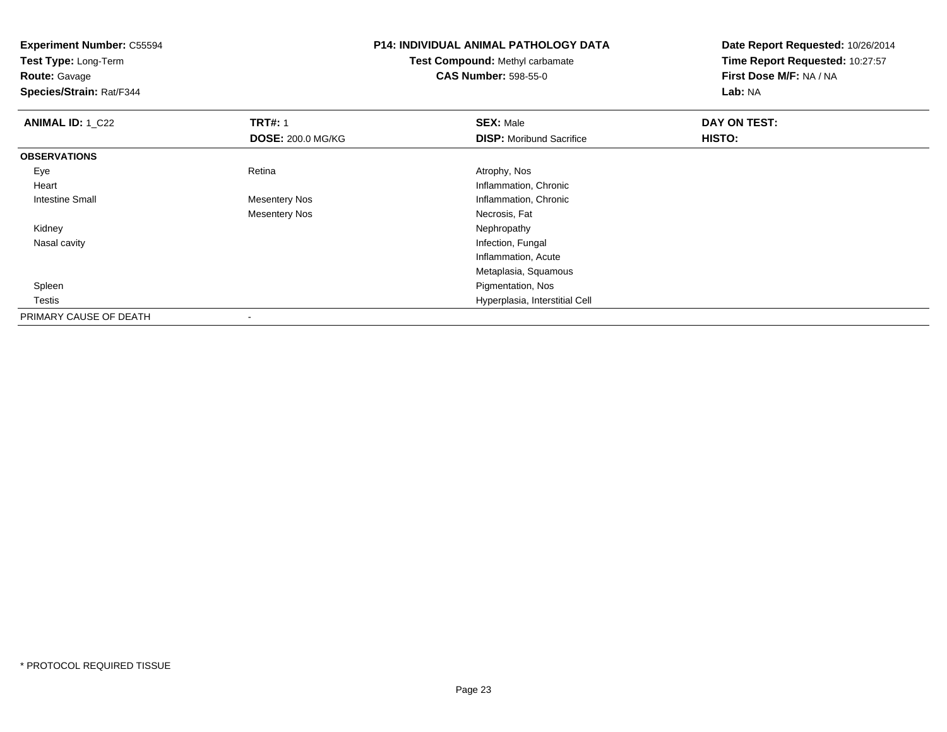| <b>Experiment Number: C55594</b> |                             | <b>P14: INDIVIDUAL ANIMAL PATHOLOGY DATA</b> | Date Report Requested: 10/26/2014 |
|----------------------------------|-----------------------------|----------------------------------------------|-----------------------------------|
| Test Type: Long-Term             |                             | Test Compound: Methyl carbamate              | Time Report Requested: 10:27:57   |
| <b>Route: Gavage</b>             | <b>CAS Number: 598-55-0</b> |                                              | First Dose M/F: NA / NA           |
| Species/Strain: Rat/F344         |                             |                                              | Lab: NA                           |
| <b>ANIMAL ID: 1 C22</b>          | <b>TRT#: 1</b>              | <b>SEX: Male</b>                             | DAY ON TEST:                      |
|                                  | <b>DOSE: 200.0 MG/KG</b>    | <b>DISP:</b> Moribund Sacrifice              | HISTO:                            |
| <b>OBSERVATIONS</b>              |                             |                                              |                                   |
| Eye                              | Retina                      | Atrophy, Nos                                 |                                   |
| Heart                            |                             | Inflammation, Chronic                        |                                   |
| <b>Intestine Small</b>           | <b>Mesentery Nos</b>        | Inflammation, Chronic                        |                                   |
|                                  | <b>Mesentery Nos</b>        | Necrosis, Fat                                |                                   |
| Kidney                           |                             | Nephropathy                                  |                                   |
| Nasal cavity                     |                             | Infection, Fungal                            |                                   |
|                                  |                             | Inflammation, Acute                          |                                   |
|                                  |                             | Metaplasia, Squamous                         |                                   |
| Spleen                           |                             | Pigmentation, Nos                            |                                   |
| Testis                           |                             | Hyperplasia, Interstitial Cell               |                                   |
| PRIMARY CAUSE OF DEATH           |                             |                                              |                                   |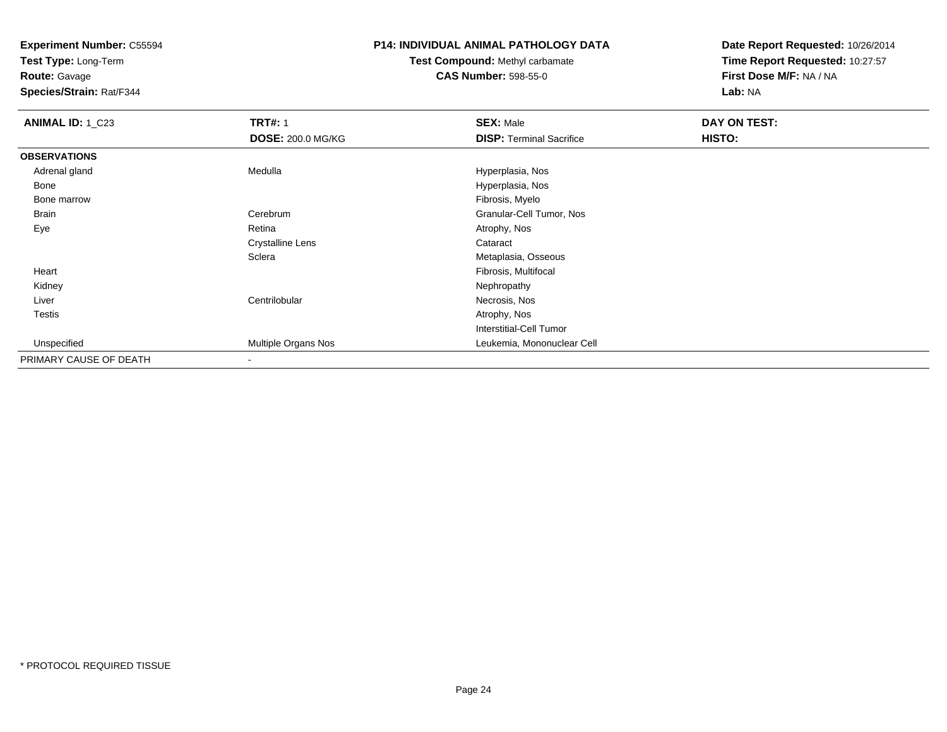**Test Type:** Long-Term

**Route:** Gavage

**Species/Strain:** Rat/F344

#### **P14: INDIVIDUAL ANIMAL PATHOLOGY DATA**

**Test Compound:** Methyl carbamate**CAS Number:** 598-55-0

| <b>ANIMAL ID: 1_C23</b> | <b>TRT#: 1</b>           | <b>SEX: Male</b>                | <b>DAY ON TEST:</b> |  |
|-------------------------|--------------------------|---------------------------------|---------------------|--|
|                         | <b>DOSE: 200.0 MG/KG</b> | <b>DISP: Terminal Sacrifice</b> | HISTO:              |  |
| <b>OBSERVATIONS</b>     |                          |                                 |                     |  |
| Adrenal gland           | Medulla                  | Hyperplasia, Nos                |                     |  |
| Bone                    |                          | Hyperplasia, Nos                |                     |  |
| Bone marrow             |                          | Fibrosis, Myelo                 |                     |  |
| <b>Brain</b>            | Cerebrum                 | Granular-Cell Tumor, Nos        |                     |  |
| Eye                     | Retina                   | Atrophy, Nos                    |                     |  |
|                         | <b>Crystalline Lens</b>  | Cataract                        |                     |  |
|                         | Sclera                   | Metaplasia, Osseous             |                     |  |
| Heart                   |                          | Fibrosis, Multifocal            |                     |  |
| Kidney                  |                          | Nephropathy                     |                     |  |
| Liver                   | Centrilobular            | Necrosis, Nos                   |                     |  |
| <b>Testis</b>           |                          | Atrophy, Nos                    |                     |  |
|                         |                          | Interstitial-Cell Tumor         |                     |  |
| Unspecified             | Multiple Organs Nos      | Leukemia, Mononuclear Cell      |                     |  |
| PRIMARY CAUSE OF DEATH  |                          |                                 |                     |  |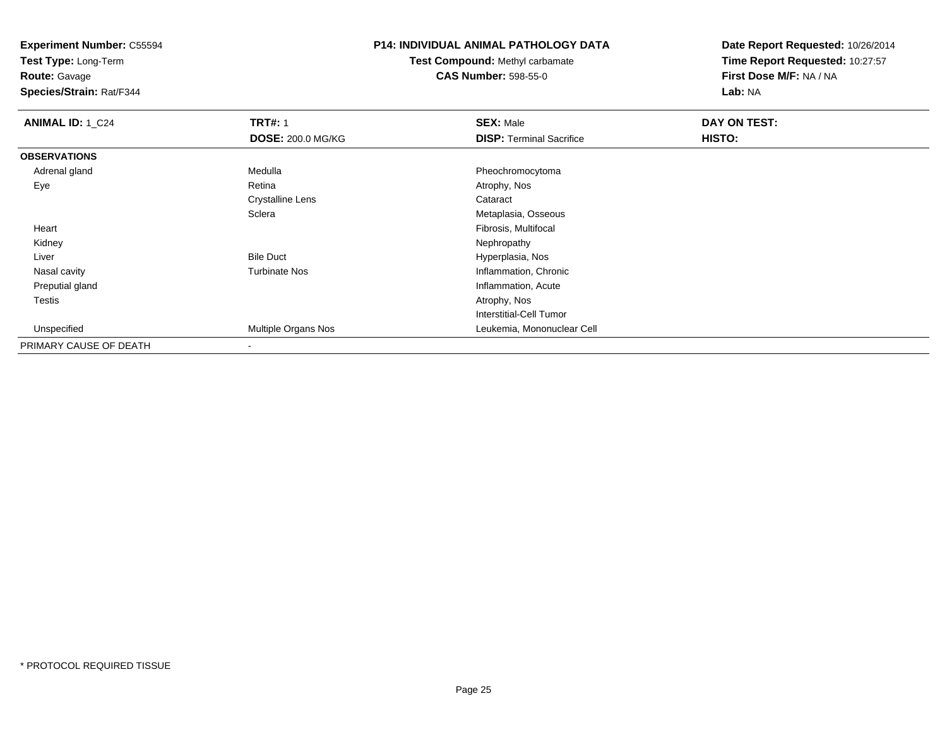**Test Type:** Long-Term

**Route:** Gavage

**Species/Strain:** Rat/F344

# **P14: INDIVIDUAL ANIMAL PATHOLOGY DATA**

**Test Compound:** Methyl carbamate**CAS Number:** 598-55-0

| <b>ANIMAL ID: 1_C24</b> | <b>TRT#: 1</b>           | <b>SEX: Male</b>                | <b>DAY ON TEST:</b> |  |
|-------------------------|--------------------------|---------------------------------|---------------------|--|
|                         | <b>DOSE: 200.0 MG/KG</b> | <b>DISP:</b> Terminal Sacrifice | HISTO:              |  |
| <b>OBSERVATIONS</b>     |                          |                                 |                     |  |
| Adrenal gland           | Medulla                  | Pheochromocytoma                |                     |  |
| Eye                     | Retina                   | Atrophy, Nos                    |                     |  |
|                         | <b>Crystalline Lens</b>  | Cataract                        |                     |  |
|                         | Sclera                   | Metaplasia, Osseous             |                     |  |
| Heart                   |                          | Fibrosis, Multifocal            |                     |  |
| Kidney                  |                          | Nephropathy                     |                     |  |
| Liver                   | <b>Bile Duct</b>         | Hyperplasia, Nos                |                     |  |
| Nasal cavity            | <b>Turbinate Nos</b>     | Inflammation, Chronic           |                     |  |
| Preputial gland         |                          | Inflammation, Acute             |                     |  |
| Testis                  |                          | Atrophy, Nos                    |                     |  |
|                         |                          | Interstitial-Cell Tumor         |                     |  |
| Unspecified             | Multiple Organs Nos      | Leukemia, Mononuclear Cell      |                     |  |
| PRIMARY CAUSE OF DEATH  | $\blacksquare$           |                                 |                     |  |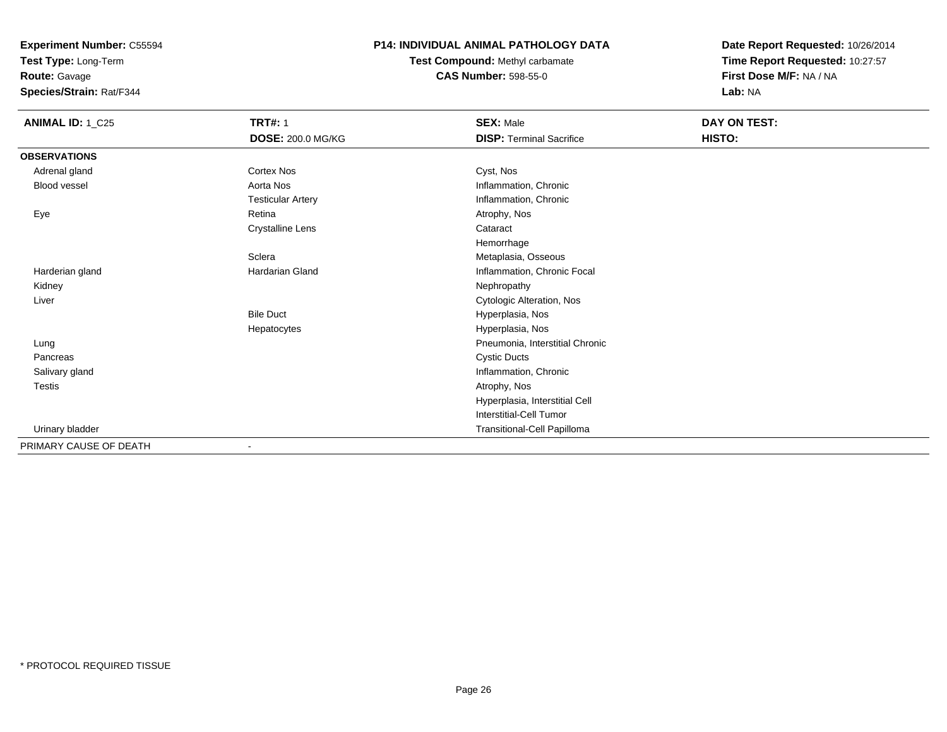**Test Type:** Long-Term

**Route:** Gavage

**Species/Strain:** Rat/F344

### **P14: INDIVIDUAL ANIMAL PATHOLOGY DATA**

**Test Compound:** Methyl carbamate**CAS Number:** 598-55-0

| <b>ANIMAL ID: 1_C25</b> | <b>TRT#: 1</b>               | <b>SEX: Male</b>                | DAY ON TEST: |  |
|-------------------------|------------------------------|---------------------------------|--------------|--|
|                         | <b>DOSE: 200.0 MG/KG</b>     | <b>DISP: Terminal Sacrifice</b> | HISTO:       |  |
| <b>OBSERVATIONS</b>     |                              |                                 |              |  |
| Adrenal gland           | <b>Cortex Nos</b>            | Cyst, Nos                       |              |  |
| Blood vessel            | Aorta Nos                    | Inflammation, Chronic           |              |  |
|                         | <b>Testicular Artery</b>     | Inflammation, Chronic           |              |  |
| Eye                     | Retina                       | Atrophy, Nos                    |              |  |
|                         | <b>Crystalline Lens</b>      | Cataract                        |              |  |
|                         |                              | Hemorrhage                      |              |  |
|                         | Sclera                       | Metaplasia, Osseous             |              |  |
| Harderian gland         | Hardarian Gland              | Inflammation, Chronic Focal     |              |  |
| Kidney                  |                              | Nephropathy                     |              |  |
| Liver                   |                              | Cytologic Alteration, Nos       |              |  |
|                         | <b>Bile Duct</b>             | Hyperplasia, Nos                |              |  |
|                         | Hepatocytes                  | Hyperplasia, Nos                |              |  |
| Lung                    |                              | Pneumonia, Interstitial Chronic |              |  |
| Pancreas                |                              | <b>Cystic Ducts</b>             |              |  |
| Salivary gland          |                              | Inflammation, Chronic           |              |  |
| Testis                  |                              | Atrophy, Nos                    |              |  |
|                         |                              | Hyperplasia, Interstitial Cell  |              |  |
|                         |                              | <b>Interstitial-Cell Tumor</b>  |              |  |
| Urinary bladder         |                              | Transitional-Cell Papilloma     |              |  |
| PRIMARY CAUSE OF DEATH  | $\qquad \qquad \blacksquare$ |                                 |              |  |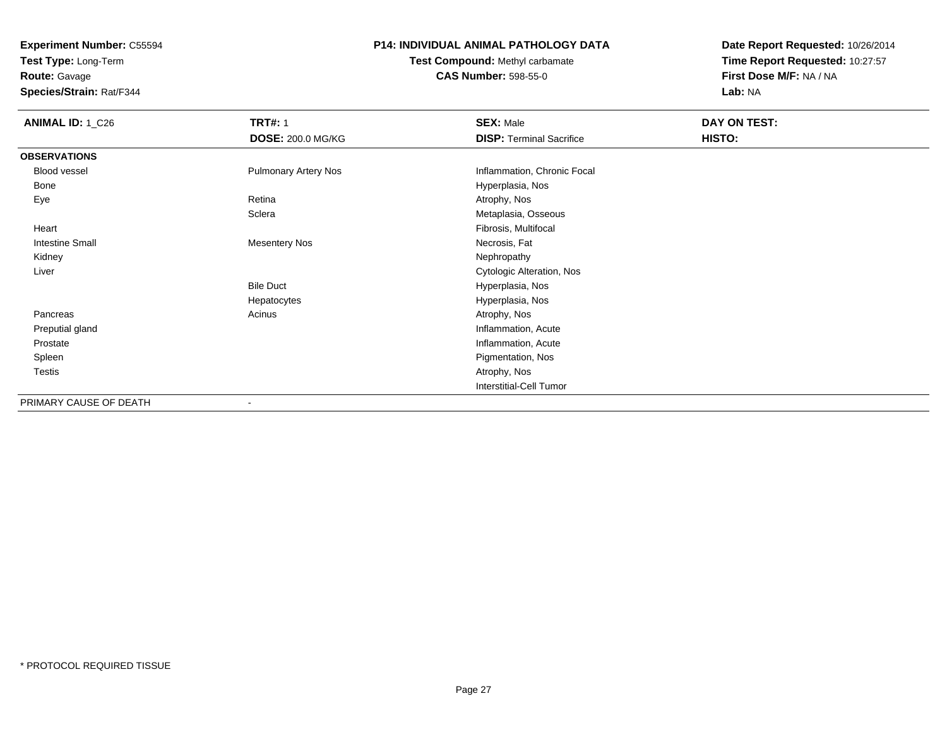**Test Type:** Long-Term

**Route:** Gavage

**Species/Strain:** Rat/F344

### **P14: INDIVIDUAL ANIMAL PATHOLOGY DATA**

**Test Compound:** Methyl carbamate**CAS Number:** 598-55-0

| <b>ANIMAL ID: 1_C26</b> | <b>TRT#: 1</b><br><b>DOSE: 200.0 MG/KG</b> | <b>SEX: Male</b><br><b>DISP: Terminal Sacrifice</b> | DAY ON TEST:<br>HISTO: |  |
|-------------------------|--------------------------------------------|-----------------------------------------------------|------------------------|--|
| <b>OBSERVATIONS</b>     |                                            |                                                     |                        |  |
| Blood vessel            | <b>Pulmonary Artery Nos</b>                | Inflammation, Chronic Focal                         |                        |  |
| Bone                    |                                            | Hyperplasia, Nos                                    |                        |  |
| Eye                     | Retina                                     | Atrophy, Nos                                        |                        |  |
|                         | Sclera                                     | Metaplasia, Osseous                                 |                        |  |
| Heart                   |                                            | Fibrosis, Multifocal                                |                        |  |
| <b>Intestine Small</b>  | <b>Mesentery Nos</b>                       | Necrosis, Fat                                       |                        |  |
| Kidney                  |                                            | Nephropathy                                         |                        |  |
| Liver                   |                                            | Cytologic Alteration, Nos                           |                        |  |
|                         | <b>Bile Duct</b>                           | Hyperplasia, Nos                                    |                        |  |
|                         | Hepatocytes                                | Hyperplasia, Nos                                    |                        |  |
| Pancreas                | Acinus                                     | Atrophy, Nos                                        |                        |  |
| Preputial gland         |                                            | Inflammation, Acute                                 |                        |  |
| Prostate                |                                            | Inflammation, Acute                                 |                        |  |
| Spleen                  |                                            | Pigmentation, Nos                                   |                        |  |
| Testis                  |                                            | Atrophy, Nos                                        |                        |  |
|                         |                                            | <b>Interstitial-Cell Tumor</b>                      |                        |  |
| PRIMARY CAUSE OF DEATH  | $\blacksquare$                             |                                                     |                        |  |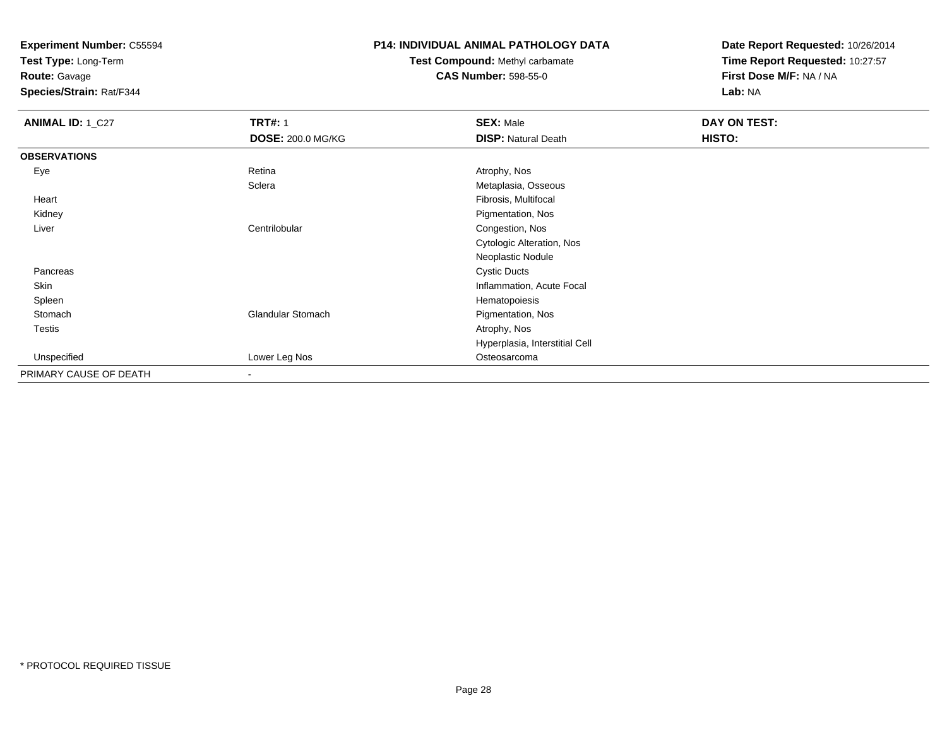**Test Type:** Long-Term

**Route:** Gavage

**Species/Strain:** Rat/F344

#### **P14: INDIVIDUAL ANIMAL PATHOLOGY DATA**

# **Test Compound:** Methyl carbamate**CAS Number:** 598-55-0

| <b>ANIMAL ID: 1_C27</b> | <b>TRT#: 1</b>           | <b>SEX: Male</b>               | DAY ON TEST: |  |
|-------------------------|--------------------------|--------------------------------|--------------|--|
|                         | <b>DOSE: 200.0 MG/KG</b> | <b>DISP: Natural Death</b>     | HISTO:       |  |
| <b>OBSERVATIONS</b>     |                          |                                |              |  |
| Eye                     | Retina                   | Atrophy, Nos                   |              |  |
|                         | Sclera                   | Metaplasia, Osseous            |              |  |
| Heart                   |                          | Fibrosis, Multifocal           |              |  |
| Kidney                  |                          | Pigmentation, Nos              |              |  |
| Liver                   | Centrilobular            | Congestion, Nos                |              |  |
|                         |                          | Cytologic Alteration, Nos      |              |  |
|                         |                          | Neoplastic Nodule              |              |  |
| Pancreas                |                          | <b>Cystic Ducts</b>            |              |  |
| Skin                    |                          | Inflammation, Acute Focal      |              |  |
| Spleen                  |                          | Hematopoiesis                  |              |  |
| Stomach                 | <b>Glandular Stomach</b> | Pigmentation, Nos              |              |  |
| Testis                  |                          | Atrophy, Nos                   |              |  |
|                         |                          | Hyperplasia, Interstitial Cell |              |  |
| Unspecified             | Lower Leg Nos            | Osteosarcoma                   |              |  |
| PRIMARY CAUSE OF DEATH  | $\overline{\phantom{a}}$ |                                |              |  |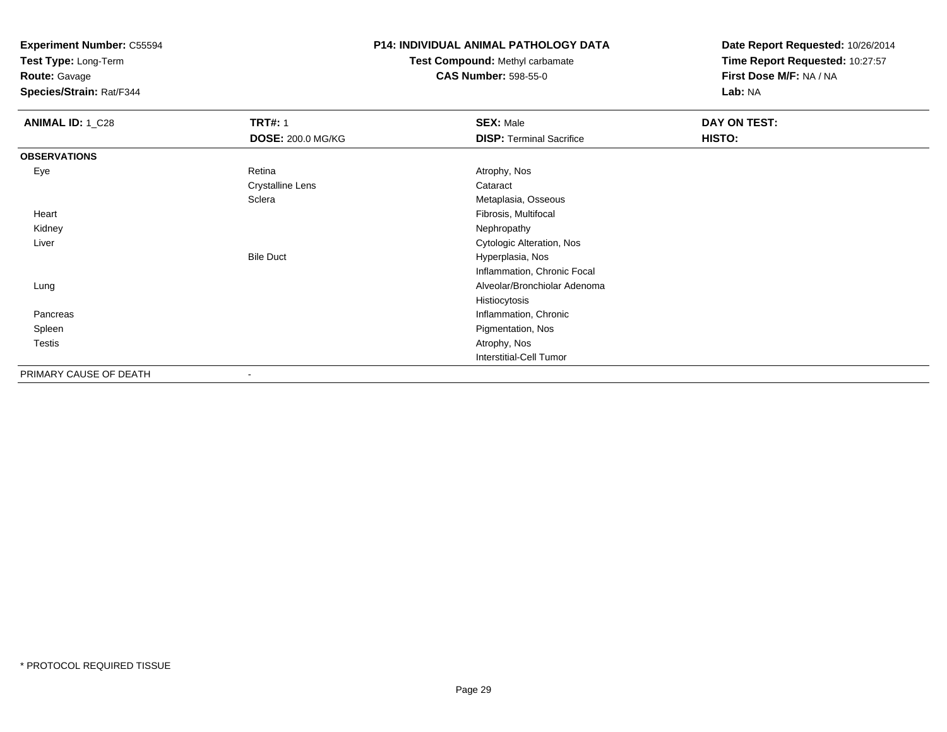**Test Type:** Long-Term

**Route:** Gavage

**Species/Strain:** Rat/F344

### **P14: INDIVIDUAL ANIMAL PATHOLOGY DATA**

# **Test Compound:** Methyl carbamate**CAS Number:** 598-55-0

| <b>ANIMAL ID: 1_C28</b> | <b>TRT#: 1</b>           | <b>SEX: Male</b>                | DAY ON TEST: |  |
|-------------------------|--------------------------|---------------------------------|--------------|--|
|                         | <b>DOSE: 200.0 MG/KG</b> | <b>DISP: Terminal Sacrifice</b> | HISTO:       |  |
| <b>OBSERVATIONS</b>     |                          |                                 |              |  |
| Eye                     | Retina                   | Atrophy, Nos                    |              |  |
|                         | <b>Crystalline Lens</b>  | Cataract                        |              |  |
|                         | Sclera                   | Metaplasia, Osseous             |              |  |
| Heart                   |                          | Fibrosis, Multifocal            |              |  |
| Kidney                  |                          | Nephropathy                     |              |  |
| Liver                   |                          | Cytologic Alteration, Nos       |              |  |
|                         | <b>Bile Duct</b>         | Hyperplasia, Nos                |              |  |
|                         |                          | Inflammation, Chronic Focal     |              |  |
| Lung                    |                          | Alveolar/Bronchiolar Adenoma    |              |  |
|                         |                          | Histiocytosis                   |              |  |
| Pancreas                |                          | Inflammation, Chronic           |              |  |
| Spleen                  |                          | Pigmentation, Nos               |              |  |
| Testis                  |                          | Atrophy, Nos                    |              |  |
|                         |                          | <b>Interstitial-Cell Tumor</b>  |              |  |
| PRIMARY CAUSE OF DEATH  | $\overline{\phantom{a}}$ |                                 |              |  |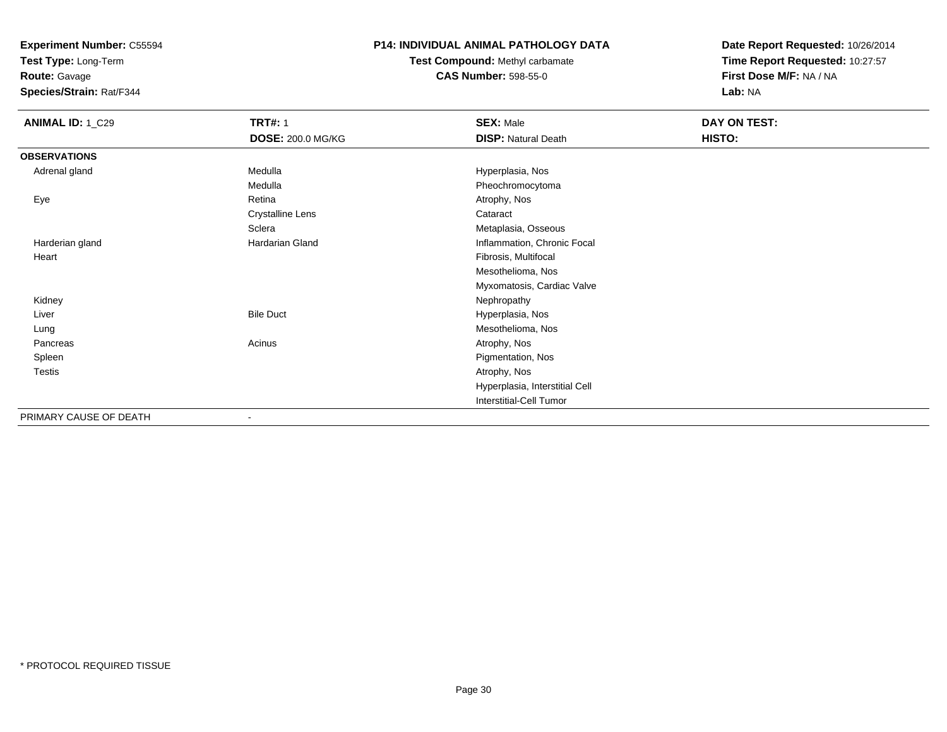**Test Type:** Long-Term

**Route:** Gavage

**Species/Strain:** Rat/F344

#### **P14: INDIVIDUAL ANIMAL PATHOLOGY DATA**

**Test Compound:** Methyl carbamate**CAS Number:** 598-55-0

| <b>ANIMAL ID: 1_C29</b> | <b>TRT#: 1</b><br><b>DOSE: 200.0 MG/KG</b> | <b>SEX: Male</b><br><b>DISP: Natural Death</b> | DAY ON TEST:<br>HISTO: |
|-------------------------|--------------------------------------------|------------------------------------------------|------------------------|
| <b>OBSERVATIONS</b>     |                                            |                                                |                        |
| Adrenal gland           | Medulla                                    | Hyperplasia, Nos                               |                        |
|                         | Medulla                                    | Pheochromocytoma                               |                        |
| Eye                     | Retina                                     | Atrophy, Nos                                   |                        |
|                         | <b>Crystalline Lens</b>                    | Cataract                                       |                        |
|                         | Sclera                                     | Metaplasia, Osseous                            |                        |
| Harderian gland         | Hardarian Gland                            | Inflammation, Chronic Focal                    |                        |
| Heart                   |                                            | Fibrosis, Multifocal                           |                        |
|                         |                                            | Mesothelioma, Nos                              |                        |
|                         |                                            | Myxomatosis, Cardiac Valve                     |                        |
| Kidney                  |                                            | Nephropathy                                    |                        |
| Liver                   | <b>Bile Duct</b>                           | Hyperplasia, Nos                               |                        |
| Lung                    |                                            | Mesothelioma, Nos                              |                        |
| Pancreas                | Acinus                                     | Atrophy, Nos                                   |                        |
| Spleen                  |                                            | Pigmentation, Nos                              |                        |
| Testis                  |                                            | Atrophy, Nos                                   |                        |
|                         |                                            | Hyperplasia, Interstitial Cell                 |                        |
|                         |                                            | Interstitial-Cell Tumor                        |                        |
| PRIMARY CAUSE OF DEATH  | $\blacksquare$                             |                                                |                        |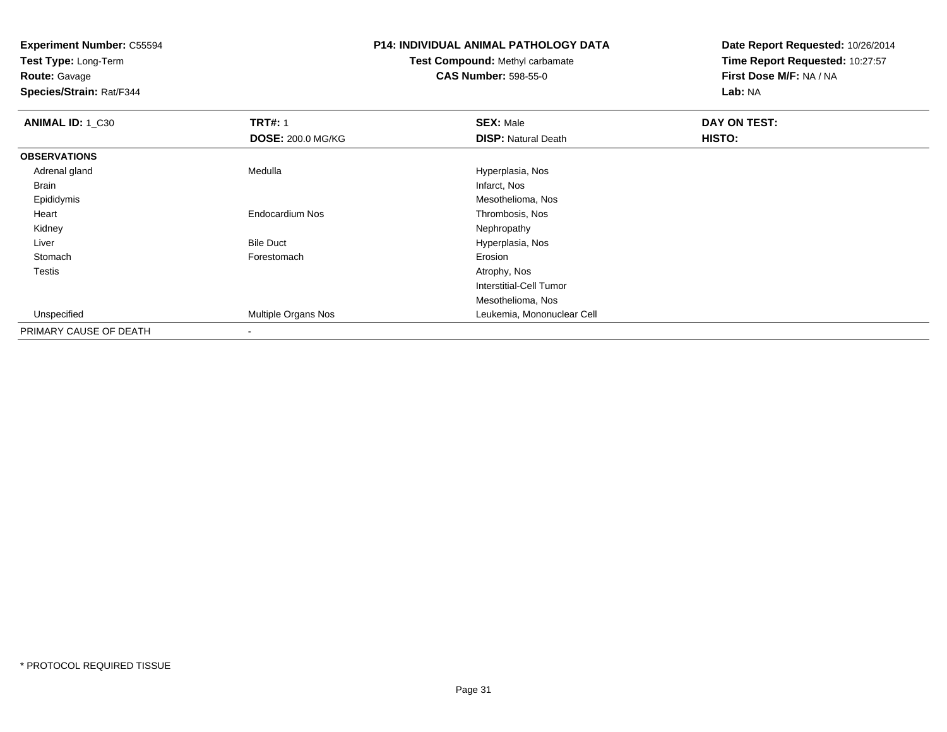**Test Type:** Long-Term

**Route:** Gavage

**Species/Strain:** Rat/F344

# **P14: INDIVIDUAL ANIMAL PATHOLOGY DATA**

## **Test Compound:** Methyl carbamate**CAS Number:** 598-55-0

| ANIMAL ID: 1_C30       | <b>TRT#: 1</b>           | <b>SEX: Male</b>               | DAY ON TEST: |
|------------------------|--------------------------|--------------------------------|--------------|
|                        | <b>DOSE: 200.0 MG/KG</b> | <b>DISP: Natural Death</b>     | HISTO:       |
| <b>OBSERVATIONS</b>    |                          |                                |              |
| Adrenal gland          | Medulla                  | Hyperplasia, Nos               |              |
| Brain                  |                          | Infarct, Nos                   |              |
| Epididymis             |                          | Mesothelioma, Nos              |              |
| Heart                  | Endocardium Nos          | Thrombosis, Nos                |              |
| Kidney                 |                          | Nephropathy                    |              |
| Liver                  | <b>Bile Duct</b>         | Hyperplasia, Nos               |              |
| Stomach                | Forestomach              | Erosion                        |              |
| Testis                 |                          | Atrophy, Nos                   |              |
|                        |                          | <b>Interstitial-Cell Tumor</b> |              |
|                        |                          | Mesothelioma, Nos              |              |
| Unspecified            | Multiple Organs Nos      | Leukemia, Mononuclear Cell     |              |
| PRIMARY CAUSE OF DEATH |                          |                                |              |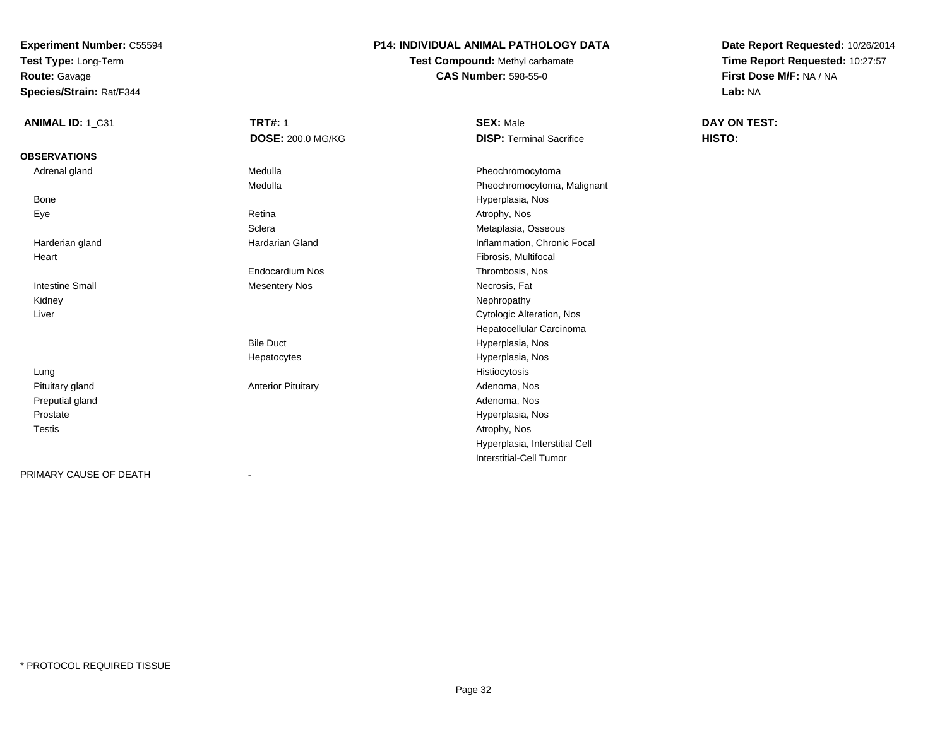**Test Type:** Long-Term

**Route:** Gavage

**Species/Strain:** Rat/F344

#### **P14: INDIVIDUAL ANIMAL PATHOLOGY DATA**

**Test Compound:** Methyl carbamate**CAS Number:** 598-55-0

| ANIMAL ID: 1_C31       | <b>TRT#: 1</b>            | <b>SEX: Male</b>                | <b>DAY ON TEST:</b> |  |
|------------------------|---------------------------|---------------------------------|---------------------|--|
|                        | DOSE: 200.0 MG/KG         | <b>DISP: Terminal Sacrifice</b> | HISTO:              |  |
| <b>OBSERVATIONS</b>    |                           |                                 |                     |  |
| Adrenal gland          | Medulla                   | Pheochromocytoma                |                     |  |
|                        | Medulla                   | Pheochromocytoma, Malignant     |                     |  |
| <b>Bone</b>            |                           | Hyperplasia, Nos                |                     |  |
| Eye                    | Retina                    | Atrophy, Nos                    |                     |  |
|                        | Sclera                    | Metaplasia, Osseous             |                     |  |
| Harderian gland        | Hardarian Gland           | Inflammation, Chronic Focal     |                     |  |
| Heart                  |                           | Fibrosis, Multifocal            |                     |  |
|                        | <b>Endocardium Nos</b>    | Thrombosis, Nos                 |                     |  |
| <b>Intestine Small</b> | <b>Mesentery Nos</b>      | Necrosis, Fat                   |                     |  |
| Kidney                 |                           | Nephropathy                     |                     |  |
| Liver                  |                           | Cytologic Alteration, Nos       |                     |  |
|                        |                           | Hepatocellular Carcinoma        |                     |  |
|                        | <b>Bile Duct</b>          | Hyperplasia, Nos                |                     |  |
|                        | Hepatocytes               | Hyperplasia, Nos                |                     |  |
| Lung                   |                           | Histiocytosis                   |                     |  |
| Pituitary gland        | <b>Anterior Pituitary</b> | Adenoma, Nos                    |                     |  |
| Preputial gland        |                           | Adenoma, Nos                    |                     |  |
| Prostate               |                           | Hyperplasia, Nos                |                     |  |
| <b>Testis</b>          |                           | Atrophy, Nos                    |                     |  |
|                        |                           | Hyperplasia, Interstitial Cell  |                     |  |
|                        |                           | <b>Interstitial-Cell Tumor</b>  |                     |  |
| PRIMARY CAUSE OF DEATH | $\overline{\phantom{a}}$  |                                 |                     |  |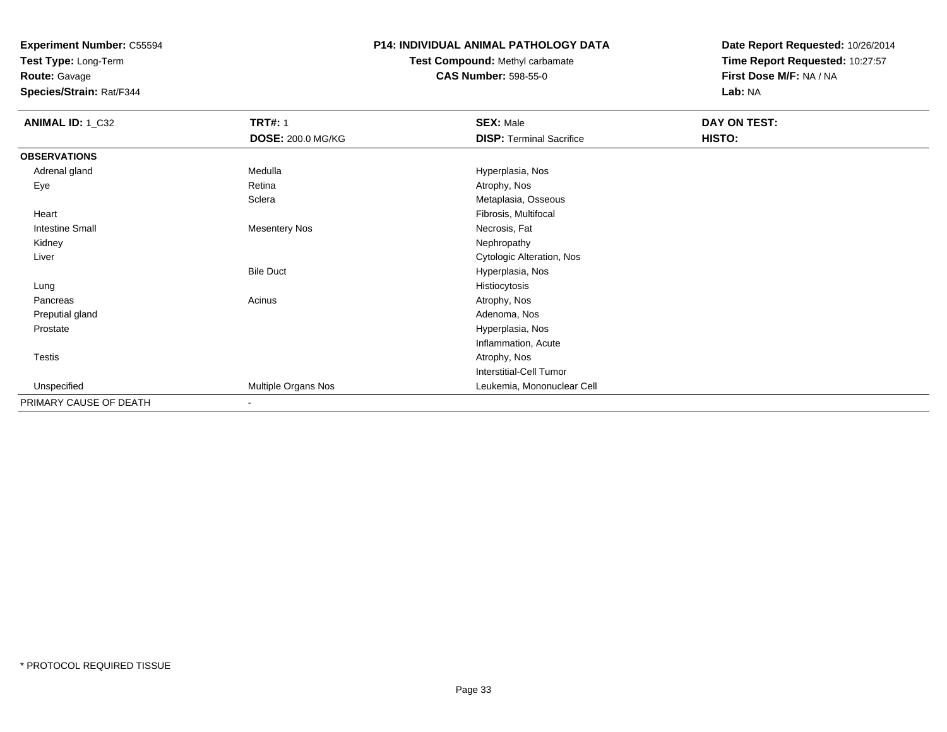**Test Type:** Long-Term

**Route:** Gavage

**Species/Strain:** Rat/F344

### **P14: INDIVIDUAL ANIMAL PATHOLOGY DATA**

# **Test Compound:** Methyl carbamate**CAS Number:** 598-55-0

| <b>ANIMAL ID: 1_C32</b> | <b>TRT#: 1</b>           | <b>SEX: Male</b>                | DAY ON TEST: |  |
|-------------------------|--------------------------|---------------------------------|--------------|--|
|                         | <b>DOSE: 200.0 MG/KG</b> | <b>DISP: Terminal Sacrifice</b> | HISTO:       |  |
| <b>OBSERVATIONS</b>     |                          |                                 |              |  |
| Adrenal gland           | Medulla                  | Hyperplasia, Nos                |              |  |
| Eye                     | Retina                   | Atrophy, Nos                    |              |  |
|                         | Sclera                   | Metaplasia, Osseous             |              |  |
| Heart                   |                          | Fibrosis, Multifocal            |              |  |
| <b>Intestine Small</b>  | <b>Mesentery Nos</b>     | Necrosis, Fat                   |              |  |
| Kidney                  |                          | Nephropathy                     |              |  |
| Liver                   |                          | Cytologic Alteration, Nos       |              |  |
|                         | <b>Bile Duct</b>         | Hyperplasia, Nos                |              |  |
| Lung                    |                          | Histiocytosis                   |              |  |
| Pancreas                | Acinus                   | Atrophy, Nos                    |              |  |
| Preputial gland         |                          | Adenoma, Nos                    |              |  |
| Prostate                |                          | Hyperplasia, Nos                |              |  |
|                         |                          | Inflammation, Acute             |              |  |
| <b>Testis</b>           |                          | Atrophy, Nos                    |              |  |
|                         |                          | Interstitial-Cell Tumor         |              |  |
| Unspecified             | Multiple Organs Nos      | Leukemia, Mononuclear Cell      |              |  |
| PRIMARY CAUSE OF DEATH  | $\overline{\phantom{a}}$ |                                 |              |  |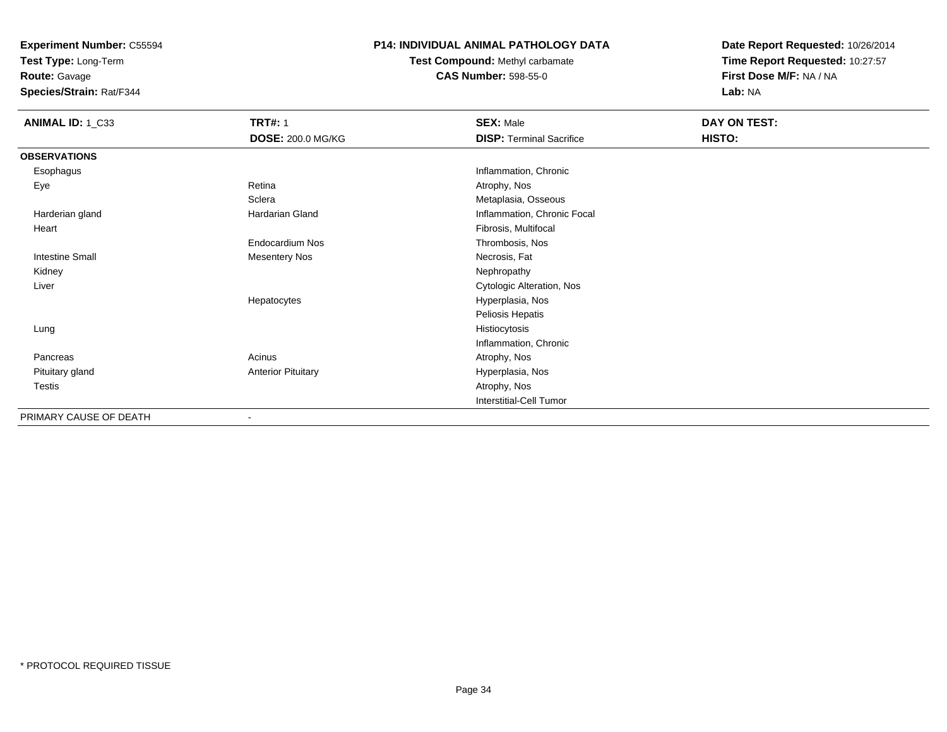**Test Type:** Long-Term

**Route:** Gavage

**Species/Strain:** Rat/F344

#### **P14: INDIVIDUAL ANIMAL PATHOLOGY DATA**

**Test Compound:** Methyl carbamate**CAS Number:** 598-55-0

| ANIMAL ID: 1_C33       | <b>TRT#: 1</b>            | <b>SEX: Male</b>                | DAY ON TEST: |  |
|------------------------|---------------------------|---------------------------------|--------------|--|
|                        | <b>DOSE: 200.0 MG/KG</b>  | <b>DISP: Terminal Sacrifice</b> | HISTO:       |  |
| <b>OBSERVATIONS</b>    |                           |                                 |              |  |
| Esophagus              |                           | Inflammation, Chronic           |              |  |
| Eye                    | Retina                    | Atrophy, Nos                    |              |  |
|                        | Sclera                    | Metaplasia, Osseous             |              |  |
| Harderian gland        | <b>Hardarian Gland</b>    | Inflammation, Chronic Focal     |              |  |
| Heart                  |                           | Fibrosis, Multifocal            |              |  |
|                        | <b>Endocardium Nos</b>    | Thrombosis, Nos                 |              |  |
| <b>Intestine Small</b> | <b>Mesentery Nos</b>      | Necrosis, Fat                   |              |  |
| Kidney                 |                           | Nephropathy                     |              |  |
| Liver                  |                           | Cytologic Alteration, Nos       |              |  |
|                        | Hepatocytes               | Hyperplasia, Nos                |              |  |
|                        |                           | Peliosis Hepatis                |              |  |
| Lung                   |                           | Histiocytosis                   |              |  |
|                        |                           | Inflammation, Chronic           |              |  |
| Pancreas               | Acinus                    | Atrophy, Nos                    |              |  |
| Pituitary gland        | <b>Anterior Pituitary</b> | Hyperplasia, Nos                |              |  |
| Testis                 |                           | Atrophy, Nos                    |              |  |
|                        |                           | <b>Interstitial-Cell Tumor</b>  |              |  |
| PRIMARY CAUSE OF DEATH | $\blacksquare$            |                                 |              |  |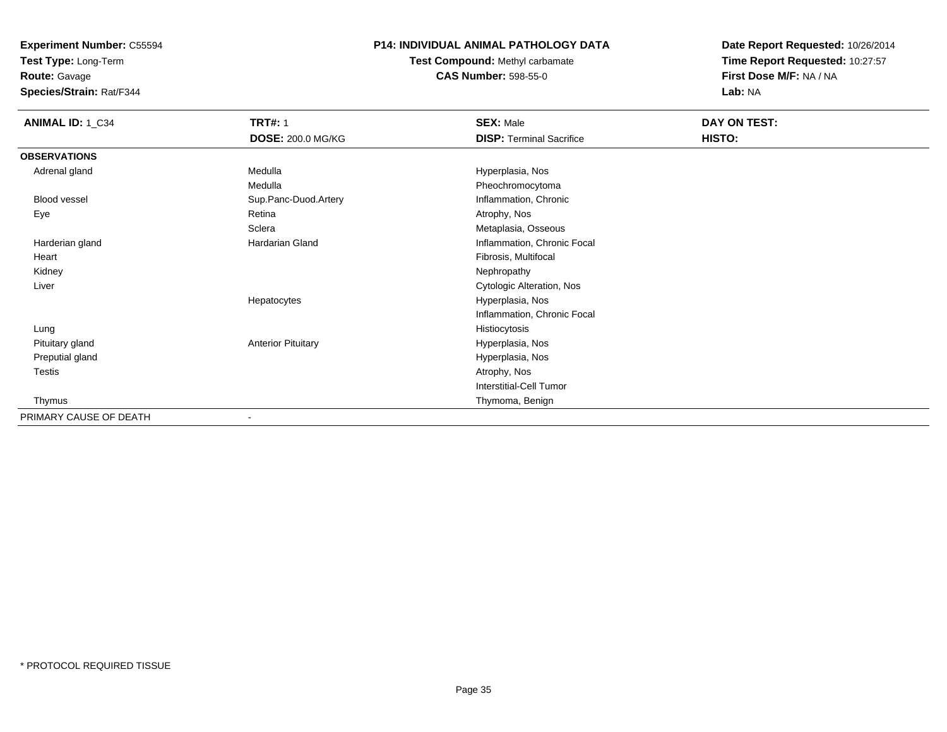**Test Type:** Long-Term

**Route:** Gavage

**Species/Strain:** Rat/F344

### **P14: INDIVIDUAL ANIMAL PATHOLOGY DATA**

**Test Compound:** Methyl carbamate**CAS Number:** 598-55-0

| <b>ANIMAL ID: 1_C34</b> | <b>TRT#: 1</b>            | <b>SEX: Male</b>                | DAY ON TEST: |  |
|-------------------------|---------------------------|---------------------------------|--------------|--|
|                         | <b>DOSE: 200.0 MG/KG</b>  | <b>DISP: Terminal Sacrifice</b> | HISTO:       |  |
| <b>OBSERVATIONS</b>     |                           |                                 |              |  |
| Adrenal gland           | Medulla                   | Hyperplasia, Nos                |              |  |
|                         | Medulla                   | Pheochromocytoma                |              |  |
| <b>Blood vessel</b>     | Sup.Panc-Duod.Artery      | Inflammation, Chronic           |              |  |
| Eye                     | Retina                    | Atrophy, Nos                    |              |  |
|                         | Sclera                    | Metaplasia, Osseous             |              |  |
| Harderian gland         | Hardarian Gland           | Inflammation, Chronic Focal     |              |  |
| Heart                   |                           | Fibrosis, Multifocal            |              |  |
| Kidney                  |                           | Nephropathy                     |              |  |
| Liver                   |                           | Cytologic Alteration, Nos       |              |  |
|                         | Hepatocytes               | Hyperplasia, Nos                |              |  |
|                         |                           | Inflammation, Chronic Focal     |              |  |
| Lung                    |                           | Histiocytosis                   |              |  |
| Pituitary gland         | <b>Anterior Pituitary</b> | Hyperplasia, Nos                |              |  |
| Preputial gland         |                           | Hyperplasia, Nos                |              |  |
| Testis                  |                           | Atrophy, Nos                    |              |  |
|                         |                           | <b>Interstitial-Cell Tumor</b>  |              |  |
| Thymus                  |                           | Thymoma, Benign                 |              |  |
| PRIMARY CAUSE OF DEATH  | ۰                         |                                 |              |  |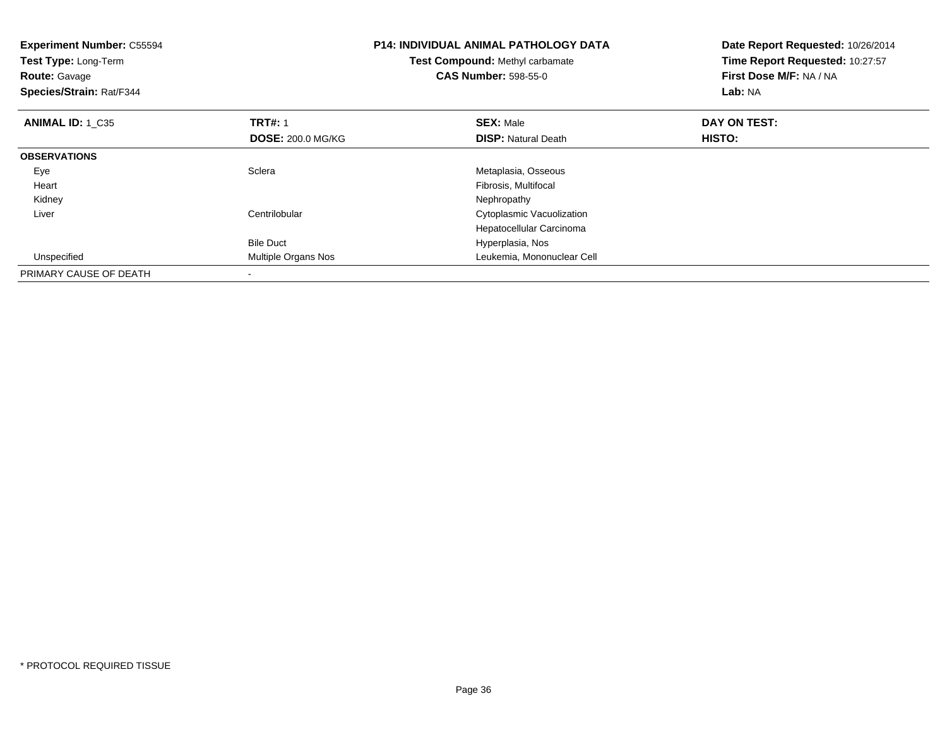| <b>Experiment Number: C55594</b><br>Test Type: Long-Term<br><b>Route: Gavage</b><br>Species/Strain: Rat/F344 |                            | <b>P14: INDIVIDUAL ANIMAL PATHOLOGY DATA</b><br>Test Compound: Methyl carbamate<br><b>CAS Number: 598-55-0</b> | Date Report Requested: 10/26/2014<br>Time Report Requested: 10:27:57<br>First Dose M/F: NA / NA<br>Lab: NA |  |
|--------------------------------------------------------------------------------------------------------------|----------------------------|----------------------------------------------------------------------------------------------------------------|------------------------------------------------------------------------------------------------------------|--|
| <b>ANIMAL ID: 1 C35</b>                                                                                      | <b>TRT#: 1</b>             | <b>SEX: Male</b>                                                                                               | DAY ON TEST:                                                                                               |  |
|                                                                                                              | <b>DOSE: 200.0 MG/KG</b>   | <b>DISP:</b> Natural Death                                                                                     | HISTO:                                                                                                     |  |
| <b>OBSERVATIONS</b>                                                                                          |                            |                                                                                                                |                                                                                                            |  |
| Eye                                                                                                          | Sclera                     | Metaplasia, Osseous                                                                                            |                                                                                                            |  |
| Heart                                                                                                        |                            | Fibrosis, Multifocal                                                                                           |                                                                                                            |  |
| Kidney                                                                                                       |                            | Nephropathy                                                                                                    |                                                                                                            |  |
| Liver                                                                                                        | Centrilobular              | Cytoplasmic Vacuolization                                                                                      |                                                                                                            |  |
|                                                                                                              |                            | Hepatocellular Carcinoma                                                                                       |                                                                                                            |  |
|                                                                                                              | <b>Bile Duct</b>           | Hyperplasia, Nos                                                                                               |                                                                                                            |  |
| Unspecified                                                                                                  | <b>Multiple Organs Nos</b> | Leukemia, Mononuclear Cell                                                                                     |                                                                                                            |  |
| PRIMARY CAUSE OF DEATH                                                                                       |                            |                                                                                                                |                                                                                                            |  |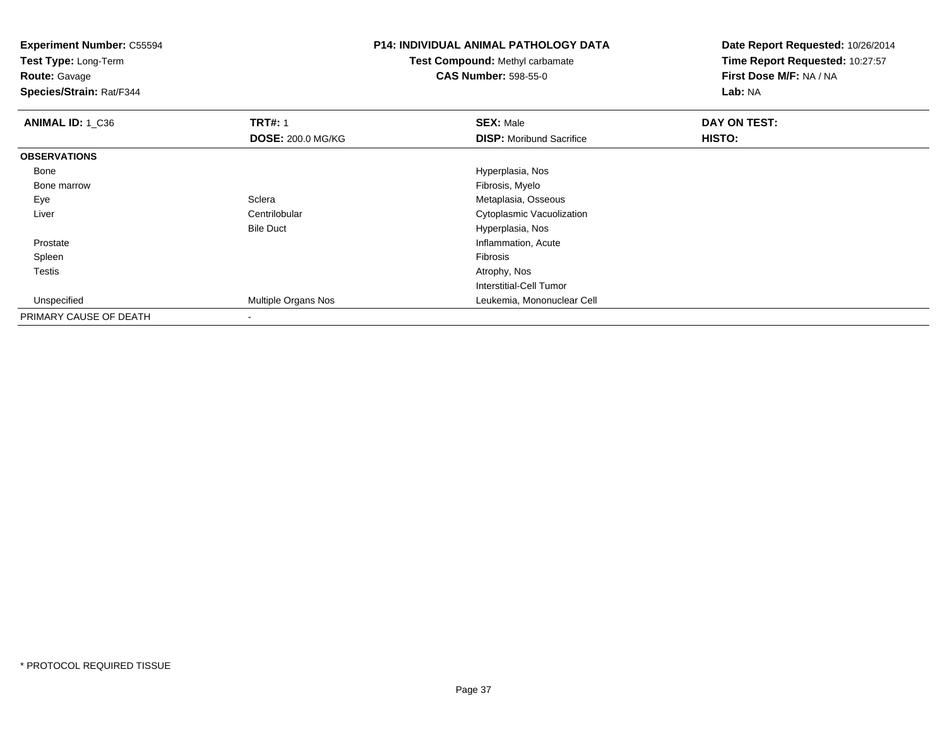**Experiment Number:** C55594**Test Type:** Long-Term**Route:** Gavage **Species/Strain:** Rat/F344**P14: INDIVIDUAL ANIMAL PATHOLOGY DATATest Compound:** Methyl carbamate**CAS Number:** 598-55-0**Date Report Requested:** 10/26/2014**Time Report Requested:** 10:27:57**First Dose M/F:** NA / NA**Lab:** NA**ANIMAL ID: 1 C36 6 DAY ON TRT#:** 1 **SEX:** Male **SEX:** Male **DAY ON TEST: DOSE:** 200.0 MG/KG**DISP:** Moribund Sacrifice **HISTO: OBSERVATIONS** Bone Hyperplasia, Nos Bone marroww which is a state of the state of the state of the state of the state of the Fibrosis, Myelo state of the state of the state of the state of the state of the state of the state of the state of the state of the state of th EyeSclera Metaplasia, Osseous<br>Centrilobular Communications Cytoplasmic Vacuolizi LiverCytoplasmic Vacuolization Bile Duct Hyperplasia, Nose contraction of the contraction of the contraction of the contraction of the contraction, Acute Prostate Spleenn and the contract of the contract of the contract of the contract of the contract of the contract of the contract of the contract of the contract of the contract of the contract of the contract of the contract of the cont Testiss and the contract of the contract of the contract of the contract of the contract of the contract of the contract of the contract of the contract of the contract of the contract of the contract of the contract of the cont Interstitial-Cell Tumor Unspecified Multiple Organs Nos Leukemia, Mononuclear Cell PRIMARY CAUSE OF DEATH-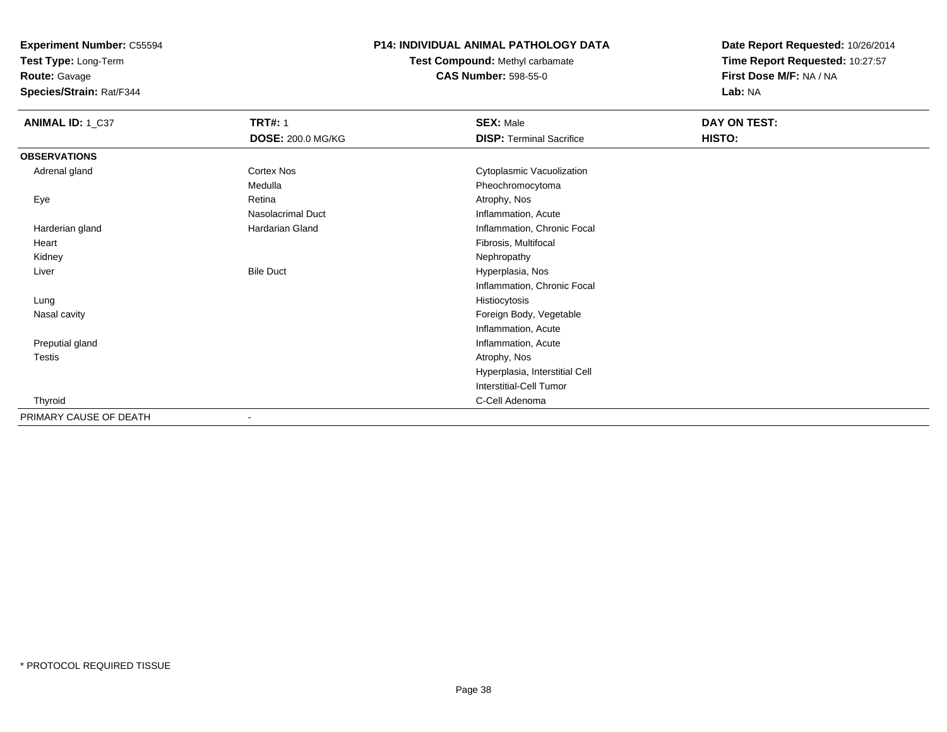**Test Type:** Long-Term

**Route:** Gavage

**Species/Strain:** Rat/F344

### **P14: INDIVIDUAL ANIMAL PATHOLOGY DATA**

**Test Compound:** Methyl carbamate**CAS Number:** 598-55-0

| ANIMAL ID: 1_C37       | <b>TRT#: 1</b>           | <b>SEX: Male</b>                | DAY ON TEST: |
|------------------------|--------------------------|---------------------------------|--------------|
|                        | <b>DOSE: 200.0 MG/KG</b> | <b>DISP: Terminal Sacrifice</b> | HISTO:       |
| <b>OBSERVATIONS</b>    |                          |                                 |              |
| Adrenal gland          | Cortex Nos               | Cytoplasmic Vacuolization       |              |
|                        | Medulla                  | Pheochromocytoma                |              |
| Eye                    | Retina                   | Atrophy, Nos                    |              |
|                        | Nasolacrimal Duct        | Inflammation, Acute             |              |
| Harderian gland        | Hardarian Gland          | Inflammation, Chronic Focal     |              |
| Heart                  |                          | Fibrosis, Multifocal            |              |
| Kidney                 |                          | Nephropathy                     |              |
| Liver                  | <b>Bile Duct</b>         | Hyperplasia, Nos                |              |
|                        |                          | Inflammation, Chronic Focal     |              |
| Lung                   |                          | Histiocytosis                   |              |
| Nasal cavity           |                          | Foreign Body, Vegetable         |              |
|                        |                          | Inflammation, Acute             |              |
| Preputial gland        |                          | Inflammation, Acute             |              |
| Testis                 |                          | Atrophy, Nos                    |              |
|                        |                          | Hyperplasia, Interstitial Cell  |              |
|                        |                          | Interstitial-Cell Tumor         |              |
| Thyroid                |                          | C-Cell Adenoma                  |              |
| PRIMARY CAUSE OF DEATH |                          |                                 |              |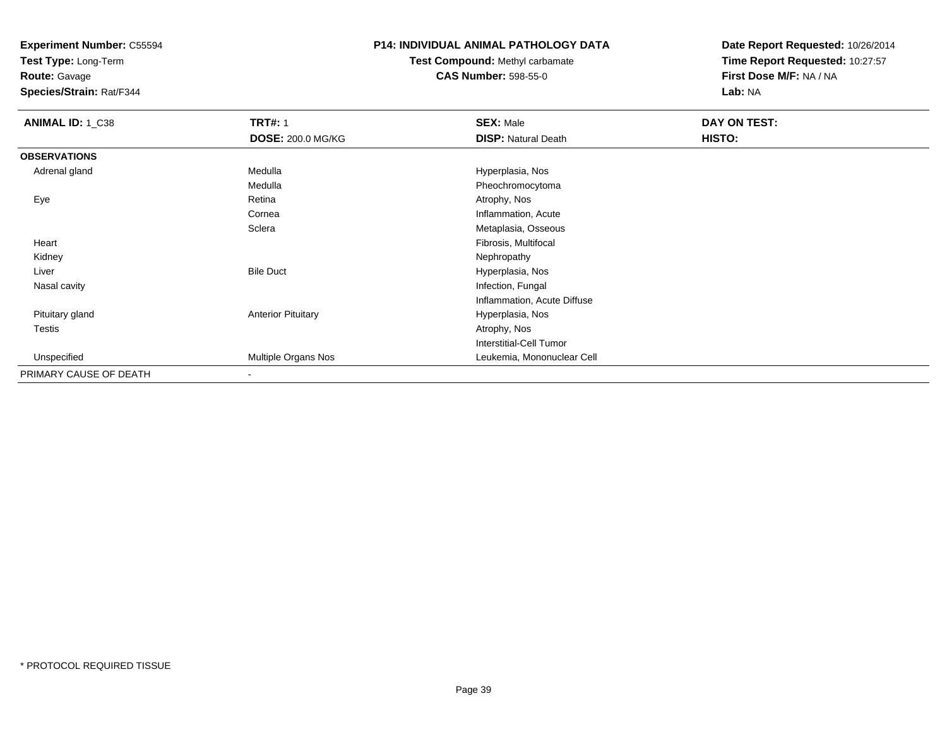**Test Type:** Long-Term

**Route:** Gavage

**Species/Strain:** Rat/F344

### **P14: INDIVIDUAL ANIMAL PATHOLOGY DATA**

### **Test Compound:** Methyl carbamate**CAS Number:** 598-55-0

| ANIMAL ID: 1_C38       | <b>TRT#: 1</b>            | <b>SEX: Male</b>               | DAY ON TEST: |  |
|------------------------|---------------------------|--------------------------------|--------------|--|
|                        | <b>DOSE: 200.0 MG/KG</b>  | <b>DISP: Natural Death</b>     | HISTO:       |  |
| <b>OBSERVATIONS</b>    |                           |                                |              |  |
| Adrenal gland          | Medulla                   | Hyperplasia, Nos               |              |  |
|                        | Medulla                   | Pheochromocytoma               |              |  |
| Eye                    | Retina                    | Atrophy, Nos                   |              |  |
|                        | Cornea                    | Inflammation, Acute            |              |  |
|                        | Sclera                    | Metaplasia, Osseous            |              |  |
| Heart                  |                           | Fibrosis, Multifocal           |              |  |
| Kidney                 |                           | Nephropathy                    |              |  |
| Liver                  | <b>Bile Duct</b>          | Hyperplasia, Nos               |              |  |
| Nasal cavity           |                           | Infection, Fungal              |              |  |
|                        |                           | Inflammation, Acute Diffuse    |              |  |
| Pituitary gland        | <b>Anterior Pituitary</b> | Hyperplasia, Nos               |              |  |
| Testis                 |                           | Atrophy, Nos                   |              |  |
|                        |                           | <b>Interstitial-Cell Tumor</b> |              |  |
| Unspecified            | Multiple Organs Nos       | Leukemia, Mononuclear Cell     |              |  |
| PRIMARY CAUSE OF DEATH | $\overline{\phantom{a}}$  |                                |              |  |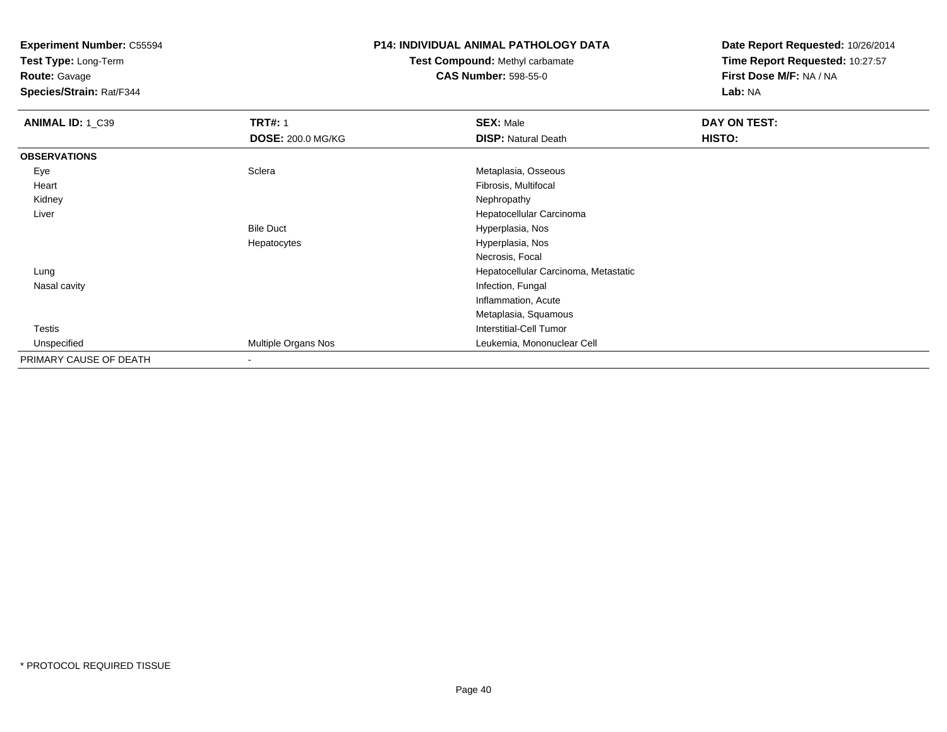**Test Type:** Long-Term

# **Route:** Gavage

**Species/Strain:** Rat/F344

### **P14: INDIVIDUAL ANIMAL PATHOLOGY DATA**

### **Test Compound:** Methyl carbamate**CAS Number:** 598-55-0

| ANIMAL ID: 1_C39       | <b>TRT#: 1</b>           | <b>SEX: Male</b>                     | DAY ON TEST: |  |
|------------------------|--------------------------|--------------------------------------|--------------|--|
|                        | <b>DOSE: 200.0 MG/KG</b> | <b>DISP: Natural Death</b>           | HISTO:       |  |
| <b>OBSERVATIONS</b>    |                          |                                      |              |  |
| Eye                    | Sclera                   | Metaplasia, Osseous                  |              |  |
| Heart                  |                          | Fibrosis, Multifocal                 |              |  |
| Kidney                 |                          | Nephropathy                          |              |  |
| Liver                  |                          | Hepatocellular Carcinoma             |              |  |
|                        | <b>Bile Duct</b>         | Hyperplasia, Nos                     |              |  |
|                        | Hepatocytes              | Hyperplasia, Nos                     |              |  |
|                        |                          | Necrosis, Focal                      |              |  |
| Lung                   |                          | Hepatocellular Carcinoma, Metastatic |              |  |
| Nasal cavity           |                          | Infection, Fungal                    |              |  |
|                        |                          | Inflammation, Acute                  |              |  |
|                        |                          | Metaplasia, Squamous                 |              |  |
| <b>Testis</b>          |                          | Interstitial-Cell Tumor              |              |  |
| Unspecified            | Multiple Organs Nos      | Leukemia, Mononuclear Cell           |              |  |
| PRIMARY CAUSE OF DEATH |                          |                                      |              |  |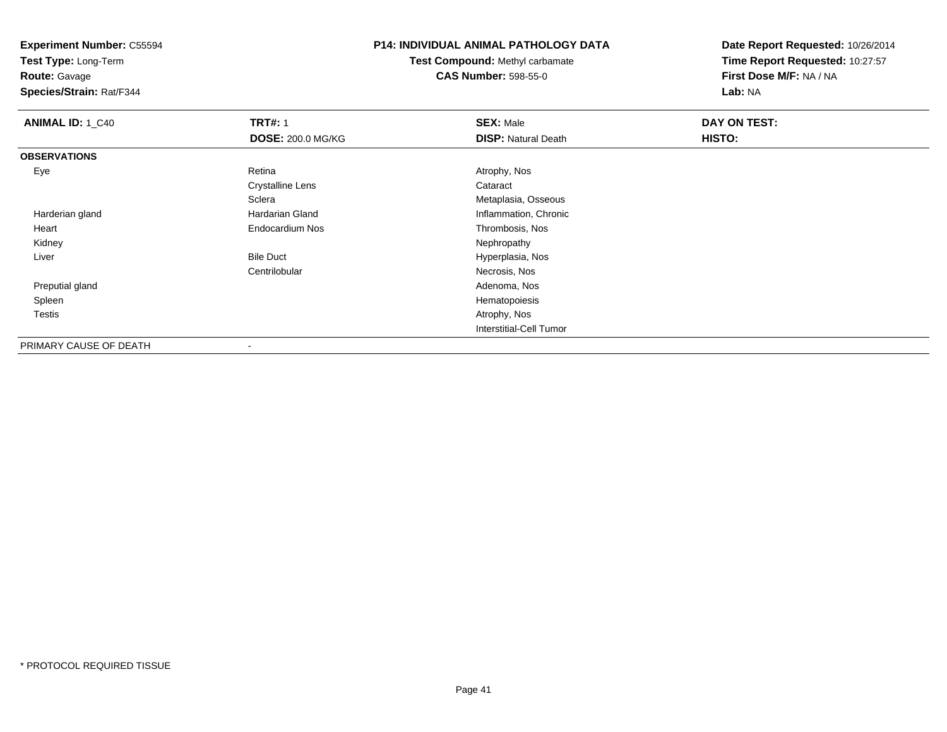**Test Type:** Long-Term

**Route:** Gavage

**Species/Strain:** Rat/F344

### **P14: INDIVIDUAL ANIMAL PATHOLOGY DATA**

**Test Compound:** Methyl carbamate**CAS Number:** 598-55-0

| <b>ANIMAL ID: 1_C40</b> | <b>TRT#: 1</b>           | <b>SEX: Male</b>           | DAY ON TEST: |  |
|-------------------------|--------------------------|----------------------------|--------------|--|
|                         | <b>DOSE: 200.0 MG/KG</b> | <b>DISP:</b> Natural Death | HISTO:       |  |
| <b>OBSERVATIONS</b>     |                          |                            |              |  |
| Eye                     | Retina                   | Atrophy, Nos               |              |  |
|                         | <b>Crystalline Lens</b>  | Cataract                   |              |  |
|                         | Sclera                   | Metaplasia, Osseous        |              |  |
| Harderian gland         | Hardarian Gland          | Inflammation, Chronic      |              |  |
| Heart                   | Endocardium Nos          | Thrombosis, Nos            |              |  |
| Kidney                  |                          | Nephropathy                |              |  |
| Liver                   | <b>Bile Duct</b>         | Hyperplasia, Nos           |              |  |
|                         | Centrilobular            | Necrosis, Nos              |              |  |
| Preputial gland         |                          | Adenoma, Nos               |              |  |
| Spleen                  |                          | Hematopoiesis              |              |  |
| Testis                  |                          | Atrophy, Nos               |              |  |
|                         |                          | Interstitial-Cell Tumor    |              |  |
| PRIMARY CAUSE OF DEATH  |                          |                            |              |  |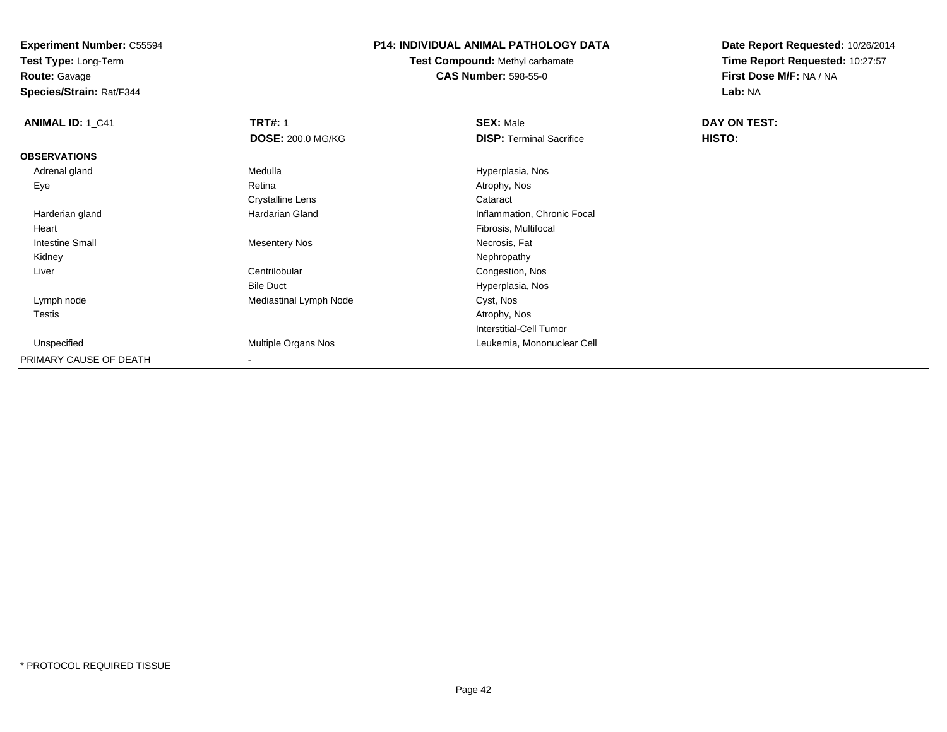**Test Type:** Long-Term

**Route:** Gavage

**Species/Strain:** Rat/F344

### **P14: INDIVIDUAL ANIMAL PATHOLOGY DATA**

**Test Compound:** Methyl carbamate**CAS Number:** 598-55-0

| ANIMAL ID: 1_C41       | <b>TRT#: 1</b>           | <b>SEX: Male</b>                | DAY ON TEST: |  |
|------------------------|--------------------------|---------------------------------|--------------|--|
|                        | <b>DOSE: 200.0 MG/KG</b> | <b>DISP: Terminal Sacrifice</b> | HISTO:       |  |
| <b>OBSERVATIONS</b>    |                          |                                 |              |  |
| Adrenal gland          | Medulla                  | Hyperplasia, Nos                |              |  |
| Eye                    | Retina                   | Atrophy, Nos                    |              |  |
|                        | <b>Crystalline Lens</b>  | Cataract                        |              |  |
| Harderian gland        | Hardarian Gland          | Inflammation, Chronic Focal     |              |  |
| Heart                  |                          | Fibrosis, Multifocal            |              |  |
| <b>Intestine Small</b> | <b>Mesentery Nos</b>     | Necrosis, Fat                   |              |  |
| Kidney                 |                          | Nephropathy                     |              |  |
| Liver                  | Centrilobular            | Congestion, Nos                 |              |  |
|                        | <b>Bile Duct</b>         | Hyperplasia, Nos                |              |  |
| Lymph node             | Mediastinal Lymph Node   | Cyst, Nos                       |              |  |
| <b>Testis</b>          |                          | Atrophy, Nos                    |              |  |
|                        |                          | Interstitial-Cell Tumor         |              |  |
| Unspecified            | Multiple Organs Nos      | Leukemia, Mononuclear Cell      |              |  |
| PRIMARY CAUSE OF DEATH | $\blacksquare$           |                                 |              |  |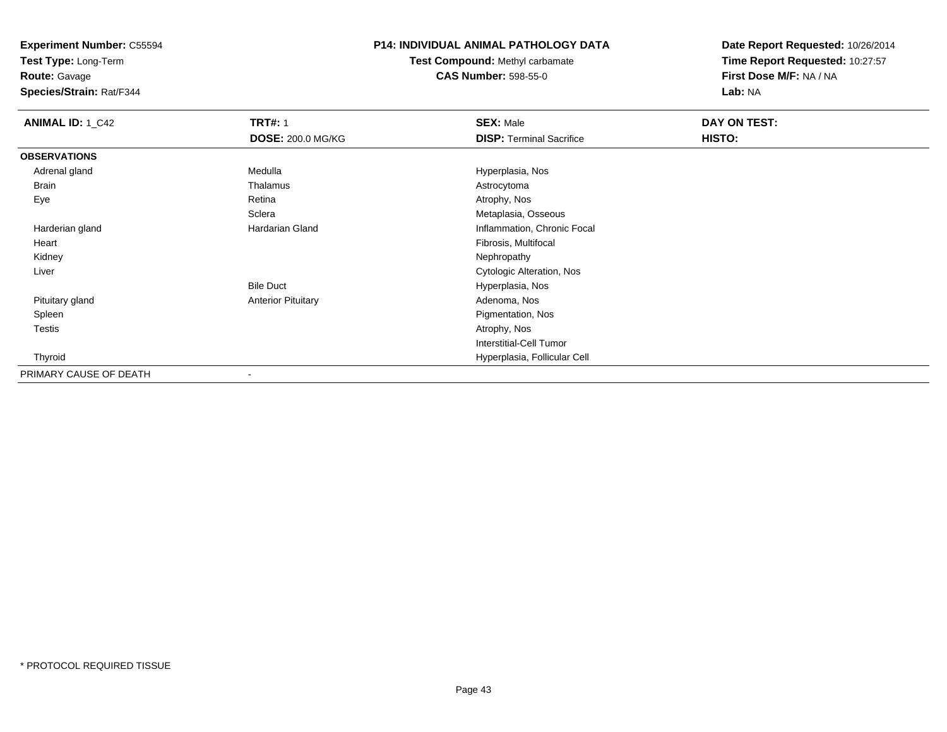**Test Type:** Long-Term

**Route:** Gavage

**Species/Strain:** Rat/F344

### **P14: INDIVIDUAL ANIMAL PATHOLOGY DATA**

**Test Compound:** Methyl carbamate**CAS Number:** 598-55-0

| <b>ANIMAL ID: 1_C42</b> | <b>TRT#: 1</b>            | <b>SEX: Male</b>                | DAY ON TEST: |  |
|-------------------------|---------------------------|---------------------------------|--------------|--|
|                         | <b>DOSE: 200.0 MG/KG</b>  | <b>DISP: Terminal Sacrifice</b> | HISTO:       |  |
| <b>OBSERVATIONS</b>     |                           |                                 |              |  |
| Adrenal gland           | Medulla                   | Hyperplasia, Nos                |              |  |
| Brain                   | Thalamus                  | Astrocytoma                     |              |  |
| Eye                     | Retina                    | Atrophy, Nos                    |              |  |
|                         | Sclera                    | Metaplasia, Osseous             |              |  |
| Harderian gland         | Hardarian Gland           | Inflammation, Chronic Focal     |              |  |
| Heart                   |                           | Fibrosis, Multifocal            |              |  |
| Kidney                  |                           | Nephropathy                     |              |  |
| Liver                   |                           | Cytologic Alteration, Nos       |              |  |
|                         | <b>Bile Duct</b>          | Hyperplasia, Nos                |              |  |
| Pituitary gland         | <b>Anterior Pituitary</b> | Adenoma, Nos                    |              |  |
| Spleen                  |                           | Pigmentation, Nos               |              |  |
| Testis                  |                           | Atrophy, Nos                    |              |  |
|                         |                           | <b>Interstitial-Cell Tumor</b>  |              |  |
| Thyroid                 |                           | Hyperplasia, Follicular Cell    |              |  |
| PRIMARY CAUSE OF DEATH  | $\blacksquare$            |                                 |              |  |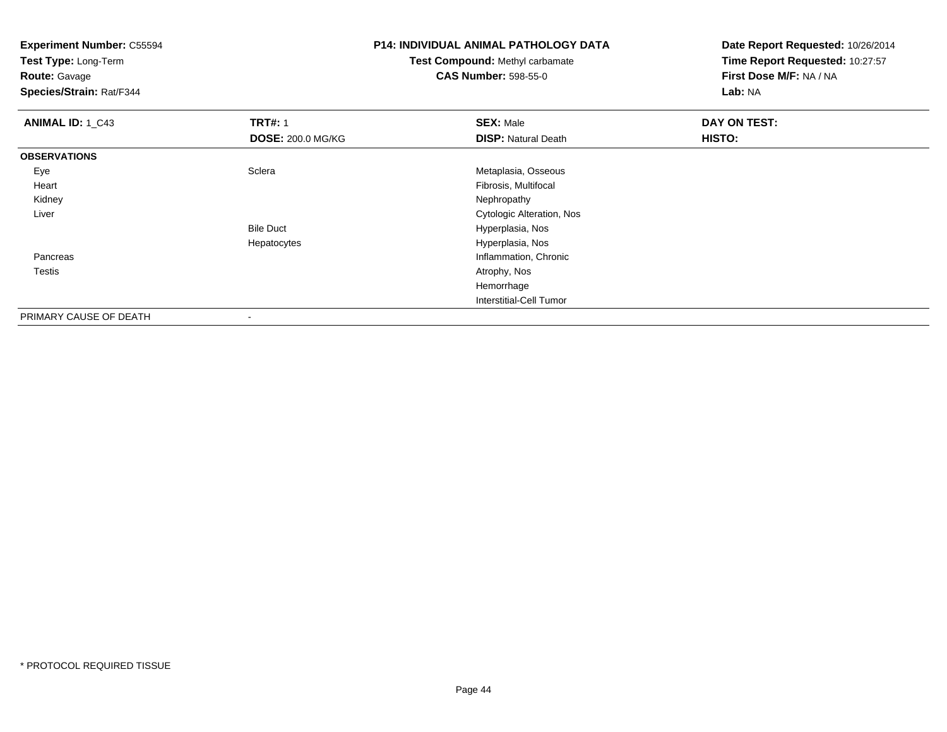**Test Type:** Long-Term

**Route:** Gavage

**Species/Strain:** Rat/F344

# **P14: INDIVIDUAL ANIMAL PATHOLOGY DATA**

**Test Compound:** Methyl carbamate**CAS Number:** 598-55-0

| ANIMAL ID: 1_C43       | <b>TRT#: 1</b>           | <b>SEX: Male</b>           | <b>DAY ON TEST:</b> |  |
|------------------------|--------------------------|----------------------------|---------------------|--|
|                        | <b>DOSE: 200.0 MG/KG</b> | <b>DISP:</b> Natural Death | HISTO:              |  |
| <b>OBSERVATIONS</b>    |                          |                            |                     |  |
| Eye                    | Sclera                   | Metaplasia, Osseous        |                     |  |
| Heart                  |                          | Fibrosis, Multifocal       |                     |  |
| Kidney                 |                          | Nephropathy                |                     |  |
| Liver                  |                          | Cytologic Alteration, Nos  |                     |  |
|                        | <b>Bile Duct</b>         | Hyperplasia, Nos           |                     |  |
|                        | Hepatocytes              | Hyperplasia, Nos           |                     |  |
| Pancreas               |                          | Inflammation, Chronic      |                     |  |
| Testis                 |                          | Atrophy, Nos               |                     |  |
|                        |                          | Hemorrhage                 |                     |  |
|                        |                          | Interstitial-Cell Tumor    |                     |  |
| PRIMARY CAUSE OF DEATH | ۰                        |                            |                     |  |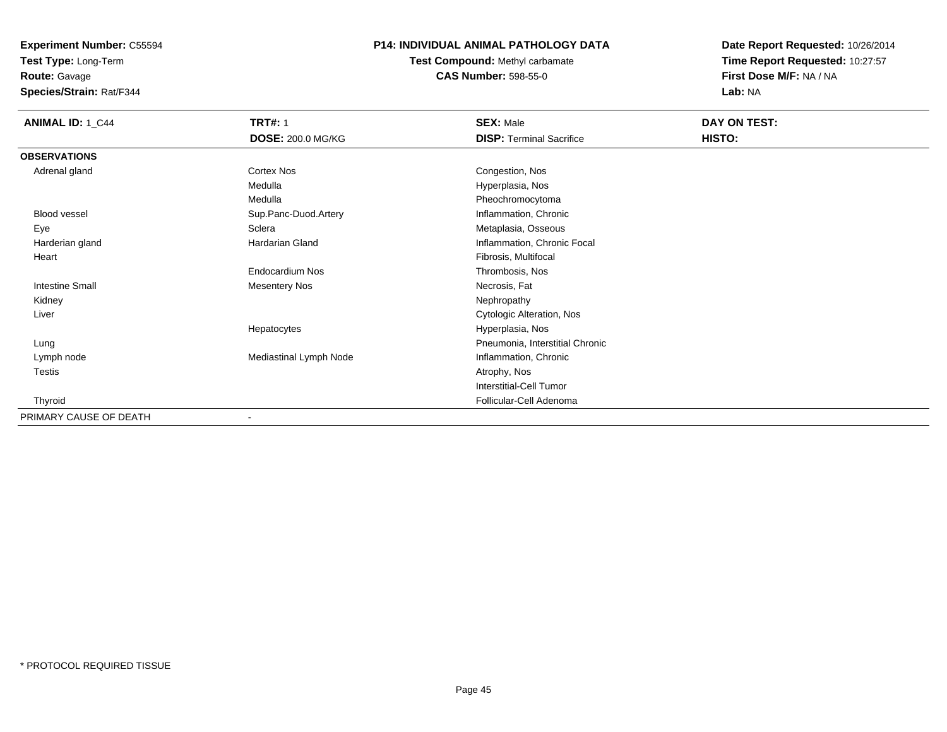**Test Type:** Long-Term**Route:** Gavage

**Species/Strain:** Rat/F344

### **P14: INDIVIDUAL ANIMAL PATHOLOGY DATA**

**Test Compound:** Methyl carbamate**CAS Number:** 598-55-0

| <b>ANIMAL ID: 1_C44</b> | <b>TRT#: 1</b>           | <b>SEX: Male</b>                | DAY ON TEST: |
|-------------------------|--------------------------|---------------------------------|--------------|
|                         | <b>DOSE: 200.0 MG/KG</b> | <b>DISP: Terminal Sacrifice</b> | HISTO:       |
| <b>OBSERVATIONS</b>     |                          |                                 |              |
| Adrenal gland           | Cortex Nos               | Congestion, Nos                 |              |
|                         | Medulla                  | Hyperplasia, Nos                |              |
|                         | Medulla                  | Pheochromocytoma                |              |
| Blood vessel            | Sup.Panc-Duod.Artery     | Inflammation, Chronic           |              |
| Eye                     | Sclera                   | Metaplasia, Osseous             |              |
| Harderian gland         | Hardarian Gland          | Inflammation, Chronic Focal     |              |
| Heart                   |                          | Fibrosis, Multifocal            |              |
|                         | Endocardium Nos          | Thrombosis, Nos                 |              |
| <b>Intestine Small</b>  | <b>Mesentery Nos</b>     | Necrosis, Fat                   |              |
| Kidney                  |                          | Nephropathy                     |              |
| Liver                   |                          | Cytologic Alteration, Nos       |              |
|                         | Hepatocytes              | Hyperplasia, Nos                |              |
| Lung                    |                          | Pneumonia, Interstitial Chronic |              |
| Lymph node              | Mediastinal Lymph Node   | Inflammation, Chronic           |              |
| Testis                  |                          | Atrophy, Nos                    |              |
|                         |                          | Interstitial-Cell Tumor         |              |
| Thyroid                 |                          | Follicular-Cell Adenoma         |              |
| PRIMARY CAUSE OF DEATH  |                          |                                 |              |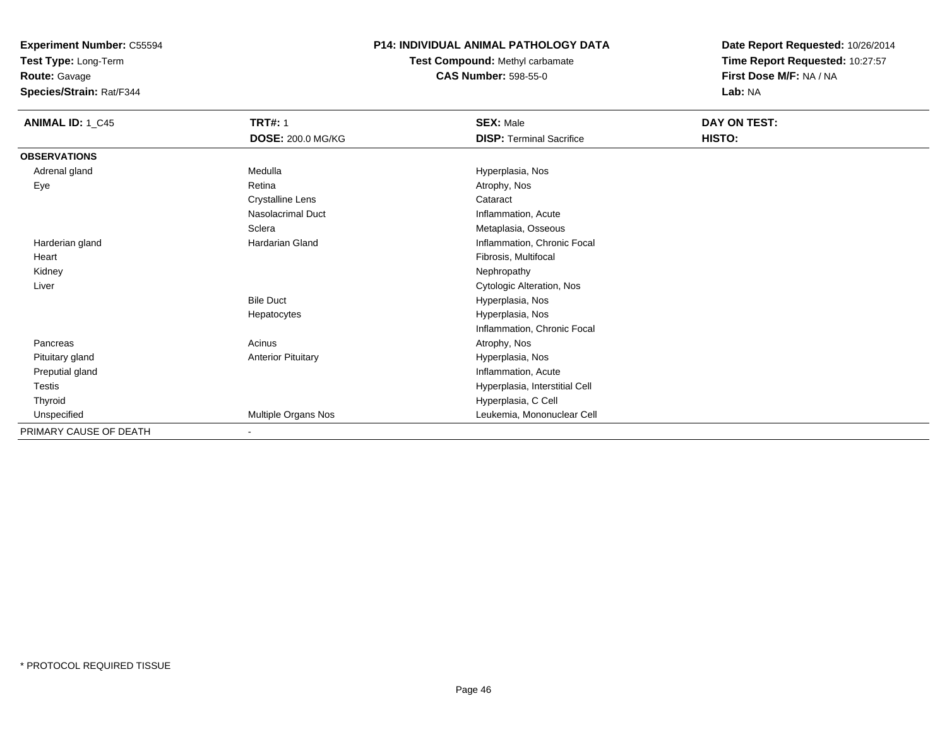**Test Type:** Long-Term

**Route:** Gavage

**Species/Strain:** Rat/F344

### **P14: INDIVIDUAL ANIMAL PATHOLOGY DATA**

**Test Compound:** Methyl carbamate**CAS Number:** 598-55-0

| <b>ANIMAL ID: 1_C45</b> | <b>TRT#: 1</b><br>DOSE: 200.0 MG/KG | <b>SEX: Male</b><br><b>DISP: Terminal Sacrifice</b> | DAY ON TEST:<br>HISTO: |
|-------------------------|-------------------------------------|-----------------------------------------------------|------------------------|
| <b>OBSERVATIONS</b>     |                                     |                                                     |                        |
| Adrenal gland           | Medulla                             | Hyperplasia, Nos                                    |                        |
| Eye                     | Retina                              | Atrophy, Nos                                        |                        |
|                         | Crystalline Lens                    | Cataract                                            |                        |
|                         | Nasolacrimal Duct                   | Inflammation, Acute                                 |                        |
|                         | Sclera                              | Metaplasia, Osseous                                 |                        |
| Harderian gland         | Hardarian Gland                     | Inflammation, Chronic Focal                         |                        |
| Heart                   |                                     | Fibrosis, Multifocal                                |                        |
| Kidney                  |                                     | Nephropathy                                         |                        |
| Liver                   |                                     | Cytologic Alteration, Nos                           |                        |
|                         | <b>Bile Duct</b>                    | Hyperplasia, Nos                                    |                        |
|                         | Hepatocytes                         | Hyperplasia, Nos                                    |                        |
|                         |                                     | Inflammation, Chronic Focal                         |                        |
| Pancreas                | Acinus                              | Atrophy, Nos                                        |                        |
| Pituitary gland         | <b>Anterior Pituitary</b>           | Hyperplasia, Nos                                    |                        |
| Preputial gland         |                                     | Inflammation, Acute                                 |                        |
| Testis                  |                                     | Hyperplasia, Interstitial Cell                      |                        |
| Thyroid                 |                                     | Hyperplasia, C Cell                                 |                        |
| Unspecified             | Multiple Organs Nos                 | Leukemia, Mononuclear Cell                          |                        |
| PRIMARY CAUSE OF DEATH  | $\blacksquare$                      |                                                     |                        |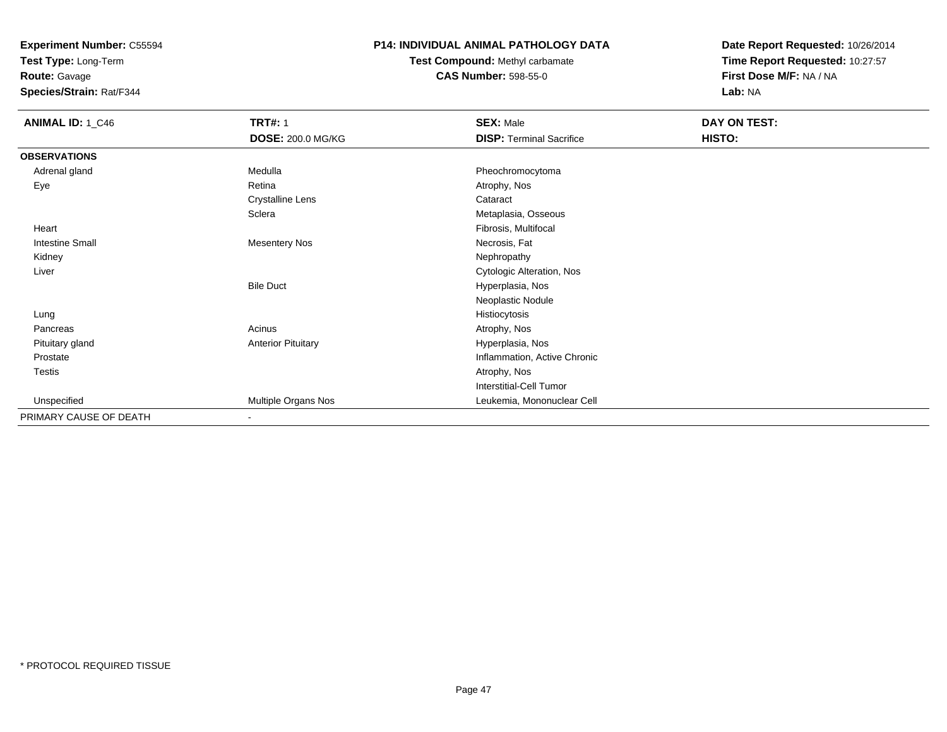**Test Type:** Long-Term

**Route:** Gavage

**Species/Strain:** Rat/F344

### **P14: INDIVIDUAL ANIMAL PATHOLOGY DATA**

**Test Compound:** Methyl carbamate**CAS Number:** 598-55-0

| <b>ANIMAL ID: 1_C46</b> | <b>TRT#: 1</b>            | <b>SEX: Male</b>                | DAY ON TEST: |  |
|-------------------------|---------------------------|---------------------------------|--------------|--|
|                         | <b>DOSE: 200.0 MG/KG</b>  | <b>DISP: Terminal Sacrifice</b> | HISTO:       |  |
| <b>OBSERVATIONS</b>     |                           |                                 |              |  |
| Adrenal gland           | Medulla                   | Pheochromocytoma                |              |  |
| Eye                     | Retina                    | Atrophy, Nos                    |              |  |
|                         | <b>Crystalline Lens</b>   | Cataract                        |              |  |
|                         | Sclera                    | Metaplasia, Osseous             |              |  |
| Heart                   |                           | Fibrosis, Multifocal            |              |  |
| <b>Intestine Small</b>  | <b>Mesentery Nos</b>      | Necrosis, Fat                   |              |  |
| Kidney                  |                           | Nephropathy                     |              |  |
| Liver                   |                           | Cytologic Alteration, Nos       |              |  |
|                         | <b>Bile Duct</b>          | Hyperplasia, Nos                |              |  |
|                         |                           | Neoplastic Nodule               |              |  |
| Lung                    |                           | Histiocytosis                   |              |  |
| Pancreas                | Acinus                    | Atrophy, Nos                    |              |  |
| Pituitary gland         | <b>Anterior Pituitary</b> | Hyperplasia, Nos                |              |  |
| Prostate                |                           | Inflammation, Active Chronic    |              |  |
| Testis                  |                           | Atrophy, Nos                    |              |  |
|                         |                           | Interstitial-Cell Tumor         |              |  |
| Unspecified             | Multiple Organs Nos       | Leukemia, Mononuclear Cell      |              |  |
| PRIMARY CAUSE OF DEATH  | $\blacksquare$            |                                 |              |  |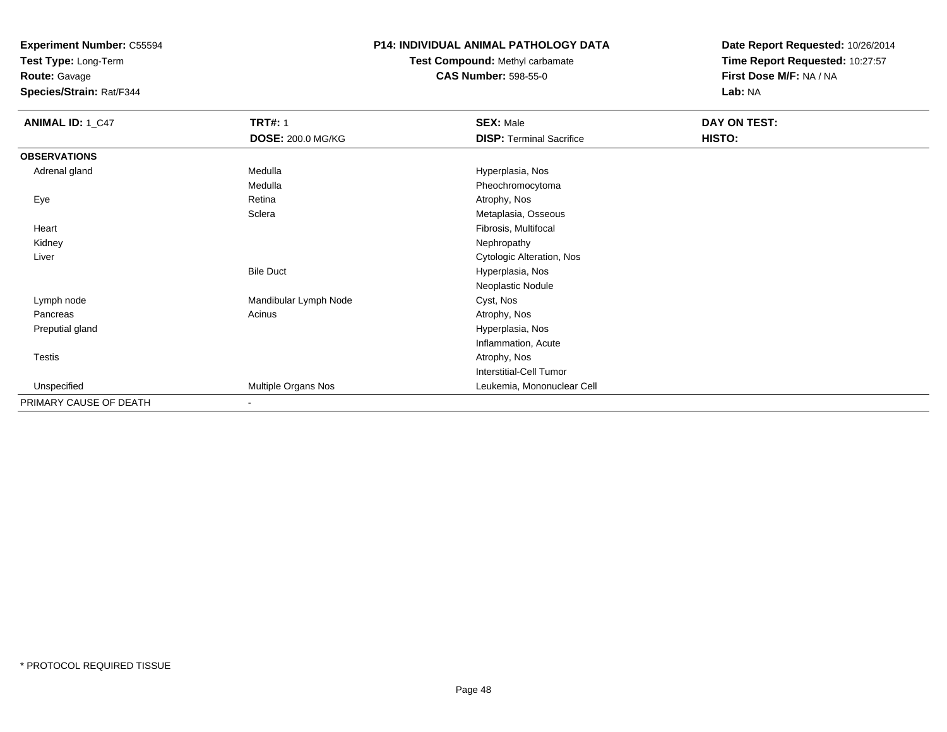**Test Type:** Long-Term

**Route:** Gavage

**Species/Strain:** Rat/F344

### **P14: INDIVIDUAL ANIMAL PATHOLOGY DATA**

### **Test Compound:** Methyl carbamate**CAS Number:** 598-55-0

| <b>ANIMAL ID: 1_C47</b> | <b>TRT#: 1</b>        | <b>SEX: Male</b>                | DAY ON TEST: |  |
|-------------------------|-----------------------|---------------------------------|--------------|--|
|                         | DOSE: 200.0 MG/KG     | <b>DISP: Terminal Sacrifice</b> | HISTO:       |  |
| <b>OBSERVATIONS</b>     |                       |                                 |              |  |
| Adrenal gland           | Medulla               | Hyperplasia, Nos                |              |  |
|                         | Medulla               | Pheochromocytoma                |              |  |
| Eye                     | Retina                | Atrophy, Nos                    |              |  |
|                         | Sclera                | Metaplasia, Osseous             |              |  |
| Heart                   |                       | Fibrosis, Multifocal            |              |  |
| Kidney                  |                       | Nephropathy                     |              |  |
| Liver                   |                       | Cytologic Alteration, Nos       |              |  |
|                         | <b>Bile Duct</b>      | Hyperplasia, Nos                |              |  |
|                         |                       | Neoplastic Nodule               |              |  |
| Lymph node              | Mandibular Lymph Node | Cyst, Nos                       |              |  |
| Pancreas                | Acinus                | Atrophy, Nos                    |              |  |
| Preputial gland         |                       | Hyperplasia, Nos                |              |  |
|                         |                       | Inflammation, Acute             |              |  |
| <b>Testis</b>           |                       | Atrophy, Nos                    |              |  |
|                         |                       | <b>Interstitial-Cell Tumor</b>  |              |  |
| Unspecified             | Multiple Organs Nos   | Leukemia, Mononuclear Cell      |              |  |
| PRIMARY CAUSE OF DEATH  | ۰                     |                                 |              |  |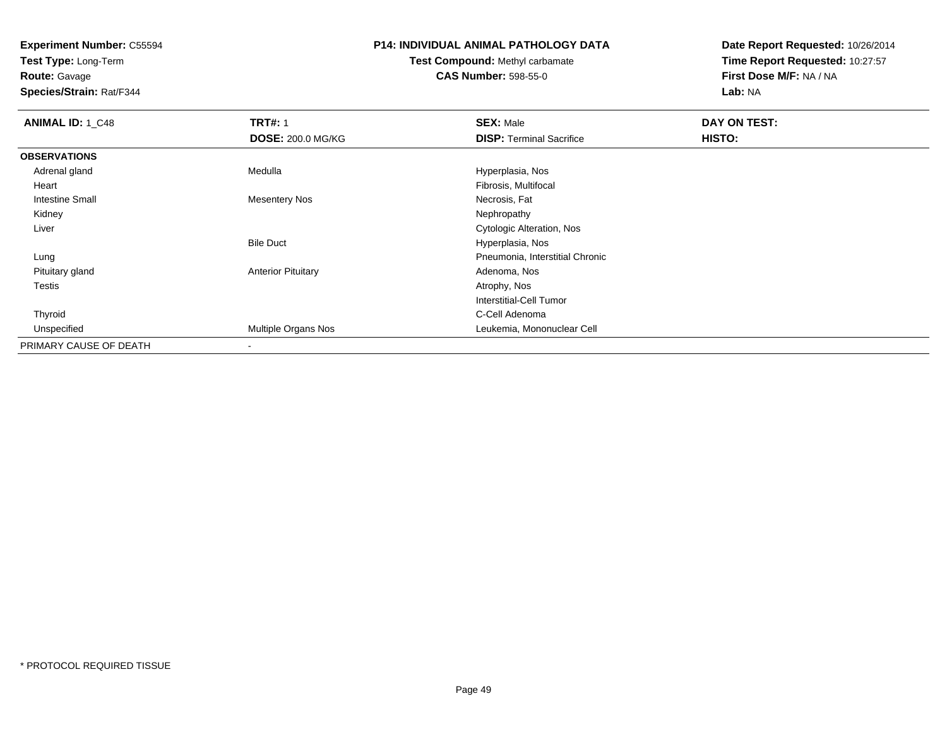**Test Type:** Long-Term

**Route:** Gavage

**Species/Strain:** Rat/F344

### **P14: INDIVIDUAL ANIMAL PATHOLOGY DATA**

**Test Compound:** Methyl carbamate**CAS Number:** 598-55-0

| <b>ANIMAL ID: 1_C48</b> | <b>TRT#: 1</b>            | <b>SEX: Male</b>                | DAY ON TEST: |  |
|-------------------------|---------------------------|---------------------------------|--------------|--|
|                         | <b>DOSE: 200.0 MG/KG</b>  | <b>DISP: Terminal Sacrifice</b> | HISTO:       |  |
| <b>OBSERVATIONS</b>     |                           |                                 |              |  |
| Adrenal gland           | Medulla                   | Hyperplasia, Nos                |              |  |
| Heart                   |                           | Fibrosis, Multifocal            |              |  |
| <b>Intestine Small</b>  | <b>Mesentery Nos</b>      | Necrosis, Fat                   |              |  |
| Kidney                  |                           | Nephropathy                     |              |  |
| Liver                   |                           | Cytologic Alteration, Nos       |              |  |
|                         | <b>Bile Duct</b>          | Hyperplasia, Nos                |              |  |
| Lung                    |                           | Pneumonia, Interstitial Chronic |              |  |
| Pituitary gland         | <b>Anterior Pituitary</b> | Adenoma, Nos                    |              |  |
| Testis                  |                           | Atrophy, Nos                    |              |  |
|                         |                           | Interstitial-Cell Tumor         |              |  |
| Thyroid                 |                           | C-Cell Adenoma                  |              |  |
| Unspecified             | Multiple Organs Nos       | Leukemia, Mononuclear Cell      |              |  |
| PRIMARY CAUSE OF DEATH  |                           |                                 |              |  |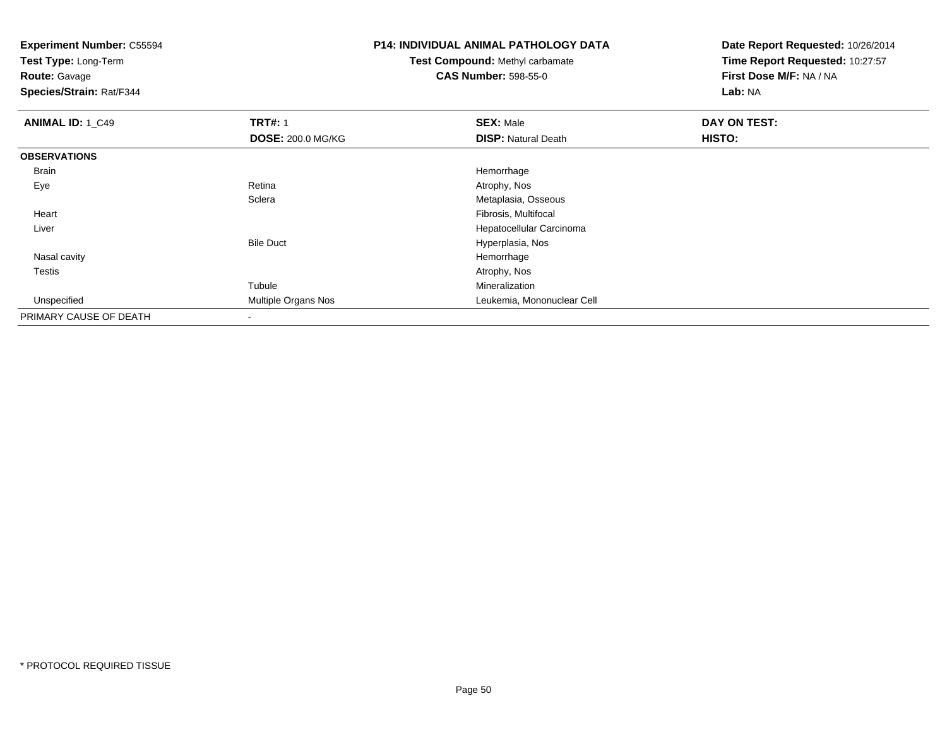**Test Type:** Long-Term

**Route:** Gavage

**Species/Strain:** Rat/F344

# **P14: INDIVIDUAL ANIMAL PATHOLOGY DATA**

### **Test Compound:** Methyl carbamate**CAS Number:** 598-55-0

| <b>ANIMAL ID: 1_C49</b> | <b>TRT#: 1</b>           | <b>SEX: Male</b>           | DAY ON TEST: |
|-------------------------|--------------------------|----------------------------|--------------|
|                         | <b>DOSE: 200.0 MG/KG</b> | <b>DISP: Natural Death</b> | HISTO:       |
| <b>OBSERVATIONS</b>     |                          |                            |              |
| Brain                   |                          | Hemorrhage                 |              |
| Eye                     | Retina                   | Atrophy, Nos               |              |
|                         | Sclera                   | Metaplasia, Osseous        |              |
| Heart                   |                          | Fibrosis, Multifocal       |              |
| Liver                   |                          | Hepatocellular Carcinoma   |              |
|                         | <b>Bile Duct</b>         | Hyperplasia, Nos           |              |
| Nasal cavity            |                          | Hemorrhage                 |              |
| <b>Testis</b>           |                          | Atrophy, Nos               |              |
|                         | Tubule                   | Mineralization             |              |
| Unspecified             | Multiple Organs Nos      | Leukemia, Mononuclear Cell |              |
| PRIMARY CAUSE OF DEATH  |                          |                            |              |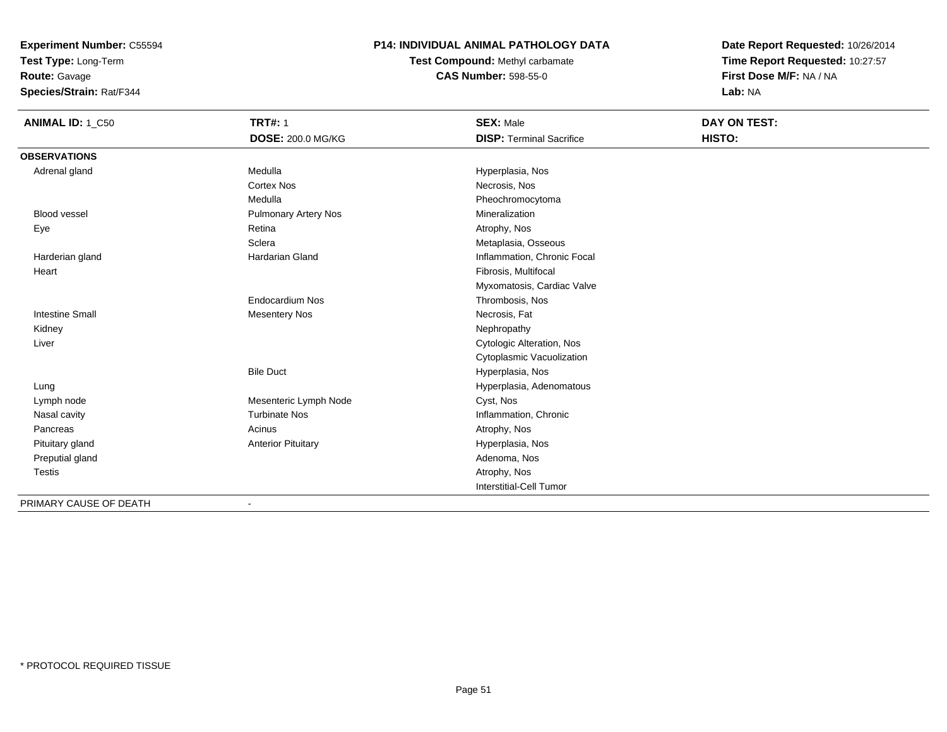**Test Type:** Long-Term

**Route:** Gavage

**Species/Strain:** Rat/F344

### **P14: INDIVIDUAL ANIMAL PATHOLOGY DATA**

**Test Compound:** Methyl carbamate**CAS Number:** 598-55-0

| <b>ANIMAL ID: 1_C50</b> | <b>TRT#: 1</b>              | <b>SEX: Male</b>                | DAY ON TEST: |
|-------------------------|-----------------------------|---------------------------------|--------------|
|                         | <b>DOSE: 200.0 MG/KG</b>    | <b>DISP: Terminal Sacrifice</b> | HISTO:       |
| <b>OBSERVATIONS</b>     |                             |                                 |              |
| Adrenal gland           | Medulla                     | Hyperplasia, Nos                |              |
|                         | <b>Cortex Nos</b>           | Necrosis, Nos                   |              |
|                         | Medulla                     | Pheochromocytoma                |              |
| <b>Blood vessel</b>     | <b>Pulmonary Artery Nos</b> | Mineralization                  |              |
| Eye                     | Retina                      | Atrophy, Nos                    |              |
|                         | Sclera                      | Metaplasia, Osseous             |              |
| Harderian gland         | <b>Hardarian Gland</b>      | Inflammation, Chronic Focal     |              |
| Heart                   |                             | Fibrosis, Multifocal            |              |
|                         |                             | Myxomatosis, Cardiac Valve      |              |
|                         | <b>Endocardium Nos</b>      | Thrombosis, Nos                 |              |
| <b>Intestine Small</b>  | <b>Mesentery Nos</b>        | Necrosis, Fat                   |              |
| Kidney                  |                             | Nephropathy                     |              |
| Liver                   |                             | Cytologic Alteration, Nos       |              |
|                         |                             | Cytoplasmic Vacuolization       |              |
|                         | <b>Bile Duct</b>            | Hyperplasia, Nos                |              |
| Lung                    |                             | Hyperplasia, Adenomatous        |              |
| Lymph node              | Mesenteric Lymph Node       | Cyst, Nos                       |              |
| Nasal cavity            | <b>Turbinate Nos</b>        | Inflammation, Chronic           |              |
| Pancreas                | Acinus                      | Atrophy, Nos                    |              |
| Pituitary gland         | <b>Anterior Pituitary</b>   | Hyperplasia, Nos                |              |
| Preputial gland         |                             | Adenoma, Nos                    |              |
| <b>Testis</b>           |                             | Atrophy, Nos                    |              |
|                         |                             | Interstitial-Cell Tumor         |              |
| PRIMARY CAUSE OF DEATH  | $\overline{a}$              |                                 |              |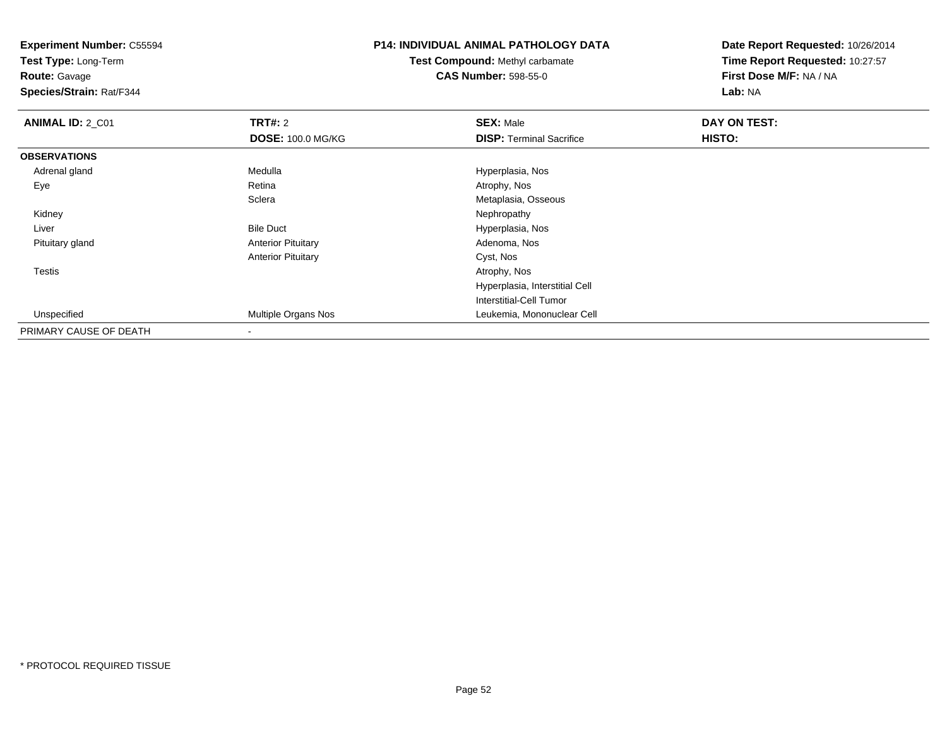**Test Type:** Long-Term

**Route:** Gavage

**Species/Strain:** Rat/F344

### **P14: INDIVIDUAL ANIMAL PATHOLOGY DATA**

**Test Compound:** Methyl carbamate**CAS Number:** 598-55-0

| <b>ANIMAL ID: 2_C01</b> | <b>TRT#: 2</b>            | <b>SEX: Male</b>                | DAY ON TEST: |  |
|-------------------------|---------------------------|---------------------------------|--------------|--|
|                         | <b>DOSE: 100.0 MG/KG</b>  | <b>DISP: Terminal Sacrifice</b> | HISTO:       |  |
| <b>OBSERVATIONS</b>     |                           |                                 |              |  |
| Adrenal gland           | Medulla                   | Hyperplasia, Nos                |              |  |
| Eye                     | Retina                    | Atrophy, Nos                    |              |  |
|                         | Sclera                    | Metaplasia, Osseous             |              |  |
| Kidney                  |                           | Nephropathy                     |              |  |
| Liver                   | <b>Bile Duct</b>          | Hyperplasia, Nos                |              |  |
| Pituitary gland         | <b>Anterior Pituitary</b> | Adenoma, Nos                    |              |  |
|                         | <b>Anterior Pituitary</b> | Cyst, Nos                       |              |  |
| <b>Testis</b>           |                           | Atrophy, Nos                    |              |  |
|                         |                           | Hyperplasia, Interstitial Cell  |              |  |
|                         |                           | <b>Interstitial-Cell Tumor</b>  |              |  |
| Unspecified             | Multiple Organs Nos       | Leukemia, Mononuclear Cell      |              |  |
| PRIMARY CAUSE OF DEATH  |                           |                                 |              |  |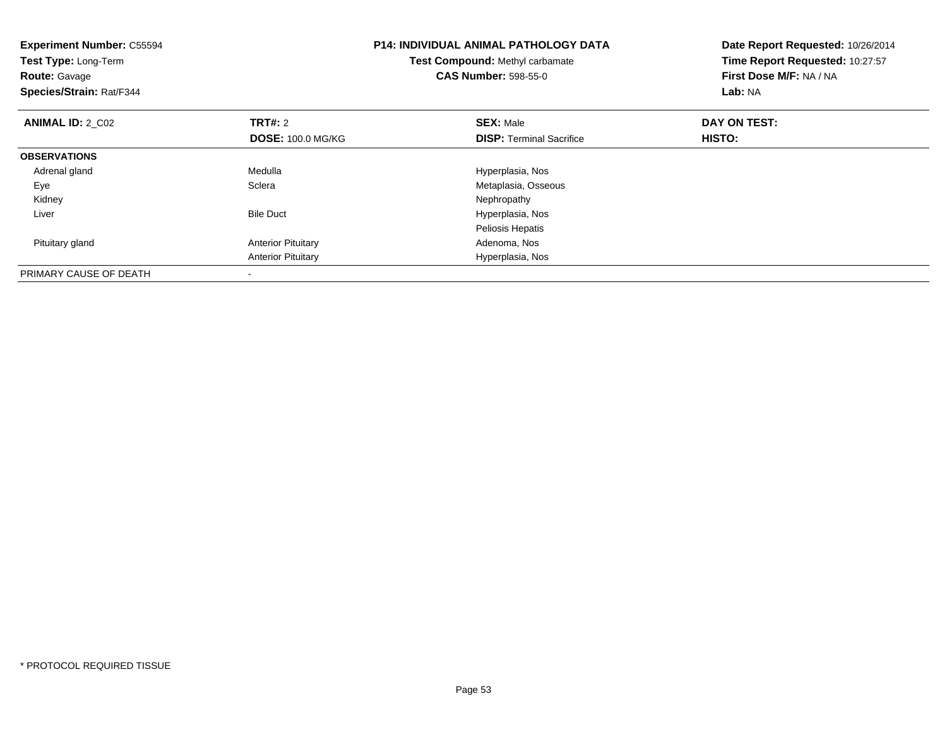| <b>Experiment Number: C55594</b><br>Test Type: Long-Term<br><b>Route: Gavage</b><br>Species/Strain: Rat/F344 |                           | <b>P14: INDIVIDUAL ANIMAL PATHOLOGY DATA</b><br>Test Compound: Methyl carbamate<br><b>CAS Number: 598-55-0</b> | Date Report Requested: 10/26/2014<br>Time Report Requested: 10:27:57<br>First Dose M/F: NA / NA<br>Lab: NA |
|--------------------------------------------------------------------------------------------------------------|---------------------------|----------------------------------------------------------------------------------------------------------------|------------------------------------------------------------------------------------------------------------|
| <b>ANIMAL ID: 2 C02</b>                                                                                      | <b>TRT#: 2</b>            | <b>SEX: Male</b>                                                                                               | DAY ON TEST:                                                                                               |
|                                                                                                              | <b>DOSE: 100.0 MG/KG</b>  | <b>DISP:</b> Terminal Sacrifice                                                                                | <b>HISTO:</b>                                                                                              |
| <b>OBSERVATIONS</b>                                                                                          |                           |                                                                                                                |                                                                                                            |
| Adrenal gland                                                                                                | Medulla                   | Hyperplasia, Nos                                                                                               |                                                                                                            |
| Eye                                                                                                          | Sclera                    | Metaplasia, Osseous                                                                                            |                                                                                                            |
| Kidney                                                                                                       |                           | Nephropathy                                                                                                    |                                                                                                            |
| Liver                                                                                                        | <b>Bile Duct</b>          | Hyperplasia, Nos                                                                                               |                                                                                                            |
|                                                                                                              |                           | Peliosis Hepatis                                                                                               |                                                                                                            |
| Pituitary gland                                                                                              | <b>Anterior Pituitary</b> | Adenoma, Nos                                                                                                   |                                                                                                            |
|                                                                                                              | <b>Anterior Pituitary</b> | Hyperplasia, Nos                                                                                               |                                                                                                            |
| PRIMARY CAUSE OF DEATH                                                                                       |                           |                                                                                                                |                                                                                                            |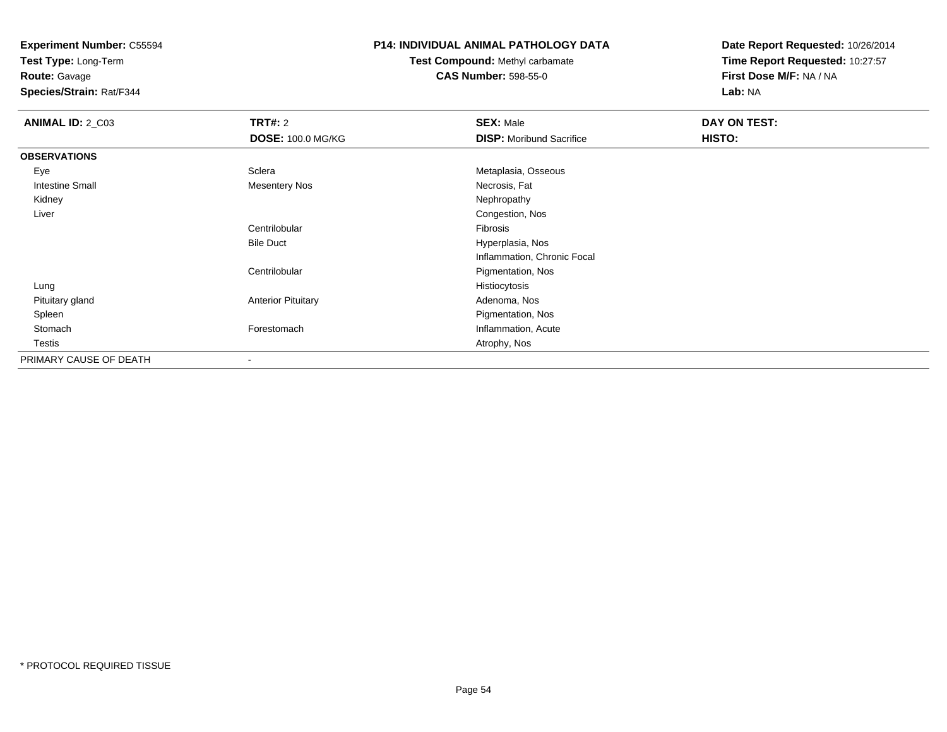**Test Type:** Long-Term

**Route:** Gavage

**Species/Strain:** Rat/F344

### **P14: INDIVIDUAL ANIMAL PATHOLOGY DATA**

### **Test Compound:** Methyl carbamate**CAS Number:** 598-55-0

| <b>ANIMAL ID: 2_C03</b> | <b>TRT#: 2</b>            | <b>SEX: Male</b>                | <b>DAY ON TEST:</b> |  |
|-------------------------|---------------------------|---------------------------------|---------------------|--|
|                         | <b>DOSE: 100.0 MG/KG</b>  | <b>DISP:</b> Moribund Sacrifice | HISTO:              |  |
| <b>OBSERVATIONS</b>     |                           |                                 |                     |  |
| Eye                     | Sclera                    | Metaplasia, Osseous             |                     |  |
| <b>Intestine Small</b>  | Mesentery Nos             | Necrosis, Fat                   |                     |  |
| Kidney                  |                           | Nephropathy                     |                     |  |
| Liver                   |                           | Congestion, Nos                 |                     |  |
|                         | Centrilobular             | Fibrosis                        |                     |  |
|                         | <b>Bile Duct</b>          | Hyperplasia, Nos                |                     |  |
|                         |                           | Inflammation, Chronic Focal     |                     |  |
|                         | Centrilobular             | Pigmentation, Nos               |                     |  |
| Lung                    |                           | Histiocytosis                   |                     |  |
| Pituitary gland         | <b>Anterior Pituitary</b> | Adenoma, Nos                    |                     |  |
| Spleen                  |                           | Pigmentation, Nos               |                     |  |
| Stomach                 | Forestomach               | Inflammation, Acute             |                     |  |
| Testis                  |                           | Atrophy, Nos                    |                     |  |
| PRIMARY CAUSE OF DEATH  |                           |                                 |                     |  |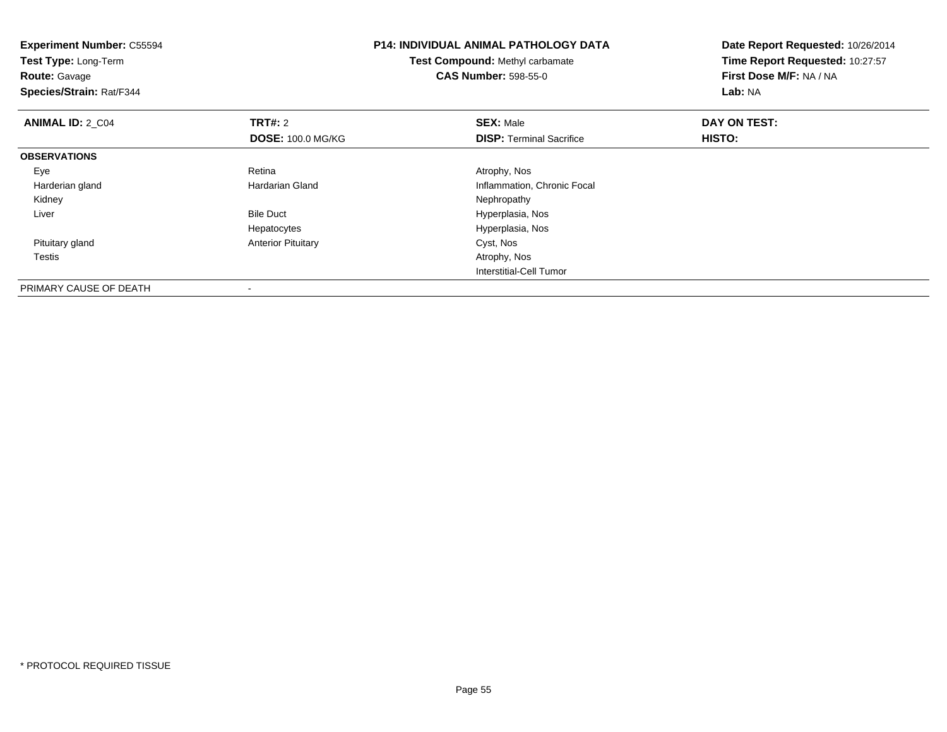| <b>Experiment Number: C55594</b><br>Test Type: Long-Term<br><b>Route: Gavage</b><br>Species/Strain: Rat/F344 |                           | <b>P14: INDIVIDUAL ANIMAL PATHOLOGY DATA</b><br>Test Compound: Methyl carbamate<br><b>CAS Number: 598-55-0</b> | Date Report Requested: 10/26/2014<br>Time Report Requested: 10:27:57<br>First Dose M/F: NA / NA<br>Lab: NA |
|--------------------------------------------------------------------------------------------------------------|---------------------------|----------------------------------------------------------------------------------------------------------------|------------------------------------------------------------------------------------------------------------|
| <b>ANIMAL ID: 2 C04</b>                                                                                      | <b>TRT#:</b> 2            | <b>SEX: Male</b>                                                                                               | DAY ON TEST:                                                                                               |
|                                                                                                              | <b>DOSE: 100.0 MG/KG</b>  | <b>DISP:</b> Terminal Sacrifice                                                                                | HISTO:                                                                                                     |
| <b>OBSERVATIONS</b>                                                                                          |                           |                                                                                                                |                                                                                                            |
| Eye                                                                                                          | Retina                    | Atrophy, Nos                                                                                                   |                                                                                                            |
| Harderian gland                                                                                              | Hardarian Gland           | Inflammation, Chronic Focal                                                                                    |                                                                                                            |
| Kidney                                                                                                       |                           | Nephropathy                                                                                                    |                                                                                                            |
| Liver                                                                                                        | <b>Bile Duct</b>          | Hyperplasia, Nos                                                                                               |                                                                                                            |
|                                                                                                              | Hepatocytes               | Hyperplasia, Nos                                                                                               |                                                                                                            |
| Pituitary gland                                                                                              | <b>Anterior Pituitary</b> | Cyst, Nos                                                                                                      |                                                                                                            |
| Testis                                                                                                       |                           | Atrophy, Nos                                                                                                   |                                                                                                            |
|                                                                                                              |                           | <b>Interstitial-Cell Tumor</b>                                                                                 |                                                                                                            |
| PRIMARY CAUSE OF DEATH                                                                                       |                           |                                                                                                                |                                                                                                            |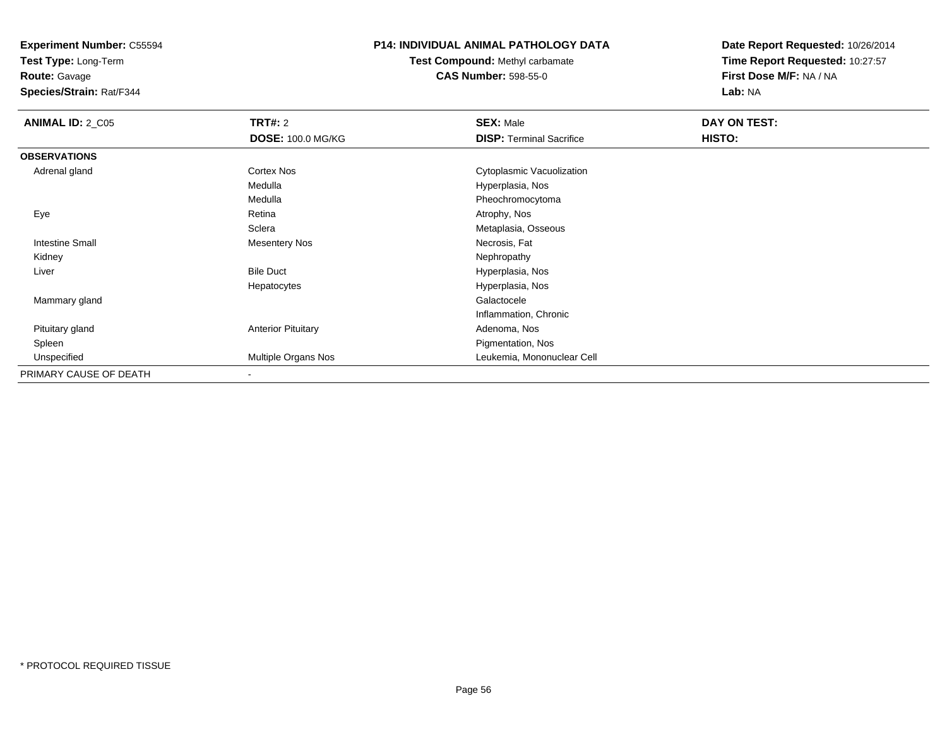**Test Type:** Long-Term

**Route:** Gavage

**Species/Strain:** Rat/F344

### **P14: INDIVIDUAL ANIMAL PATHOLOGY DATA**

**Test Compound:** Methyl carbamate**CAS Number:** 598-55-0

| <b>ANIMAL ID: 2_C05</b> | <b>TRT#: 2</b>            | <b>SEX: Male</b>                | DAY ON TEST: |  |
|-------------------------|---------------------------|---------------------------------|--------------|--|
|                         | <b>DOSE: 100.0 MG/KG</b>  | <b>DISP:</b> Terminal Sacrifice | HISTO:       |  |
| <b>OBSERVATIONS</b>     |                           |                                 |              |  |
| Adrenal gland           | Cortex Nos                | Cytoplasmic Vacuolization       |              |  |
|                         | Medulla                   | Hyperplasia, Nos                |              |  |
|                         | Medulla                   | Pheochromocytoma                |              |  |
| Eye                     | Retina                    | Atrophy, Nos                    |              |  |
|                         | Sclera                    | Metaplasia, Osseous             |              |  |
| <b>Intestine Small</b>  | <b>Mesentery Nos</b>      | Necrosis, Fat                   |              |  |
| Kidney                  |                           | Nephropathy                     |              |  |
| Liver                   | <b>Bile Duct</b>          | Hyperplasia, Nos                |              |  |
|                         | Hepatocytes               | Hyperplasia, Nos                |              |  |
| Mammary gland           |                           | Galactocele                     |              |  |
|                         |                           | Inflammation, Chronic           |              |  |
| Pituitary gland         | <b>Anterior Pituitary</b> | Adenoma, Nos                    |              |  |
| Spleen                  |                           | Pigmentation, Nos               |              |  |
| Unspecified             | Multiple Organs Nos       | Leukemia, Mononuclear Cell      |              |  |
| PRIMARY CAUSE OF DEATH  | $\overline{\phantom{a}}$  |                                 |              |  |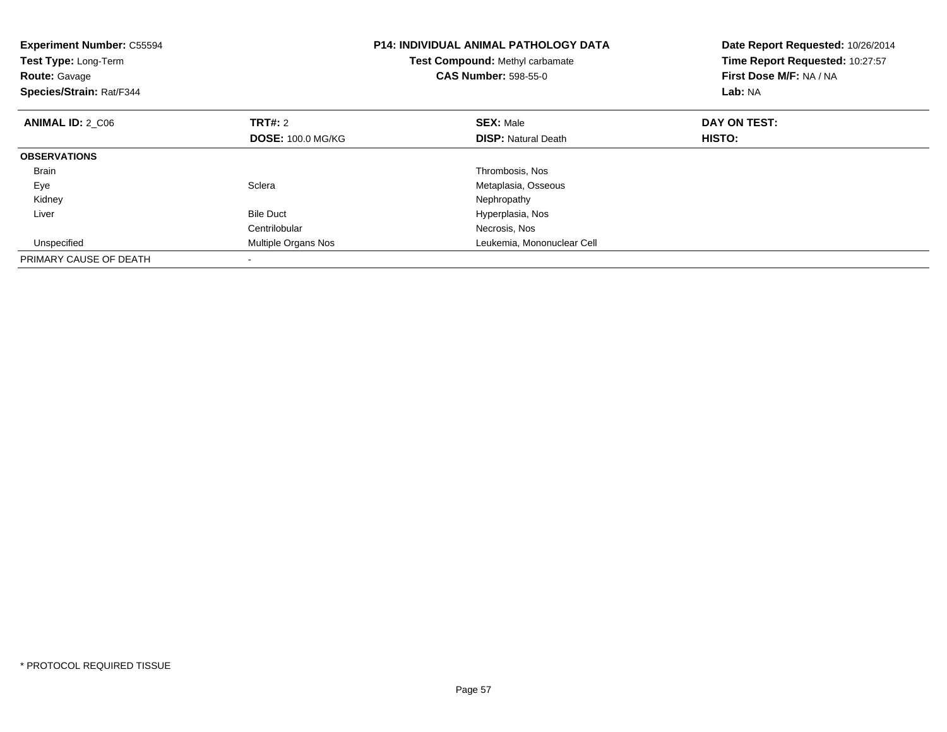| <b>Experiment Number: C55594</b><br>Test Type: Long-Term<br><b>Route: Gavage</b><br>Species/Strain: Rat/F344 |                          | <b>P14: INDIVIDUAL ANIMAL PATHOLOGY DATA</b><br>Test Compound: Methyl carbamate<br><b>CAS Number: 598-55-0</b> | Date Report Requested: 10/26/2014<br>Time Report Requested: 10:27:57<br>First Dose M/F: NA / NA<br>Lab: NA |
|--------------------------------------------------------------------------------------------------------------|--------------------------|----------------------------------------------------------------------------------------------------------------|------------------------------------------------------------------------------------------------------------|
| <b>ANIMAL ID: 2 C06</b>                                                                                      | <b>TRT#: 2</b>           | <b>SEX: Male</b>                                                                                               | DAY ON TEST:                                                                                               |
|                                                                                                              | <b>DOSE: 100.0 MG/KG</b> | <b>DISP:</b> Natural Death                                                                                     | HISTO:                                                                                                     |
| <b>OBSERVATIONS</b>                                                                                          |                          |                                                                                                                |                                                                                                            |
| <b>Brain</b>                                                                                                 |                          | Thrombosis, Nos                                                                                                |                                                                                                            |
| Eye                                                                                                          | Sclera                   | Metaplasia, Osseous                                                                                            |                                                                                                            |
| Kidney                                                                                                       |                          | Nephropathy                                                                                                    |                                                                                                            |
| Liver                                                                                                        | <b>Bile Duct</b>         | Hyperplasia, Nos                                                                                               |                                                                                                            |
|                                                                                                              | Centrilobular            | Necrosis, Nos                                                                                                  |                                                                                                            |
| Unspecified                                                                                                  | Multiple Organs Nos      | Leukemia, Mononuclear Cell                                                                                     |                                                                                                            |
| PRIMARY CAUSE OF DEATH                                                                                       |                          |                                                                                                                |                                                                                                            |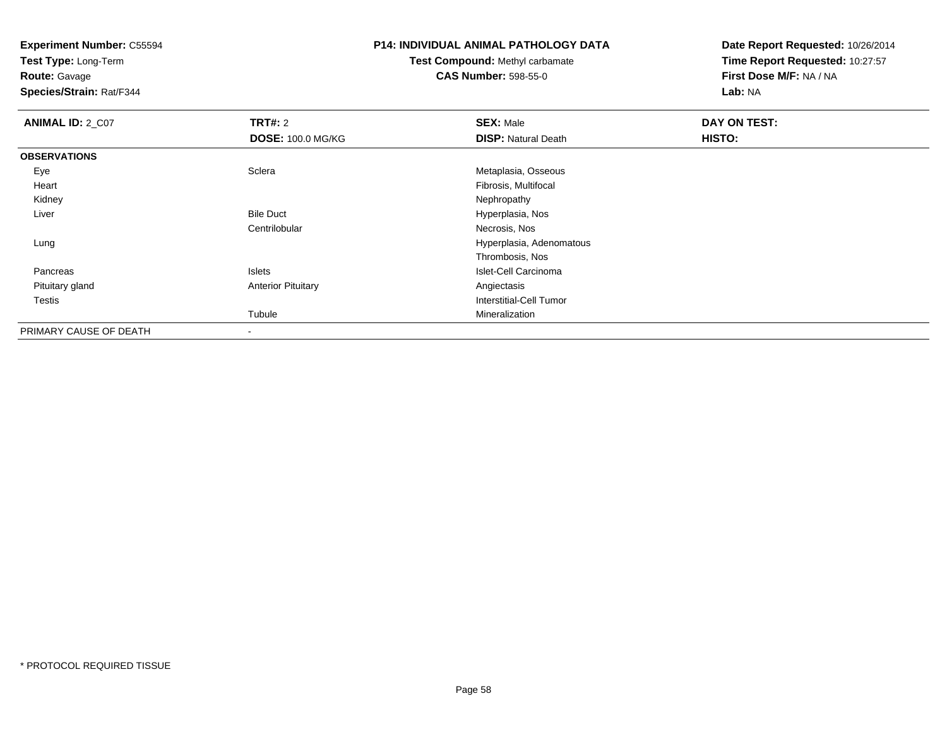**Test Type:** Long-Term

**Route:** Gavage

**Species/Strain:** Rat/F344

### **P14: INDIVIDUAL ANIMAL PATHOLOGY DATA**

### **Test Compound:** Methyl carbamate**CAS Number:** 598-55-0

| <b>ANIMAL ID: 2_C07</b> | TRT#: 2                   | <b>SEX: Male</b>           | DAY ON TEST: |  |
|-------------------------|---------------------------|----------------------------|--------------|--|
|                         | <b>DOSE: 100.0 MG/KG</b>  | <b>DISP: Natural Death</b> | HISTO:       |  |
| <b>OBSERVATIONS</b>     |                           |                            |              |  |
| Eye                     | Sclera                    | Metaplasia, Osseous        |              |  |
| Heart                   |                           | Fibrosis, Multifocal       |              |  |
| Kidney                  |                           | Nephropathy                |              |  |
| Liver                   | <b>Bile Duct</b>          | Hyperplasia, Nos           |              |  |
|                         | Centrilobular             | Necrosis, Nos              |              |  |
| Lung                    |                           | Hyperplasia, Adenomatous   |              |  |
|                         |                           | Thrombosis, Nos            |              |  |
| Pancreas                | <b>Islets</b>             | Islet-Cell Carcinoma       |              |  |
| Pituitary gland         | <b>Anterior Pituitary</b> | Angiectasis                |              |  |
| Testis                  |                           | Interstitial-Cell Tumor    |              |  |
|                         | Tubule                    | Mineralization             |              |  |
| PRIMARY CAUSE OF DEATH  | $\blacksquare$            |                            |              |  |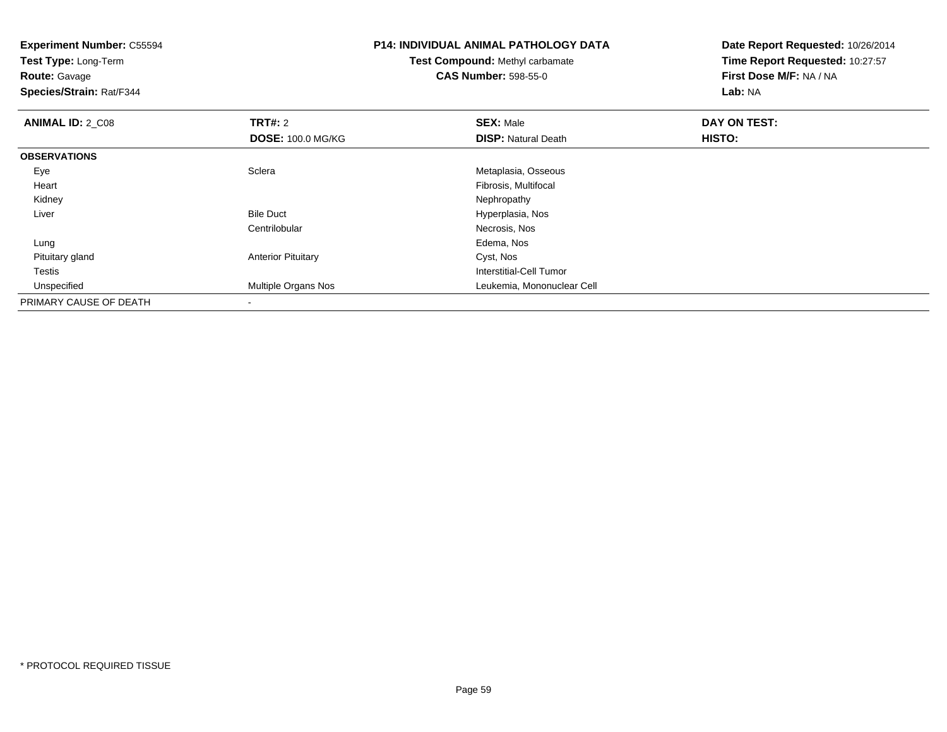| <b>Experiment Number: C55594</b><br>Test Type: Long-Term<br><b>Route: Gavage</b><br>Species/Strain: Rat/F344 |                           | <b>P14: INDIVIDUAL ANIMAL PATHOLOGY DATA</b><br>Test Compound: Methyl carbamate<br><b>CAS Number: 598-55-0</b> | Date Report Requested: 10/26/2014<br>Time Report Requested: 10:27:57<br>First Dose M/F: NA / NA<br>Lab: NA |
|--------------------------------------------------------------------------------------------------------------|---------------------------|----------------------------------------------------------------------------------------------------------------|------------------------------------------------------------------------------------------------------------|
| <b>ANIMAL ID: 2 C08</b>                                                                                      | <b>TRT#: 2</b>            | <b>SEX: Male</b>                                                                                               | DAY ON TEST:                                                                                               |
|                                                                                                              | <b>DOSE: 100.0 MG/KG</b>  | <b>DISP: Natural Death</b>                                                                                     | HISTO:                                                                                                     |
| <b>OBSERVATIONS</b>                                                                                          |                           |                                                                                                                |                                                                                                            |
| Eye                                                                                                          | Sclera                    | Metaplasia, Osseous                                                                                            |                                                                                                            |
| Heart                                                                                                        |                           | Fibrosis, Multifocal                                                                                           |                                                                                                            |
| Kidney                                                                                                       |                           | Nephropathy                                                                                                    |                                                                                                            |
| Liver                                                                                                        | <b>Bile Duct</b>          | Hyperplasia, Nos                                                                                               |                                                                                                            |
|                                                                                                              | Centrilobular             | Necrosis, Nos                                                                                                  |                                                                                                            |
| Lung                                                                                                         |                           | Edema, Nos                                                                                                     |                                                                                                            |
| Pituitary gland                                                                                              | <b>Anterior Pituitary</b> | Cyst, Nos                                                                                                      |                                                                                                            |
| Testis                                                                                                       |                           | <b>Interstitial-Cell Tumor</b>                                                                                 |                                                                                                            |
| Unspecified                                                                                                  | Multiple Organs Nos       | Leukemia, Mononuclear Cell                                                                                     |                                                                                                            |
| PRIMARY CAUSE OF DEATH                                                                                       |                           |                                                                                                                |                                                                                                            |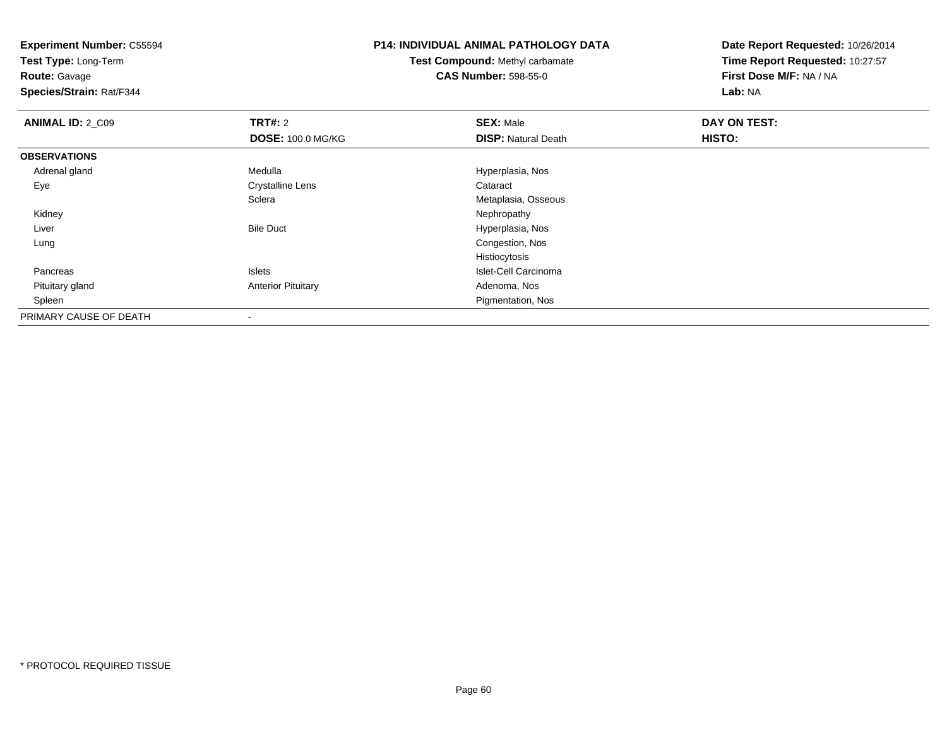**Test Type:** Long-Term

**Route:** Gavage

**Species/Strain:** Rat/F344

# **P14: INDIVIDUAL ANIMAL PATHOLOGY DATA**

**Test Compound:** Methyl carbamate**CAS Number:** 598-55-0

| <b>ANIMAL ID: 2_C09</b> | <b>TRT#: 2</b>            | <b>SEX: Male</b>           | DAY ON TEST: |  |
|-------------------------|---------------------------|----------------------------|--------------|--|
|                         | <b>DOSE: 100.0 MG/KG</b>  | <b>DISP: Natural Death</b> | HISTO:       |  |
| <b>OBSERVATIONS</b>     |                           |                            |              |  |
| Adrenal gland           | Medulla                   | Hyperplasia, Nos           |              |  |
| Eye                     | <b>Crystalline Lens</b>   | Cataract                   |              |  |
|                         | Sclera                    | Metaplasia, Osseous        |              |  |
| Kidney                  |                           | Nephropathy                |              |  |
| Liver                   | <b>Bile Duct</b>          | Hyperplasia, Nos           |              |  |
| Lung                    |                           | Congestion, Nos            |              |  |
|                         |                           | Histiocytosis              |              |  |
| Pancreas                | Islets                    | Islet-Cell Carcinoma       |              |  |
| Pituitary gland         | <b>Anterior Pituitary</b> | Adenoma, Nos               |              |  |
| Spleen                  |                           | Pigmentation, Nos          |              |  |
| PRIMARY CAUSE OF DEATH  |                           |                            |              |  |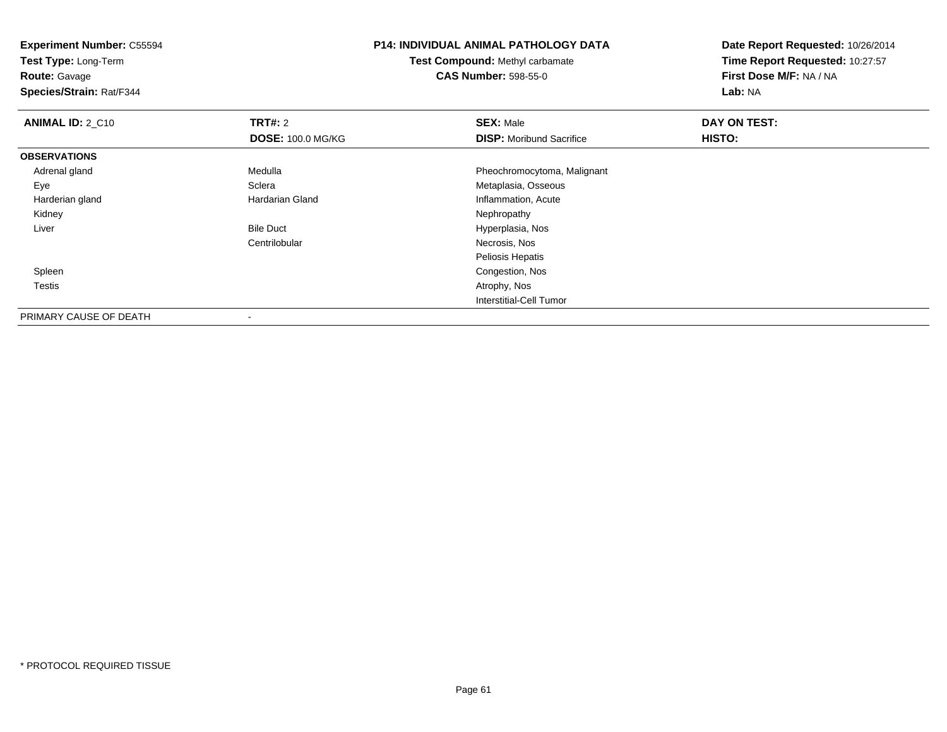**Experiment Number:** C55594**Test Type:** Long-Term**Route:** Gavage **Species/Strain:** Rat/F344**P14: INDIVIDUAL ANIMAL PATHOLOGY DATATest Compound:** Methyl carbamate**CAS Number:** 598-55-0**Date Report Requested:** 10/26/2014**Time Report Requested:** 10:27:57**First Dose M/F:** NA / NA**Lab:** NA**ANIMAL ID: 2 C10 C TRT#:** 2 **SEX:** Male **DAY ON TEST: DOSE:** 100.0 MG/KG**DISP:** Moribund Sacrifice **HISTO: OBSERVATIONS** Adrenal glandMedulla **Medulla** Pheochromocytoma, Malignant<br>
Sclera **Pheochromocytoma, Malignant**<br>
Metaplasia, Osseous EyeSclera Metaplasia, Osseous<br>
Hardarian Gland Metaplasia, Osseous<br>
Metaplasia, Osseous Harderian glandInflammation, Acute<br>Nephropathy Kidneyy the control of the control of the control of the control of the control of the control of the control of the control of the control of the control of the control of the control of the control of the control of the contro LiverBile Duct **Hyperplasia**, Nos Centrilobular Necrosis, Nos Peliosis Hepatis Congestion, Nos Spleen Testiss and the contract of the contract of the contract of the contract of the contract of the contract of the contract of the contract of the contract of the contract of the contract of the contract of the contract of the cont Interstitial-Cell Tumor

PRIMARY CAUSE OF DEATH-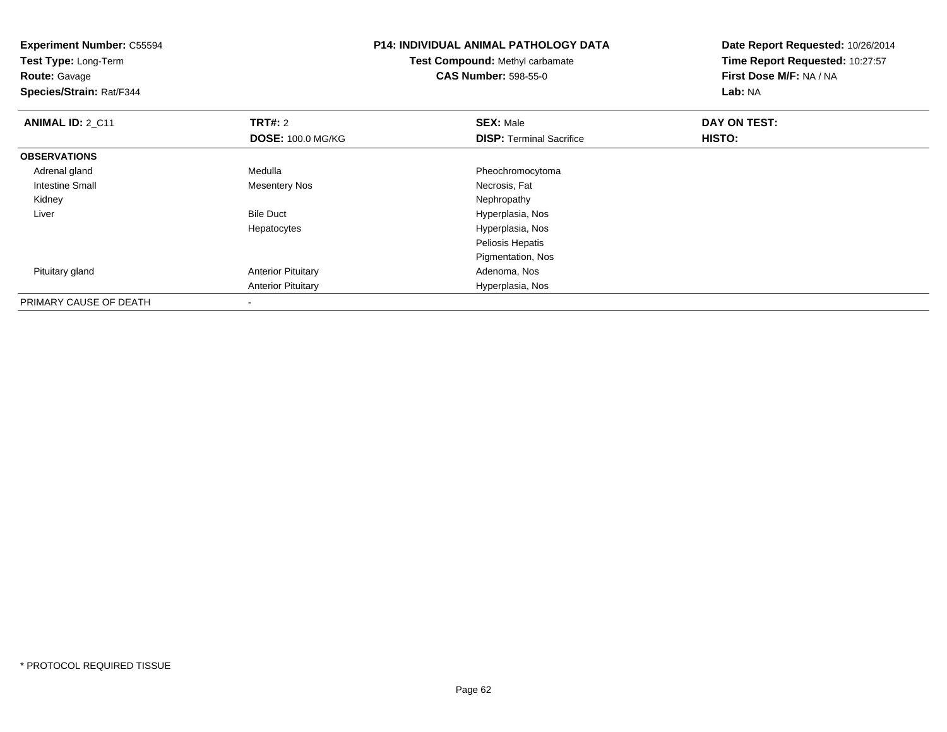| <b>Experiment Number: C55594</b><br>Test Type: Long-Term<br><b>Route: Gavage</b><br>Species/Strain: Rat/F344 |                           | <b>P14: INDIVIDUAL ANIMAL PATHOLOGY DATA</b><br><b>Test Compound: Methyl carbamate</b><br><b>CAS Number: 598-55-0</b> | Date Report Requested: 10/26/2014<br>Time Report Requested: 10:27:57<br>First Dose M/F: NA / NA<br>Lab: NA |
|--------------------------------------------------------------------------------------------------------------|---------------------------|-----------------------------------------------------------------------------------------------------------------------|------------------------------------------------------------------------------------------------------------|
| <b>ANIMAL ID: 2_C11</b>                                                                                      | <b>TRT#: 2</b>            | <b>SEX: Male</b>                                                                                                      | DAY ON TEST:                                                                                               |
|                                                                                                              | <b>DOSE: 100.0 MG/KG</b>  | <b>DISP: Terminal Sacrifice</b>                                                                                       | <b>HISTO:</b>                                                                                              |
| <b>OBSERVATIONS</b>                                                                                          |                           |                                                                                                                       |                                                                                                            |
| Adrenal gland                                                                                                | Medulla                   | Pheochromocytoma                                                                                                      |                                                                                                            |
| Intestine Small                                                                                              | <b>Mesentery Nos</b>      | Necrosis, Fat                                                                                                         |                                                                                                            |
| Kidney                                                                                                       |                           | Nephropathy                                                                                                           |                                                                                                            |
| Liver                                                                                                        | <b>Bile Duct</b>          | Hyperplasia, Nos                                                                                                      |                                                                                                            |
|                                                                                                              | Hepatocytes               | Hyperplasia, Nos                                                                                                      |                                                                                                            |
|                                                                                                              |                           | Peliosis Hepatis                                                                                                      |                                                                                                            |
|                                                                                                              |                           | Pigmentation, Nos                                                                                                     |                                                                                                            |
| Pituitary gland                                                                                              | <b>Anterior Pituitary</b> | Adenoma, Nos                                                                                                          |                                                                                                            |
|                                                                                                              | <b>Anterior Pituitary</b> | Hyperplasia, Nos                                                                                                      |                                                                                                            |
| PRIMARY CAUSE OF DEATH                                                                                       |                           |                                                                                                                       |                                                                                                            |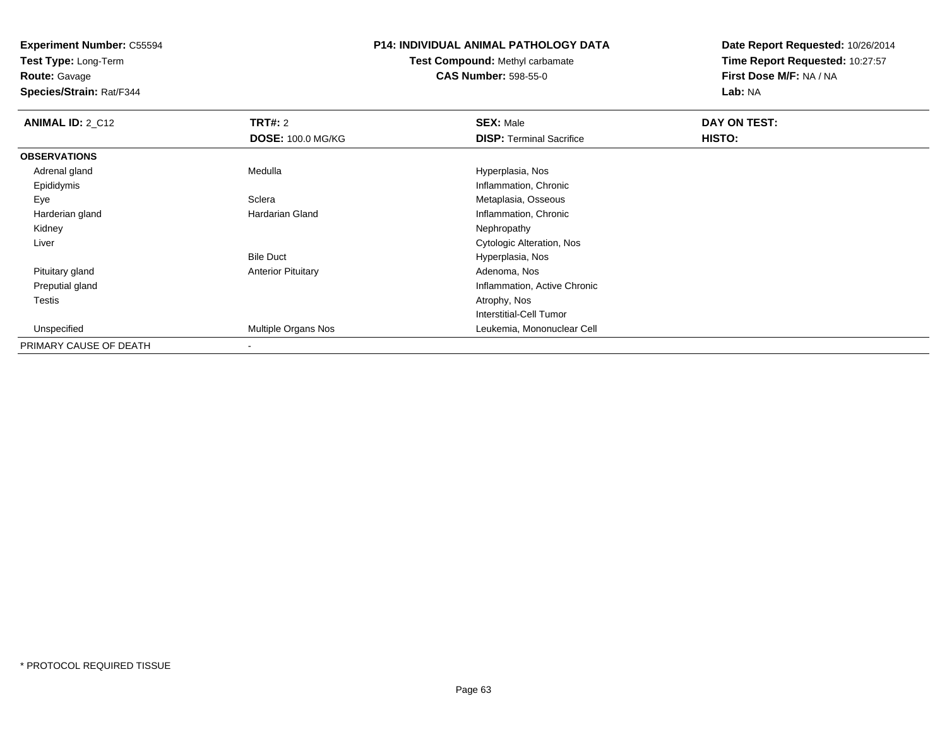**Test Type:** Long-Term

**Route:** Gavage

**Species/Strain:** Rat/F344

### **P14: INDIVIDUAL ANIMAL PATHOLOGY DATA**

### **Test Compound:** Methyl carbamate**CAS Number:** 598-55-0

| <b>ANIMAL ID: 2_C12</b> | <b>TRT#: 2</b>            | <b>SEX: Male</b>                | DAY ON TEST: |  |
|-------------------------|---------------------------|---------------------------------|--------------|--|
|                         | <b>DOSE: 100.0 MG/KG</b>  | <b>DISP: Terminal Sacrifice</b> | HISTO:       |  |
| <b>OBSERVATIONS</b>     |                           |                                 |              |  |
| Adrenal gland           | Medulla                   | Hyperplasia, Nos                |              |  |
| Epididymis              |                           | Inflammation, Chronic           |              |  |
| Eye                     | Sclera                    | Metaplasia, Osseous             |              |  |
| Harderian gland         | <b>Hardarian Gland</b>    | Inflammation, Chronic           |              |  |
| Kidney                  |                           | Nephropathy                     |              |  |
| Liver                   |                           | Cytologic Alteration, Nos       |              |  |
|                         | <b>Bile Duct</b>          | Hyperplasia, Nos                |              |  |
| Pituitary gland         | <b>Anterior Pituitary</b> | Adenoma, Nos                    |              |  |
| Preputial gland         |                           | Inflammation, Active Chronic    |              |  |
| Testis                  |                           | Atrophy, Nos                    |              |  |
|                         |                           | Interstitial-Cell Tumor         |              |  |
| Unspecified             | Multiple Organs Nos       | Leukemia, Mononuclear Cell      |              |  |
| PRIMARY CAUSE OF DEATH  |                           |                                 |              |  |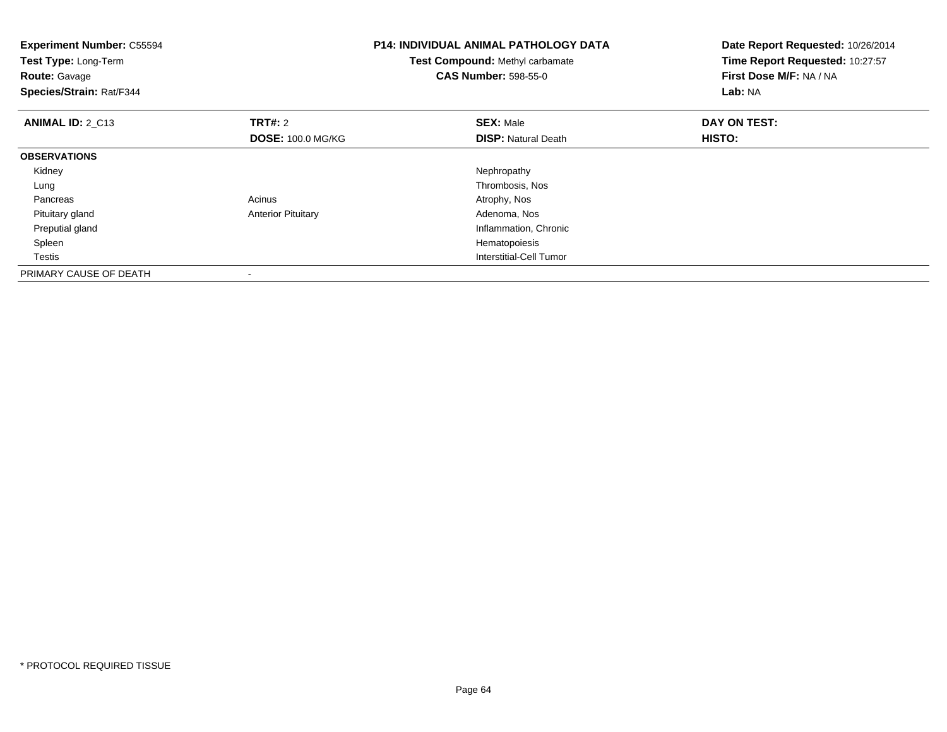| <b>Experiment Number: C55594</b><br>Test Type: Long-Term<br><b>Route: Gavage</b><br>Species/Strain: Rat/F344 |                           | <b>P14: INDIVIDUAL ANIMAL PATHOLOGY DATA</b><br>Test Compound: Methyl carbamate<br><b>CAS Number: 598-55-0</b> | Date Report Requested: 10/26/2014<br>Time Report Requested: 10:27:57<br>First Dose M/F: NA / NA<br><b>Lab: NA</b> |
|--------------------------------------------------------------------------------------------------------------|---------------------------|----------------------------------------------------------------------------------------------------------------|-------------------------------------------------------------------------------------------------------------------|
| <b>ANIMAL ID: 2 C13</b>                                                                                      | <b>TRT#: 2</b>            | <b>SEX: Male</b>                                                                                               | DAY ON TEST:                                                                                                      |
|                                                                                                              | <b>DOSE: 100.0 MG/KG</b>  | <b>DISP:</b> Natural Death                                                                                     | HISTO:                                                                                                            |
| <b>OBSERVATIONS</b>                                                                                          |                           |                                                                                                                |                                                                                                                   |
| Kidney                                                                                                       |                           | Nephropathy                                                                                                    |                                                                                                                   |
| Lung                                                                                                         |                           | Thrombosis, Nos                                                                                                |                                                                                                                   |
| Pancreas                                                                                                     | Acinus                    | Atrophy, Nos                                                                                                   |                                                                                                                   |
| Pituitary gland                                                                                              | <b>Anterior Pituitary</b> | Adenoma, Nos                                                                                                   |                                                                                                                   |
| Preputial gland                                                                                              |                           | Inflammation, Chronic                                                                                          |                                                                                                                   |
| Spleen                                                                                                       |                           | Hematopoiesis                                                                                                  |                                                                                                                   |
| Testis                                                                                                       |                           | Interstitial-Cell Tumor                                                                                        |                                                                                                                   |
| PRIMARY CAUSE OF DEATH                                                                                       |                           |                                                                                                                |                                                                                                                   |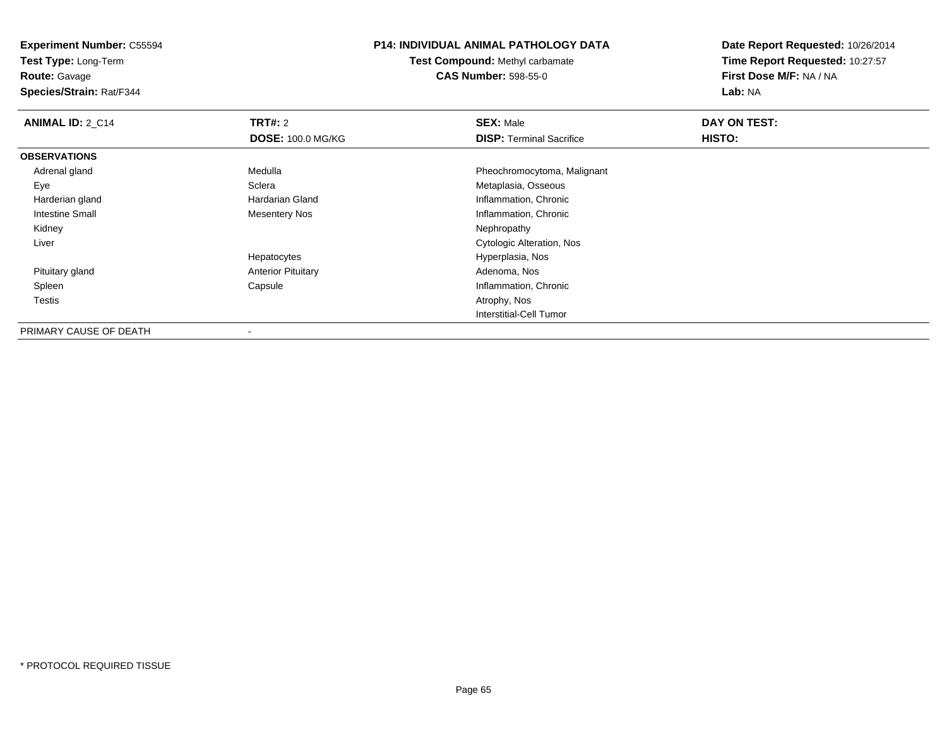**Test Type:** Long-Term

**Route:** Gavage

**Species/Strain:** Rat/F344

### **P14: INDIVIDUAL ANIMAL PATHOLOGY DATA**

**Test Compound:** Methyl carbamate**CAS Number:** 598-55-0

| <b>ANIMAL ID: 2 C14</b> | TRT#: 2                   | <b>SEX: Male</b>                | DAY ON TEST: |  |
|-------------------------|---------------------------|---------------------------------|--------------|--|
|                         | <b>DOSE: 100.0 MG/KG</b>  | <b>DISP:</b> Terminal Sacrifice | HISTO:       |  |
| <b>OBSERVATIONS</b>     |                           |                                 |              |  |
| Adrenal gland           | Medulla                   | Pheochromocytoma, Malignant     |              |  |
| Eye                     | Sclera                    | Metaplasia, Osseous             |              |  |
| Harderian gland         | Hardarian Gland           | Inflammation, Chronic           |              |  |
| Intestine Small         | <b>Mesentery Nos</b>      | Inflammation, Chronic           |              |  |
| Kidney                  |                           | Nephropathy                     |              |  |
| Liver                   |                           | Cytologic Alteration, Nos       |              |  |
|                         | Hepatocytes               | Hyperplasia, Nos                |              |  |
| Pituitary gland         | <b>Anterior Pituitary</b> | Adenoma, Nos                    |              |  |
| Spleen                  | Capsule                   | Inflammation, Chronic           |              |  |
| Testis                  |                           | Atrophy, Nos                    |              |  |
|                         |                           | Interstitial-Cell Tumor         |              |  |
| PRIMARY CAUSE OF DEATH  | $\blacksquare$            |                                 |              |  |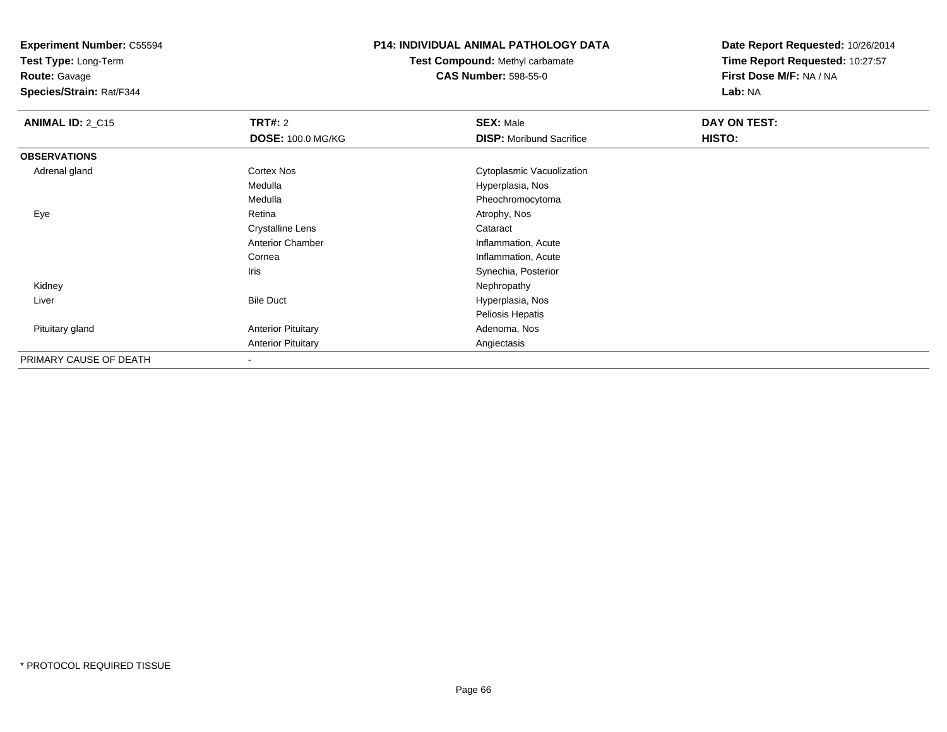**Test Type:** Long-Term

**Route:** Gavage

**Species/Strain:** Rat/F344

### **P14: INDIVIDUAL ANIMAL PATHOLOGY DATA**

**Test Compound:** Methyl carbamate**CAS Number:** 598-55-0

| <b>ANIMAL ID: 2_C15</b> | <b>TRT#: 2</b>            | <b>SEX: Male</b>                | DAY ON TEST: |  |
|-------------------------|---------------------------|---------------------------------|--------------|--|
|                         | <b>DOSE: 100.0 MG/KG</b>  | <b>DISP:</b> Moribund Sacrifice | HISTO:       |  |
| <b>OBSERVATIONS</b>     |                           |                                 |              |  |
| Adrenal gland           | Cortex Nos                | Cytoplasmic Vacuolization       |              |  |
|                         | Medulla                   | Hyperplasia, Nos                |              |  |
|                         | Medulla                   | Pheochromocytoma                |              |  |
| Eye                     | Retina                    | Atrophy, Nos                    |              |  |
|                         | <b>Crystalline Lens</b>   | Cataract                        |              |  |
|                         | <b>Anterior Chamber</b>   | Inflammation, Acute             |              |  |
|                         | Cornea                    | Inflammation, Acute             |              |  |
|                         | Iris                      | Synechia, Posterior             |              |  |
| Kidney                  |                           | Nephropathy                     |              |  |
| Liver                   | <b>Bile Duct</b>          | Hyperplasia, Nos                |              |  |
|                         |                           | Peliosis Hepatis                |              |  |
| Pituitary gland         | <b>Anterior Pituitary</b> | Adenoma, Nos                    |              |  |
|                         | <b>Anterior Pituitary</b> | Angiectasis                     |              |  |
| PRIMARY CAUSE OF DEATH  |                           |                                 |              |  |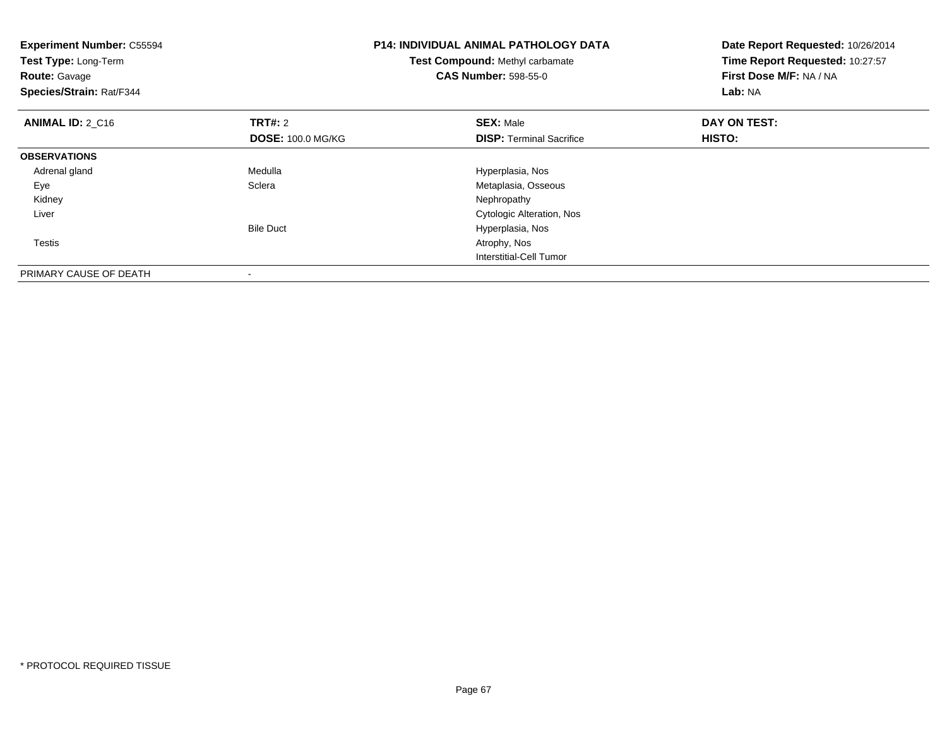| <b>Experiment Number: C55594</b><br>Test Type: Long-Term<br><b>Route: Gavage</b><br>Species/Strain: Rat/F344 |                                            | <b>P14: INDIVIDUAL ANIMAL PATHOLOGY DATA</b><br><b>Test Compound: Methyl carbamate</b><br><b>CAS Number: 598-55-0</b> | Date Report Requested: 10/26/2014<br>Time Report Requested: 10:27:57<br>First Dose M/F: NA / NA<br><b>Lab: NA</b> |
|--------------------------------------------------------------------------------------------------------------|--------------------------------------------|-----------------------------------------------------------------------------------------------------------------------|-------------------------------------------------------------------------------------------------------------------|
| <b>ANIMAL ID: 2 C16</b>                                                                                      | <b>TRT#:</b> 2<br><b>DOSE: 100.0 MG/KG</b> | <b>SEX: Male</b><br><b>DISP:</b> Terminal Sacrifice                                                                   | DAY ON TEST:<br>HISTO:                                                                                            |
| <b>OBSERVATIONS</b>                                                                                          |                                            |                                                                                                                       |                                                                                                                   |
| Adrenal gland                                                                                                | Medulla                                    | Hyperplasia, Nos                                                                                                      |                                                                                                                   |
| Eye                                                                                                          | Sclera                                     | Metaplasia, Osseous                                                                                                   |                                                                                                                   |
| Kidney                                                                                                       |                                            | Nephropathy                                                                                                           |                                                                                                                   |
| Liver                                                                                                        |                                            | <b>Cytologic Alteration, Nos</b>                                                                                      |                                                                                                                   |
|                                                                                                              | <b>Bile Duct</b>                           | Hyperplasia, Nos                                                                                                      |                                                                                                                   |
| Testis                                                                                                       |                                            | Atrophy, Nos                                                                                                          |                                                                                                                   |
|                                                                                                              |                                            | Interstitial-Cell Tumor                                                                                               |                                                                                                                   |
| PRIMARY CAUSE OF DEATH                                                                                       |                                            |                                                                                                                       |                                                                                                                   |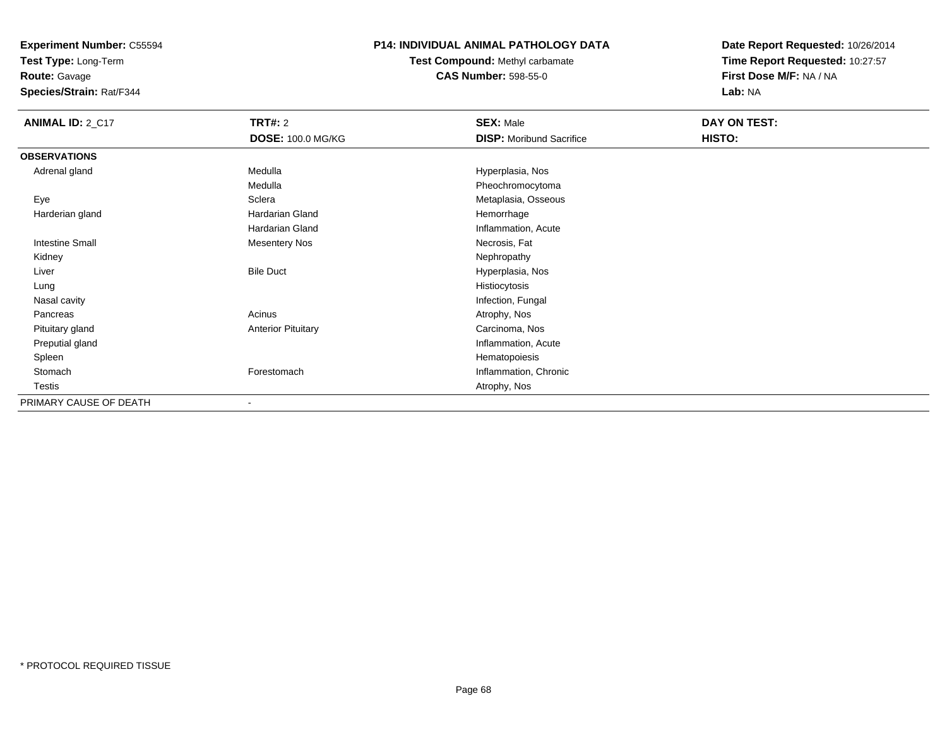**Test Type:** Long-Term

**Route:** Gavage

**Species/Strain:** Rat/F344

### **P14: INDIVIDUAL ANIMAL PATHOLOGY DATA**

**Test Compound:** Methyl carbamate**CAS Number:** 598-55-0

| <b>ANIMAL ID: 2_C17</b> | <b>TRT#:</b> 2            | <b>SEX: Male</b>                | DAY ON TEST: |
|-------------------------|---------------------------|---------------------------------|--------------|
|                         | <b>DOSE: 100.0 MG/KG</b>  | <b>DISP:</b> Moribund Sacrifice | HISTO:       |
| <b>OBSERVATIONS</b>     |                           |                                 |              |
| Adrenal gland           | Medulla                   | Hyperplasia, Nos                |              |
|                         | Medulla                   | Pheochromocytoma                |              |
| Eye                     | Sclera                    | Metaplasia, Osseous             |              |
| Harderian gland         | Hardarian Gland           | Hemorrhage                      |              |
|                         | <b>Hardarian Gland</b>    | Inflammation, Acute             |              |
| Intestine Small         | <b>Mesentery Nos</b>      | Necrosis, Fat                   |              |
| Kidney                  |                           | Nephropathy                     |              |
| Liver                   | <b>Bile Duct</b>          | Hyperplasia, Nos                |              |
| Lung                    |                           | Histiocytosis                   |              |
| Nasal cavity            |                           | Infection, Fungal               |              |
| Pancreas                | Acinus                    | Atrophy, Nos                    |              |
| Pituitary gland         | <b>Anterior Pituitary</b> | Carcinoma, Nos                  |              |
| Preputial gland         |                           | Inflammation, Acute             |              |
| Spleen                  |                           | Hematopoiesis                   |              |
| Stomach                 | Forestomach               | Inflammation, Chronic           |              |
| Testis                  |                           | Atrophy, Nos                    |              |
| PRIMARY CAUSE OF DEATH  | $\overline{\phantom{a}}$  |                                 |              |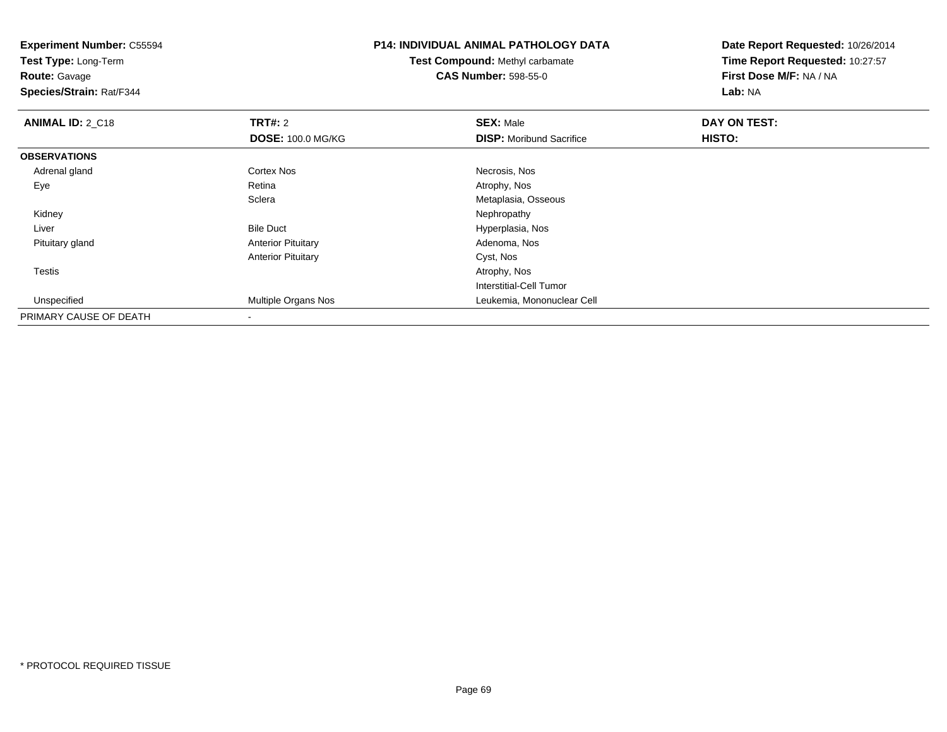**Experiment Number:** C55594**Test Type:** Long-Term**Route:** Gavage **Species/Strain:** Rat/F344**P14: INDIVIDUAL ANIMAL PATHOLOGY DATATest Compound:** Methyl carbamate**CAS Number:** 598-55-0**Date Report Requested:** 10/26/2014**Time Report Requested:** 10:27:57**First Dose M/F:** NA / NA**Lab:** NA**ANIMAL ID: 2 C18 REX:** Male **DAY ON TEST: SEX:** Male **SEX:** Male **DOSE:** 100.0 MG/KG**DISP:** Moribund Sacrifice **HISTO: OBSERVATIONS** Adrenal glandd Cortex Nos **Cortex Nos** Cortex Nos Necrosis, Nos Eyee and the contract of the Retina Atrophy, Nos and Atrophy, Nos and Atrophy, Nos and Atrophy, Nos and Atrophy, Nos **Sclera** Metaplasia, Osseous<br>Nephropathy Kidneyy the control of the control of the control of the control of the control of the control of the control of the control of the control of the control of the control of the control of the control of the control of the contro LiverBile Duct **Hyperplasia**, Nos Pituitary glandAnterior Pituitary **Adenoma, Nos** Adenoma, Nos Anterior Pituitary Cyst, Nos Testiss and the contract of the contract of the contract of the contract of the contract of the contract of the contract of the contract of the contract of the contract of the contract of the contract of the contract of the cont Interstitial-Cell Tumor Unspecified Multiple Organs Nos Leukemia, Mononuclear Cell PRIMARY CAUSE OF DEATH-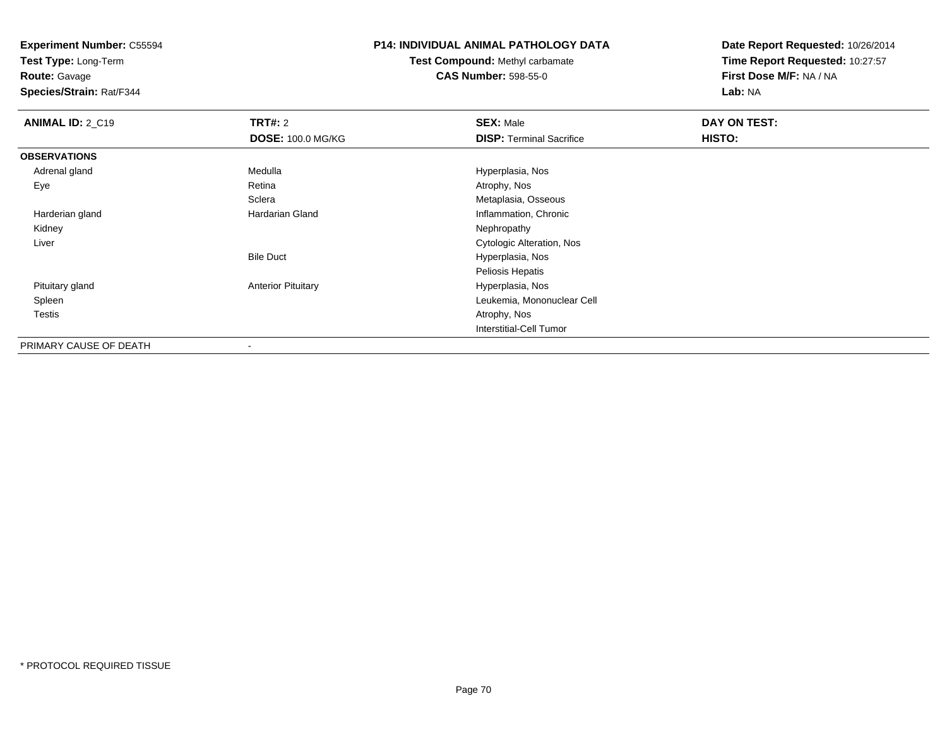**Test Type:** Long-Term

**Route:** Gavage

**Species/Strain:** Rat/F344

### **P14: INDIVIDUAL ANIMAL PATHOLOGY DATA**

**Test Compound:** Methyl carbamate**CAS Number:** 598-55-0

| <b>ANIMAL ID: 2_C19</b> | TRT#: 2                   | <b>SEX: Male</b>                | DAY ON TEST: |  |
|-------------------------|---------------------------|---------------------------------|--------------|--|
|                         | <b>DOSE: 100.0 MG/KG</b>  | <b>DISP: Terminal Sacrifice</b> | HISTO:       |  |
| <b>OBSERVATIONS</b>     |                           |                                 |              |  |
| Adrenal gland           | Medulla                   | Hyperplasia, Nos                |              |  |
| Eye                     | Retina                    | Atrophy, Nos                    |              |  |
|                         | Sclera                    | Metaplasia, Osseous             |              |  |
| Harderian gland         | Hardarian Gland           | Inflammation, Chronic           |              |  |
| Kidney                  |                           | Nephropathy                     |              |  |
| Liver                   |                           | Cytologic Alteration, Nos       |              |  |
|                         | <b>Bile Duct</b>          | Hyperplasia, Nos                |              |  |
|                         |                           | Peliosis Hepatis                |              |  |
| Pituitary gland         | <b>Anterior Pituitary</b> | Hyperplasia, Nos                |              |  |
| Spleen                  |                           | Leukemia, Mononuclear Cell      |              |  |
| Testis                  |                           | Atrophy, Nos                    |              |  |
|                         |                           | Interstitial-Cell Tumor         |              |  |
| PRIMARY CAUSE OF DEATH  | $\,$                      |                                 |              |  |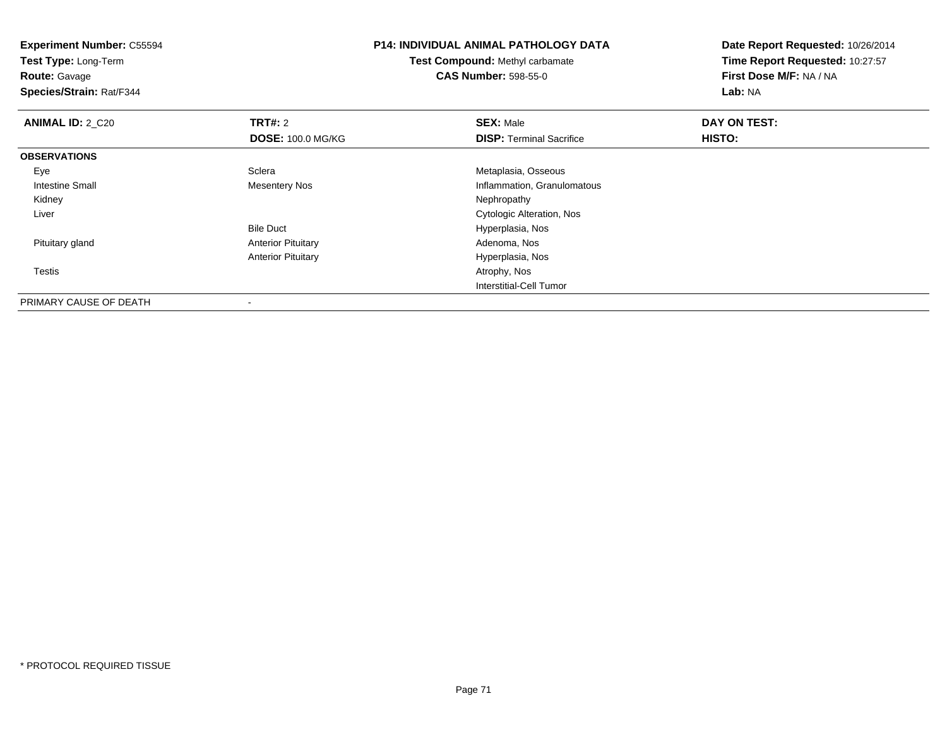| <b>Experiment Number: C55594</b><br>Test Type: Long-Term<br><b>Route: Gavage</b><br>Species/Strain: Rat/F344 |                           | <b>P14: INDIVIDUAL ANIMAL PATHOLOGY DATA</b><br>Test Compound: Methyl carbamate<br><b>CAS Number: 598-55-0</b> | Date Report Requested: 10/26/2014<br>Time Report Requested: 10:27:57<br>First Dose M/F: NA / NA<br>Lab: NA |
|--------------------------------------------------------------------------------------------------------------|---------------------------|----------------------------------------------------------------------------------------------------------------|------------------------------------------------------------------------------------------------------------|
| <b>ANIMAL ID: 2_C20</b>                                                                                      | <b>TRT#: 2</b>            | <b>SEX: Male</b>                                                                                               | DAY ON TEST:                                                                                               |
|                                                                                                              | <b>DOSE: 100.0 MG/KG</b>  | <b>DISP: Terminal Sacrifice</b>                                                                                | <b>HISTO:</b>                                                                                              |
| <b>OBSERVATIONS</b>                                                                                          |                           |                                                                                                                |                                                                                                            |
| Eye                                                                                                          | Sclera                    | Metaplasia, Osseous                                                                                            |                                                                                                            |
| Intestine Small                                                                                              | Mesentery Nos             | Inflammation, Granulomatous                                                                                    |                                                                                                            |
| Kidney                                                                                                       |                           | Nephropathy                                                                                                    |                                                                                                            |
| Liver                                                                                                        |                           | Cytologic Alteration, Nos                                                                                      |                                                                                                            |
|                                                                                                              | <b>Bile Duct</b>          | Hyperplasia, Nos                                                                                               |                                                                                                            |
| Pituitary gland                                                                                              | <b>Anterior Pituitary</b> | Adenoma, Nos                                                                                                   |                                                                                                            |
|                                                                                                              | <b>Anterior Pituitary</b> | Hyperplasia, Nos                                                                                               |                                                                                                            |
| Testis                                                                                                       |                           | Atrophy, Nos                                                                                                   |                                                                                                            |
|                                                                                                              |                           | <b>Interstitial-Cell Tumor</b>                                                                                 |                                                                                                            |
| PRIMARY CAUSE OF DEATH                                                                                       | $\,$                      |                                                                                                                |                                                                                                            |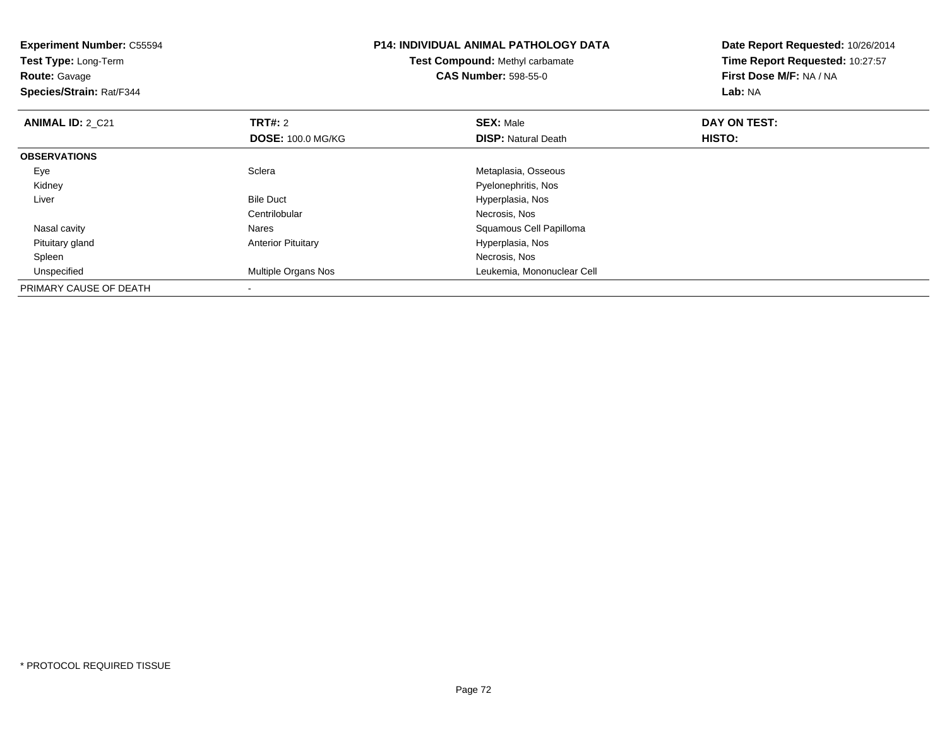| <b>Experiment Number: C55594</b><br>Test Type: Long-Term<br><b>Route:</b> Gavage<br>Species/Strain: Rat/F344 |                           | <b>P14: INDIVIDUAL ANIMAL PATHOLOGY DATA</b><br><b>Test Compound: Methyl carbamate</b><br><b>CAS Number: 598-55-0</b> | Date Report Requested: 10/26/2014<br>Time Report Requested: 10:27:57<br>First Dose M/F: NA / NA<br>Lab: NA |  |
|--------------------------------------------------------------------------------------------------------------|---------------------------|-----------------------------------------------------------------------------------------------------------------------|------------------------------------------------------------------------------------------------------------|--|
| <b>ANIMAL ID: 2_C21</b>                                                                                      | TRT#: 2                   | <b>SEX: Male</b>                                                                                                      | DAY ON TEST:                                                                                               |  |
|                                                                                                              | <b>DOSE: 100.0 MG/KG</b>  | <b>DISP:</b> Natural Death                                                                                            | <b>HISTO:</b>                                                                                              |  |
| <b>OBSERVATIONS</b>                                                                                          |                           |                                                                                                                       |                                                                                                            |  |
| Eye                                                                                                          | Sclera                    | Metaplasia, Osseous                                                                                                   |                                                                                                            |  |
| Kidney                                                                                                       |                           | Pyelonephritis, Nos                                                                                                   |                                                                                                            |  |
| Liver                                                                                                        | <b>Bile Duct</b>          | Hyperplasia, Nos                                                                                                      |                                                                                                            |  |
|                                                                                                              | Centrilobular             | Necrosis, Nos                                                                                                         |                                                                                                            |  |
| Nasal cavity                                                                                                 | Nares                     | Squamous Cell Papilloma                                                                                               |                                                                                                            |  |
| Pituitary gland                                                                                              | <b>Anterior Pituitary</b> | Hyperplasia, Nos                                                                                                      |                                                                                                            |  |
| Spleen                                                                                                       |                           | Necrosis, Nos                                                                                                         |                                                                                                            |  |
| Unspecified                                                                                                  | Multiple Organs Nos       | Leukemia, Mononuclear Cell                                                                                            |                                                                                                            |  |
| PRIMARY CAUSE OF DEATH                                                                                       |                           |                                                                                                                       |                                                                                                            |  |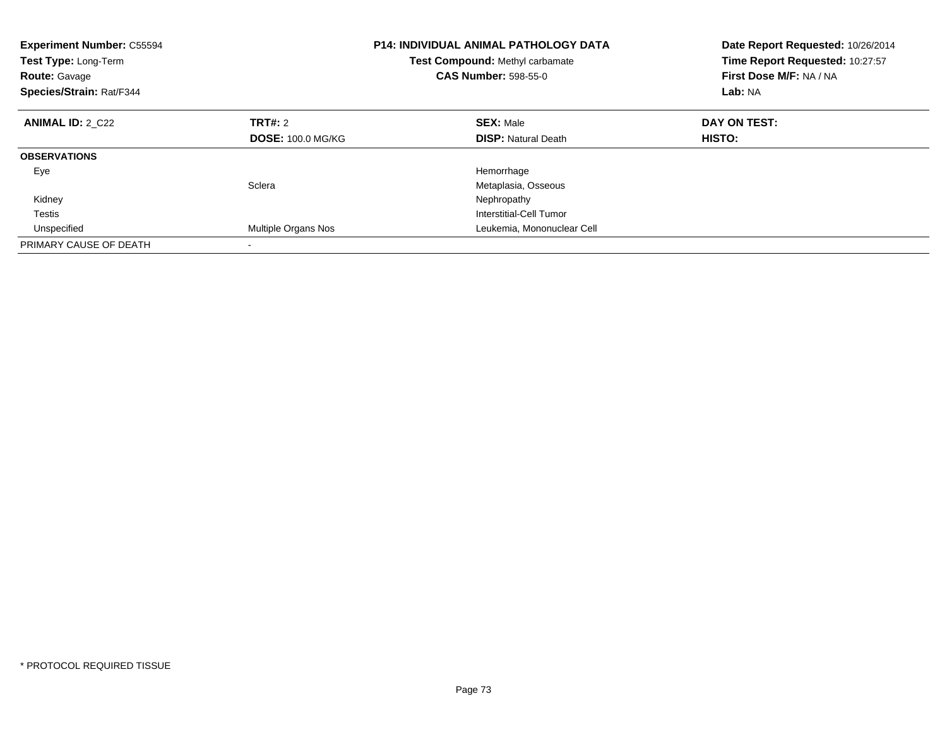| <b>Experiment Number: C55594</b><br><b>Test Type: Long-Term</b><br><b>Route: Gavage</b><br>Species/Strain: Rat/F344 |                          | <b>P14: INDIVIDUAL ANIMAL PATHOLOGY DATA</b><br>Test Compound: Methyl carbamate<br><b>CAS Number: 598-55-0</b> | Date Report Requested: 10/26/2014<br>Time Report Requested: 10:27:57<br>First Dose M/F: NA / NA<br>Lab: NA |
|---------------------------------------------------------------------------------------------------------------------|--------------------------|----------------------------------------------------------------------------------------------------------------|------------------------------------------------------------------------------------------------------------|
| <b>ANIMAL ID: 2 C22</b>                                                                                             | TRT#: 2                  | <b>SEX: Male</b>                                                                                               | DAY ON TEST:                                                                                               |
|                                                                                                                     | <b>DOSE: 100.0 MG/KG</b> | <b>DISP:</b> Natural Death                                                                                     | <b>HISTO:</b>                                                                                              |
| <b>OBSERVATIONS</b>                                                                                                 |                          |                                                                                                                |                                                                                                            |
| Eye                                                                                                                 |                          | Hemorrhage                                                                                                     |                                                                                                            |
|                                                                                                                     | Sclera                   | Metaplasia, Osseous                                                                                            |                                                                                                            |
| Kidney                                                                                                              |                          | Nephropathy                                                                                                    |                                                                                                            |
| Testis                                                                                                              |                          | Interstitial-Cell Tumor                                                                                        |                                                                                                            |
| Unspecified                                                                                                         | Multiple Organs Nos      | Leukemia, Mononuclear Cell                                                                                     |                                                                                                            |
| PRIMARY CAUSE OF DEATH                                                                                              |                          |                                                                                                                |                                                                                                            |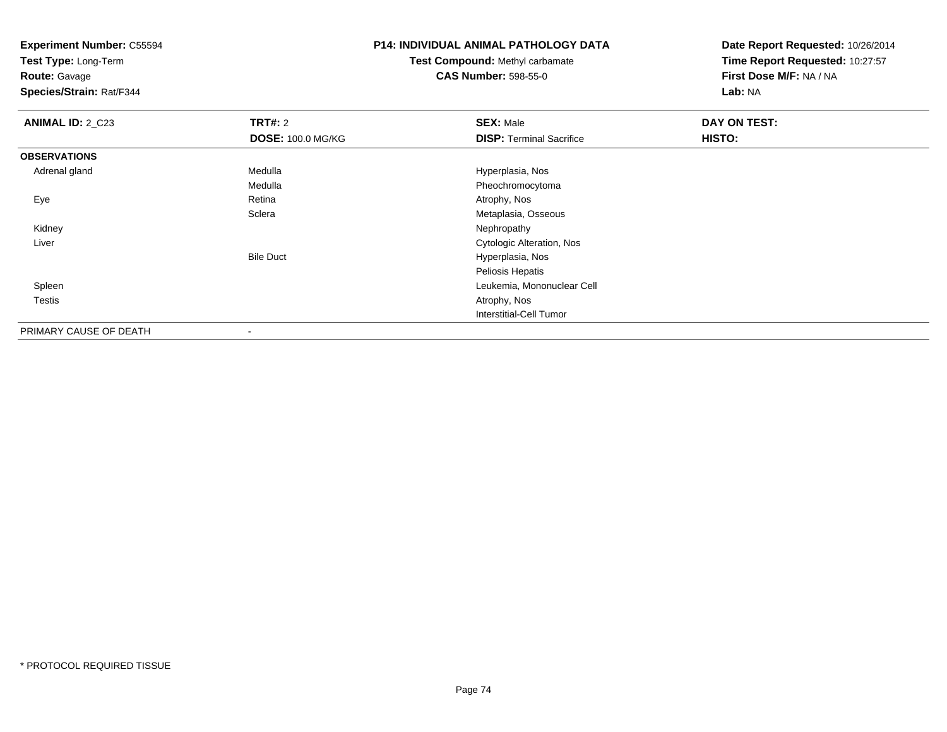**Test Type:** Long-Term

**Route:** Gavage

**Species/Strain:** Rat/F344

# **P14: INDIVIDUAL ANIMAL PATHOLOGY DATA**

**Test Compound:** Methyl carbamate**CAS Number:** 598-55-0

| <b>ANIMAL ID: 2_C23</b> | <b>TRT#: 2</b>           | <b>SEX: Male</b>                | DAY ON TEST: |  |
|-------------------------|--------------------------|---------------------------------|--------------|--|
|                         | <b>DOSE: 100.0 MG/KG</b> | <b>DISP: Terminal Sacrifice</b> | HISTO:       |  |
| <b>OBSERVATIONS</b>     |                          |                                 |              |  |
| Adrenal gland           | Medulla                  | Hyperplasia, Nos                |              |  |
|                         | Medulla                  | Pheochromocytoma                |              |  |
| Eye                     | Retina                   | Atrophy, Nos                    |              |  |
|                         | Sclera                   | Metaplasia, Osseous             |              |  |
| Kidney                  |                          | Nephropathy                     |              |  |
| Liver                   |                          | Cytologic Alteration, Nos       |              |  |
|                         | <b>Bile Duct</b>         | Hyperplasia, Nos                |              |  |
|                         |                          | Peliosis Hepatis                |              |  |
| Spleen                  |                          | Leukemia, Mononuclear Cell      |              |  |
| Testis                  |                          | Atrophy, Nos                    |              |  |
|                         |                          | Interstitial-Cell Tumor         |              |  |
| PRIMARY CAUSE OF DEATH  | $\blacksquare$           |                                 |              |  |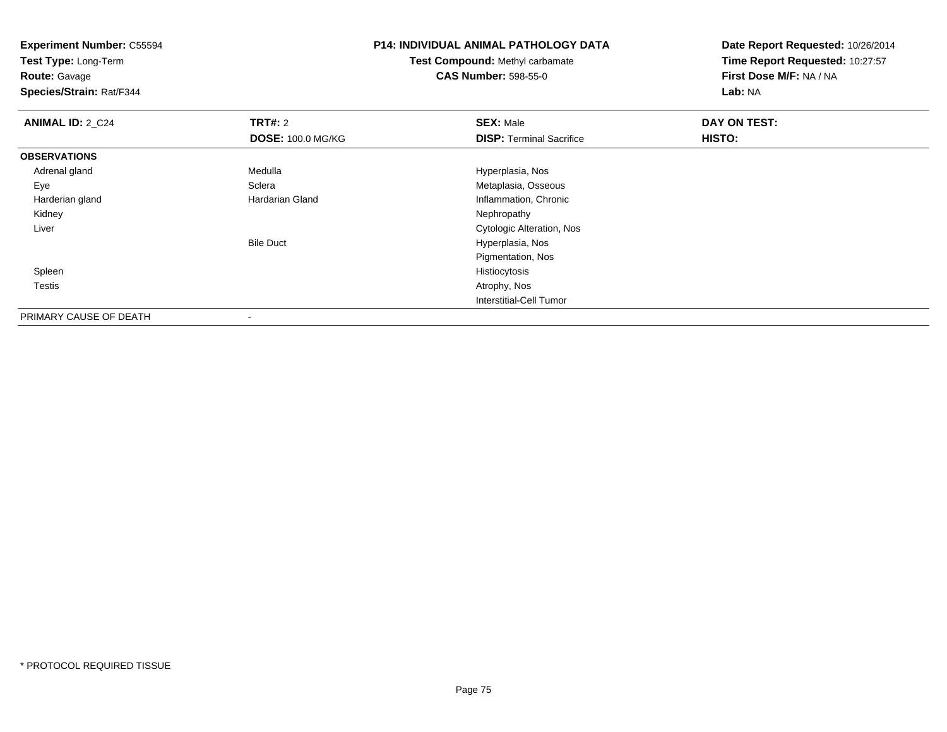**Experiment Number:** C55594**Test Type:** Long-Term**Route:** Gavage **Species/Strain:** Rat/F344**P14: INDIVIDUAL ANIMAL PATHOLOGY DATATest Compound:** Methyl carbamate**CAS Number:** 598-55-0**Date Report Requested:** 10/26/2014**Time Report Requested:** 10:27:57**First Dose M/F:** NA / NA**Lab:** NA**ANIMAL ID: 2 C24 TRT#:** 2 **SEX:** Male **DAY ON TEST: DOSE:** 100.0 MG/KG**DISP:** Terminal Sacrifice **HISTO: OBSERVATIONS** Adrenal gland Medulla Hyperplasia, Nos EyeSclera Metaplasia, Osseous<br>
Hardarian Gland Metaplasia, Osseous<br>
Metaplasia, Osseous Harderian glandInflammation, Chronic<br>Nephropathy Kidneyy the control of the control of the control of the control of the control of the control of the control of the control of the control of the control of the control of the control of the control of the control of the contro Liver Cytologic Alteration, NosBile Duct Hyperplasia, Nos Pigmentation, Nos Spleenhistiocytosis and the control of the control of the control of the control of the control of the control of the control of the control of the control of the control of the control of the control of the control of the contr Testiss and the contract of the contract of the contract of the contract of the contract of the contract of the contract of the contract of the contract of the contract of the contract of the contract of the contract of the cont Interstitial-Cell Tumor

PRIMARY CAUSE OF DEATH-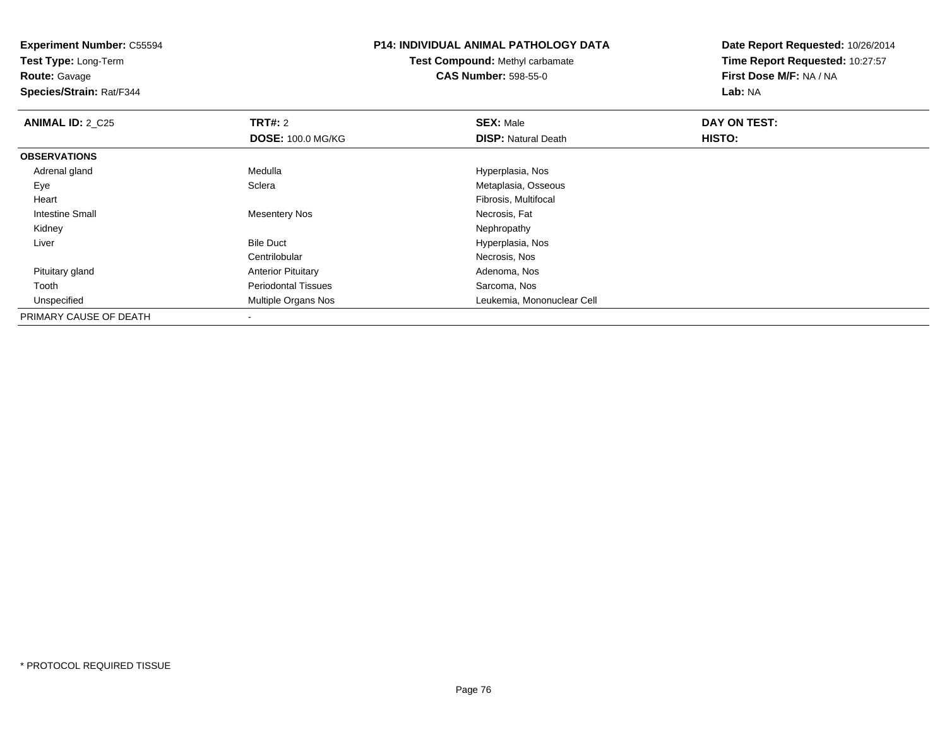**Test Type:** Long-Term

**Route:** Gavage

**Species/Strain:** Rat/F344

### **P14: INDIVIDUAL ANIMAL PATHOLOGY DATA**

**Test Compound:** Methyl carbamate**CAS Number:** 598-55-0

| <b>ANIMAL ID: 2_C25</b> | <b>TRT#: 2</b>             | <b>SEX: Male</b>           | DAY ON TEST: |  |
|-------------------------|----------------------------|----------------------------|--------------|--|
|                         | <b>DOSE: 100.0 MG/KG</b>   | <b>DISP: Natural Death</b> | HISTO:       |  |
| <b>OBSERVATIONS</b>     |                            |                            |              |  |
| Adrenal gland           | Medulla                    | Hyperplasia, Nos           |              |  |
| Eye                     | Sclera                     | Metaplasia, Osseous        |              |  |
| Heart                   |                            | Fibrosis, Multifocal       |              |  |
| Intestine Small         | <b>Mesentery Nos</b>       | Necrosis, Fat              |              |  |
| Kidney                  |                            | Nephropathy                |              |  |
| Liver                   | <b>Bile Duct</b>           | Hyperplasia, Nos           |              |  |
|                         | Centrilobular              | Necrosis, Nos              |              |  |
| Pituitary gland         | <b>Anterior Pituitary</b>  | Adenoma, Nos               |              |  |
| Tooth                   | <b>Periodontal Tissues</b> | Sarcoma, Nos               |              |  |
| Unspecified             | Multiple Organs Nos        | Leukemia, Mononuclear Cell |              |  |
| PRIMARY CAUSE OF DEATH  |                            |                            |              |  |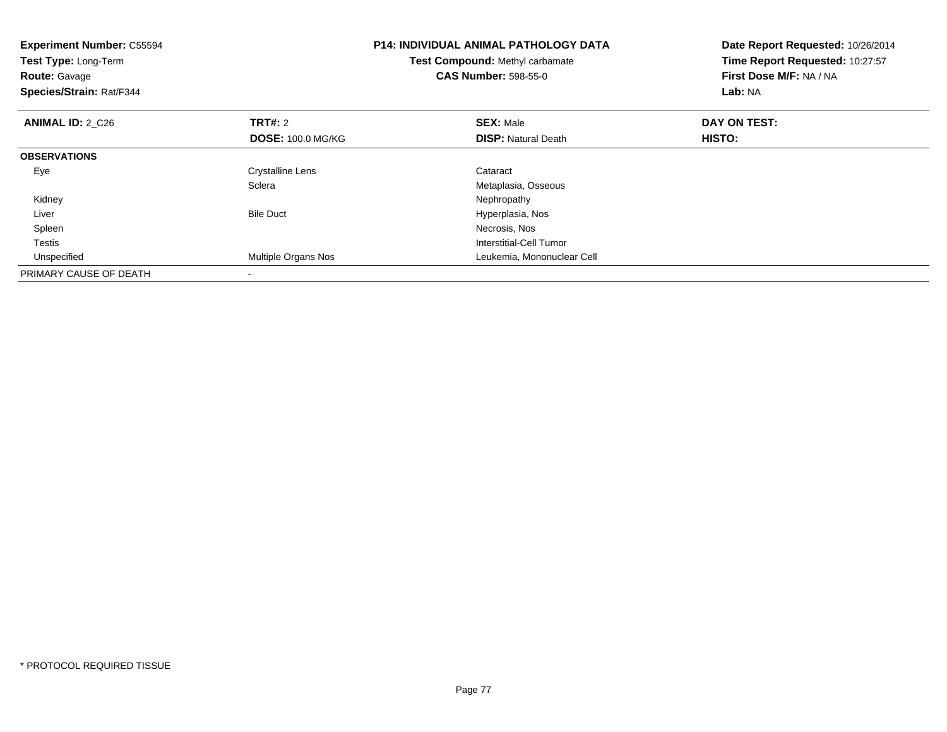| <b>Experiment Number: C55594</b><br>Test Type: Long-Term<br><b>Route: Gavage</b><br>Species/Strain: Rat/F344 |                          | <b>P14: INDIVIDUAL ANIMAL PATHOLOGY DATA</b><br>Test Compound: Methyl carbamate<br><b>CAS Number: 598-55-0</b> | Date Report Requested: 10/26/2014<br>Time Report Requested: 10:27:57<br>First Dose M/F: NA / NA<br>Lab: NA |
|--------------------------------------------------------------------------------------------------------------|--------------------------|----------------------------------------------------------------------------------------------------------------|------------------------------------------------------------------------------------------------------------|
| <b>ANIMAL ID: 2_C26</b>                                                                                      | <b>TRT#:</b> 2           | <b>SEX: Male</b>                                                                                               | DAY ON TEST:                                                                                               |
|                                                                                                              | <b>DOSE: 100.0 MG/KG</b> | <b>DISP:</b> Natural Death                                                                                     | HISTO:                                                                                                     |
| <b>OBSERVATIONS</b>                                                                                          |                          |                                                                                                                |                                                                                                            |
| Eye                                                                                                          | Crystalline Lens         | Cataract                                                                                                       |                                                                                                            |
|                                                                                                              | Sclera                   | Metaplasia, Osseous                                                                                            |                                                                                                            |
| Kidney                                                                                                       |                          | Nephropathy                                                                                                    |                                                                                                            |
| Liver                                                                                                        | <b>Bile Duct</b>         | Hyperplasia, Nos                                                                                               |                                                                                                            |
| Spleen                                                                                                       |                          | Necrosis, Nos                                                                                                  |                                                                                                            |
| Testis                                                                                                       |                          | Interstitial-Cell Tumor                                                                                        |                                                                                                            |
| Unspecified                                                                                                  | Multiple Organs Nos      | Leukemia, Mononuclear Cell                                                                                     |                                                                                                            |
| PRIMARY CAUSE OF DEATH                                                                                       |                          |                                                                                                                |                                                                                                            |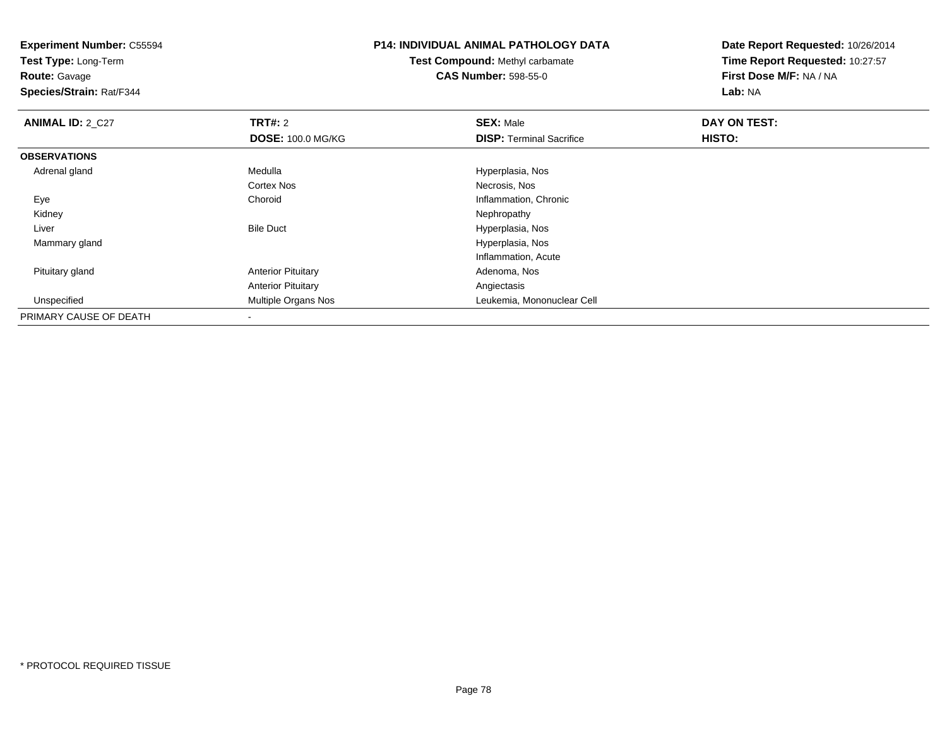**Test Type:** Long-Term

**Route:** Gavage

**Species/Strain:** Rat/F344

# **P14: INDIVIDUAL ANIMAL PATHOLOGY DATA**

**Test Compound:** Methyl carbamate**CAS Number:** 598-55-0

| <b>ANIMAL ID: 2_C27</b> | <b>TRT#: 2</b>            | <b>SEX: Male</b>                | DAY ON TEST:  |  |
|-------------------------|---------------------------|---------------------------------|---------------|--|
|                         | <b>DOSE: 100.0 MG/KG</b>  | <b>DISP: Terminal Sacrifice</b> | <b>HISTO:</b> |  |
| <b>OBSERVATIONS</b>     |                           |                                 |               |  |
| Adrenal gland           | Medulla                   | Hyperplasia, Nos                |               |  |
|                         | <b>Cortex Nos</b>         | Necrosis, Nos                   |               |  |
| Eye                     | Choroid                   | Inflammation, Chronic           |               |  |
| Kidney                  |                           | Nephropathy                     |               |  |
| Liver                   | <b>Bile Duct</b>          | Hyperplasia, Nos                |               |  |
| Mammary gland           |                           | Hyperplasia, Nos                |               |  |
|                         |                           | Inflammation, Acute             |               |  |
| Pituitary gland         | <b>Anterior Pituitary</b> | Adenoma, Nos                    |               |  |
|                         | <b>Anterior Pituitary</b> | Angiectasis                     |               |  |
| Unspecified             | Multiple Organs Nos       | Leukemia, Mononuclear Cell      |               |  |
| PRIMARY CAUSE OF DEATH  |                           |                                 |               |  |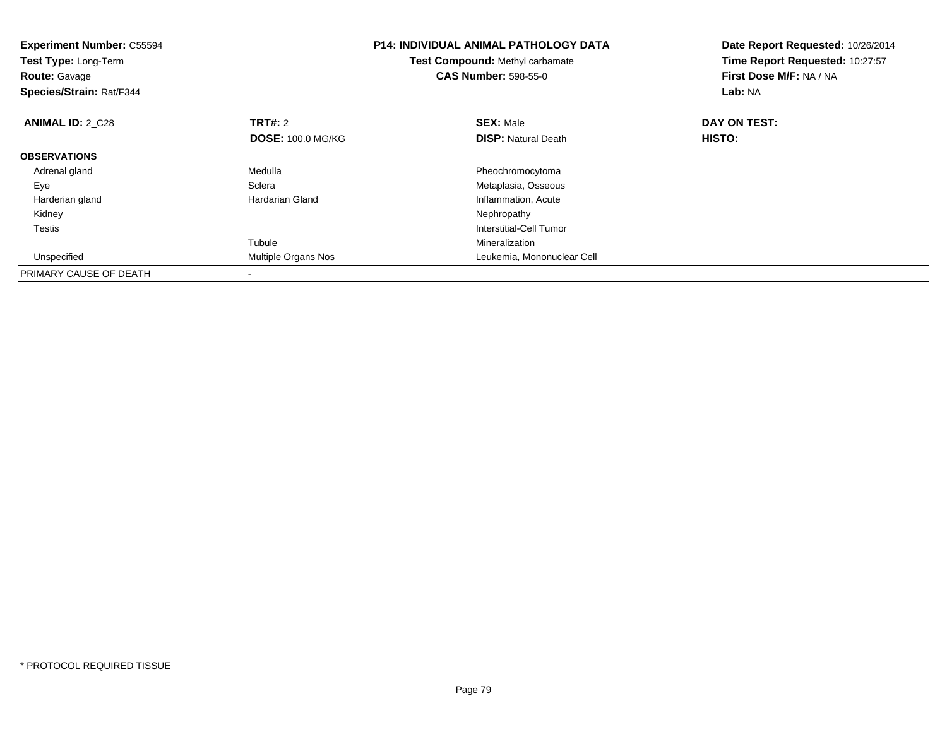| <b>Experiment Number: C55594</b><br>Test Type: Long-Term<br><b>Route: Gavage</b><br>Species/Strain: Rat/F344 |                          | <b>P14: INDIVIDUAL ANIMAL PATHOLOGY DATA</b><br>Test Compound: Methyl carbamate<br><b>CAS Number: 598-55-0</b> | Date Report Requested: 10/26/2014<br>Time Report Requested: 10:27:57<br>First Dose M/F: NA / NA<br>Lab: NA |
|--------------------------------------------------------------------------------------------------------------|--------------------------|----------------------------------------------------------------------------------------------------------------|------------------------------------------------------------------------------------------------------------|
| <b>ANIMAL ID: 2 C28</b>                                                                                      | <b>TRT#:</b> 2           | <b>SEX: Male</b>                                                                                               | DAY ON TEST:                                                                                               |
|                                                                                                              | <b>DOSE: 100.0 MG/KG</b> | <b>DISP:</b> Natural Death                                                                                     | HISTO:                                                                                                     |
| <b>OBSERVATIONS</b>                                                                                          |                          |                                                                                                                |                                                                                                            |
| Adrenal gland                                                                                                | Medulla                  | Pheochromocytoma                                                                                               |                                                                                                            |
| Eye                                                                                                          | Sclera                   | Metaplasia, Osseous                                                                                            |                                                                                                            |
| Harderian gland                                                                                              | <b>Hardarian Gland</b>   | Inflammation, Acute                                                                                            |                                                                                                            |
| Kidney                                                                                                       |                          | Nephropathy                                                                                                    |                                                                                                            |
| Testis                                                                                                       |                          | Interstitial-Cell Tumor                                                                                        |                                                                                                            |
|                                                                                                              | Tubule                   | Mineralization                                                                                                 |                                                                                                            |
| Unspecified                                                                                                  | Multiple Organs Nos      | Leukemia, Mononuclear Cell                                                                                     |                                                                                                            |
| PRIMARY CAUSE OF DEATH                                                                                       |                          |                                                                                                                |                                                                                                            |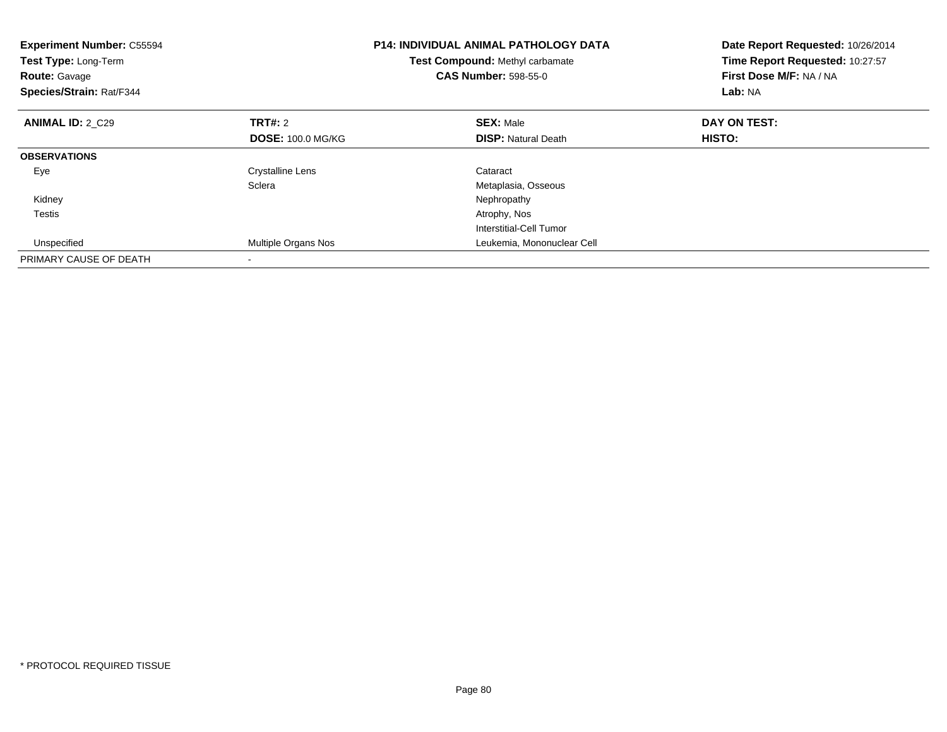| <b>Experiment Number: C55594</b><br>Test Type: Long-Term<br><b>Route: Gavage</b><br>Species/Strain: Rat/F344 |                          | <b>P14: INDIVIDUAL ANIMAL PATHOLOGY DATA</b><br>Test Compound: Methyl carbamate<br><b>CAS Number: 598-55-0</b> | Date Report Requested: 10/26/2014<br>Time Report Requested: 10:27:57<br>First Dose M/F: NA / NA<br>Lab: NA |
|--------------------------------------------------------------------------------------------------------------|--------------------------|----------------------------------------------------------------------------------------------------------------|------------------------------------------------------------------------------------------------------------|
| <b>ANIMAL ID: 2 C29</b>                                                                                      | TRT#: 2                  | <b>SEX: Male</b>                                                                                               | DAY ON TEST:                                                                                               |
|                                                                                                              | <b>DOSE: 100.0 MG/KG</b> | <b>DISP:</b> Natural Death                                                                                     | HISTO:                                                                                                     |
| <b>OBSERVATIONS</b>                                                                                          |                          |                                                                                                                |                                                                                                            |
| Eye                                                                                                          | <b>Crystalline Lens</b>  | Cataract                                                                                                       |                                                                                                            |
|                                                                                                              | Sclera                   | Metaplasia, Osseous                                                                                            |                                                                                                            |
| Kidney                                                                                                       |                          | Nephropathy                                                                                                    |                                                                                                            |
| Testis                                                                                                       |                          | Atrophy, Nos                                                                                                   |                                                                                                            |
|                                                                                                              |                          | Interstitial-Cell Tumor                                                                                        |                                                                                                            |
| Unspecified                                                                                                  | Multiple Organs Nos      | Leukemia, Mononuclear Cell                                                                                     |                                                                                                            |
| PRIMARY CAUSE OF DEATH                                                                                       |                          |                                                                                                                |                                                                                                            |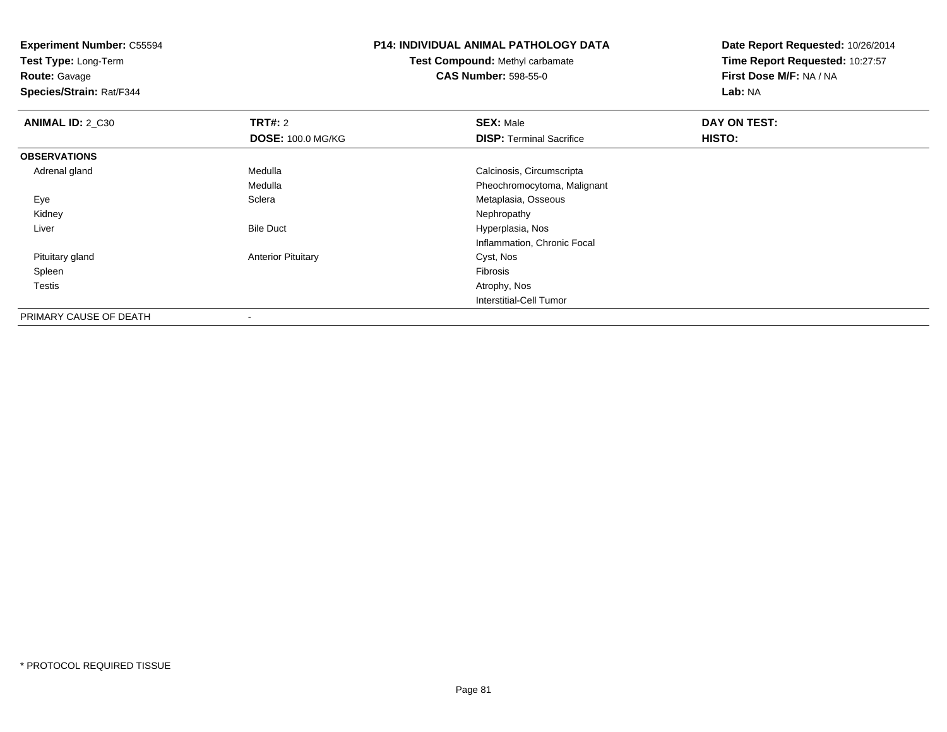**Experiment Number:** C55594**Test Type:** Long-Term**Route:** Gavage **Species/Strain:** Rat/F344**P14: INDIVIDUAL ANIMAL PATHOLOGY DATATest Compound:** Methyl carbamate**CAS Number:** 598-55-0**Date Report Requested:** 10/26/2014**Time Report Requested:** 10:27:57**First Dose M/F:** NA / NA**Lab:** NA**ANIMAL ID: 2 C30 C TRT#:** 2 **SEX:** Male **DAY ON TEST: DOSE:** 100.0 MG/KG**DISP:** Terminal Sacrifice **HISTO: OBSERVATIONS** Adrenal gland Medulla Calcinosis, Circumscripta Medulla Pheochromocytoma, Malignant EyeMetaplasia, Osseous<br>Nephropathy Kidneyy the control of the control of the control of the control of the control of the control of the control of the control of the control of the control of the control of the control of the control of the control of the contro LiverBile Duct **Hyperplasia**, Nos Inflammation, Chronic Focal Pituitary gland Anterior Pituitary Cyst, Nos Spleenn and the contract of the contract of the contract of the contract of the contract of the contract of the contract of the contract of the contract of the contract of the contract of the contract of the contract of the cont Testiss and the contract of the contract of the contract of the contract of the contract of the contract of the contract of the contract of the contract of the contract of the contract of the contract of the contract of the cont Interstitial-Cell Tumor

PRIMARY CAUSE OF DEATH-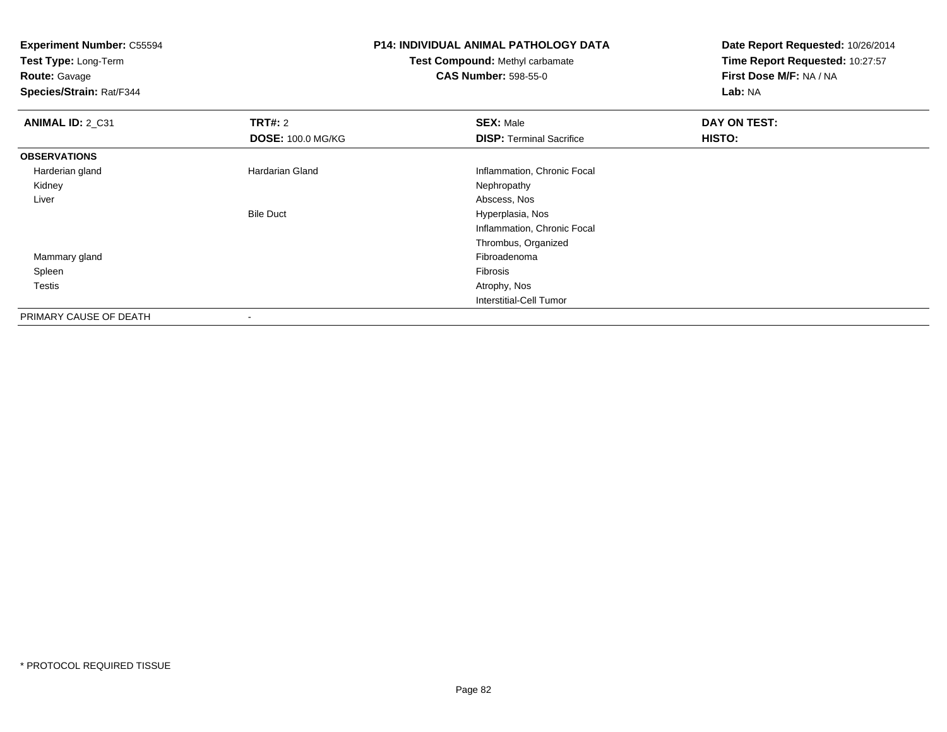**Experiment Number:** C55594**Test Type:** Long-Term**Route:** Gavage **Species/Strain:** Rat/F344**P14: INDIVIDUAL ANIMAL PATHOLOGY DATATest Compound:** Methyl carbamate**CAS Number:** 598-55-0**Date Report Requested:** 10/26/2014**Time Report Requested:** 10:27:57**First Dose M/F:** NA / NA**Lab:** NA**ANIMAL ID: 2 C31 TRT#:** 2 **SEX:** Male **DAY ON TEST: DOSE:** 100.0 MG/KG**DISP:** Terminal Sacrifice **HISTO: OBSERVATIONS** Harderian glandHardarian Gland Inflammation, Chronic Focal<br>
Nephropathy Kidneyy the control of the control of the control of the control of the control of the control of the control of the control of the control of the control of the control of the control of the control of the control of the contro Liver Abscess, Nos Hyperplasia, NosBile Duct Inflammation, Chronic FocalThrombus, Organized Mammary glandd and the control of the control of the control of the control of the control of the control of the control of the control of the control of the control of the control of the control of the control of the control of the co Spleenn and the contract of the contract of the contract of the contract of the contract of the contract of the contract of the contract of the contract of the contract of the contract of the contract of the contract of the cont Testiss and the contract of the contract of the contract of the contract of the contract of the contract of the contract of the contract of the contract of the contract of the contract of the contract of the contract of the cont Interstitial-Cell TumorPRIMARY CAUSE OF DEATH

-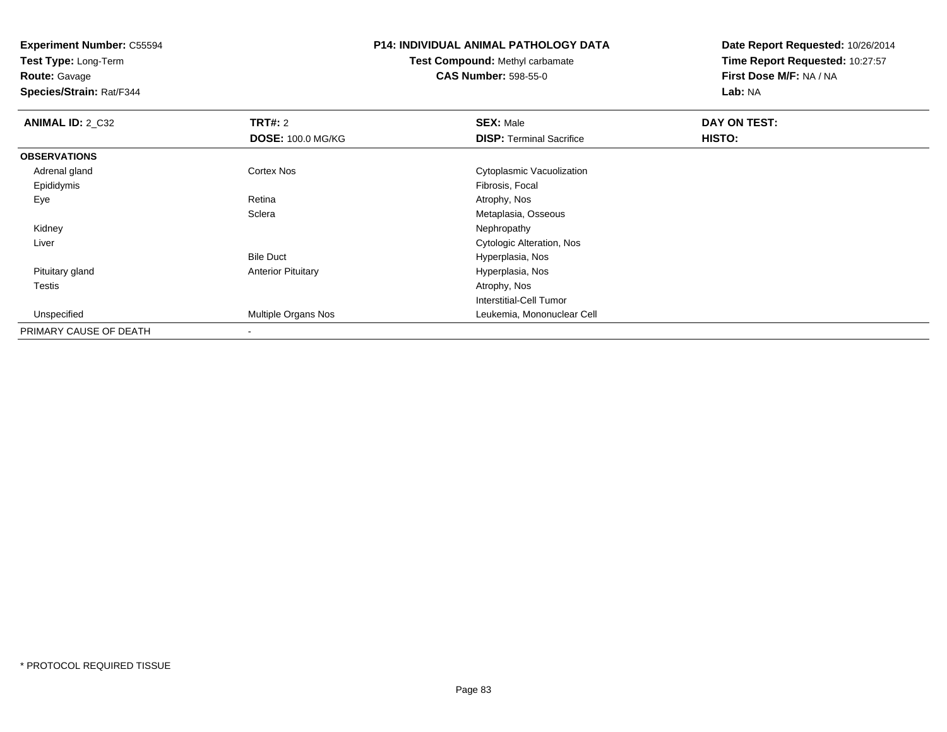**Test Type:** Long-Term

**Route:** Gavage

**Species/Strain:** Rat/F344

# **P14: INDIVIDUAL ANIMAL PATHOLOGY DATA**

**Test Compound:** Methyl carbamate**CAS Number:** 598-55-0

| <b>ANIMAL ID: 2_C32</b> | <b>TRT#: 2</b>            | <b>SEX: Male</b>                 | DAY ON TEST: |  |
|-------------------------|---------------------------|----------------------------------|--------------|--|
|                         | <b>DOSE: 100.0 MG/KG</b>  | <b>DISP: Terminal Sacrifice</b>  | HISTO:       |  |
| <b>OBSERVATIONS</b>     |                           |                                  |              |  |
| Adrenal gland           | <b>Cortex Nos</b>         | Cytoplasmic Vacuolization        |              |  |
| Epididymis              |                           | Fibrosis, Focal                  |              |  |
| Eye                     | Retina                    | Atrophy, Nos                     |              |  |
|                         | Sclera                    | Metaplasia, Osseous              |              |  |
| Kidney                  |                           | Nephropathy                      |              |  |
| Liver                   |                           | <b>Cytologic Alteration, Nos</b> |              |  |
|                         | <b>Bile Duct</b>          | Hyperplasia, Nos                 |              |  |
| Pituitary gland         | <b>Anterior Pituitary</b> | Hyperplasia, Nos                 |              |  |
| <b>Testis</b>           |                           | Atrophy, Nos                     |              |  |
|                         |                           | Interstitial-Cell Tumor          |              |  |
| Unspecified             | Multiple Organs Nos       | Leukemia, Mononuclear Cell       |              |  |
| PRIMARY CAUSE OF DEATH  | $\overline{\phantom{a}}$  |                                  |              |  |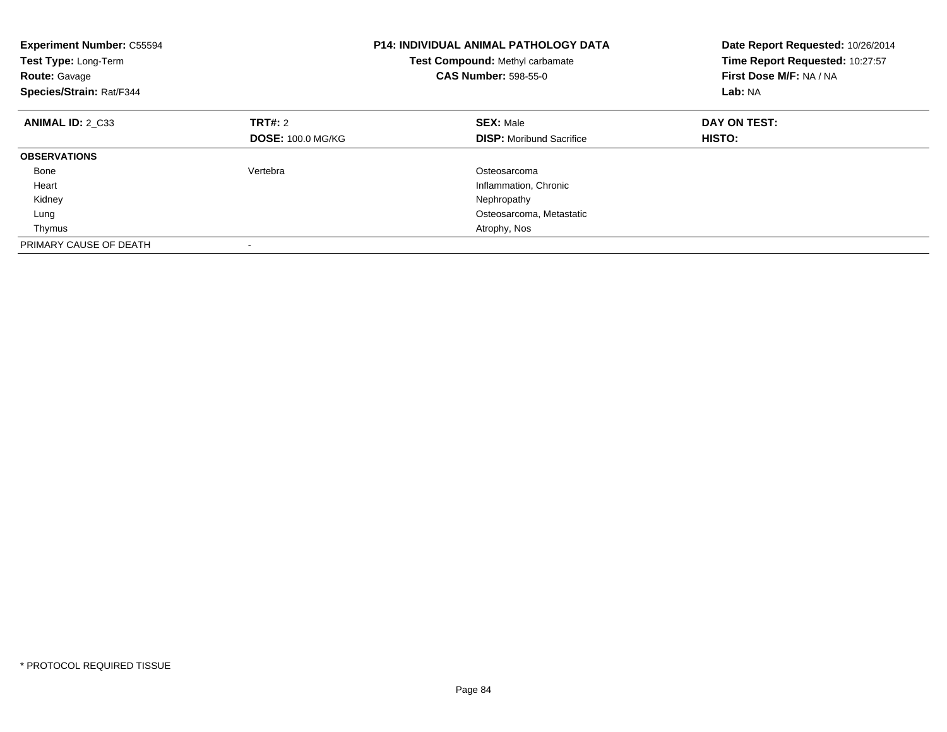| <b>Experiment Number: C55594</b><br>Test Type: Long-Term<br><b>Route: Gavage</b><br>Species/Strain: Rat/F344 |                          | <b>P14: INDIVIDUAL ANIMAL PATHOLOGY DATA</b><br>Test Compound: Methyl carbamate<br><b>CAS Number: 598-55-0</b> | Date Report Requested: 10/26/2014<br>Time Report Requested: 10:27:57<br>First Dose M/F: NA / NA<br>Lab: NA |
|--------------------------------------------------------------------------------------------------------------|--------------------------|----------------------------------------------------------------------------------------------------------------|------------------------------------------------------------------------------------------------------------|
| ANIMAL ID: 2 C33                                                                                             | TRT#: 2                  | <b>SEX: Male</b>                                                                                               | DAY ON TEST:                                                                                               |
|                                                                                                              | <b>DOSE: 100.0 MG/KG</b> | <b>DISP:</b> Moribund Sacrifice                                                                                | HISTO:                                                                                                     |
| <b>OBSERVATIONS</b>                                                                                          |                          |                                                                                                                |                                                                                                            |
| Bone                                                                                                         | Vertebra                 | Osteosarcoma                                                                                                   |                                                                                                            |
| Heart                                                                                                        |                          | Inflammation, Chronic                                                                                          |                                                                                                            |
| Kidney                                                                                                       |                          | Nephropathy                                                                                                    |                                                                                                            |
| Lung                                                                                                         |                          | Osteosarcoma, Metastatic                                                                                       |                                                                                                            |
| Thymus                                                                                                       |                          | Atrophy, Nos                                                                                                   |                                                                                                            |
| PRIMARY CAUSE OF DEATH                                                                                       |                          |                                                                                                                |                                                                                                            |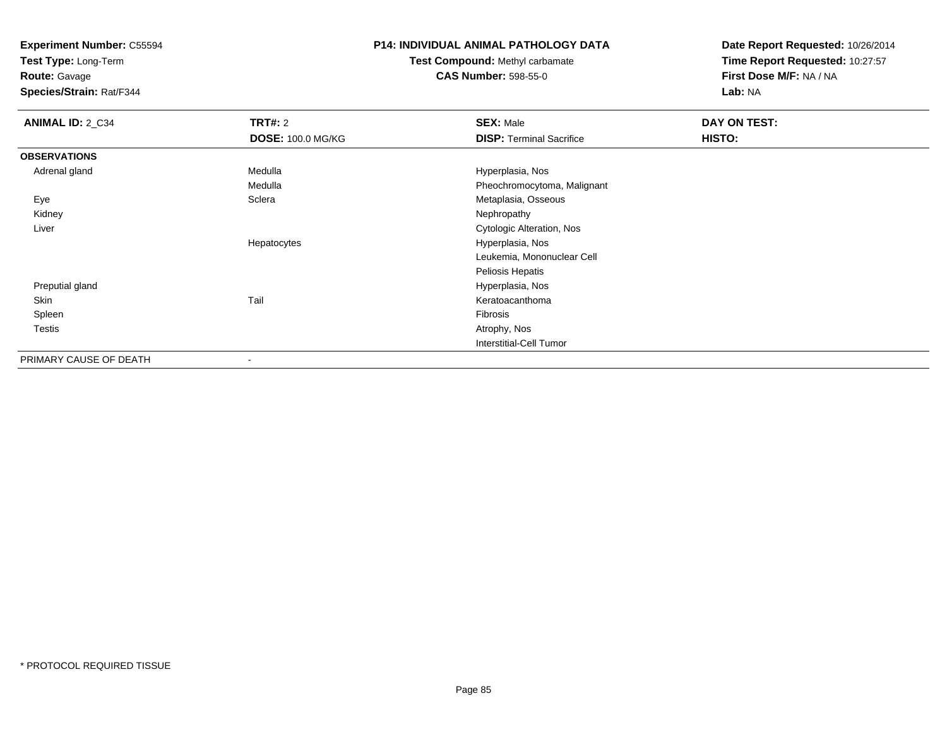**Test Type:** Long-Term

**Route:** Gavage

**Species/Strain:** Rat/F344

### **P14: INDIVIDUAL ANIMAL PATHOLOGY DATA**

# **Test Compound:** Methyl carbamate**CAS Number:** 598-55-0

| <b>ANIMAL ID: 2_C34</b> | <b>TRT#: 2</b>           | <b>SEX: Male</b>                | DAY ON TEST: |  |
|-------------------------|--------------------------|---------------------------------|--------------|--|
|                         | <b>DOSE: 100.0 MG/KG</b> | <b>DISP: Terminal Sacrifice</b> | HISTO:       |  |
| <b>OBSERVATIONS</b>     |                          |                                 |              |  |
| Adrenal gland           | Medulla                  | Hyperplasia, Nos                |              |  |
|                         | Medulla                  | Pheochromocytoma, Malignant     |              |  |
| Eye                     | Sclera                   | Metaplasia, Osseous             |              |  |
| Kidney                  |                          | Nephropathy                     |              |  |
| Liver                   |                          | Cytologic Alteration, Nos       |              |  |
|                         | Hepatocytes              | Hyperplasia, Nos                |              |  |
|                         |                          | Leukemia, Mononuclear Cell      |              |  |
|                         |                          | Peliosis Hepatis                |              |  |
| Preputial gland         |                          | Hyperplasia, Nos                |              |  |
| Skin                    | Tail                     | Keratoacanthoma                 |              |  |
| Spleen                  |                          | Fibrosis                        |              |  |
| <b>Testis</b>           |                          | Atrophy, Nos                    |              |  |
|                         |                          | <b>Interstitial-Cell Tumor</b>  |              |  |
| PRIMARY CAUSE OF DEATH  |                          |                                 |              |  |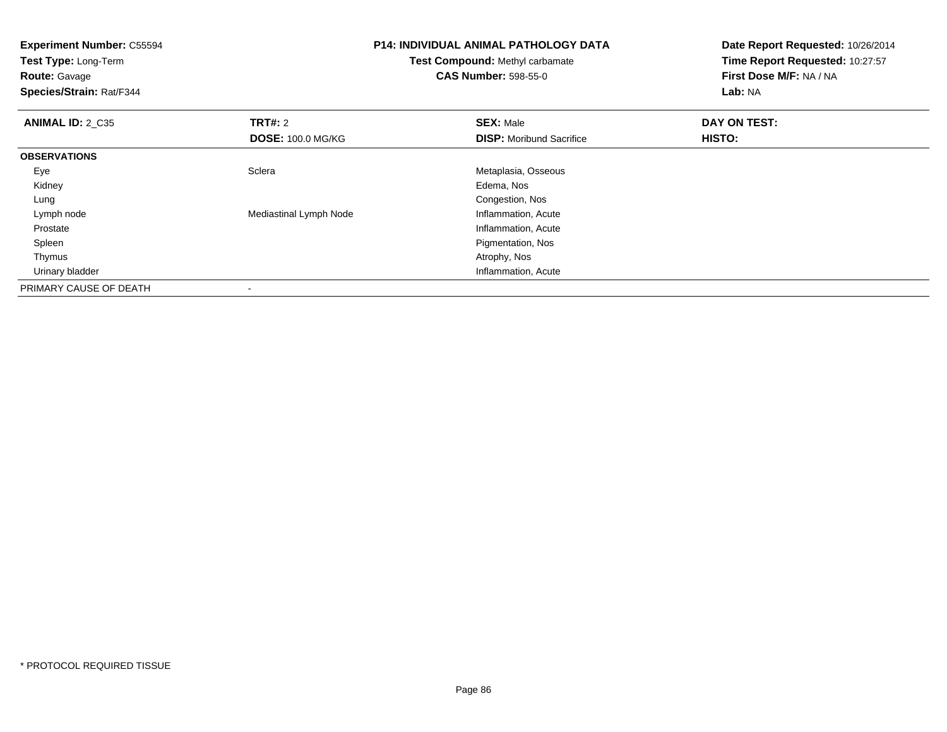**Experiment Number:** C55594**Test Type:** Long-Term**Route:** Gavage **Species/Strain:** Rat/F344**P14: INDIVIDUAL ANIMAL PATHOLOGY DATATest Compound:** Methyl carbamate**CAS Number:** 598-55-0**Date Report Requested:** 10/26/2014**Time Report Requested:** 10:27:57**First Dose M/F:** NA / NA**Lab:** NA**ANIMAL ID: 2 C35 TRT#:** <sup>2</sup> **SEX:** Male **DAY ON TEST: DOSE:** 100.0 MG/KG**DISP:** Moribund Sacrifice **HISTO: OBSERVATIONS** EyeSclera Metaplasia, Osseous<br>
Edema, Nos Kidneyy and the control of the control of the control of the control of the control of the control of the control of the control of the control of the control of the control of the control of the control of the control of the co Lung Congestion, Nos Lymph nodeMediastinal Lymph Node Prostate Inflammation, Acute Spleen Pigmentation, Nos Thymuss and the contract of the contract of the contract of the contract of the contract of the contract of the contract of the contract of the contract of the contract of the contract of the contract of the contract of the cont Urinary bladder Inflammation, AcutePRIMARY CAUSE OF DEATH-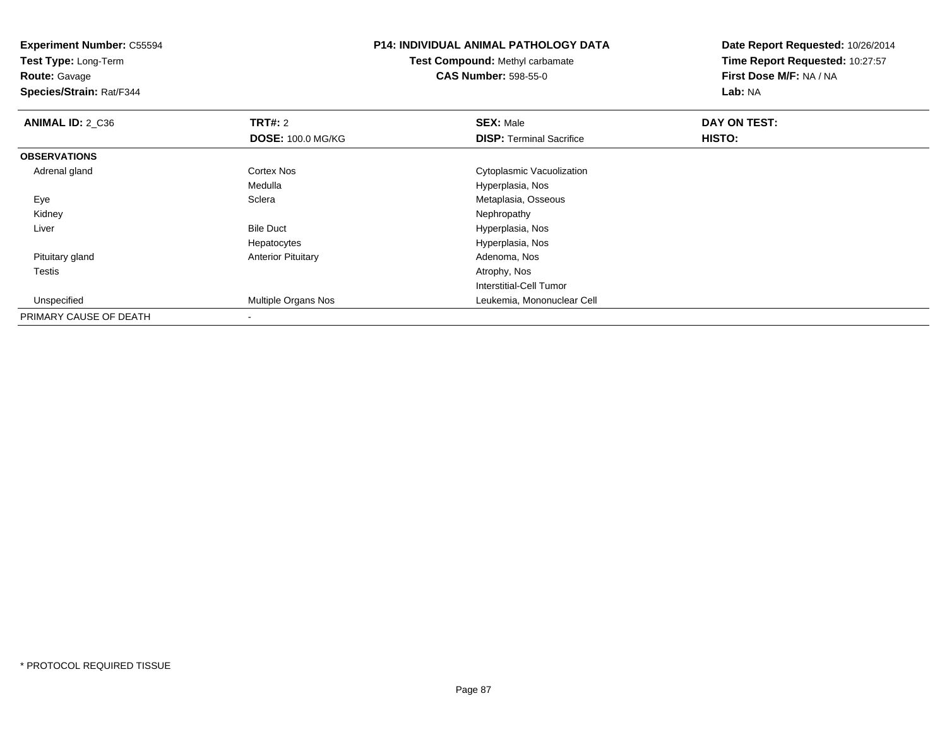**Experiment Number:** C55594**Test Type:** Long-Term**Route:** Gavage **Species/Strain:** Rat/F344**P14: INDIVIDUAL ANIMAL PATHOLOGY DATATest Compound:** Methyl carbamate**CAS Number:** 598-55-0**Date Report Requested:** 10/26/2014**Time Report Requested:** 10:27:57**First Dose M/F:** NA / NA**Lab:** NA**ANIMAL ID: 2 C36 6 DAY ON TRT#:** 2 **SEX:** Male **SEX:** Male **DOSE:** 100.0 MG/KG**DISP:** Terminal Sacrifice **HISTO: OBSERVATIONS** Adrenal glandCortex Nos **Cytoplasmic Vacuolization** Medulla Hyperplasia, Nos EyeMetaplasia, Osseous<br>Nephropathy Kidneyy the control of the control of the control of the control of the control of the control of the control of the control of the control of the control of the control of the control of the control of the control of the contro LiverBile Duct **Hyperplasia**, Nos Hyperplasia, Nos Hepatocytes Pituitary glandAnterior Pituitary **Adenoma, Nos**<br>Atrophy, Nos Testiss and the contract of the contract of the contract of the contract of the contract of the contract of the contract of the contract of the contract of the contract of the contract of the contract of the contract of the cont Interstitial-Cell Tumor Unspecified Multiple Organs Nos Leukemia, Mononuclear Cell PRIMARY CAUSE OF DEATH-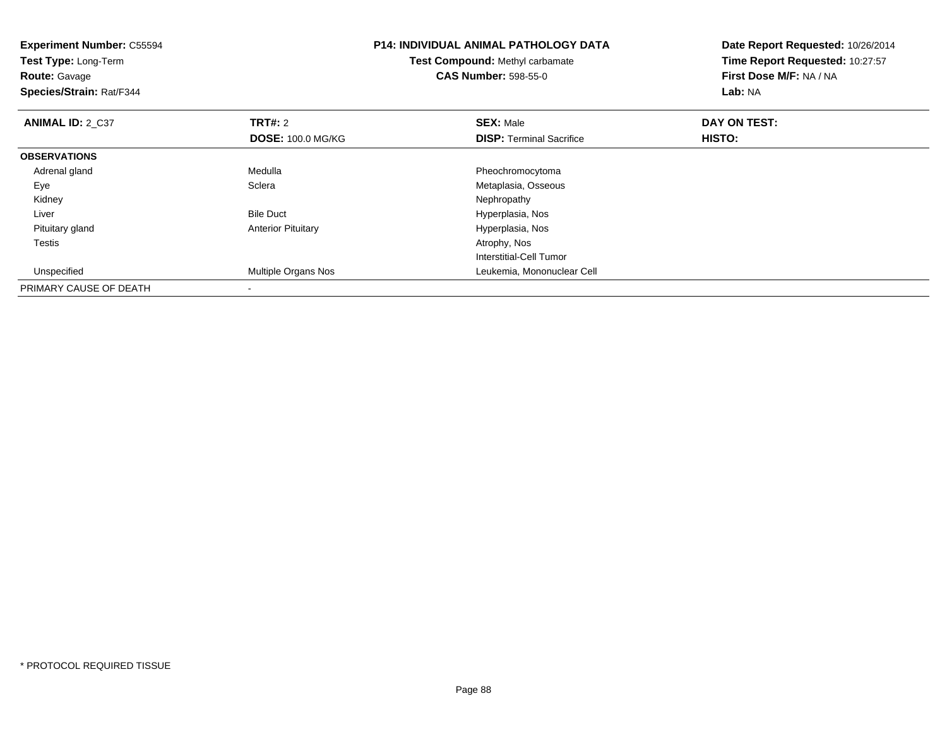| <b>Experiment Number: C55594</b><br>Test Type: Long-Term<br><b>Route: Gavage</b><br>Species/Strain: Rat/F344 |                           | <b>P14: INDIVIDUAL ANIMAL PATHOLOGY DATA</b><br>Test Compound: Methyl carbamate<br><b>CAS Number: 598-55-0</b> | Date Report Requested: 10/26/2014<br>Time Report Requested: 10:27:57<br>First Dose M/F: NA / NA<br>Lab: NA |
|--------------------------------------------------------------------------------------------------------------|---------------------------|----------------------------------------------------------------------------------------------------------------|------------------------------------------------------------------------------------------------------------|
| <b>ANIMAL ID: 2 C37</b>                                                                                      | <b>TRT#: 2</b>            | <b>SEX: Male</b>                                                                                               | DAY ON TEST:                                                                                               |
|                                                                                                              | <b>DOSE: 100.0 MG/KG</b>  | <b>DISP:</b> Terminal Sacrifice                                                                                | <b>HISTO:</b>                                                                                              |
| <b>OBSERVATIONS</b>                                                                                          |                           |                                                                                                                |                                                                                                            |
| Adrenal gland                                                                                                | Medulla                   | Pheochromocytoma                                                                                               |                                                                                                            |
| Eye                                                                                                          | Sclera                    | Metaplasia, Osseous                                                                                            |                                                                                                            |
| Kidney                                                                                                       |                           | Nephropathy                                                                                                    |                                                                                                            |
| Liver                                                                                                        | <b>Bile Duct</b>          | Hyperplasia, Nos                                                                                               |                                                                                                            |
| Pituitary gland                                                                                              | <b>Anterior Pituitary</b> | Hyperplasia, Nos                                                                                               |                                                                                                            |
| <b>Testis</b>                                                                                                |                           | Atrophy, Nos                                                                                                   |                                                                                                            |
|                                                                                                              |                           | Interstitial-Cell Tumor                                                                                        |                                                                                                            |
| Unspecified                                                                                                  | Multiple Organs Nos       | Leukemia, Mononuclear Cell                                                                                     |                                                                                                            |
| PRIMARY CAUSE OF DEATH                                                                                       |                           |                                                                                                                |                                                                                                            |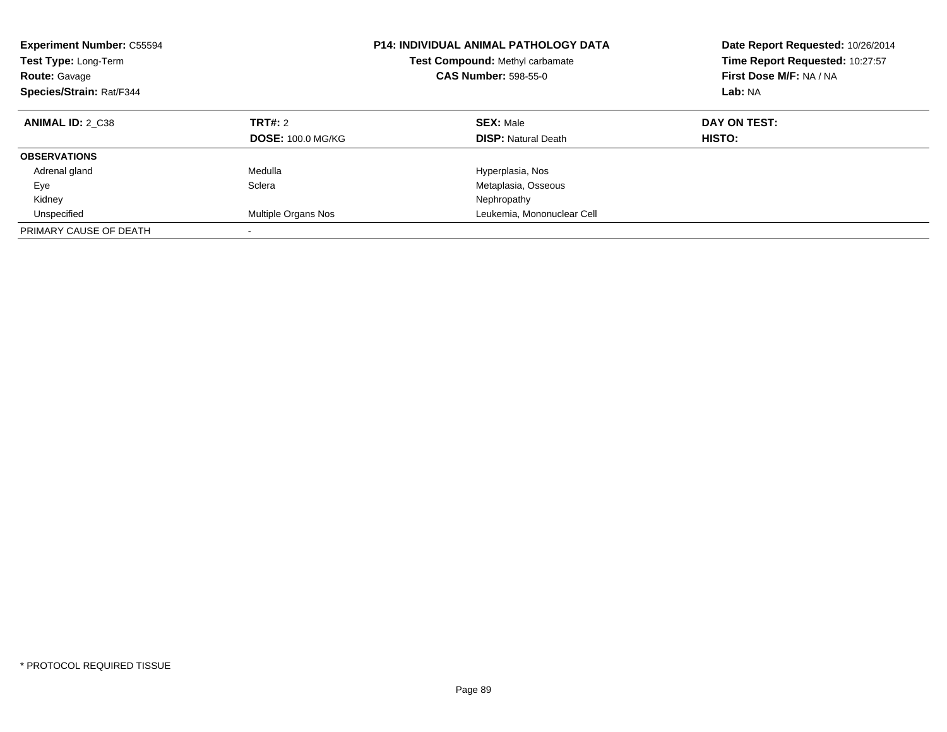| <b>Experiment Number: C55594</b><br><b>Test Type: Long-Term</b><br><b>Route: Gavage</b><br>Species/Strain: Rat/F344 |                                     | <b>P14: INDIVIDUAL ANIMAL PATHOLOGY DATA</b><br>Test Compound: Methyl carbamate<br><b>CAS Number: 598-55-0</b> | Date Report Requested: 10/26/2014<br>Time Report Requested: 10:27:57<br>First Dose M/F: NA / NA<br>Lab: NA |
|---------------------------------------------------------------------------------------------------------------------|-------------------------------------|----------------------------------------------------------------------------------------------------------------|------------------------------------------------------------------------------------------------------------|
| <b>ANIMAL ID: 2 C38</b>                                                                                             | TRT#: 2<br><b>DOSE: 100.0 MG/KG</b> | <b>SEX: Male</b><br><b>DISP:</b> Natural Death                                                                 | DAY ON TEST:<br>HISTO:                                                                                     |
| <b>OBSERVATIONS</b>                                                                                                 |                                     |                                                                                                                |                                                                                                            |
| Adrenal gland                                                                                                       | Medulla                             | Hyperplasia, Nos                                                                                               |                                                                                                            |
| Eye                                                                                                                 | Sclera                              | Metaplasia, Osseous                                                                                            |                                                                                                            |
| Kidney                                                                                                              |                                     | Nephropathy                                                                                                    |                                                                                                            |
| Unspecified                                                                                                         | Multiple Organs Nos                 | Leukemia, Mononuclear Cell                                                                                     |                                                                                                            |
| PRIMARY CAUSE OF DEATH                                                                                              | $\overline{\phantom{a}}$            |                                                                                                                |                                                                                                            |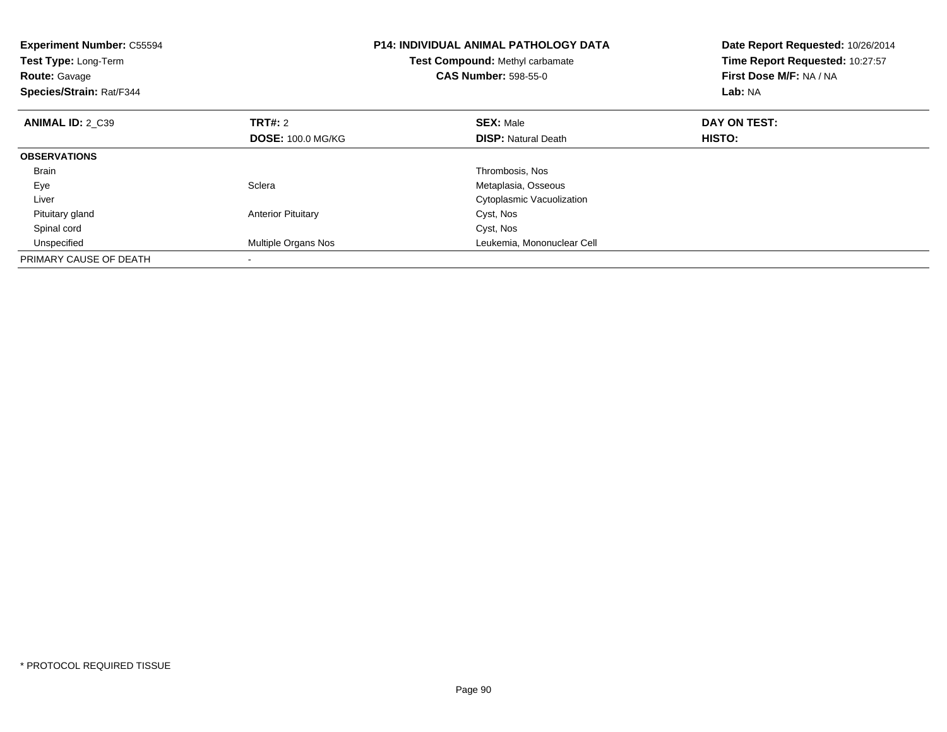| <b>Experiment Number: C55594</b><br>Test Type: Long-Term<br><b>Route: Gavage</b><br>Species/Strain: Rat/F344 |                           | <b>P14: INDIVIDUAL ANIMAL PATHOLOGY DATA</b><br><b>Test Compound: Methyl carbamate</b><br><b>CAS Number: 598-55-0</b> | Date Report Requested: 10/26/2014<br>Time Report Requested: 10:27:57<br>First Dose M/F: NA / NA<br>Lab: NA |
|--------------------------------------------------------------------------------------------------------------|---------------------------|-----------------------------------------------------------------------------------------------------------------------|------------------------------------------------------------------------------------------------------------|
| <b>ANIMAL ID: 2 C39</b>                                                                                      | <b>TRT#: 2</b>            | <b>SEX: Male</b>                                                                                                      | DAY ON TEST:                                                                                               |
|                                                                                                              | <b>DOSE: 100.0 MG/KG</b>  | <b>DISP:</b> Natural Death                                                                                            | <b>HISTO:</b>                                                                                              |
| <b>OBSERVATIONS</b>                                                                                          |                           |                                                                                                                       |                                                                                                            |
| <b>Brain</b>                                                                                                 |                           | Thrombosis, Nos                                                                                                       |                                                                                                            |
| Eye                                                                                                          | Sclera                    | Metaplasia, Osseous                                                                                                   |                                                                                                            |
| Liver                                                                                                        |                           | Cytoplasmic Vacuolization                                                                                             |                                                                                                            |
| Pituitary gland                                                                                              | <b>Anterior Pituitary</b> | Cyst, Nos                                                                                                             |                                                                                                            |
| Spinal cord                                                                                                  |                           | Cyst, Nos                                                                                                             |                                                                                                            |
| Unspecified                                                                                                  | Multiple Organs Nos       | Leukemia, Mononuclear Cell                                                                                            |                                                                                                            |
| PRIMARY CAUSE OF DEATH                                                                                       |                           |                                                                                                                       |                                                                                                            |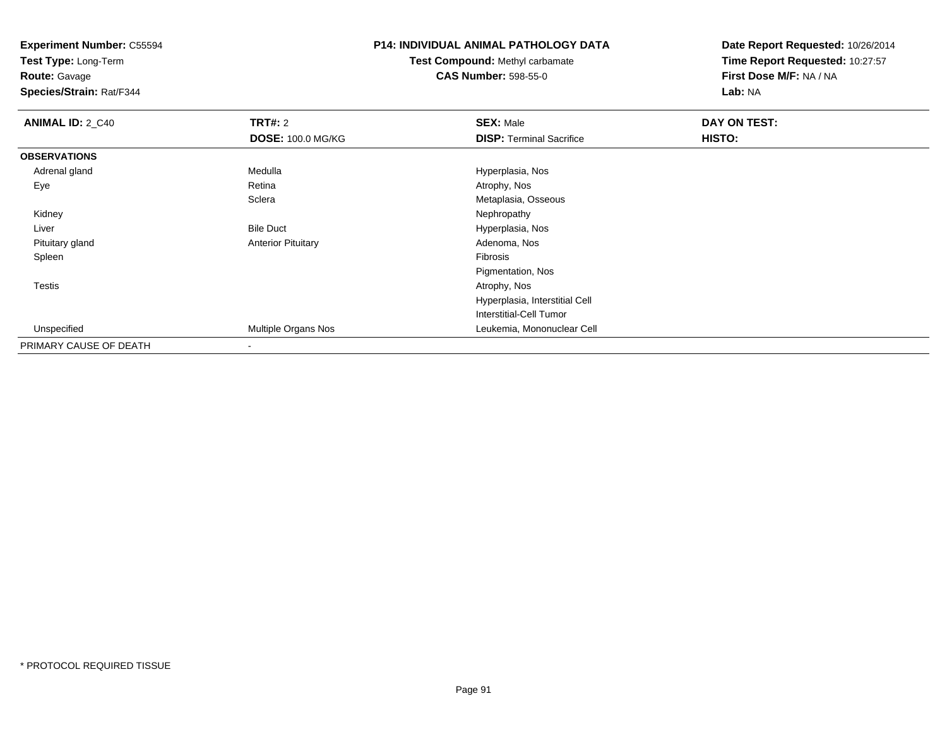**Test Type:** Long-Term

**Route:** Gavage

**Species/Strain:** Rat/F344

### **P14: INDIVIDUAL ANIMAL PATHOLOGY DATA**

### **Test Compound:** Methyl carbamate**CAS Number:** 598-55-0

| <b>ANIMAL ID: 2_C40</b> | TRT#: 2                   | <b>SEX: Male</b>                | DAY ON TEST: |  |
|-------------------------|---------------------------|---------------------------------|--------------|--|
|                         | <b>DOSE: 100.0 MG/KG</b>  | <b>DISP: Terminal Sacrifice</b> | HISTO:       |  |
| <b>OBSERVATIONS</b>     |                           |                                 |              |  |
| Adrenal gland           | Medulla                   | Hyperplasia, Nos                |              |  |
| Eye                     | Retina                    | Atrophy, Nos                    |              |  |
|                         | Sclera                    | Metaplasia, Osseous             |              |  |
| Kidney                  |                           | Nephropathy                     |              |  |
| Liver                   | <b>Bile Duct</b>          | Hyperplasia, Nos                |              |  |
| Pituitary gland         | <b>Anterior Pituitary</b> | Adenoma, Nos                    |              |  |
| Spleen                  |                           | Fibrosis                        |              |  |
|                         |                           | Pigmentation, Nos               |              |  |
| <b>Testis</b>           |                           | Atrophy, Nos                    |              |  |
|                         |                           | Hyperplasia, Interstitial Cell  |              |  |
|                         |                           | Interstitial-Cell Tumor         |              |  |
| Unspecified             | Multiple Organs Nos       | Leukemia, Mononuclear Cell      |              |  |
| PRIMARY CAUSE OF DEATH  | $\,$                      |                                 |              |  |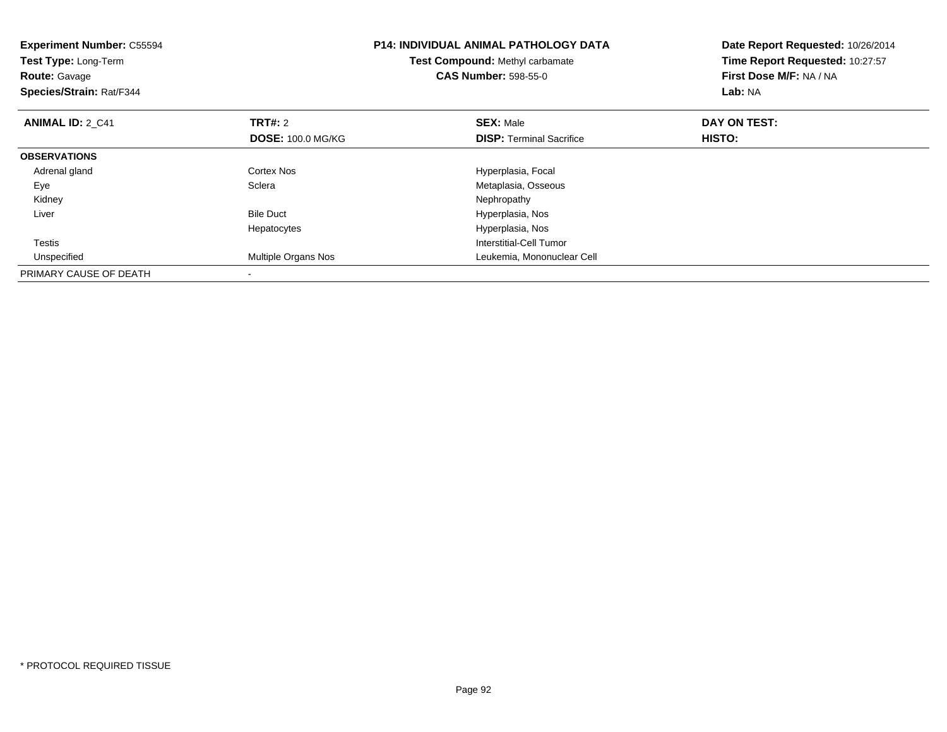| <b>Experiment Number: C55594</b><br>Test Type: Long-Term<br><b>Route: Gavage</b><br>Species/Strain: Rat/F344 |                          | <b>P14: INDIVIDUAL ANIMAL PATHOLOGY DATA</b><br>Test Compound: Methyl carbamate<br><b>CAS Number: 598-55-0</b> | Date Report Requested: 10/26/2014<br>Time Report Requested: 10:27:57<br>First Dose M/F: NA / NA<br>Lab: NA |
|--------------------------------------------------------------------------------------------------------------|--------------------------|----------------------------------------------------------------------------------------------------------------|------------------------------------------------------------------------------------------------------------|
| <b>ANIMAL ID: 2 C41</b>                                                                                      | <b>TRT#:</b> 2           | <b>SEX: Male</b>                                                                                               | DAY ON TEST:                                                                                               |
|                                                                                                              | <b>DOSE: 100.0 MG/KG</b> | <b>DISP:</b> Terminal Sacrifice                                                                                | HISTO:                                                                                                     |
| <b>OBSERVATIONS</b>                                                                                          |                          |                                                                                                                |                                                                                                            |
| Adrenal gland                                                                                                | Cortex Nos               | Hyperplasia, Focal                                                                                             |                                                                                                            |
| Eye                                                                                                          | Sclera                   | Metaplasia, Osseous                                                                                            |                                                                                                            |
| Kidney                                                                                                       |                          | Nephropathy                                                                                                    |                                                                                                            |
| Liver                                                                                                        | <b>Bile Duct</b>         | Hyperplasia, Nos                                                                                               |                                                                                                            |
|                                                                                                              | Hepatocytes              | Hyperplasia, Nos                                                                                               |                                                                                                            |
| <b>Testis</b>                                                                                                |                          | Interstitial-Cell Tumor                                                                                        |                                                                                                            |
| Unspecified                                                                                                  | Multiple Organs Nos      | Leukemia, Mononuclear Cell                                                                                     |                                                                                                            |
| PRIMARY CAUSE OF DEATH                                                                                       |                          |                                                                                                                |                                                                                                            |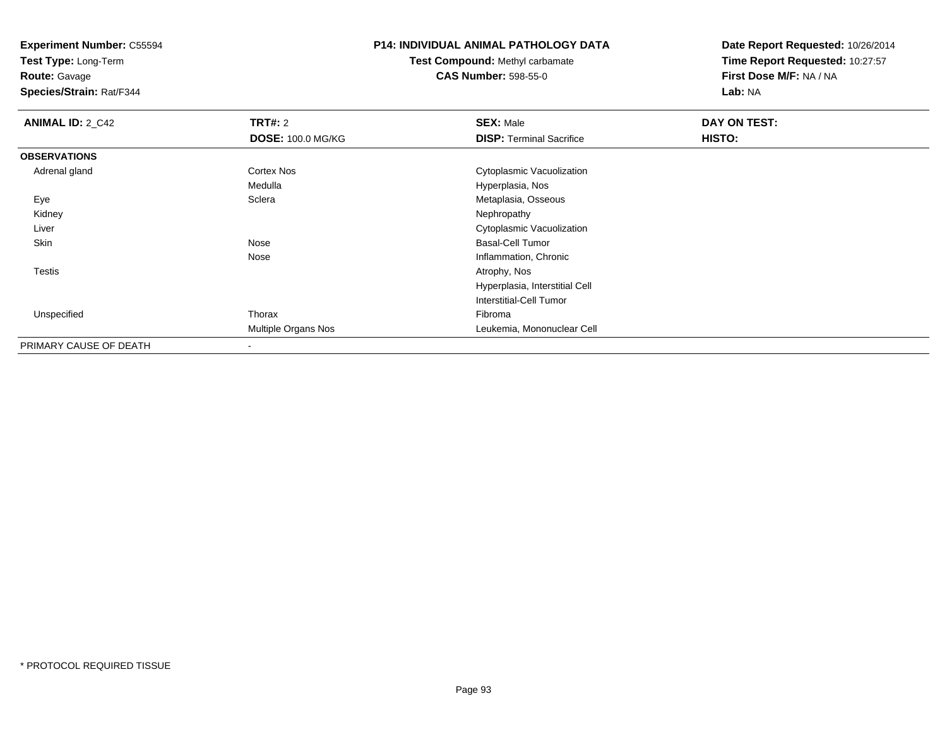**Test Type:** Long-Term

**Route:** Gavage

**Species/Strain:** Rat/F344

# **P14: INDIVIDUAL ANIMAL PATHOLOGY DATA**

**Test Compound:** Methyl carbamate**CAS Number:** 598-55-0

| <b>ANIMAL ID: 2_C42</b> | <b>TRT#: 2</b>           | <b>SEX: Male</b>                | DAY ON TEST: |  |
|-------------------------|--------------------------|---------------------------------|--------------|--|
|                         | <b>DOSE: 100.0 MG/KG</b> | <b>DISP: Terminal Sacrifice</b> | HISTO:       |  |
| <b>OBSERVATIONS</b>     |                          |                                 |              |  |
| Adrenal gland           | <b>Cortex Nos</b>        | Cytoplasmic Vacuolization       |              |  |
|                         | Medulla                  | Hyperplasia, Nos                |              |  |
| Eye                     | Sclera                   | Metaplasia, Osseous             |              |  |
| Kidney                  |                          | Nephropathy                     |              |  |
| Liver                   |                          | Cytoplasmic Vacuolization       |              |  |
| Skin                    | Nose                     | <b>Basal-Cell Tumor</b>         |              |  |
|                         | Nose                     | Inflammation, Chronic           |              |  |
| Testis                  |                          | Atrophy, Nos                    |              |  |
|                         |                          | Hyperplasia, Interstitial Cell  |              |  |
|                         |                          | <b>Interstitial-Cell Tumor</b>  |              |  |
| Unspecified             | Thorax                   | Fibroma                         |              |  |
|                         | Multiple Organs Nos      | Leukemia, Mononuclear Cell      |              |  |
| PRIMARY CAUSE OF DEATH  | $\overline{\phantom{a}}$ |                                 |              |  |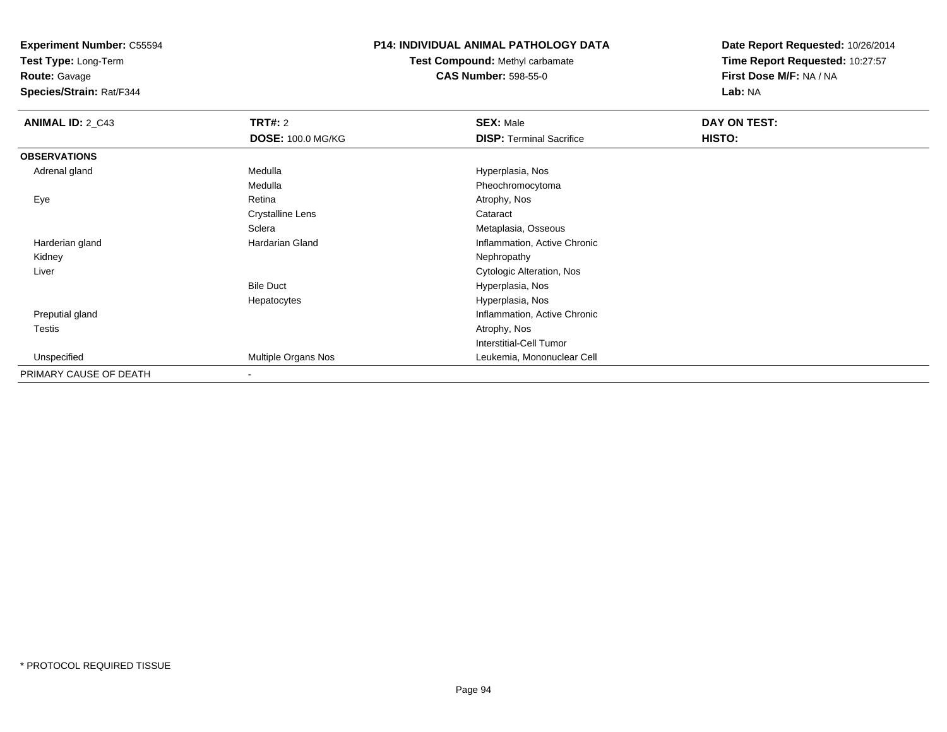**Test Type:** Long-Term

**Route:** Gavage

**Species/Strain:** Rat/F344

#### **P14: INDIVIDUAL ANIMAL PATHOLOGY DATA**

**Test Compound:** Methyl carbamate**CAS Number:** 598-55-0

| <b>ANIMAL ID: 2_C43</b> | <b>TRT#: 2</b>           | <b>SEX: Male</b>                | DAY ON TEST: |  |
|-------------------------|--------------------------|---------------------------------|--------------|--|
|                         | <b>DOSE: 100.0 MG/KG</b> | <b>DISP: Terminal Sacrifice</b> | HISTO:       |  |
| <b>OBSERVATIONS</b>     |                          |                                 |              |  |
| Adrenal gland           | Medulla                  | Hyperplasia, Nos                |              |  |
|                         | Medulla                  | Pheochromocytoma                |              |  |
| Eye                     | Retina                   | Atrophy, Nos                    |              |  |
|                         | <b>Crystalline Lens</b>  | Cataract                        |              |  |
|                         | Sclera                   | Metaplasia, Osseous             |              |  |
| Harderian gland         | Hardarian Gland          | Inflammation, Active Chronic    |              |  |
| Kidney                  |                          | Nephropathy                     |              |  |
| Liver                   |                          | Cytologic Alteration, Nos       |              |  |
|                         | <b>Bile Duct</b>         | Hyperplasia, Nos                |              |  |
|                         | Hepatocytes              | Hyperplasia, Nos                |              |  |
| Preputial gland         |                          | Inflammation, Active Chronic    |              |  |
| Testis                  |                          | Atrophy, Nos                    |              |  |
|                         |                          | <b>Interstitial-Cell Tumor</b>  |              |  |
| Unspecified             | Multiple Organs Nos      | Leukemia, Mononuclear Cell      |              |  |
| PRIMARY CAUSE OF DEATH  | -                        |                                 |              |  |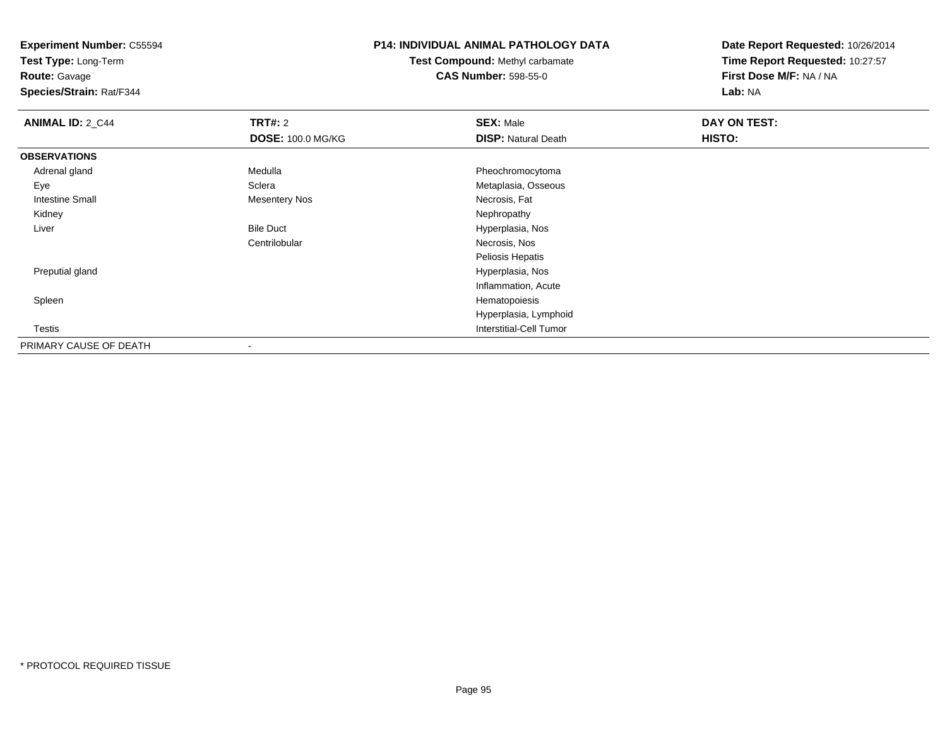**Test Type:** Long-Term

**Route:** Gavage

**Species/Strain:** Rat/F344

### **P14: INDIVIDUAL ANIMAL PATHOLOGY DATA**

# **Test Compound:** Methyl carbamate**CAS Number:** 598-55-0

| <b>ANIMAL ID: 2_C44</b> | TRT#: 2                  | <b>SEX: Male</b>           | DAY ON TEST: |  |
|-------------------------|--------------------------|----------------------------|--------------|--|
|                         | <b>DOSE: 100.0 MG/KG</b> | <b>DISP: Natural Death</b> | HISTO:       |  |
| <b>OBSERVATIONS</b>     |                          |                            |              |  |
| Adrenal gland           | Medulla                  | Pheochromocytoma           |              |  |
| Eye                     | Sclera                   | Metaplasia, Osseous        |              |  |
| <b>Intestine Small</b>  | <b>Mesentery Nos</b>     | Necrosis, Fat              |              |  |
| Kidney                  |                          | Nephropathy                |              |  |
| Liver                   | <b>Bile Duct</b>         | Hyperplasia, Nos           |              |  |
|                         | Centrilobular            | Necrosis, Nos              |              |  |
|                         |                          | Peliosis Hepatis           |              |  |
| Preputial gland         |                          | Hyperplasia, Nos           |              |  |
|                         |                          | Inflammation, Acute        |              |  |
| Spleen                  |                          | Hematopoiesis              |              |  |
|                         |                          | Hyperplasia, Lymphoid      |              |  |
| Testis                  |                          | Interstitial-Cell Tumor    |              |  |
| PRIMARY CAUSE OF DEATH  |                          |                            |              |  |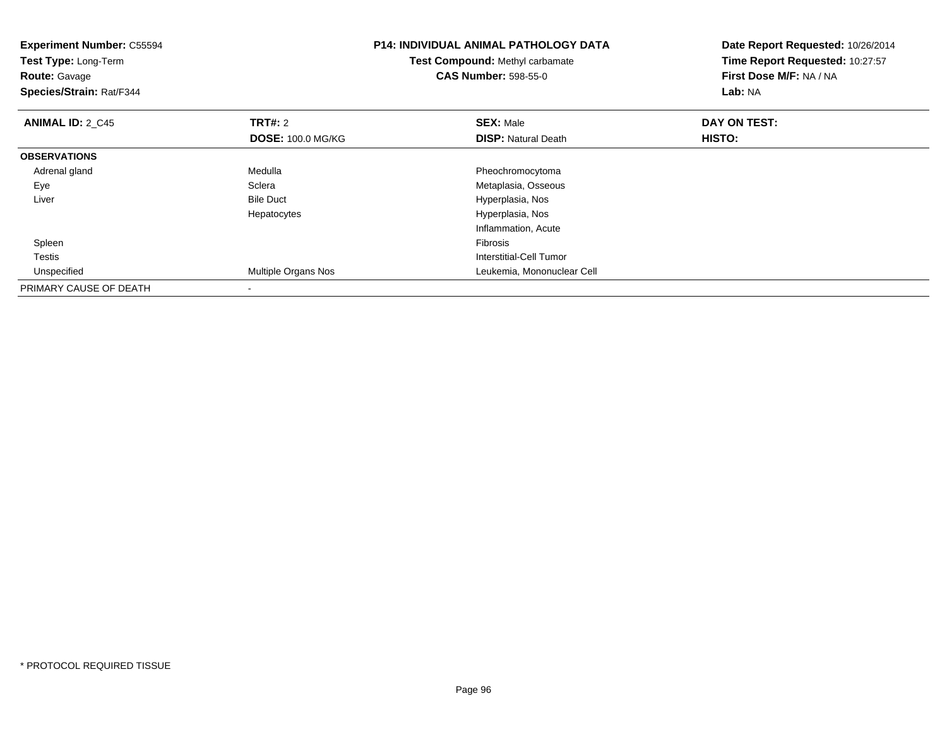| <b>Experiment Number: C55594</b><br>Test Type: Long-Term<br><b>Route: Gavage</b><br>Species/Strain: Rat/F344 |                          | <b>P14: INDIVIDUAL ANIMAL PATHOLOGY DATA</b><br>Test Compound: Methyl carbamate<br><b>CAS Number: 598-55-0</b> | Date Report Requested: 10/26/2014<br>Time Report Requested: 10:27:57<br>First Dose M/F: NA / NA<br>Lab: NA |
|--------------------------------------------------------------------------------------------------------------|--------------------------|----------------------------------------------------------------------------------------------------------------|------------------------------------------------------------------------------------------------------------|
| <b>ANIMAL ID: 2_C45</b>                                                                                      | <b>TRT#:</b> 2           | <b>SEX: Male</b>                                                                                               | DAY ON TEST:                                                                                               |
|                                                                                                              | <b>DOSE: 100.0 MG/KG</b> | <b>DISP: Natural Death</b>                                                                                     | HISTO:                                                                                                     |
| <b>OBSERVATIONS</b>                                                                                          |                          |                                                                                                                |                                                                                                            |
| Adrenal gland                                                                                                | Medulla                  | Pheochromocytoma                                                                                               |                                                                                                            |
| Eye                                                                                                          | Sclera                   | Metaplasia, Osseous                                                                                            |                                                                                                            |
| Liver                                                                                                        | <b>Bile Duct</b>         | Hyperplasia, Nos                                                                                               |                                                                                                            |
|                                                                                                              | Hepatocytes              | Hyperplasia, Nos                                                                                               |                                                                                                            |
|                                                                                                              |                          | Inflammation, Acute                                                                                            |                                                                                                            |
| Spleen                                                                                                       |                          | <b>Fibrosis</b>                                                                                                |                                                                                                            |
| Testis                                                                                                       |                          | Interstitial-Cell Tumor                                                                                        |                                                                                                            |
| Unspecified                                                                                                  | Multiple Organs Nos      | Leukemia, Mononuclear Cell                                                                                     |                                                                                                            |
| PRIMARY CAUSE OF DEATH                                                                                       |                          |                                                                                                                |                                                                                                            |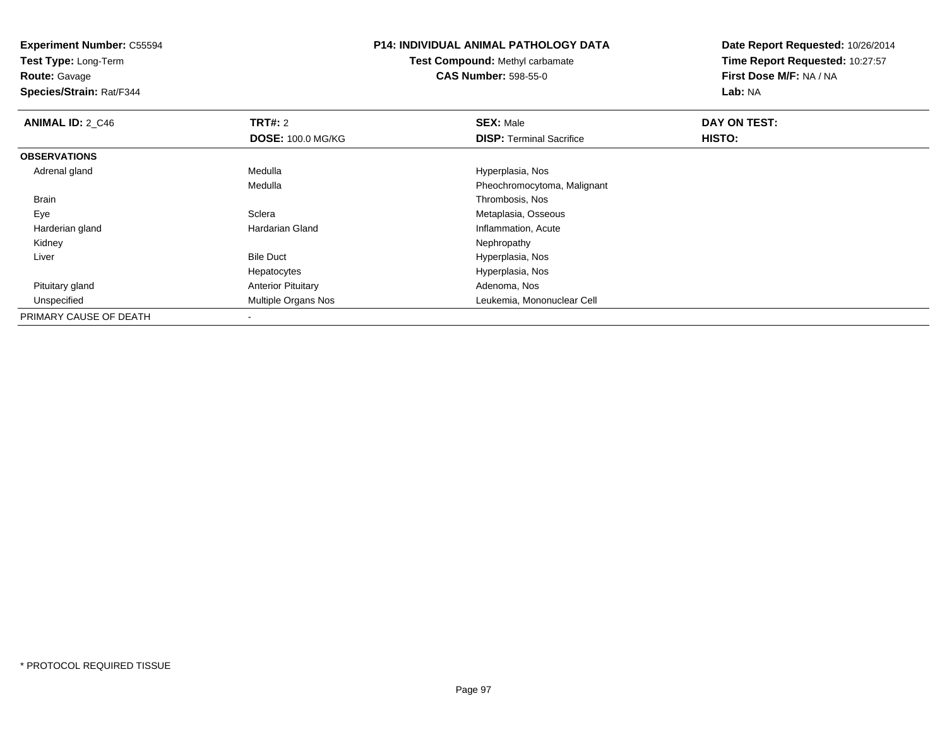**Test Type:** Long-Term

**Route:** Gavage

**Species/Strain:** Rat/F344

### **P14: INDIVIDUAL ANIMAL PATHOLOGY DATA**

**Test Compound:** Methyl carbamate**CAS Number:** 598-55-0

| <b>ANIMAL ID: 2 C46</b> | TRT#: 2                   | <b>SEX: Male</b>                | DAY ON TEST: |  |
|-------------------------|---------------------------|---------------------------------|--------------|--|
|                         | <b>DOSE: 100.0 MG/KG</b>  | <b>DISP: Terminal Sacrifice</b> | HISTO:       |  |
| <b>OBSERVATIONS</b>     |                           |                                 |              |  |
| Adrenal gland           | Medulla                   | Hyperplasia, Nos                |              |  |
|                         | Medulla                   | Pheochromocytoma, Malignant     |              |  |
| Brain                   |                           | Thrombosis, Nos                 |              |  |
| Eye                     | Sclera                    | Metaplasia, Osseous             |              |  |
| Harderian gland         | Hardarian Gland           | Inflammation, Acute             |              |  |
| Kidney                  |                           | Nephropathy                     |              |  |
| Liver                   | <b>Bile Duct</b>          | Hyperplasia, Nos                |              |  |
|                         | Hepatocytes               | Hyperplasia, Nos                |              |  |
| Pituitary gland         | <b>Anterior Pituitary</b> | Adenoma, Nos                    |              |  |
| Unspecified             | Multiple Organs Nos       | Leukemia, Mononuclear Cell      |              |  |
| PRIMARY CAUSE OF DEATH  |                           |                                 |              |  |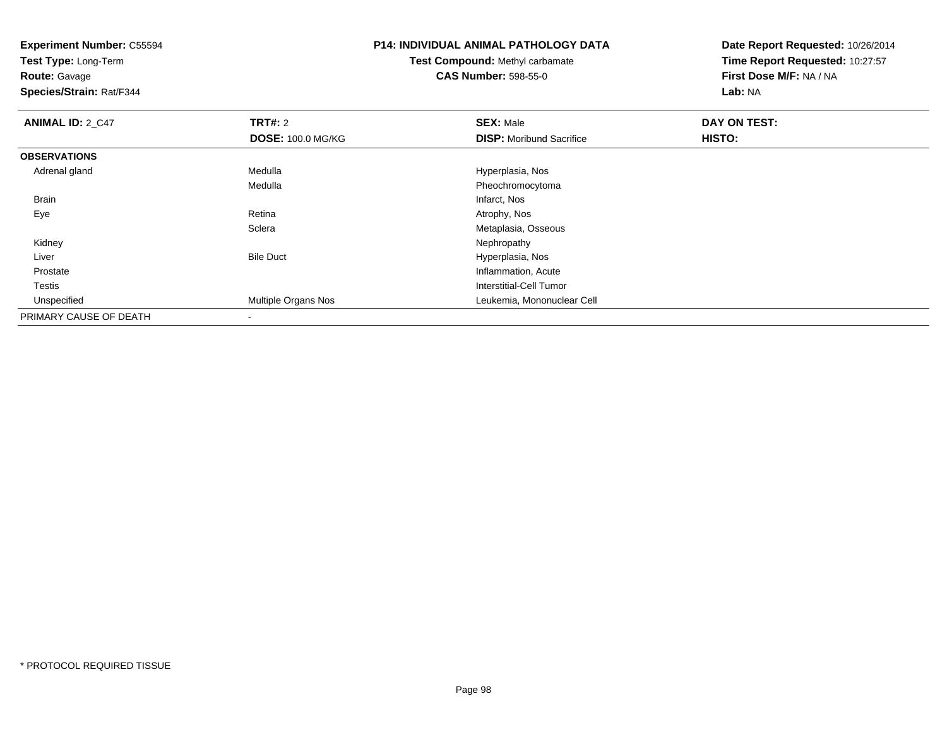**Experiment Number:** C55594**Test Type:** Long-Term**Route:** Gavage **Species/Strain:** Rat/F344**P14: INDIVIDUAL ANIMAL PATHOLOGY DATATest Compound:** Methyl carbamate**CAS Number:** 598-55-0**Date Report Requested:** 10/26/2014**Time Report Requested:** 10:27:57**First Dose M/F:** NA / NA**Lab:** NA**ANIMAL ID: 2 C47 TRT#:** <sup>2</sup> **SEX:** Male **DAY ON TEST: DOSE:** 100.0 MG/KG**DISP:** Moribund Sacrifice **HISTO: OBSERVATIONS** Adrenal glandMedulla Medulla entre a material de la material de Hyperplasia, Nos MedullaPheochromocytoma<br>Infarct, Nos Brainn and the control of the control of the control of the control of the control of the control of the control of the control of the control of the control of the control of the control of the control of the control of the co Eyee and the contract of the Retina Atrophy, Nos and Atrophy, Nos and Atrophy, Nos and Atrophy, Nos and Atrophy, Nos **Sclera** Metaplasia, Osseous<br>Nephropathy Kidneyy the control of the control of the control of the control of the control of the control of the control of the control of the control of the control of the control of the control of the control of the control of the contro LiverBile Duct **Hyperplasia**, Nos e contraction of the contraction of the contraction of the contraction of the contraction, Acute Prostate Testis Interstitial-Cell Tumor Unspecified Multiple Organs Nos Leukemia, Mononuclear Cell PRIMARY CAUSE OF DEATH-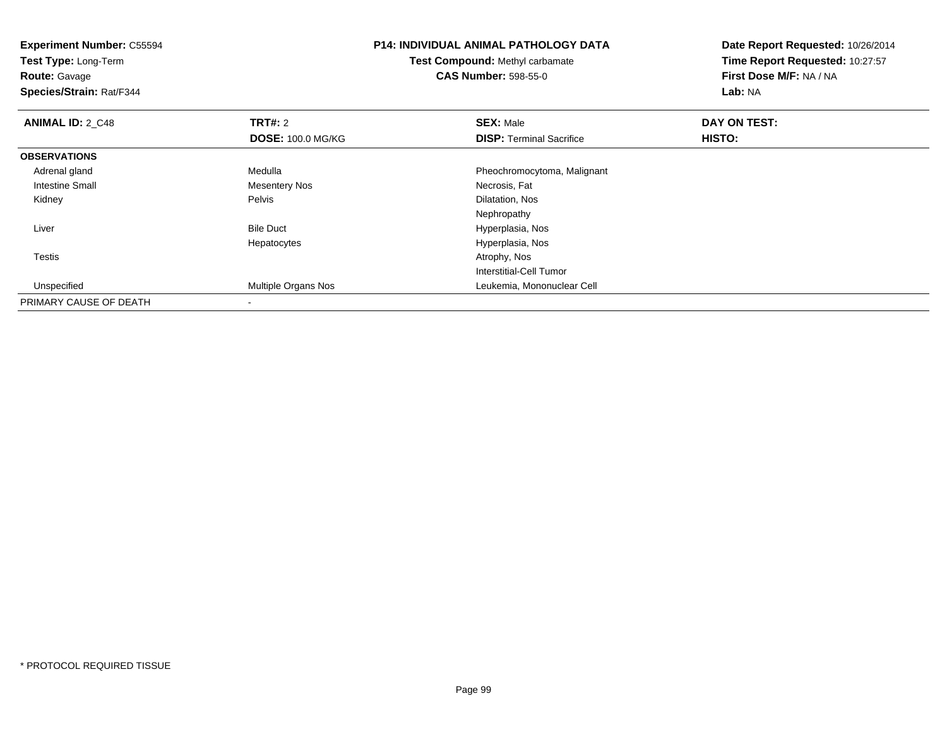| <b>Experiment Number: C55594</b><br>Test Type: Long-Term<br><b>Route: Gavage</b><br>Species/Strain: Rat/F344 |                          | <b>P14: INDIVIDUAL ANIMAL PATHOLOGY DATA</b><br><b>Test Compound: Methyl carbamate</b><br><b>CAS Number: 598-55-0</b> | Date Report Requested: 10/26/2014<br>Time Report Requested: 10:27:57<br>First Dose M/F: NA / NA<br>Lab: NA |
|--------------------------------------------------------------------------------------------------------------|--------------------------|-----------------------------------------------------------------------------------------------------------------------|------------------------------------------------------------------------------------------------------------|
| <b>ANIMAL ID: 2 C48</b>                                                                                      | TRT#: 2                  | <b>SEX: Male</b>                                                                                                      | <b>DAY ON TEST:</b>                                                                                        |
|                                                                                                              | <b>DOSE: 100.0 MG/KG</b> | <b>DISP: Terminal Sacrifice</b>                                                                                       | <b>HISTO:</b>                                                                                              |
| <b>OBSERVATIONS</b>                                                                                          |                          |                                                                                                                       |                                                                                                            |
| Adrenal gland                                                                                                | Medulla                  | Pheochromocytoma, Malignant                                                                                           |                                                                                                            |
| <b>Intestine Small</b>                                                                                       | <b>Mesentery Nos</b>     | Necrosis, Fat                                                                                                         |                                                                                                            |
| Kidney                                                                                                       | Pelvis                   | Dilatation, Nos                                                                                                       |                                                                                                            |
|                                                                                                              |                          | Nephropathy                                                                                                           |                                                                                                            |
| Liver                                                                                                        | <b>Bile Duct</b>         | Hyperplasia, Nos                                                                                                      |                                                                                                            |
|                                                                                                              | Hepatocytes              | Hyperplasia, Nos                                                                                                      |                                                                                                            |
| Testis                                                                                                       |                          | Atrophy, Nos                                                                                                          |                                                                                                            |
|                                                                                                              |                          | Interstitial-Cell Tumor                                                                                               |                                                                                                            |
| Unspecified                                                                                                  | Multiple Organs Nos      | Leukemia, Mononuclear Cell                                                                                            |                                                                                                            |
| PRIMARY CAUSE OF DEATH                                                                                       |                          |                                                                                                                       |                                                                                                            |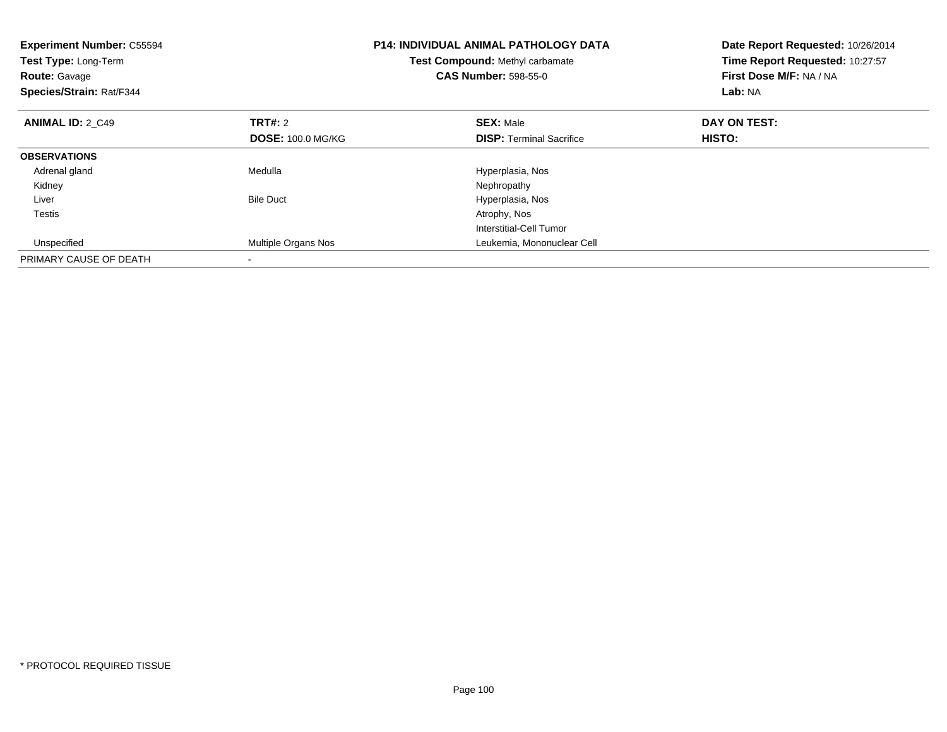| <b>Experiment Number: C55594</b><br>Test Type: Long-Term<br><b>Route: Gavage</b><br>Species/Strain: Rat/F344 |                          | <b>P14: INDIVIDUAL ANIMAL PATHOLOGY DATA</b><br>Test Compound: Methyl carbamate<br><b>CAS Number: 598-55-0</b> | Date Report Requested: 10/26/2014<br>Time Report Requested: 10:27:57<br>First Dose M/F: NA / NA<br>Lab: NA |
|--------------------------------------------------------------------------------------------------------------|--------------------------|----------------------------------------------------------------------------------------------------------------|------------------------------------------------------------------------------------------------------------|
| <b>ANIMAL ID: 2 C49</b>                                                                                      | TRT#: 2                  | <b>SEX: Male</b>                                                                                               | DAY ON TEST:                                                                                               |
|                                                                                                              | <b>DOSE: 100.0 MG/KG</b> | <b>DISP:</b> Terminal Sacrifice                                                                                | <b>HISTO:</b>                                                                                              |
| <b>OBSERVATIONS</b>                                                                                          |                          |                                                                                                                |                                                                                                            |
| Adrenal gland                                                                                                | Medulla                  | Hyperplasia, Nos                                                                                               |                                                                                                            |
| Kidney                                                                                                       |                          | Nephropathy                                                                                                    |                                                                                                            |
| Liver                                                                                                        | <b>Bile Duct</b>         | Hyperplasia, Nos                                                                                               |                                                                                                            |
| Testis                                                                                                       |                          | Atrophy, Nos                                                                                                   |                                                                                                            |
|                                                                                                              |                          | Interstitial-Cell Tumor                                                                                        |                                                                                                            |
| Unspecified                                                                                                  | Multiple Organs Nos      | Leukemia, Mononuclear Cell                                                                                     |                                                                                                            |
| PRIMARY CAUSE OF DEATH                                                                                       |                          |                                                                                                                |                                                                                                            |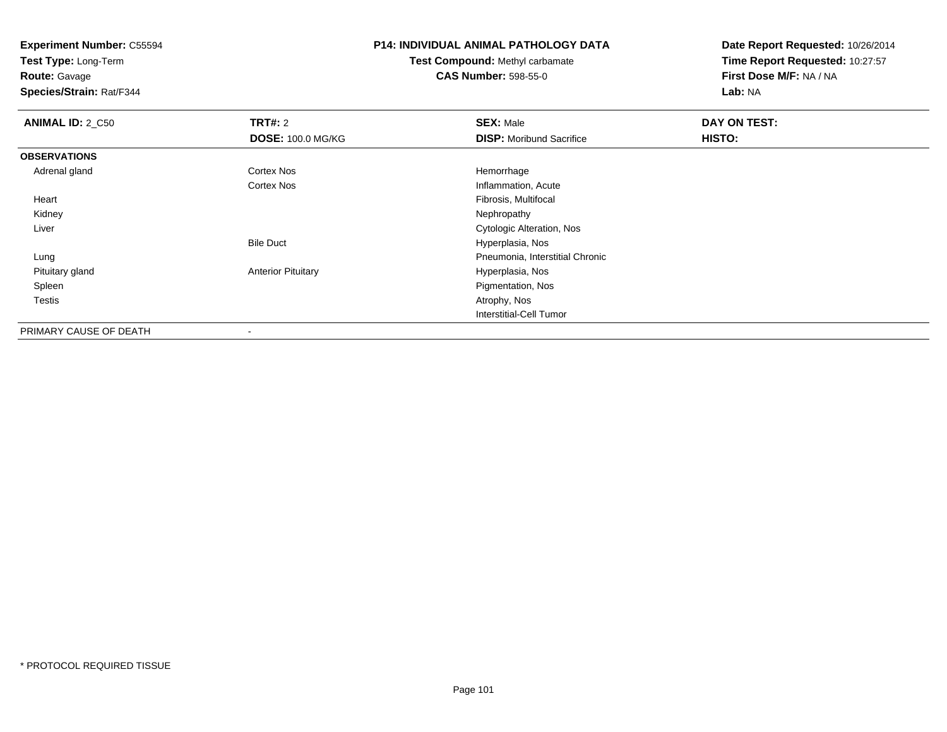**Test Type:** Long-Term

**Route:** Gavage

**Species/Strain:** Rat/F344

### **P14: INDIVIDUAL ANIMAL PATHOLOGY DATA**

# **Test Compound:** Methyl carbamate**CAS Number:** 598-55-0

| <b>ANIMAL ID: 2_C50</b> | TRT#: 2                   | <b>SEX: Male</b>                | DAY ON TEST: |  |
|-------------------------|---------------------------|---------------------------------|--------------|--|
|                         | <b>DOSE: 100.0 MG/KG</b>  | <b>DISP:</b> Moribund Sacrifice | HISTO:       |  |
| <b>OBSERVATIONS</b>     |                           |                                 |              |  |
| Adrenal gland           | Cortex Nos                | Hemorrhage                      |              |  |
|                         | Cortex Nos                | Inflammation, Acute             |              |  |
| Heart                   |                           | Fibrosis, Multifocal            |              |  |
| Kidney                  |                           | Nephropathy                     |              |  |
| Liver                   |                           | Cytologic Alteration, Nos       |              |  |
|                         | <b>Bile Duct</b>          | Hyperplasia, Nos                |              |  |
| Lung                    |                           | Pneumonia, Interstitial Chronic |              |  |
| Pituitary gland         | <b>Anterior Pituitary</b> | Hyperplasia, Nos                |              |  |
| Spleen                  |                           | Pigmentation, Nos               |              |  |
| <b>Testis</b>           |                           | Atrophy, Nos                    |              |  |
|                         |                           | Interstitial-Cell Tumor         |              |  |
| PRIMARY CAUSE OF DEATH  | $\blacksquare$            |                                 |              |  |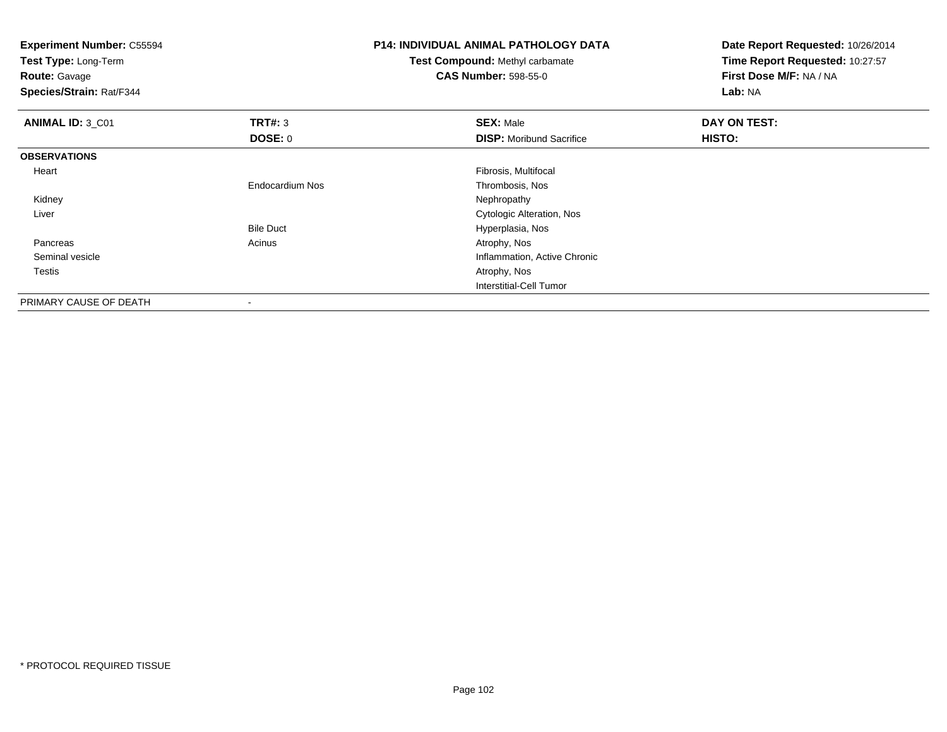| <b>Experiment Number: C55594</b><br>Test Type: Long-Term<br><b>Route: Gavage</b><br>Species/Strain: Rat/F344 |                        | <b>P14: INDIVIDUAL ANIMAL PATHOLOGY DATA</b><br><b>Test Compound: Methyl carbamate</b><br><b>CAS Number: 598-55-0</b> | Date Report Requested: 10/26/2014<br>Time Report Requested: 10:27:57<br>First Dose M/F: NA / NA<br>Lab: NA |
|--------------------------------------------------------------------------------------------------------------|------------------------|-----------------------------------------------------------------------------------------------------------------------|------------------------------------------------------------------------------------------------------------|
| ANIMAL ID: 3 C01                                                                                             | <b>TRT#: 3</b>         | <b>SEX: Male</b>                                                                                                      | DAY ON TEST:                                                                                               |
|                                                                                                              | <b>DOSE: 0</b>         | <b>DISP:</b> Moribund Sacrifice                                                                                       | HISTO:                                                                                                     |
| <b>OBSERVATIONS</b>                                                                                          |                        |                                                                                                                       |                                                                                                            |
| Heart                                                                                                        |                        | Fibrosis, Multifocal                                                                                                  |                                                                                                            |
|                                                                                                              | <b>Endocardium Nos</b> | Thrombosis, Nos                                                                                                       |                                                                                                            |
| Kidney                                                                                                       |                        | Nephropathy                                                                                                           |                                                                                                            |
| Liver                                                                                                        |                        | Cytologic Alteration, Nos                                                                                             |                                                                                                            |
|                                                                                                              | <b>Bile Duct</b>       | Hyperplasia, Nos                                                                                                      |                                                                                                            |
| Pancreas                                                                                                     | Acinus                 | Atrophy, Nos                                                                                                          |                                                                                                            |
| Seminal vesicle                                                                                              |                        | Inflammation, Active Chronic                                                                                          |                                                                                                            |
| Testis                                                                                                       |                        | Atrophy, Nos                                                                                                          |                                                                                                            |
|                                                                                                              |                        | Interstitial-Cell Tumor                                                                                               |                                                                                                            |
| PRIMARY CAUSE OF DEATH                                                                                       |                        |                                                                                                                       |                                                                                                            |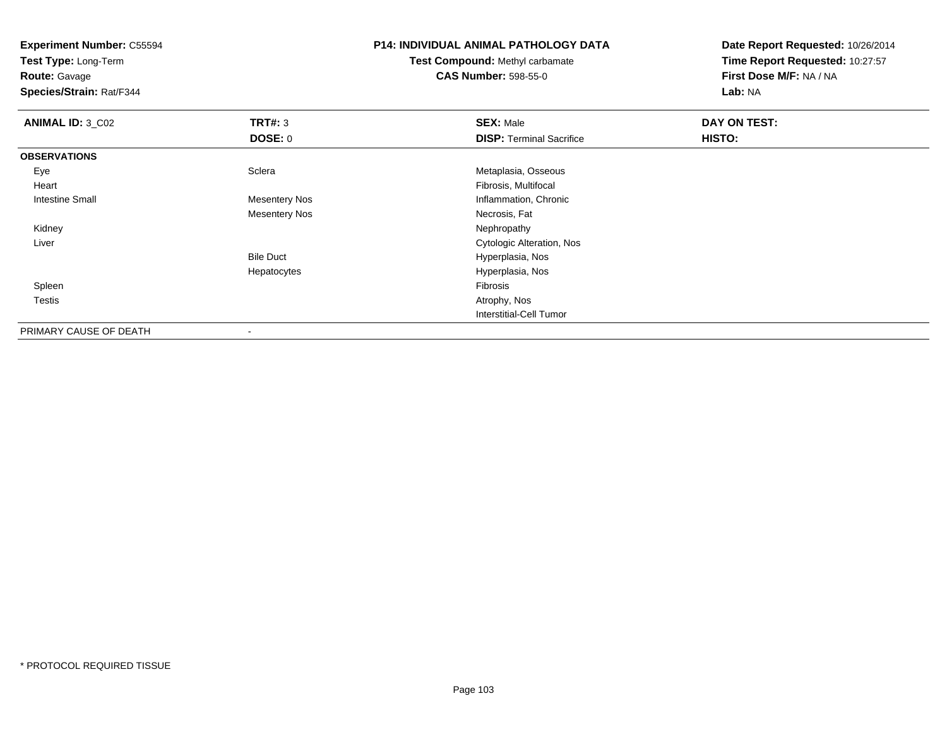**Test Type:** Long-Term

**Route:** Gavage

**Species/Strain:** Rat/F344

#### **P14: INDIVIDUAL ANIMAL PATHOLOGY DATA**

**Test Compound:** Methyl carbamate**CAS Number:** 598-55-0

| <b>ANIMAL ID: 3_C02</b> | TRT#: 3                  | <b>SEX: Male</b>                 | DAY ON TEST: |  |
|-------------------------|--------------------------|----------------------------------|--------------|--|
|                         | DOSE: 0                  | <b>DISP: Terminal Sacrifice</b>  | HISTO:       |  |
| <b>OBSERVATIONS</b>     |                          |                                  |              |  |
| Eye                     | Sclera                   | Metaplasia, Osseous              |              |  |
| Heart                   |                          | Fibrosis, Multifocal             |              |  |
| Intestine Small         | <b>Mesentery Nos</b>     | Inflammation, Chronic            |              |  |
|                         | <b>Mesentery Nos</b>     | Necrosis, Fat                    |              |  |
| Kidney                  |                          | Nephropathy                      |              |  |
| Liver                   |                          | <b>Cytologic Alteration, Nos</b> |              |  |
|                         | <b>Bile Duct</b>         | Hyperplasia, Nos                 |              |  |
|                         | Hepatocytes              | Hyperplasia, Nos                 |              |  |
| Spleen                  |                          | Fibrosis                         |              |  |
| <b>Testis</b>           |                          | Atrophy, Nos                     |              |  |
|                         |                          | Interstitial-Cell Tumor          |              |  |
| PRIMARY CAUSE OF DEATH  | $\overline{\phantom{a}}$ |                                  |              |  |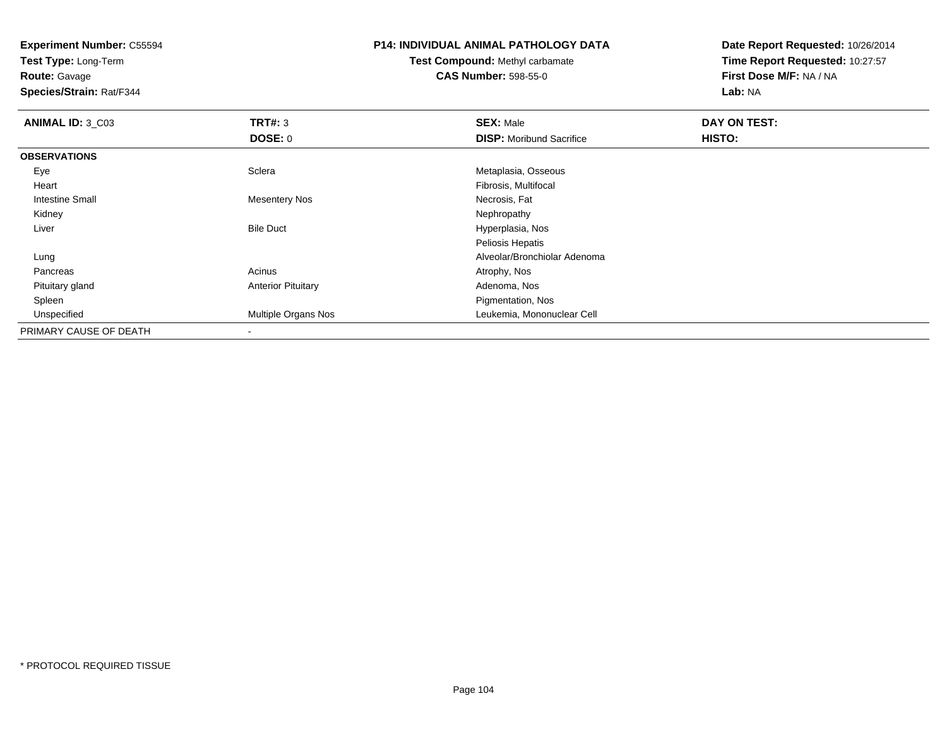**Test Type:** Long-Term

**Route:** Gavage

**Species/Strain:** Rat/F344

### **P14: INDIVIDUAL ANIMAL PATHOLOGY DATA**

### **Test Compound:** Methyl carbamate**CAS Number:** 598-55-0

| <b>ANIMAL ID: 3_C03</b> | TRT#: 3                   | <b>SEX: Male</b>                | DAY ON TEST: |  |
|-------------------------|---------------------------|---------------------------------|--------------|--|
|                         | DOSE: 0                   | <b>DISP:</b> Moribund Sacrifice | HISTO:       |  |
| <b>OBSERVATIONS</b>     |                           |                                 |              |  |
| Eye                     | Sclera                    | Metaplasia, Osseous             |              |  |
| Heart                   |                           | Fibrosis, Multifocal            |              |  |
| <b>Intestine Small</b>  | Mesentery Nos             | Necrosis, Fat                   |              |  |
| Kidney                  |                           | Nephropathy                     |              |  |
| Liver                   | <b>Bile Duct</b>          | Hyperplasia, Nos                |              |  |
|                         |                           | Peliosis Hepatis                |              |  |
| Lung                    |                           | Alveolar/Bronchiolar Adenoma    |              |  |
| Pancreas                | Acinus                    | Atrophy, Nos                    |              |  |
| Pituitary gland         | <b>Anterior Pituitary</b> | Adenoma, Nos                    |              |  |
| Spleen                  |                           | Pigmentation, Nos               |              |  |
| Unspecified             | Multiple Organs Nos       | Leukemia, Mononuclear Cell      |              |  |
| PRIMARY CAUSE OF DEATH  |                           |                                 |              |  |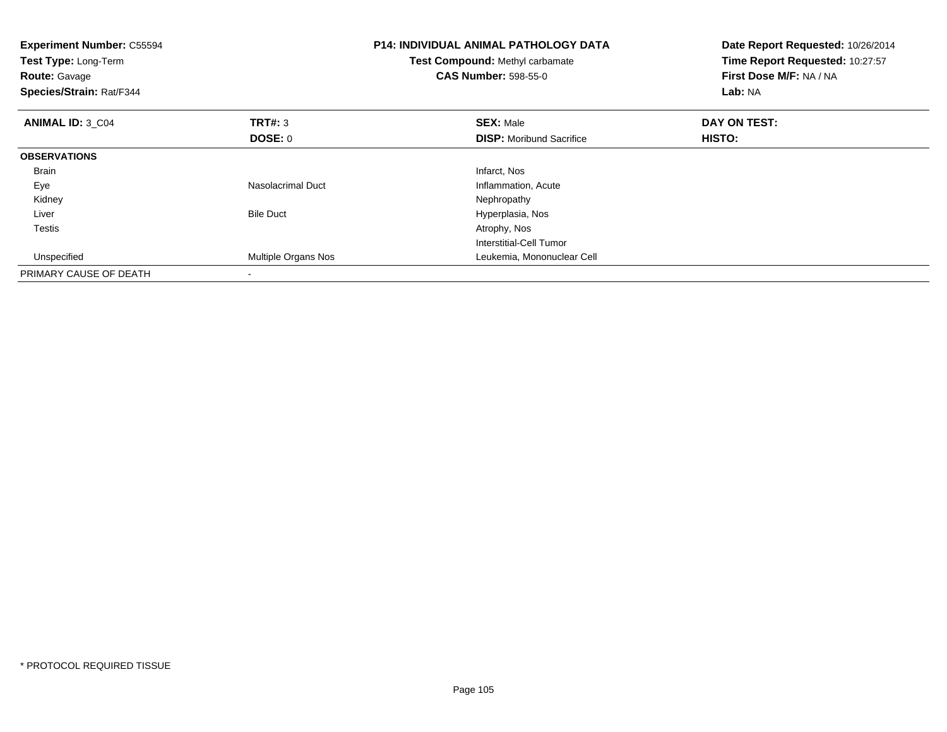| <b>Experiment Number: C55594</b><br>Test Type: Long-Term<br><b>Route: Gavage</b><br>Species/Strain: Rat/F344 |                          | <b>P14: INDIVIDUAL ANIMAL PATHOLOGY DATA</b><br>Test Compound: Methyl carbamate<br><b>CAS Number: 598-55-0</b> | Date Report Requested: 10/26/2014<br>Time Report Requested: 10:27:57<br>First Dose M/F: NA / NA<br>Lab: NA |  |
|--------------------------------------------------------------------------------------------------------------|--------------------------|----------------------------------------------------------------------------------------------------------------|------------------------------------------------------------------------------------------------------------|--|
| <b>ANIMAL ID: 3 C04</b>                                                                                      | <b>TRT#: 3</b>           | <b>SEX: Male</b>                                                                                               | DAY ON TEST:                                                                                               |  |
|                                                                                                              | <b>DOSE: 0</b>           | <b>DISP:</b> Moribund Sacrifice                                                                                | HISTO:                                                                                                     |  |
| <b>OBSERVATIONS</b>                                                                                          |                          |                                                                                                                |                                                                                                            |  |
| <b>Brain</b>                                                                                                 |                          | Infarct, Nos                                                                                                   |                                                                                                            |  |
| Eye                                                                                                          | <b>Nasolacrimal Duct</b> | Inflammation, Acute                                                                                            |                                                                                                            |  |
| Kidney                                                                                                       |                          | Nephropathy                                                                                                    |                                                                                                            |  |
| Liver                                                                                                        | <b>Bile Duct</b>         | Hyperplasia, Nos                                                                                               |                                                                                                            |  |
| <b>Testis</b>                                                                                                |                          | Atrophy, Nos                                                                                                   |                                                                                                            |  |
|                                                                                                              |                          | Interstitial-Cell Tumor                                                                                        |                                                                                                            |  |
| Unspecified                                                                                                  | Multiple Organs Nos      | Leukemia, Mononuclear Cell                                                                                     |                                                                                                            |  |
| PRIMARY CAUSE OF DEATH                                                                                       |                          |                                                                                                                |                                                                                                            |  |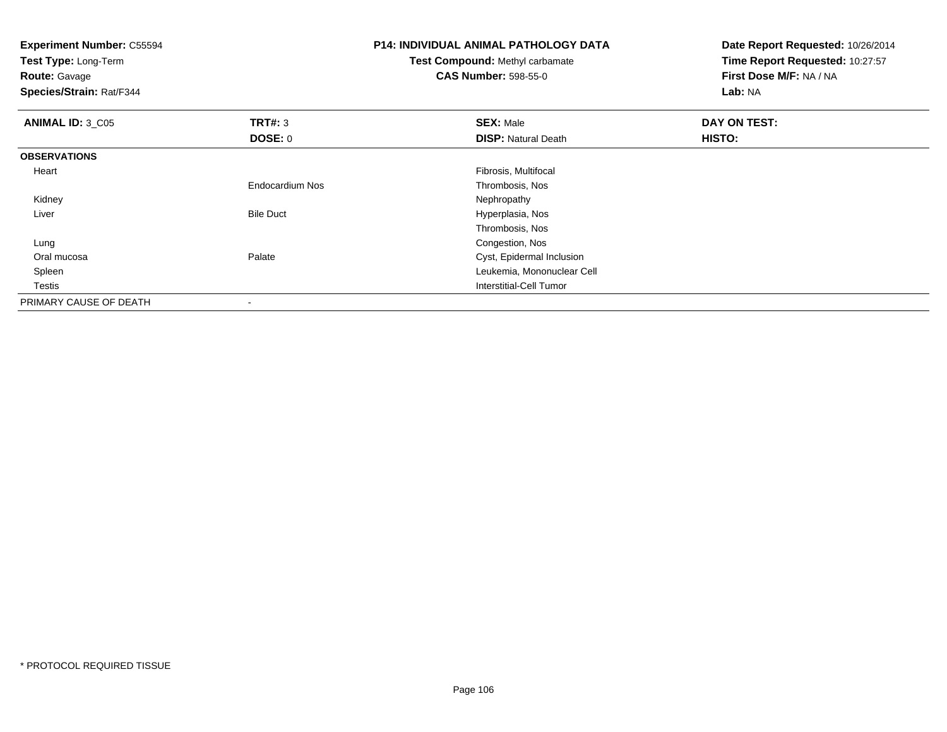| <b>Experiment Number: C55594</b><br>Test Type: Long-Term<br><b>Route: Gavage</b><br>Species/Strain: Rat/F344 |                        | <b>P14: INDIVIDUAL ANIMAL PATHOLOGY DATA</b><br>Test Compound: Methyl carbamate<br><b>CAS Number: 598-55-0</b> | Date Report Requested: 10/26/2014<br>Time Report Requested: 10:27:57<br>First Dose M/F: NA / NA<br>Lab: NA |
|--------------------------------------------------------------------------------------------------------------|------------------------|----------------------------------------------------------------------------------------------------------------|------------------------------------------------------------------------------------------------------------|
| <b>ANIMAL ID: 3_C05</b>                                                                                      | <b>TRT#: 3</b>         | <b>SEX: Male</b>                                                                                               | DAY ON TEST:                                                                                               |
|                                                                                                              | <b>DOSE: 0</b>         | <b>DISP: Natural Death</b>                                                                                     | <b>HISTO:</b>                                                                                              |
| <b>OBSERVATIONS</b>                                                                                          |                        |                                                                                                                |                                                                                                            |
| Heart                                                                                                        |                        | Fibrosis, Multifocal                                                                                           |                                                                                                            |
|                                                                                                              | <b>Endocardium Nos</b> | Thrombosis, Nos                                                                                                |                                                                                                            |
| Kidney                                                                                                       |                        | Nephropathy                                                                                                    |                                                                                                            |
| Liver                                                                                                        | <b>Bile Duct</b>       | Hyperplasia, Nos                                                                                               |                                                                                                            |
|                                                                                                              |                        | Thrombosis, Nos                                                                                                |                                                                                                            |
| Lung                                                                                                         |                        | Congestion, Nos                                                                                                |                                                                                                            |
| Oral mucosa                                                                                                  | Palate                 | Cyst, Epidermal Inclusion                                                                                      |                                                                                                            |
| Spleen                                                                                                       |                        | Leukemia, Mononuclear Cell                                                                                     |                                                                                                            |
| Testis                                                                                                       |                        | <b>Interstitial-Cell Tumor</b>                                                                                 |                                                                                                            |
| PRIMARY CAUSE OF DEATH                                                                                       |                        |                                                                                                                |                                                                                                            |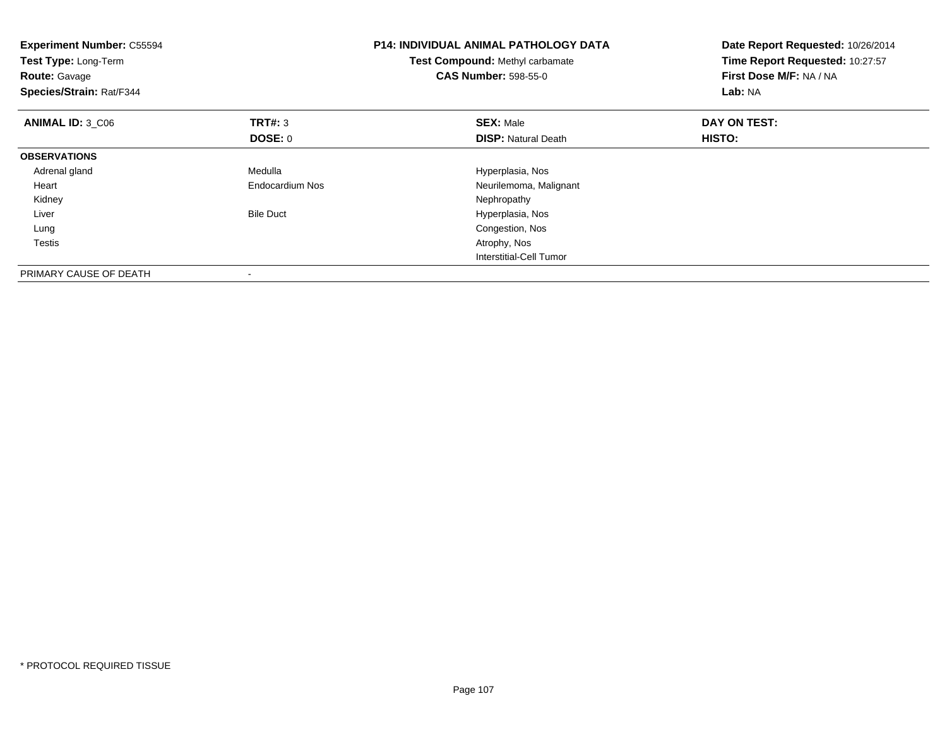| <b>Experiment Number: C55594</b><br>Test Type: Long-Term<br><b>Route: Gavage</b><br>Species/Strain: Rat/F344 |                  | <b>P14: INDIVIDUAL ANIMAL PATHOLOGY DATA</b><br><b>Test Compound: Methyl carbamate</b><br><b>CAS Number: 598-55-0</b> | Date Report Requested: 10/26/2014<br>Time Report Requested: 10:27:57<br>First Dose M/F: NA / NA<br>Lab: NA |  |
|--------------------------------------------------------------------------------------------------------------|------------------|-----------------------------------------------------------------------------------------------------------------------|------------------------------------------------------------------------------------------------------------|--|
| ANIMAL ID: 3 C06                                                                                             | TRT#: 3          | <b>SEX: Male</b>                                                                                                      | DAY ON TEST:                                                                                               |  |
|                                                                                                              | DOSE: 0          | <b>DISP:</b> Natural Death                                                                                            | HISTO:                                                                                                     |  |
| <b>OBSERVATIONS</b>                                                                                          |                  |                                                                                                                       |                                                                                                            |  |
| Adrenal gland                                                                                                | Medulla          | Hyperplasia, Nos                                                                                                      |                                                                                                            |  |
| Heart                                                                                                        | Endocardium Nos  | Neurilemoma, Malignant                                                                                                |                                                                                                            |  |
| Kidney                                                                                                       |                  | Nephropathy                                                                                                           |                                                                                                            |  |
| Liver                                                                                                        | <b>Bile Duct</b> | Hyperplasia, Nos                                                                                                      |                                                                                                            |  |
| Lung                                                                                                         |                  | Congestion, Nos                                                                                                       |                                                                                                            |  |
| Testis                                                                                                       |                  | Atrophy, Nos                                                                                                          |                                                                                                            |  |
|                                                                                                              |                  | Interstitial-Cell Tumor                                                                                               |                                                                                                            |  |
| PRIMARY CAUSE OF DEATH                                                                                       |                  |                                                                                                                       |                                                                                                            |  |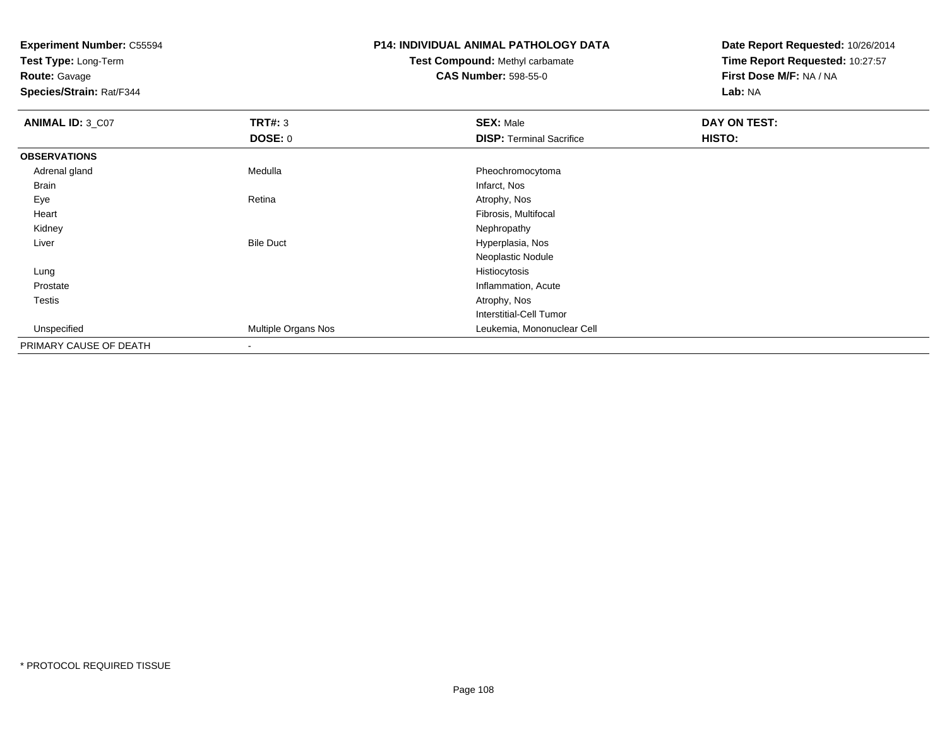**Test Type:** Long-Term

**Route:** Gavage

**Species/Strain:** Rat/F344

# **P14: INDIVIDUAL ANIMAL PATHOLOGY DATA**

# **Test Compound:** Methyl carbamate**CAS Number:** 598-55-0

| <b>ANIMAL ID: 3_C07</b> | TRT#: 3                  | <b>SEX: Male</b>                | DAY ON TEST: |  |
|-------------------------|--------------------------|---------------------------------|--------------|--|
|                         | <b>DOSE: 0</b>           | <b>DISP: Terminal Sacrifice</b> | HISTO:       |  |
| <b>OBSERVATIONS</b>     |                          |                                 |              |  |
| Adrenal gland           | Medulla                  | Pheochromocytoma                |              |  |
| <b>Brain</b>            |                          | Infarct, Nos                    |              |  |
| Eye                     | Retina                   | Atrophy, Nos                    |              |  |
| Heart                   |                          | Fibrosis, Multifocal            |              |  |
| Kidney                  |                          | Nephropathy                     |              |  |
| Liver                   | <b>Bile Duct</b>         | Hyperplasia, Nos                |              |  |
|                         |                          | Neoplastic Nodule               |              |  |
| Lung                    |                          | Histiocytosis                   |              |  |
| Prostate                |                          | Inflammation, Acute             |              |  |
| Testis                  |                          | Atrophy, Nos                    |              |  |
|                         |                          | <b>Interstitial-Cell Tumor</b>  |              |  |
| Unspecified             | Multiple Organs Nos      | Leukemia, Mononuclear Cell      |              |  |
| PRIMARY CAUSE OF DEATH  | $\overline{\phantom{a}}$ |                                 |              |  |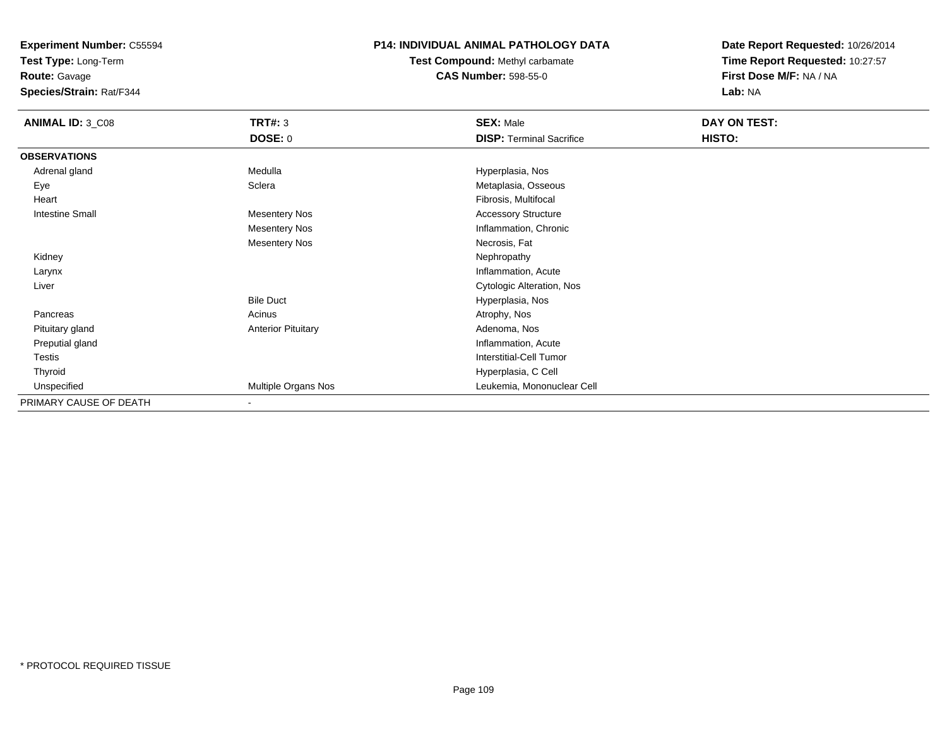**Test Type:** Long-Term

**Route:** Gavage

**Species/Strain:** Rat/F344

# **P14: INDIVIDUAL ANIMAL PATHOLOGY DATA**

# **Test Compound:** Methyl carbamate**CAS Number:** 598-55-0

| <b>ANIMAL ID: 3_C08</b> | <b>TRT#: 3</b>            | <b>SEX: Male</b>                | DAY ON TEST: |  |
|-------------------------|---------------------------|---------------------------------|--------------|--|
|                         | <b>DOSE: 0</b>            | <b>DISP: Terminal Sacrifice</b> | HISTO:       |  |
| <b>OBSERVATIONS</b>     |                           |                                 |              |  |
| Adrenal gland           | Medulla                   | Hyperplasia, Nos                |              |  |
| Eye                     | Sclera                    | Metaplasia, Osseous             |              |  |
| Heart                   |                           | Fibrosis, Multifocal            |              |  |
| <b>Intestine Small</b>  | <b>Mesentery Nos</b>      | <b>Accessory Structure</b>      |              |  |
|                         | <b>Mesentery Nos</b>      | Inflammation, Chronic           |              |  |
|                         | <b>Mesentery Nos</b>      | Necrosis, Fat                   |              |  |
| Kidney                  |                           | Nephropathy                     |              |  |
| Larynx                  |                           | Inflammation, Acute             |              |  |
| Liver                   |                           | Cytologic Alteration, Nos       |              |  |
|                         | <b>Bile Duct</b>          | Hyperplasia, Nos                |              |  |
| Pancreas                | Acinus                    | Atrophy, Nos                    |              |  |
| Pituitary gland         | <b>Anterior Pituitary</b> | Adenoma, Nos                    |              |  |
| Preputial gland         |                           | Inflammation, Acute             |              |  |
| Testis                  |                           | <b>Interstitial-Cell Tumor</b>  |              |  |
| Thyroid                 |                           | Hyperplasia, C Cell             |              |  |
| Unspecified             | Multiple Organs Nos       | Leukemia, Mononuclear Cell      |              |  |
| PRIMARY CAUSE OF DEATH  | ٠                         |                                 |              |  |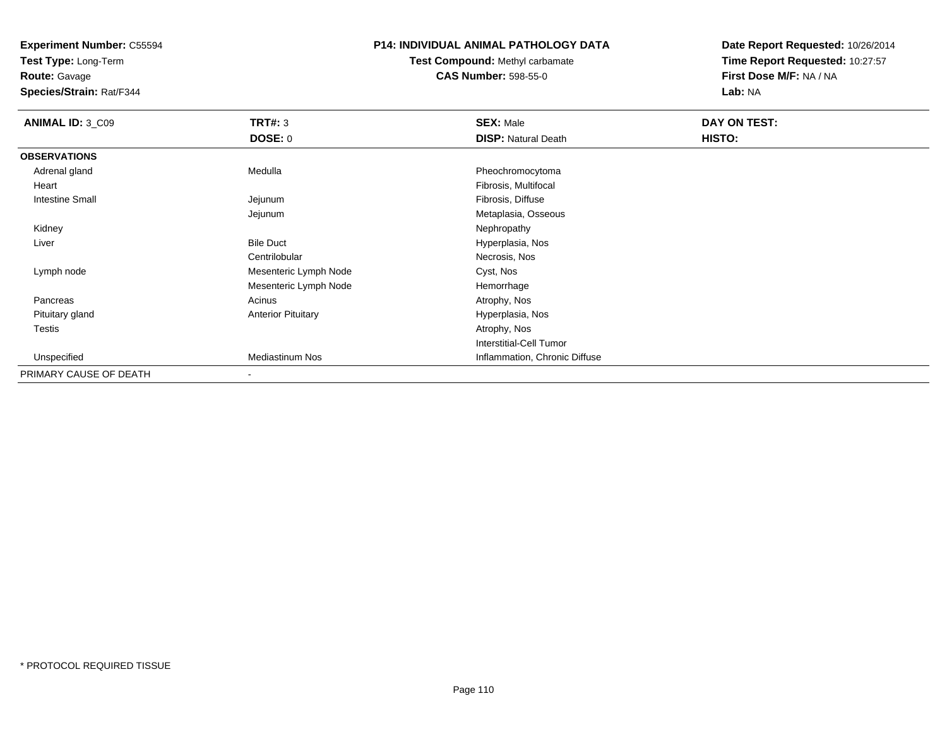**Test Type:** Long-Term

**Route:** Gavage

**Species/Strain:** Rat/F344

## **P14: INDIVIDUAL ANIMAL PATHOLOGY DATA**

**Test Compound:** Methyl carbamate**CAS Number:** 598-55-0

| <b>ANIMAL ID: 3_C09</b> | <b>TRT#: 3</b>            | <b>SEX: Male</b>               | DAY ON TEST: |  |
|-------------------------|---------------------------|--------------------------------|--------------|--|
|                         | <b>DOSE: 0</b>            | <b>DISP: Natural Death</b>     | HISTO:       |  |
| <b>OBSERVATIONS</b>     |                           |                                |              |  |
| Adrenal gland           | Medulla                   | Pheochromocytoma               |              |  |
| Heart                   |                           | Fibrosis, Multifocal           |              |  |
| <b>Intestine Small</b>  | Jejunum                   | Fibrosis, Diffuse              |              |  |
|                         | Jejunum                   | Metaplasia, Osseous            |              |  |
| Kidney                  |                           | Nephropathy                    |              |  |
| Liver                   | <b>Bile Duct</b>          | Hyperplasia, Nos               |              |  |
|                         | Centrilobular             | Necrosis, Nos                  |              |  |
| Lymph node              | Mesenteric Lymph Node     | Cyst, Nos                      |              |  |
|                         | Mesenteric Lymph Node     | Hemorrhage                     |              |  |
| Pancreas                | Acinus                    | Atrophy, Nos                   |              |  |
| Pituitary gland         | <b>Anterior Pituitary</b> | Hyperplasia, Nos               |              |  |
| <b>Testis</b>           |                           | Atrophy, Nos                   |              |  |
|                         |                           | <b>Interstitial-Cell Tumor</b> |              |  |
| Unspecified             | <b>Mediastinum Nos</b>    | Inflammation, Chronic Diffuse  |              |  |
| PRIMARY CAUSE OF DEATH  |                           |                                |              |  |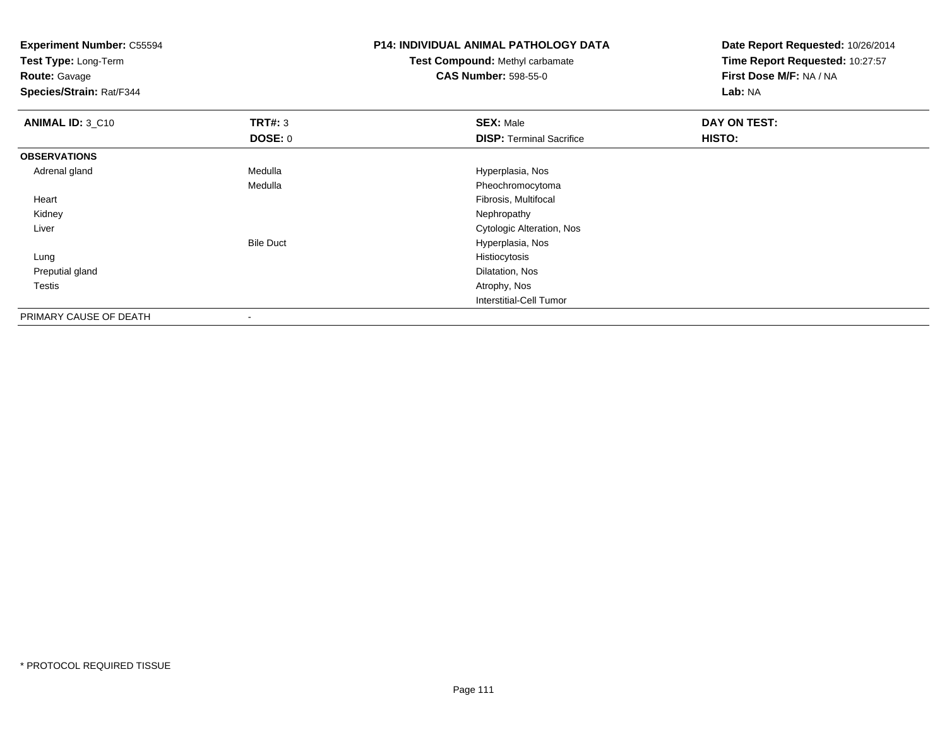**Experiment Number:** C55594**Test Type:** Long-Term**Route:** Gavage **Species/Strain:** Rat/F344**P14: INDIVIDUAL ANIMAL PATHOLOGY DATATest Compound:** Methyl carbamate**CAS Number:** 598-55-0**Date Report Requested:** 10/26/2014**Time Report Requested:** 10:27:57**First Dose M/F:** NA / NA**Lab:** NA**ANIMAL ID: 3 C10 C TRT#:** 3 **SEX:** Male **DAY ON TEST: DOSE:** 0**DISP:** Terminal Sacrifice **HISTO: OBSERVATIONS** Adrenal glandMedulla Medulla entre a material de la Maria Hyperplasia, Nos Medulla Pheochromocytoma Heart Fibrosis, Multifocal Kidneyy the control of the control of the control of the control of the control of the control of the control of the control of the control of the control of the control of the control of the control of the control of the contro Liver Cytologic Alteration, NosBile Duct Hyperplasia, Nos Lungg and the state of the state of the state of the state of the state of the state of the state of the state of the state of the state of the state of the state of the state of the state of the state of the state of the stat Preputial gland Dilatation, Nos Testiss and the contract of the contract of the contract of the contract of the contract of the contract of the contract of the contract of the contract of the contract of the contract of the contract of the contract of the cont Interstitial-Cell Tumor

PRIMARY CAUSE OF DEATH-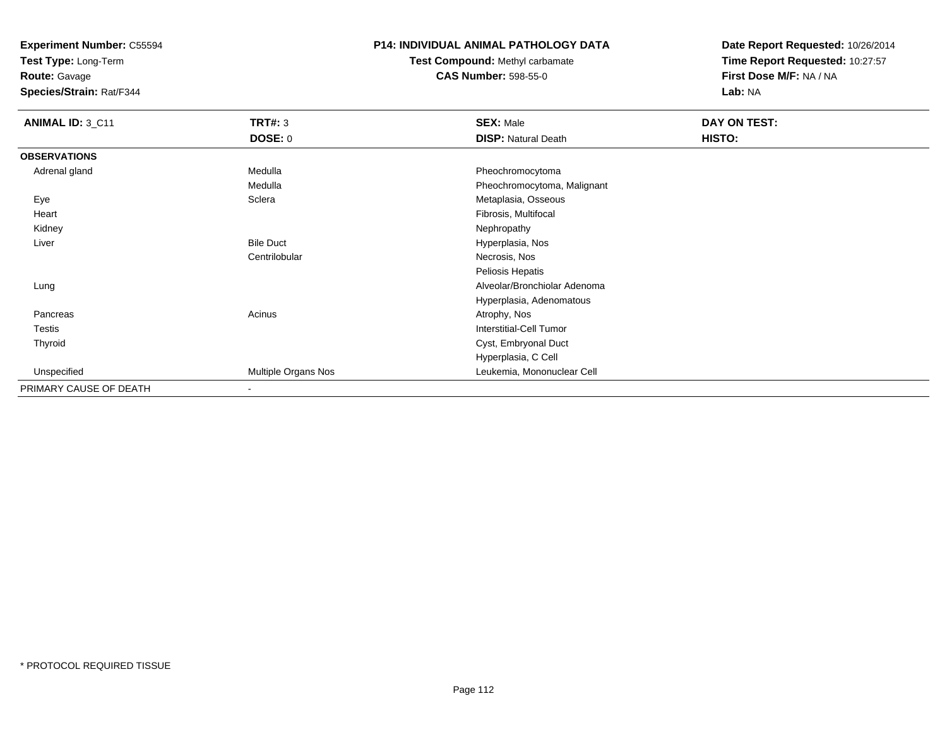**Test Type:** Long-Term

**Route:** Gavage

**Species/Strain:** Rat/F344

# **P14: INDIVIDUAL ANIMAL PATHOLOGY DATA**

# **Test Compound:** Methyl carbamate**CAS Number:** 598-55-0

| ANIMAL ID: 3_C11       | <b>TRT#: 3</b>           | <b>SEX: Male</b>             | DAY ON TEST: |  |
|------------------------|--------------------------|------------------------------|--------------|--|
|                        | DOSE: 0                  | <b>DISP: Natural Death</b>   | HISTO:       |  |
| <b>OBSERVATIONS</b>    |                          |                              |              |  |
| Adrenal gland          | Medulla                  | Pheochromocytoma             |              |  |
|                        | Medulla                  | Pheochromocytoma, Malignant  |              |  |
| Eye                    | Sclera                   | Metaplasia, Osseous          |              |  |
| Heart                  |                          | Fibrosis, Multifocal         |              |  |
| Kidney                 |                          | Nephropathy                  |              |  |
| Liver                  | <b>Bile Duct</b>         | Hyperplasia, Nos             |              |  |
|                        | Centrilobular            | Necrosis, Nos                |              |  |
|                        |                          | Peliosis Hepatis             |              |  |
| Lung                   |                          | Alveolar/Bronchiolar Adenoma |              |  |
|                        |                          | Hyperplasia, Adenomatous     |              |  |
| Pancreas               | Acinus                   | Atrophy, Nos                 |              |  |
| Testis                 |                          | Interstitial-Cell Tumor      |              |  |
| Thyroid                |                          | Cyst, Embryonal Duct         |              |  |
|                        |                          | Hyperplasia, C Cell          |              |  |
| Unspecified            | Multiple Organs Nos      | Leukemia, Mononuclear Cell   |              |  |
| PRIMARY CAUSE OF DEATH | $\overline{\phantom{a}}$ |                              |              |  |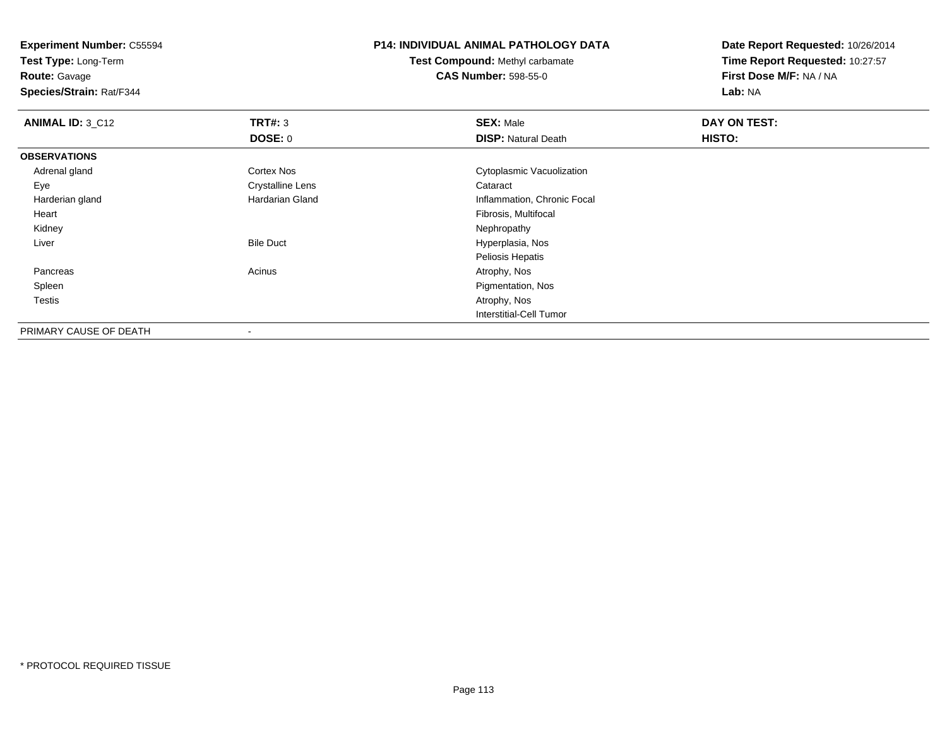**Test Type:** Long-Term

**Route:** Gavage

**Species/Strain:** Rat/F344

#### **P14: INDIVIDUAL ANIMAL PATHOLOGY DATA**

**Test Compound:** Methyl carbamate**CAS Number:** 598-55-0

| <b>ANIMAL ID: 3_C12</b> | TRT#: 3                  | <b>SEX: Male</b>               | DAY ON TEST: |  |
|-------------------------|--------------------------|--------------------------------|--------------|--|
|                         | <b>DOSE: 0</b>           | <b>DISP: Natural Death</b>     | HISTO:       |  |
| <b>OBSERVATIONS</b>     |                          |                                |              |  |
| Adrenal gland           | Cortex Nos               | Cytoplasmic Vacuolization      |              |  |
| Eye                     | <b>Crystalline Lens</b>  | Cataract                       |              |  |
| Harderian gland         | Hardarian Gland          | Inflammation, Chronic Focal    |              |  |
| Heart                   |                          | Fibrosis, Multifocal           |              |  |
| Kidney                  |                          | Nephropathy                    |              |  |
| Liver                   | <b>Bile Duct</b>         | Hyperplasia, Nos               |              |  |
|                         |                          | Peliosis Hepatis               |              |  |
| Pancreas                | Acinus                   | Atrophy, Nos                   |              |  |
| Spleen                  |                          | Pigmentation, Nos              |              |  |
| Testis                  |                          | Atrophy, Nos                   |              |  |
|                         |                          | <b>Interstitial-Cell Tumor</b> |              |  |
| PRIMARY CAUSE OF DEATH  | $\overline{\phantom{a}}$ |                                |              |  |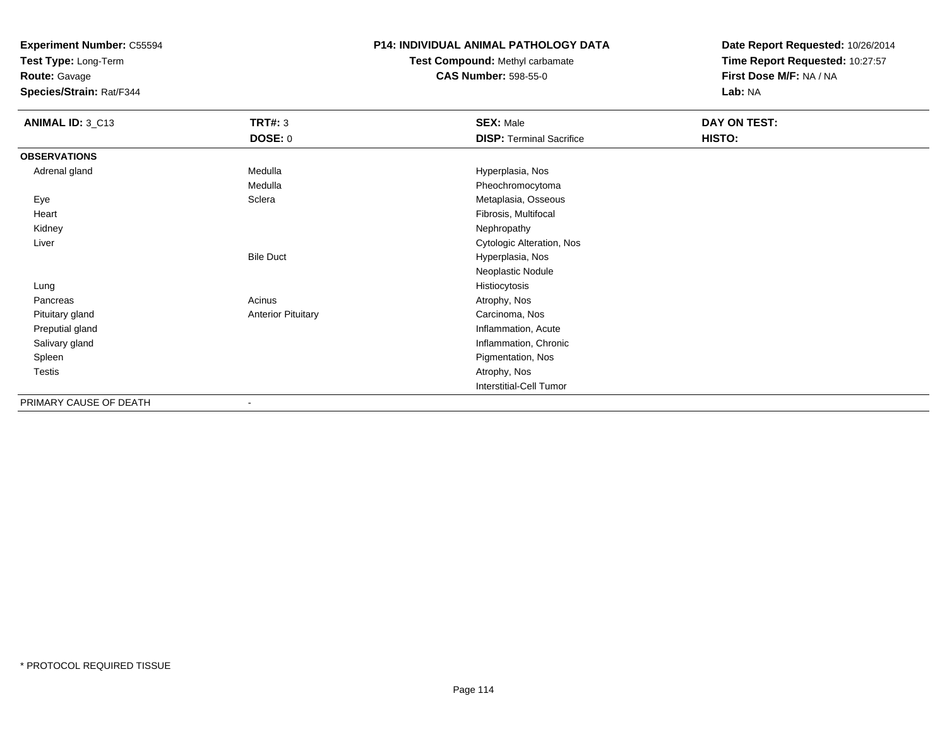**Test Type:** Long-Term

**Route:** Gavage

**Species/Strain:** Rat/F344

# **P14: INDIVIDUAL ANIMAL PATHOLOGY DATA**

**Test Compound:** Methyl carbamate**CAS Number:** 598-55-0

| ANIMAL ID: 3_C13       | <b>TRT#: 3</b>            | <b>SEX: Male</b>                | DAY ON TEST: |  |
|------------------------|---------------------------|---------------------------------|--------------|--|
|                        | <b>DOSE: 0</b>            | <b>DISP: Terminal Sacrifice</b> | HISTO:       |  |
| <b>OBSERVATIONS</b>    |                           |                                 |              |  |
| Adrenal gland          | Medulla                   | Hyperplasia, Nos                |              |  |
|                        | Medulla                   | Pheochromocytoma                |              |  |
| Eye                    | Sclera                    | Metaplasia, Osseous             |              |  |
| Heart                  |                           | Fibrosis, Multifocal            |              |  |
| Kidney                 |                           | Nephropathy                     |              |  |
| Liver                  |                           | Cytologic Alteration, Nos       |              |  |
|                        | <b>Bile Duct</b>          | Hyperplasia, Nos                |              |  |
|                        |                           | Neoplastic Nodule               |              |  |
| Lung                   |                           | Histiocytosis                   |              |  |
| Pancreas               | Acinus                    | Atrophy, Nos                    |              |  |
| Pituitary gland        | <b>Anterior Pituitary</b> | Carcinoma, Nos                  |              |  |
| Preputial gland        |                           | Inflammation, Acute             |              |  |
| Salivary gland         |                           | Inflammation, Chronic           |              |  |
| Spleen                 |                           | Pigmentation, Nos               |              |  |
| <b>Testis</b>          |                           | Atrophy, Nos                    |              |  |
|                        |                           | <b>Interstitial-Cell Tumor</b>  |              |  |
| PRIMARY CAUSE OF DEATH | ٠                         |                                 |              |  |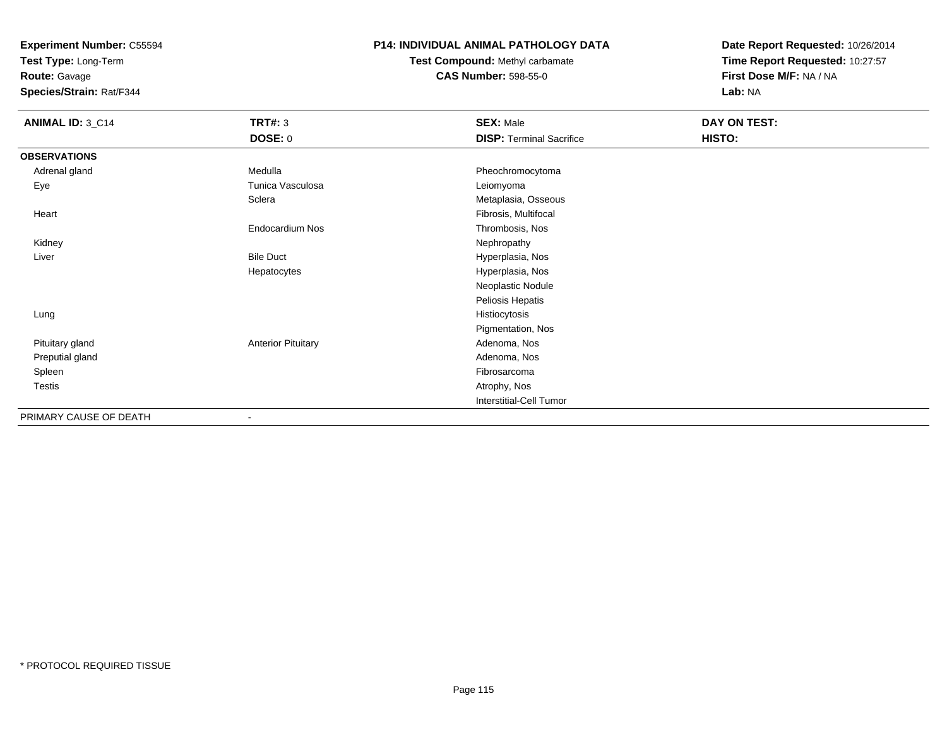**Test Type:** Long-Term

**Route:** Gavage

**Species/Strain:** Rat/F344

# **P14: INDIVIDUAL ANIMAL PATHOLOGY DATA**

**Test Compound:** Methyl carbamate**CAS Number:** 598-55-0

| <b>ANIMAL ID: 3_C14</b> | <b>TRT#: 3</b>            | <b>SEX: Male</b>                | DAY ON TEST: |  |
|-------------------------|---------------------------|---------------------------------|--------------|--|
|                         | <b>DOSE: 0</b>            | <b>DISP: Terminal Sacrifice</b> | HISTO:       |  |
| <b>OBSERVATIONS</b>     |                           |                                 |              |  |
| Adrenal gland           | Medulla                   | Pheochromocytoma                |              |  |
| Eye                     | Tunica Vasculosa          | Leiomyoma                       |              |  |
|                         | Sclera                    | Metaplasia, Osseous             |              |  |
| Heart                   |                           | Fibrosis, Multifocal            |              |  |
|                         | Endocardium Nos           | Thrombosis, Nos                 |              |  |
| Kidney                  |                           | Nephropathy                     |              |  |
| Liver                   | <b>Bile Duct</b>          | Hyperplasia, Nos                |              |  |
|                         | Hepatocytes               | Hyperplasia, Nos                |              |  |
|                         |                           | Neoplastic Nodule               |              |  |
|                         |                           | Peliosis Hepatis                |              |  |
| Lung                    |                           | Histiocytosis                   |              |  |
|                         |                           | Pigmentation, Nos               |              |  |
| Pituitary gland         | <b>Anterior Pituitary</b> | Adenoma, Nos                    |              |  |
| Preputial gland         |                           | Adenoma, Nos                    |              |  |
| Spleen                  |                           | Fibrosarcoma                    |              |  |
| Testis                  |                           | Atrophy, Nos                    |              |  |
|                         |                           | Interstitial-Cell Tumor         |              |  |
| PRIMARY CAUSE OF DEATH  | $\blacksquare$            |                                 |              |  |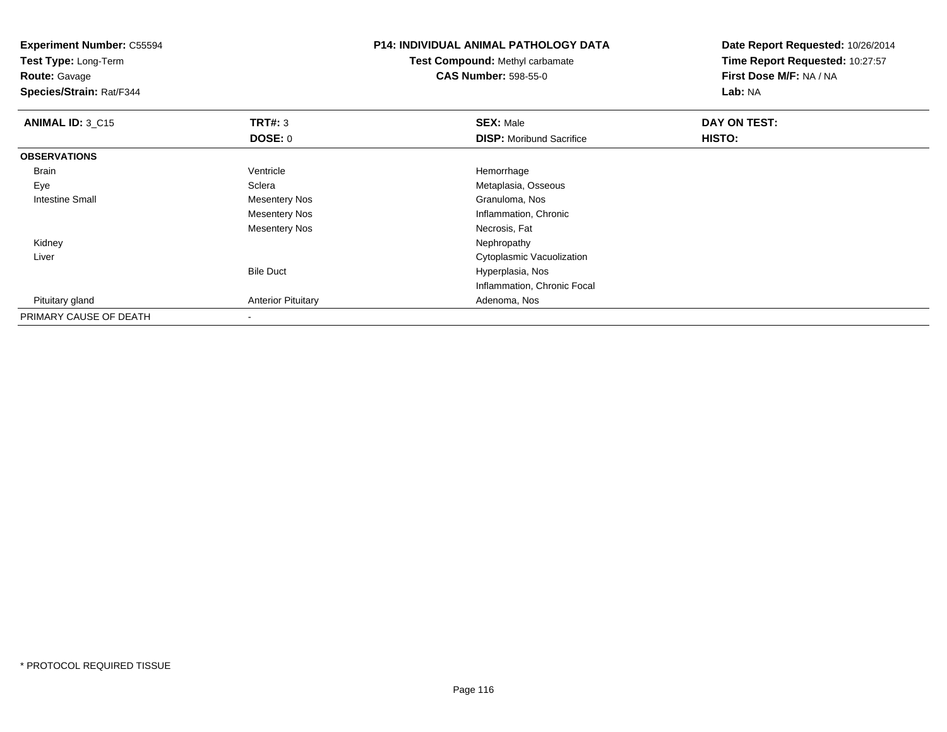**Experiment Number:** C55594**Test Type:** Long-Term**Route:** Gavage **Species/Strain:** Rat/F344**P14: INDIVIDUAL ANIMAL PATHOLOGY DATATest Compound:** Methyl carbamate**CAS Number:** 598-55-0**Date Report Requested:** 10/26/2014**Time Report Requested:** 10:27:57**First Dose M/F:** NA / NA**Lab:** NA**ANIMAL ID: 3 C15 TRT#:** <sup>3</sup> **SEX:** Male **DAY ON TEST: DOSE:** 0**DISP:** Moribund Sacrifice **HISTO: OBSERVATIONS** Brainn and the settle of the Ventricle term of the settlement of the settlement of the settlement of the settlement of the settlement of the settlement of the settlement of the settlement of the settlement of the settlement of EyeSclera **Metaplasia**, Osseous Intestine Small Mesentery Nos Granuloma, Nos Mesentery Nos Inflammation, Chronic Mesentery Nos Necrosis, Fat Kidneyy the control of the control of the control of the control of the control of the control of the control of the control of the control of the control of the control of the control of the control of the control of the contro Liver Cytoplasmic VacuolizationBile Duct Hyperplasia, Nos Inflammation, Chronic Focal Pituitary glandAnterior Pituitary **Adenoma, Nos** Adenoma, Nos PRIMARY CAUSE OF DEATH-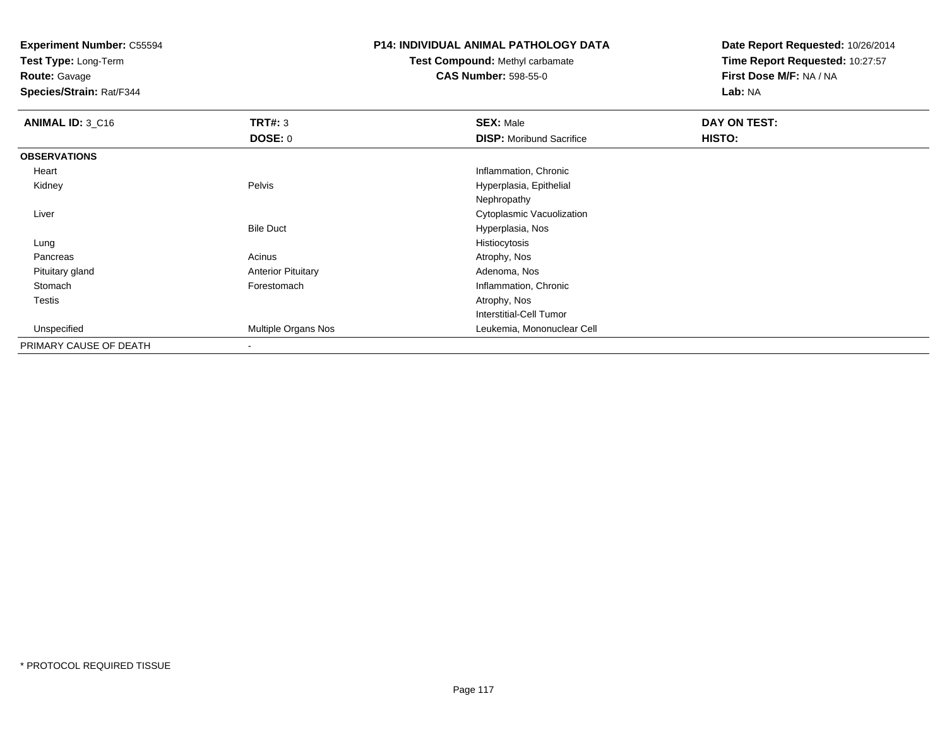**Test Type:** Long-Term

**Route:** Gavage

**Species/Strain:** Rat/F344

# **P14: INDIVIDUAL ANIMAL PATHOLOGY DATA**

**Test Compound:** Methyl carbamate**CAS Number:** 598-55-0

| ANIMAL ID: 3 C16       | TRT#: 3                   | <b>SEX: Male</b>                | DAY ON TEST: |  |
|------------------------|---------------------------|---------------------------------|--------------|--|
|                        | <b>DOSE: 0</b>            | <b>DISP:</b> Moribund Sacrifice | HISTO:       |  |
| <b>OBSERVATIONS</b>    |                           |                                 |              |  |
| Heart                  |                           | Inflammation, Chronic           |              |  |
| Kidney                 | Pelvis                    | Hyperplasia, Epithelial         |              |  |
|                        |                           | Nephropathy                     |              |  |
| Liver                  |                           | Cytoplasmic Vacuolization       |              |  |
|                        | <b>Bile Duct</b>          | Hyperplasia, Nos                |              |  |
| Lung                   |                           | Histiocytosis                   |              |  |
| Pancreas               | Acinus                    | Atrophy, Nos                    |              |  |
| Pituitary gland        | <b>Anterior Pituitary</b> | Adenoma, Nos                    |              |  |
| Stomach                | Forestomach               | Inflammation, Chronic           |              |  |
| Testis                 |                           | Atrophy, Nos                    |              |  |
|                        |                           | <b>Interstitial-Cell Tumor</b>  |              |  |
| Unspecified            | Multiple Organs Nos       | Leukemia, Mononuclear Cell      |              |  |
| PRIMARY CAUSE OF DEATH | $\overline{\phantom{a}}$  |                                 |              |  |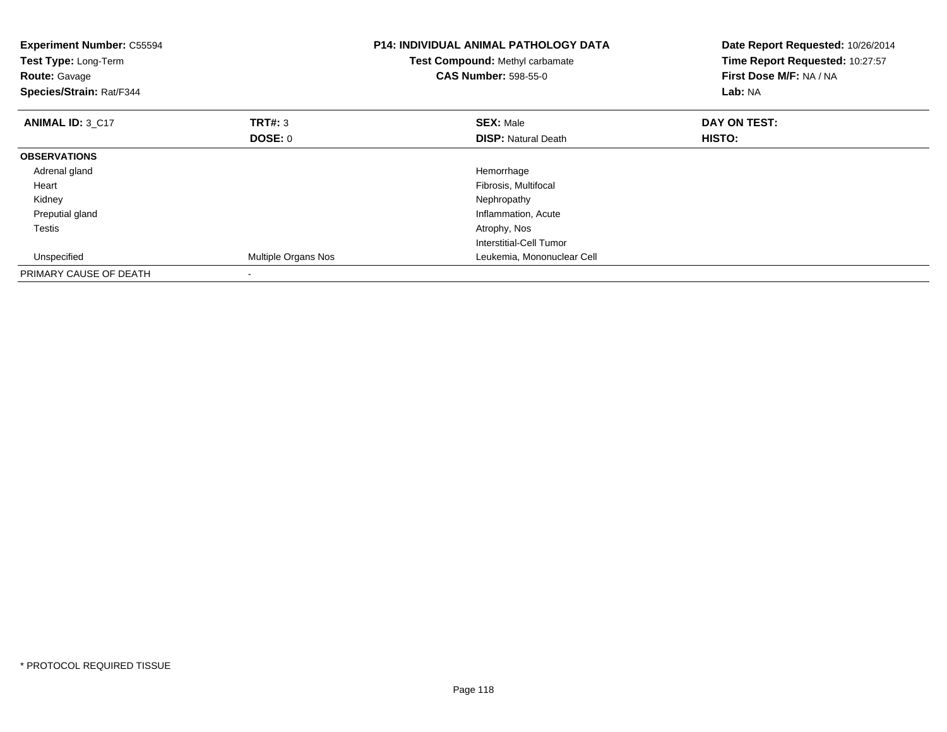| <b>Experiment Number: C55594</b><br>Test Type: Long-Term<br><b>Route: Gavage</b><br>Species/Strain: Rat/F344 |                     | <b>P14: INDIVIDUAL ANIMAL PATHOLOGY DATA</b><br>Test Compound: Methyl carbamate<br><b>CAS Number: 598-55-0</b> | Date Report Requested: 10/26/2014<br>Time Report Requested: 10:27:57<br>First Dose M/F: NA / NA<br>Lab: NA |
|--------------------------------------------------------------------------------------------------------------|---------------------|----------------------------------------------------------------------------------------------------------------|------------------------------------------------------------------------------------------------------------|
| <b>ANIMAL ID: 3 C17</b>                                                                                      | <b>TRT#: 3</b>      | <b>SEX: Male</b>                                                                                               | DAY ON TEST:                                                                                               |
|                                                                                                              | <b>DOSE: 0</b>      | <b>DISP:</b> Natural Death                                                                                     | HISTO:                                                                                                     |
| <b>OBSERVATIONS</b>                                                                                          |                     |                                                                                                                |                                                                                                            |
| Adrenal gland                                                                                                |                     | Hemorrhage                                                                                                     |                                                                                                            |
| Heart                                                                                                        |                     | Fibrosis, Multifocal                                                                                           |                                                                                                            |
| Kidney                                                                                                       |                     | Nephropathy                                                                                                    |                                                                                                            |
| Preputial gland                                                                                              |                     | Inflammation, Acute                                                                                            |                                                                                                            |
| Testis                                                                                                       |                     | Atrophy, Nos                                                                                                   |                                                                                                            |
|                                                                                                              |                     | Interstitial-Cell Tumor                                                                                        |                                                                                                            |
| Unspecified                                                                                                  | Multiple Organs Nos | Leukemia, Mononuclear Cell                                                                                     |                                                                                                            |
| PRIMARY CAUSE OF DEATH                                                                                       | $\,$                |                                                                                                                |                                                                                                            |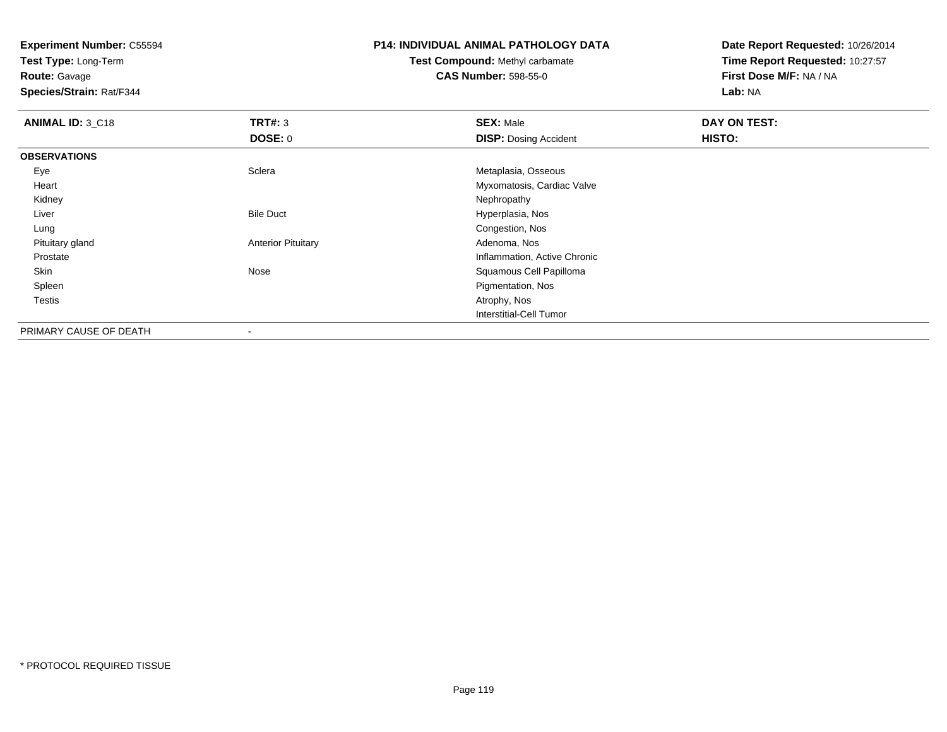**Test Type:** Long-Term

**Route:** Gavage

**Species/Strain:** Rat/F344

# **P14: INDIVIDUAL ANIMAL PATHOLOGY DATA**

# **Test Compound:** Methyl carbamate**CAS Number:** 598-55-0

| ANIMAL ID: 3_C18       | TRT#: 3                   | <b>SEX: Male</b>             | DAY ON TEST: |  |
|------------------------|---------------------------|------------------------------|--------------|--|
|                        | <b>DOSE: 0</b>            | <b>DISP: Dosing Accident</b> | HISTO:       |  |
| <b>OBSERVATIONS</b>    |                           |                              |              |  |
| Eye                    | Sclera                    | Metaplasia, Osseous          |              |  |
| Heart                  |                           | Myxomatosis, Cardiac Valve   |              |  |
| Kidney                 |                           | Nephropathy                  |              |  |
| Liver                  | <b>Bile Duct</b>          | Hyperplasia, Nos             |              |  |
| Lung                   |                           | Congestion, Nos              |              |  |
| Pituitary gland        | <b>Anterior Pituitary</b> | Adenoma, Nos                 |              |  |
| Prostate               |                           | Inflammation, Active Chronic |              |  |
| Skin                   | Nose                      | Squamous Cell Papilloma      |              |  |
| Spleen                 |                           | Pigmentation, Nos            |              |  |
| <b>Testis</b>          |                           | Atrophy, Nos                 |              |  |
|                        |                           | Interstitial-Cell Tumor      |              |  |
| PRIMARY CAUSE OF DEATH | $\overline{\phantom{a}}$  |                              |              |  |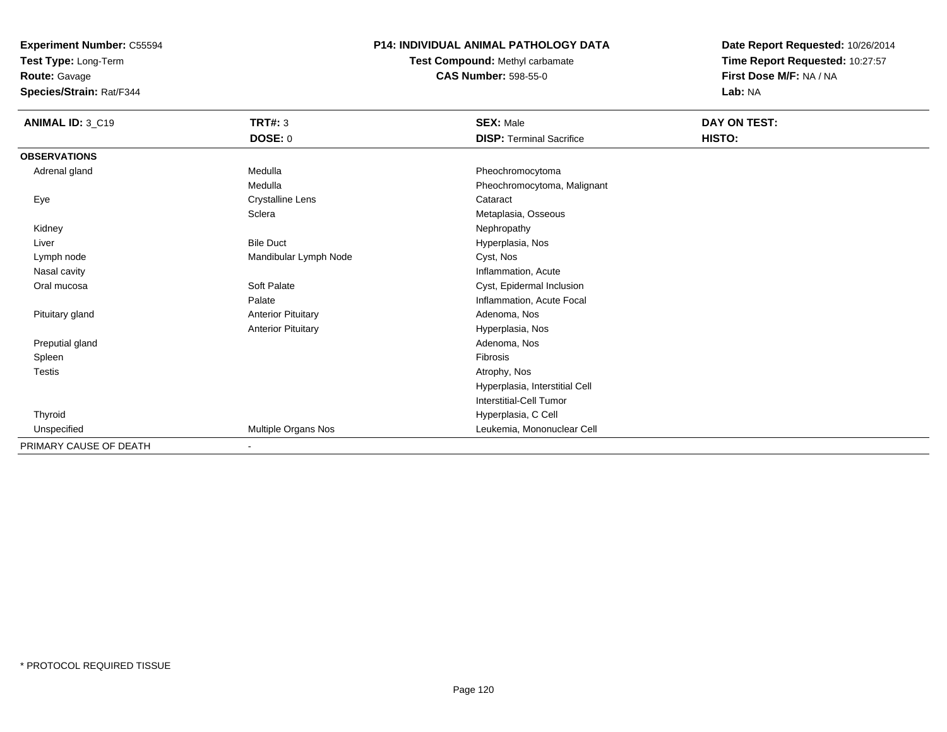**Test Type:** Long-Term

**Route:** Gavage

**Species/Strain:** Rat/F344

# **P14: INDIVIDUAL ANIMAL PATHOLOGY DATA**

**Test Compound:** Methyl carbamate**CAS Number:** 598-55-0

| ANIMAL ID: 3_C19       | <b>TRT#: 3</b>            | <b>SEX: Male</b>                | DAY ON TEST: |  |
|------------------------|---------------------------|---------------------------------|--------------|--|
|                        | DOSE: 0                   | <b>DISP: Terminal Sacrifice</b> | HISTO:       |  |
| <b>OBSERVATIONS</b>    |                           |                                 |              |  |
| Adrenal gland          | Medulla                   | Pheochromocytoma                |              |  |
|                        | Medulla                   | Pheochromocytoma, Malignant     |              |  |
| Eye                    | <b>Crystalline Lens</b>   | Cataract                        |              |  |
|                        | Sclera                    | Metaplasia, Osseous             |              |  |
| Kidney                 |                           | Nephropathy                     |              |  |
| Liver                  | <b>Bile Duct</b>          | Hyperplasia, Nos                |              |  |
| Lymph node             | Mandibular Lymph Node     | Cyst, Nos                       |              |  |
| Nasal cavity           |                           | Inflammation, Acute             |              |  |
| Oral mucosa            | Soft Palate               | Cyst, Epidermal Inclusion       |              |  |
|                        | Palate                    | Inflammation, Acute Focal       |              |  |
| Pituitary gland        | <b>Anterior Pituitary</b> | Adenoma, Nos                    |              |  |
|                        | <b>Anterior Pituitary</b> | Hyperplasia, Nos                |              |  |
| Preputial gland        |                           | Adenoma, Nos                    |              |  |
| Spleen                 |                           | Fibrosis                        |              |  |
| <b>Testis</b>          |                           | Atrophy, Nos                    |              |  |
|                        |                           | Hyperplasia, Interstitial Cell  |              |  |
|                        |                           | <b>Interstitial-Cell Tumor</b>  |              |  |
| Thyroid                |                           | Hyperplasia, C Cell             |              |  |
| Unspecified            | Multiple Organs Nos       | Leukemia, Mononuclear Cell      |              |  |
| PRIMARY CAUSE OF DEATH | $\blacksquare$            |                                 |              |  |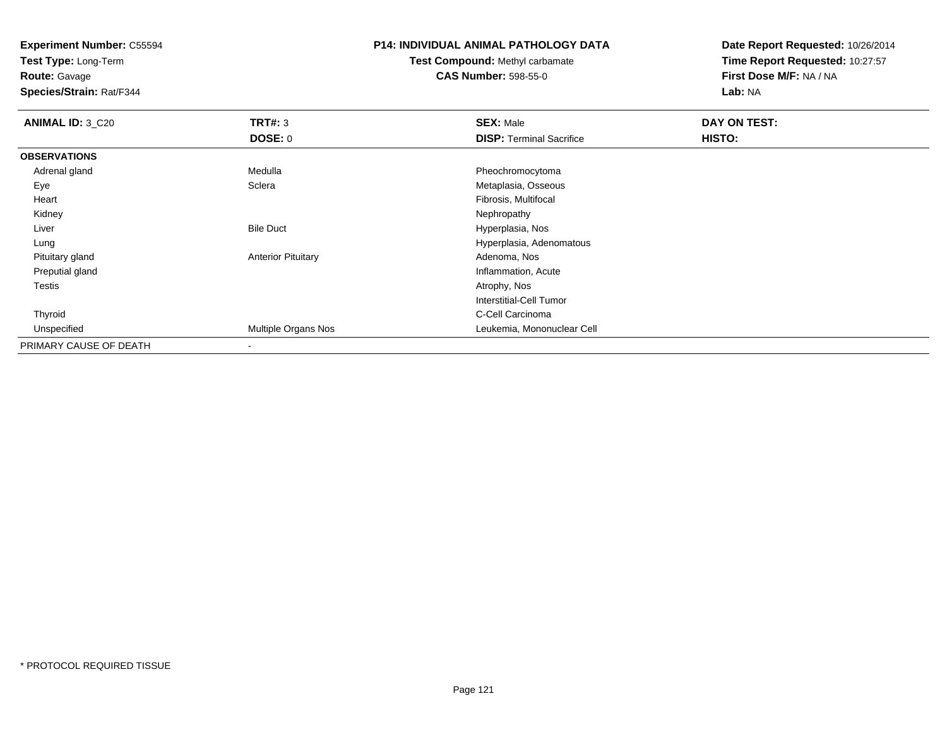**Test Type:** Long-Term

**Route:** Gavage

**Species/Strain:** Rat/F344

# **P14: INDIVIDUAL ANIMAL PATHOLOGY DATA**

**Test Compound:** Methyl carbamate**CAS Number:** 598-55-0

| <b>ANIMAL ID: 3_C20</b> | TRT#: 3                   | <b>SEX: Male</b>                | DAY ON TEST: |  |
|-------------------------|---------------------------|---------------------------------|--------------|--|
|                         | <b>DOSE: 0</b>            | <b>DISP: Terminal Sacrifice</b> | HISTO:       |  |
| <b>OBSERVATIONS</b>     |                           |                                 |              |  |
| Adrenal gland           | Medulla                   | Pheochromocytoma                |              |  |
| Eye                     | Sclera                    | Metaplasia, Osseous             |              |  |
| Heart                   |                           | Fibrosis, Multifocal            |              |  |
| Kidney                  |                           | Nephropathy                     |              |  |
| Liver                   | <b>Bile Duct</b>          | Hyperplasia, Nos                |              |  |
| Lung                    |                           | Hyperplasia, Adenomatous        |              |  |
| Pituitary gland         | <b>Anterior Pituitary</b> | Adenoma, Nos                    |              |  |
| Preputial gland         |                           | Inflammation, Acute             |              |  |
| <b>Testis</b>           |                           | Atrophy, Nos                    |              |  |
|                         |                           | <b>Interstitial-Cell Tumor</b>  |              |  |
| Thyroid                 |                           | C-Cell Carcinoma                |              |  |
| Unspecified             | Multiple Organs Nos       | Leukemia, Mononuclear Cell      |              |  |
| PRIMARY CAUSE OF DEATH  |                           |                                 |              |  |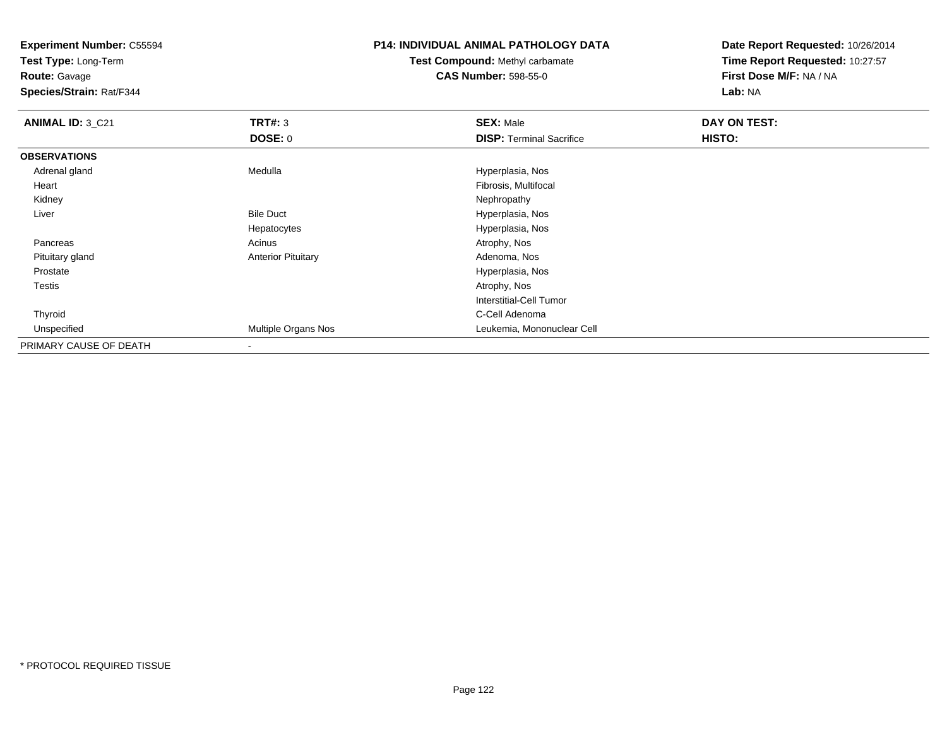**Test Type:** Long-Term

**Route:** Gavage

**Species/Strain:** Rat/F344

# **P14: INDIVIDUAL ANIMAL PATHOLOGY DATA**

**Test Compound:** Methyl carbamate**CAS Number:** 598-55-0

| ANIMAL ID: 3_C21       | TRT#: 3                   | <b>SEX: Male</b>                | DAY ON TEST: |  |
|------------------------|---------------------------|---------------------------------|--------------|--|
|                        | <b>DOSE: 0</b>            | <b>DISP: Terminal Sacrifice</b> | HISTO:       |  |
| <b>OBSERVATIONS</b>    |                           |                                 |              |  |
| Adrenal gland          | Medulla                   | Hyperplasia, Nos                |              |  |
| Heart                  |                           | Fibrosis, Multifocal            |              |  |
| Kidney                 |                           | Nephropathy                     |              |  |
| Liver                  | <b>Bile Duct</b>          | Hyperplasia, Nos                |              |  |
|                        | Hepatocytes               | Hyperplasia, Nos                |              |  |
| Pancreas               | Acinus                    | Atrophy, Nos                    |              |  |
| Pituitary gland        | <b>Anterior Pituitary</b> | Adenoma, Nos                    |              |  |
| Prostate               |                           | Hyperplasia, Nos                |              |  |
| <b>Testis</b>          |                           | Atrophy, Nos                    |              |  |
|                        |                           | <b>Interstitial-Cell Tumor</b>  |              |  |
| Thyroid                |                           | C-Cell Adenoma                  |              |  |
| Unspecified            | Multiple Organs Nos       | Leukemia, Mononuclear Cell      |              |  |
| PRIMARY CAUSE OF DEATH |                           |                                 |              |  |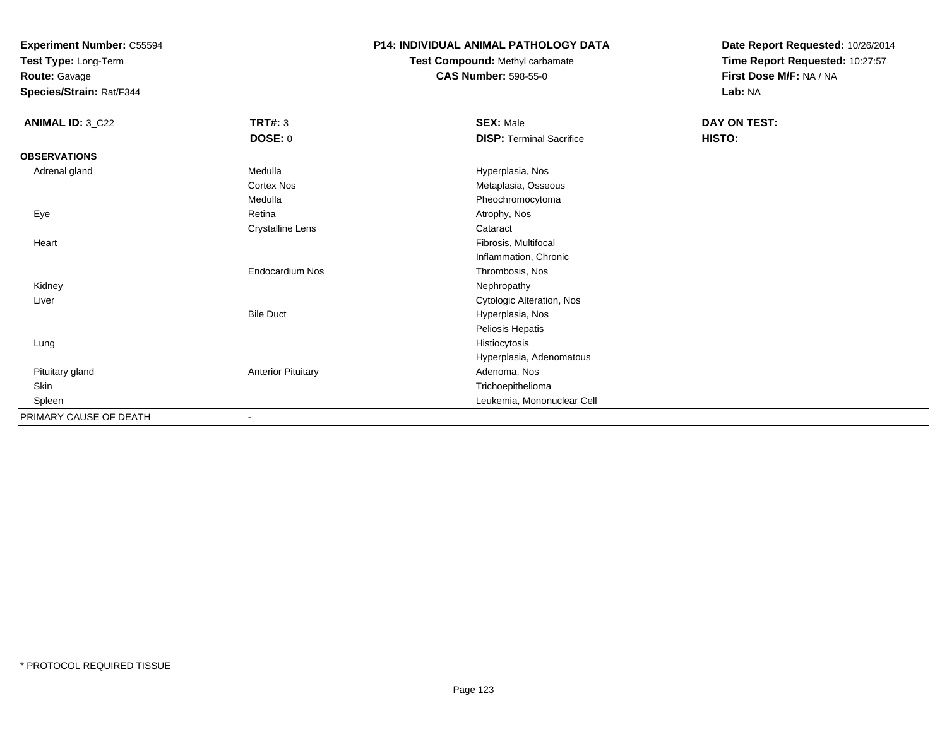**Test Type:** Long-Term

**Route:** Gavage

**Species/Strain:** Rat/F344

## **P14: INDIVIDUAL ANIMAL PATHOLOGY DATA**

**Test Compound:** Methyl carbamate**CAS Number:** 598-55-0

| <b>ANIMAL ID: 3_C22</b> | <b>TRT#: 3</b>            | <b>SEX: Male</b>                | DAY ON TEST: |  |
|-------------------------|---------------------------|---------------------------------|--------------|--|
|                         | <b>DOSE: 0</b>            | <b>DISP: Terminal Sacrifice</b> | HISTO:       |  |
| <b>OBSERVATIONS</b>     |                           |                                 |              |  |
| Adrenal gland           | Medulla                   | Hyperplasia, Nos                |              |  |
|                         | Cortex Nos                | Metaplasia, Osseous             |              |  |
|                         | Medulla                   | Pheochromocytoma                |              |  |
| Eye                     | Retina                    | Atrophy, Nos                    |              |  |
|                         | <b>Crystalline Lens</b>   | Cataract                        |              |  |
| Heart                   |                           | Fibrosis, Multifocal            |              |  |
|                         |                           | Inflammation, Chronic           |              |  |
|                         | Endocardium Nos           | Thrombosis, Nos                 |              |  |
| Kidney                  |                           | Nephropathy                     |              |  |
| Liver                   |                           | Cytologic Alteration, Nos       |              |  |
|                         | <b>Bile Duct</b>          | Hyperplasia, Nos                |              |  |
|                         |                           | Peliosis Hepatis                |              |  |
| Lung                    |                           | Histiocytosis                   |              |  |
|                         |                           | Hyperplasia, Adenomatous        |              |  |
| Pituitary gland         | <b>Anterior Pituitary</b> | Adenoma, Nos                    |              |  |
| Skin                    |                           | Trichoepithelioma               |              |  |
| Spleen                  |                           | Leukemia, Mononuclear Cell      |              |  |
| PRIMARY CAUSE OF DEATH  | $\overline{\phantom{a}}$  |                                 |              |  |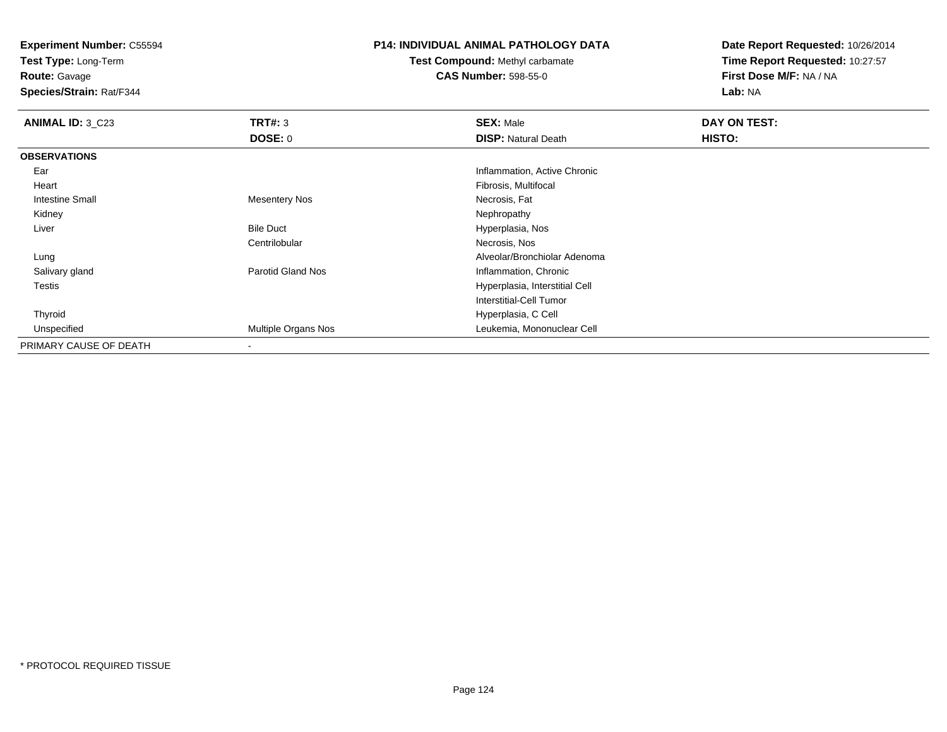**Test Type:** Long-Term

# **Route:** Gavage

**Species/Strain:** Rat/F344

# **P14: INDIVIDUAL ANIMAL PATHOLOGY DATA**

# **Test Compound:** Methyl carbamate**CAS Number:** 598-55-0

| <b>ANIMAL ID: 3 C23</b> | TRT#: 3                  | <b>SEX: Male</b>               | DAY ON TEST: |  |
|-------------------------|--------------------------|--------------------------------|--------------|--|
|                         | <b>DOSE: 0</b>           | <b>DISP: Natural Death</b>     | HISTO:       |  |
| <b>OBSERVATIONS</b>     |                          |                                |              |  |
| Ear                     |                          | Inflammation, Active Chronic   |              |  |
| Heart                   |                          | Fibrosis, Multifocal           |              |  |
| Intestine Small         | <b>Mesentery Nos</b>     | Necrosis, Fat                  |              |  |
| Kidney                  |                          | Nephropathy                    |              |  |
| Liver                   | <b>Bile Duct</b>         | Hyperplasia, Nos               |              |  |
|                         | Centrilobular            | Necrosis, Nos                  |              |  |
| Lung                    |                          | Alveolar/Bronchiolar Adenoma   |              |  |
| Salivary gland          | <b>Parotid Gland Nos</b> | Inflammation, Chronic          |              |  |
| Testis                  |                          | Hyperplasia, Interstitial Cell |              |  |
|                         |                          | Interstitial-Cell Tumor        |              |  |
| Thyroid                 |                          | Hyperplasia, C Cell            |              |  |
| Unspecified             | Multiple Organs Nos      | Leukemia, Mononuclear Cell     |              |  |
| PRIMARY CAUSE OF DEATH  | $\,$                     |                                |              |  |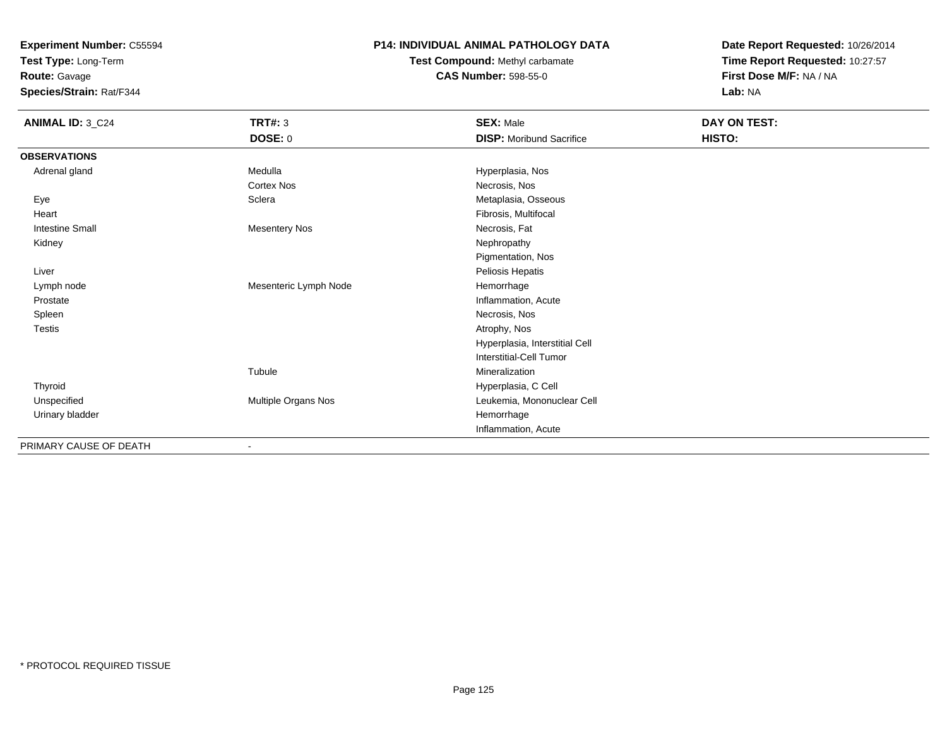**Test Type:** Long-Term

**Route:** Gavage

**Species/Strain:** Rat/F344

## **P14: INDIVIDUAL ANIMAL PATHOLOGY DATA**

**Test Compound:** Methyl carbamate**CAS Number:** 598-55-0

| <b>ANIMAL ID: 3_C24</b> | <b>TRT#: 3</b><br><b>DOSE: 0</b> | <b>SEX: Male</b><br><b>DISP:</b> Moribund Sacrifice | DAY ON TEST:<br>HISTO: |
|-------------------------|----------------------------------|-----------------------------------------------------|------------------------|
| <b>OBSERVATIONS</b>     |                                  |                                                     |                        |
| Adrenal gland           | Medulla                          | Hyperplasia, Nos                                    |                        |
|                         | <b>Cortex Nos</b>                | Necrosis, Nos                                       |                        |
| Eye                     | Sclera                           | Metaplasia, Osseous                                 |                        |
| Heart                   |                                  | Fibrosis, Multifocal                                |                        |
| <b>Intestine Small</b>  | <b>Mesentery Nos</b>             | Necrosis, Fat                                       |                        |
| Kidney                  |                                  | Nephropathy                                         |                        |
|                         |                                  | Pigmentation, Nos                                   |                        |
| Liver                   |                                  | Peliosis Hepatis                                    |                        |
| Lymph node              | Mesenteric Lymph Node            | Hemorrhage                                          |                        |
| Prostate                |                                  | Inflammation, Acute                                 |                        |
| Spleen                  |                                  | Necrosis, Nos                                       |                        |
| Testis                  |                                  | Atrophy, Nos                                        |                        |
|                         |                                  | Hyperplasia, Interstitial Cell                      |                        |
|                         |                                  | <b>Interstitial-Cell Tumor</b>                      |                        |
|                         | Tubule                           | Mineralization                                      |                        |
| Thyroid                 |                                  | Hyperplasia, C Cell                                 |                        |
| Unspecified             | Multiple Organs Nos              | Leukemia, Mononuclear Cell                          |                        |
| Urinary bladder         |                                  | Hemorrhage                                          |                        |
|                         |                                  | Inflammation, Acute                                 |                        |
| PRIMARY CAUSE OF DEATH  | $\overline{\phantom{0}}$         |                                                     |                        |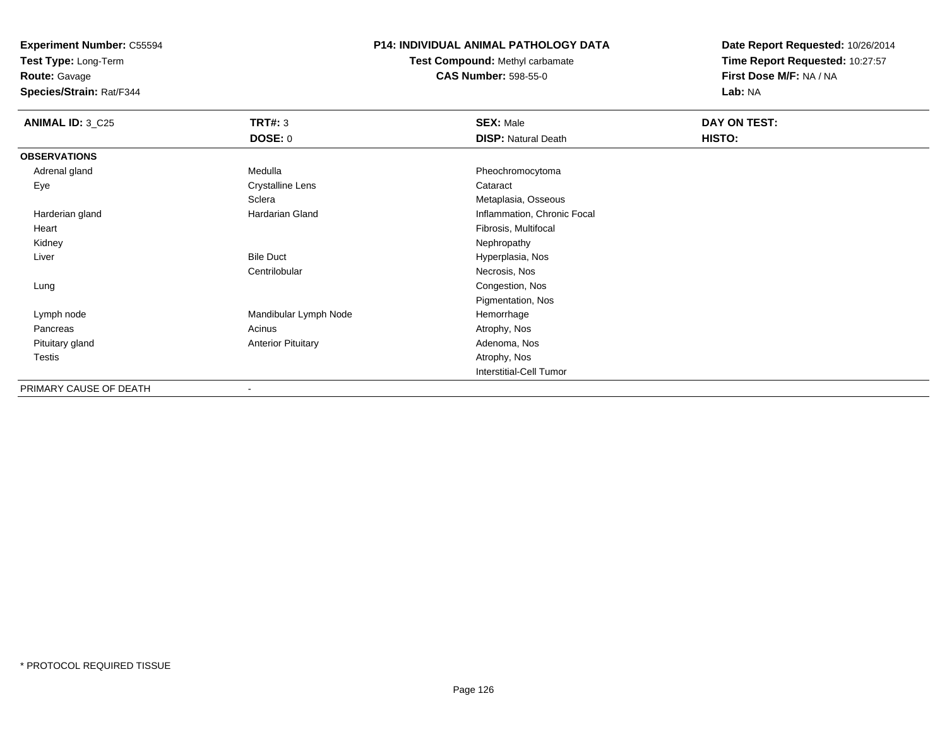**Test Type:** Long-Term

**Route:** Gavage

**Species/Strain:** Rat/F344

# **P14: INDIVIDUAL ANIMAL PATHOLOGY DATA**

**Test Compound:** Methyl carbamate**CAS Number:** 598-55-0

| <b>ANIMAL ID: 3_C25</b> | TRT#: 3                   | <b>SEX: Male</b>            | DAY ON TEST: |  |
|-------------------------|---------------------------|-----------------------------|--------------|--|
|                         | <b>DOSE: 0</b>            | <b>DISP: Natural Death</b>  | HISTO:       |  |
| <b>OBSERVATIONS</b>     |                           |                             |              |  |
| Adrenal gland           | Medulla                   | Pheochromocytoma            |              |  |
| Eye                     | <b>Crystalline Lens</b>   | Cataract                    |              |  |
|                         | Sclera                    | Metaplasia, Osseous         |              |  |
| Harderian gland         | Hardarian Gland           | Inflammation, Chronic Focal |              |  |
| Heart                   |                           | Fibrosis, Multifocal        |              |  |
| Kidney                  |                           | Nephropathy                 |              |  |
| Liver                   | <b>Bile Duct</b>          | Hyperplasia, Nos            |              |  |
|                         | Centrilobular             | Necrosis, Nos               |              |  |
| Lung                    |                           | Congestion, Nos             |              |  |
|                         |                           | Pigmentation, Nos           |              |  |
| Lymph node              | Mandibular Lymph Node     | Hemorrhage                  |              |  |
| Pancreas                | Acinus                    | Atrophy, Nos                |              |  |
| Pituitary gland         | <b>Anterior Pituitary</b> | Adenoma, Nos                |              |  |
| <b>Testis</b>           |                           | Atrophy, Nos                |              |  |
|                         |                           | Interstitial-Cell Tumor     |              |  |
| PRIMARY CAUSE OF DEATH  |                           |                             |              |  |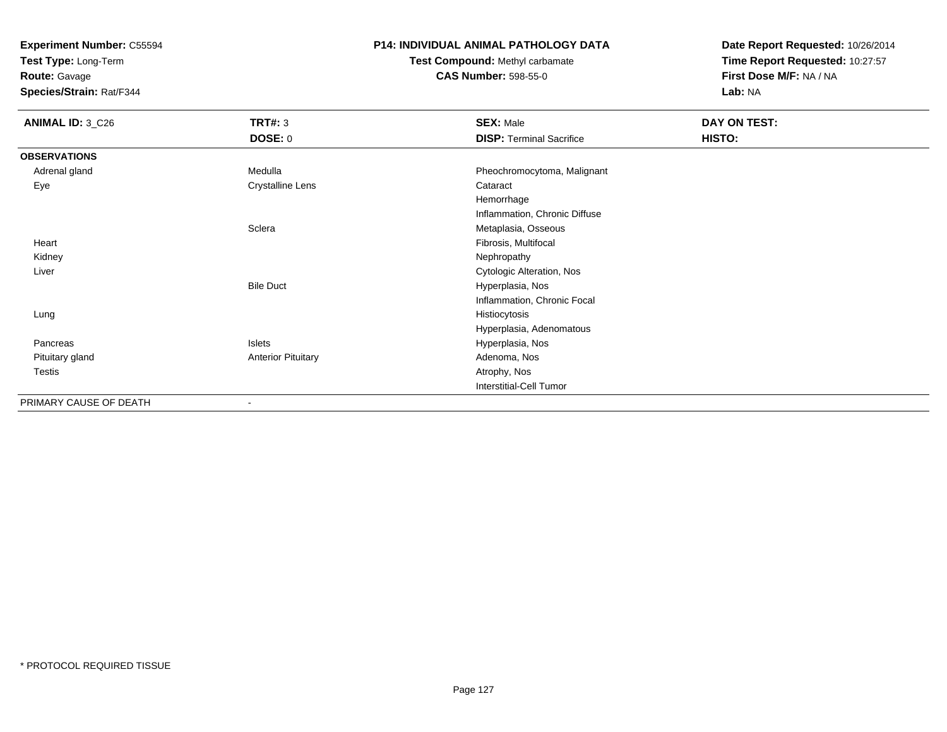**Test Type:** Long-Term

**Route:** Gavage

**Species/Strain:** Rat/F344

# **P14: INDIVIDUAL ANIMAL PATHOLOGY DATA**

**Test Compound:** Methyl carbamate**CAS Number:** 598-55-0

| <b>ANIMAL ID: 3_C26</b> | <b>TRT#: 3</b>            | <b>SEX: Male</b>                | DAY ON TEST: |  |
|-------------------------|---------------------------|---------------------------------|--------------|--|
|                         | <b>DOSE: 0</b>            | <b>DISP: Terminal Sacrifice</b> | HISTO:       |  |
| <b>OBSERVATIONS</b>     |                           |                                 |              |  |
| Adrenal gland           | Medulla                   | Pheochromocytoma, Malignant     |              |  |
| Eye                     | <b>Crystalline Lens</b>   | Cataract                        |              |  |
|                         |                           | Hemorrhage                      |              |  |
|                         |                           | Inflammation, Chronic Diffuse   |              |  |
|                         | Sclera                    | Metaplasia, Osseous             |              |  |
| Heart                   |                           | Fibrosis, Multifocal            |              |  |
| Kidney                  |                           | Nephropathy                     |              |  |
| Liver                   |                           | Cytologic Alteration, Nos       |              |  |
|                         | <b>Bile Duct</b>          | Hyperplasia, Nos                |              |  |
|                         |                           | Inflammation, Chronic Focal     |              |  |
| Lung                    |                           | Histiocytosis                   |              |  |
|                         |                           | Hyperplasia, Adenomatous        |              |  |
| Pancreas                | Islets                    | Hyperplasia, Nos                |              |  |
| Pituitary gland         | <b>Anterior Pituitary</b> | Adenoma, Nos                    |              |  |
| Testis                  |                           | Atrophy, Nos                    |              |  |
|                         |                           | Interstitial-Cell Tumor         |              |  |
| PRIMARY CAUSE OF DEATH  | $\blacksquare$            |                                 |              |  |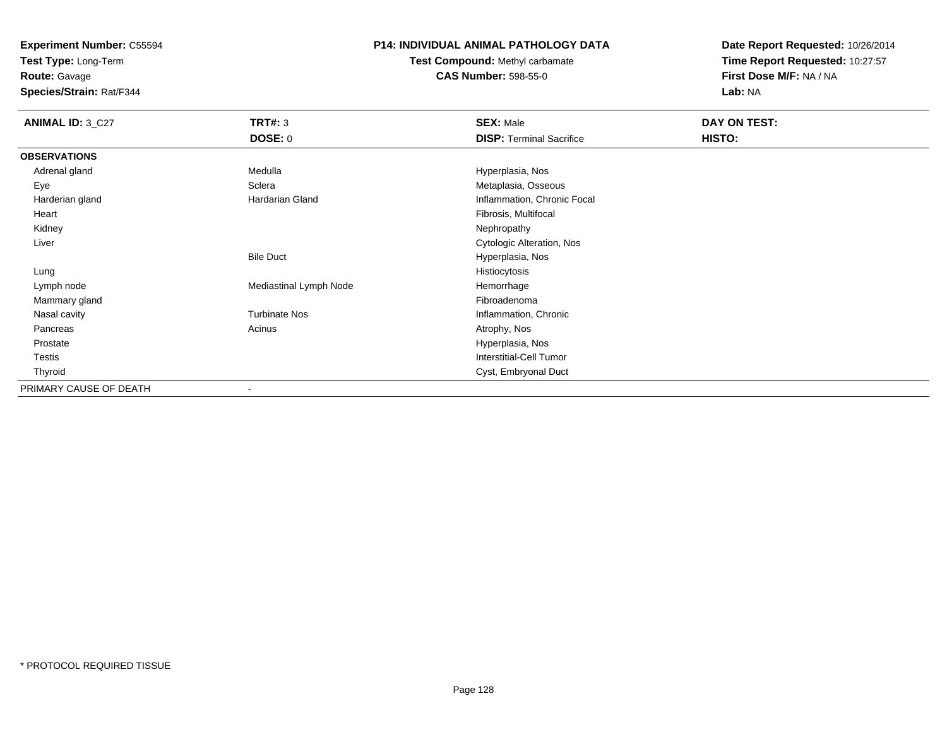**Test Type:** Long-Term

**Route:** Gavage

**Species/Strain:** Rat/F344

# **P14: INDIVIDUAL ANIMAL PATHOLOGY DATA**

**Test Compound:** Methyl carbamate**CAS Number:** 598-55-0

| <b>ANIMAL ID: 3_C27</b> | <b>TRT#: 3</b>         | <b>SEX: Male</b>                | DAY ON TEST: |  |
|-------------------------|------------------------|---------------------------------|--------------|--|
|                         | <b>DOSE: 0</b>         | <b>DISP: Terminal Sacrifice</b> | HISTO:       |  |
| <b>OBSERVATIONS</b>     |                        |                                 |              |  |
| Adrenal gland           | Medulla                | Hyperplasia, Nos                |              |  |
| Eye                     | Sclera                 | Metaplasia, Osseous             |              |  |
| Harderian gland         | Hardarian Gland        | Inflammation, Chronic Focal     |              |  |
| Heart                   |                        | Fibrosis, Multifocal            |              |  |
| Kidney                  |                        | Nephropathy                     |              |  |
| Liver                   |                        | Cytologic Alteration, Nos       |              |  |
|                         | <b>Bile Duct</b>       | Hyperplasia, Nos                |              |  |
| Lung                    |                        | Histiocytosis                   |              |  |
| Lymph node              | Mediastinal Lymph Node | Hemorrhage                      |              |  |
| Mammary gland           |                        | Fibroadenoma                    |              |  |
| Nasal cavity            | <b>Turbinate Nos</b>   | Inflammation, Chronic           |              |  |
| Pancreas                | Acinus                 | Atrophy, Nos                    |              |  |
| Prostate                |                        | Hyperplasia, Nos                |              |  |
| Testis                  |                        | Interstitial-Cell Tumor         |              |  |
| Thyroid                 |                        | Cyst, Embryonal Duct            |              |  |
| PRIMARY CAUSE OF DEATH  |                        |                                 |              |  |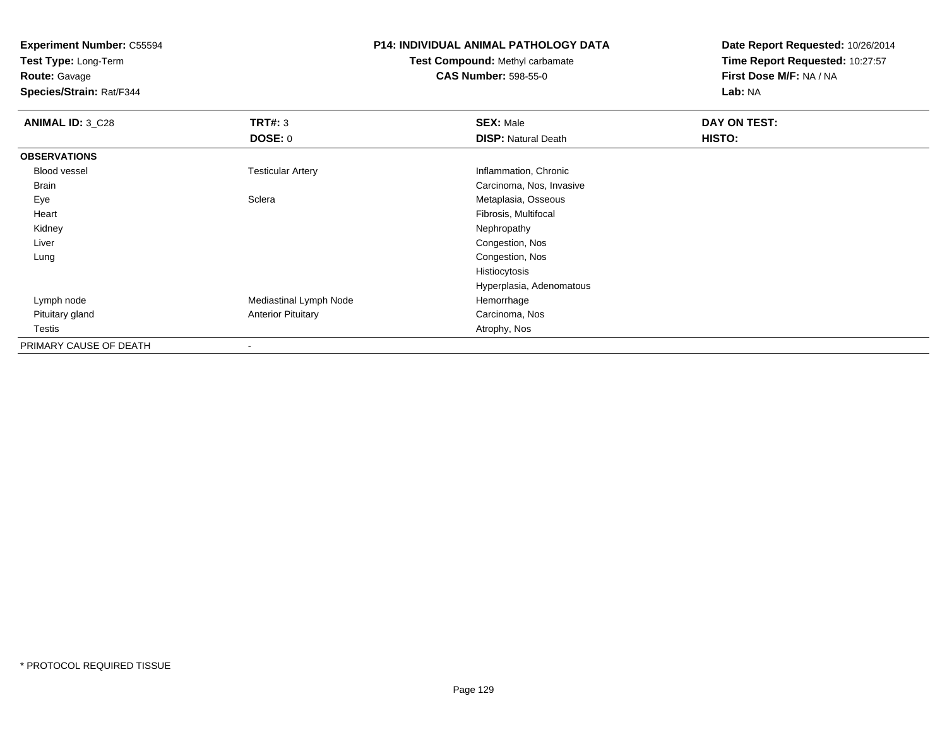**Test Type:** Long-Term

**Route:** Gavage

**Species/Strain:** Rat/F344

# **P14: INDIVIDUAL ANIMAL PATHOLOGY DATA**

# **Test Compound:** Methyl carbamate**CAS Number:** 598-55-0

| <b>ANIMAL ID: 3_C28</b> | TRT#: 3                   | <b>SEX: Male</b>           | DAY ON TEST: |  |
|-------------------------|---------------------------|----------------------------|--------------|--|
|                         | <b>DOSE: 0</b>            | <b>DISP: Natural Death</b> | HISTO:       |  |
| <b>OBSERVATIONS</b>     |                           |                            |              |  |
| Blood vessel            | <b>Testicular Artery</b>  | Inflammation, Chronic      |              |  |
| <b>Brain</b>            |                           | Carcinoma, Nos, Invasive   |              |  |
| Eye                     | Sclera                    | Metaplasia, Osseous        |              |  |
| Heart                   |                           | Fibrosis, Multifocal       |              |  |
| Kidney                  |                           | Nephropathy                |              |  |
| Liver                   |                           | Congestion, Nos            |              |  |
| Lung                    |                           | Congestion, Nos            |              |  |
|                         |                           | Histiocytosis              |              |  |
|                         |                           | Hyperplasia, Adenomatous   |              |  |
| Lymph node              | Mediastinal Lymph Node    | Hemorrhage                 |              |  |
| Pituitary gland         | <b>Anterior Pituitary</b> | Carcinoma, Nos             |              |  |
| Testis                  |                           | Atrophy, Nos               |              |  |
| PRIMARY CAUSE OF DEATH  |                           |                            |              |  |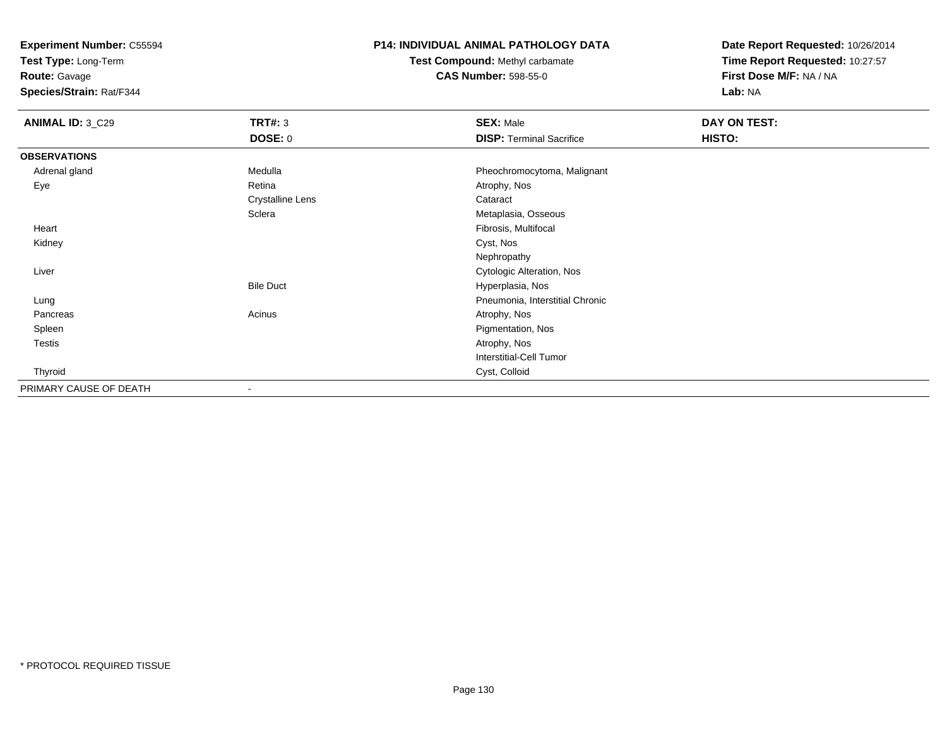**Test Type:** Long-Term

**Route:** Gavage

**Species/Strain:** Rat/F344

#### **P14: INDIVIDUAL ANIMAL PATHOLOGY DATA**

**Test Compound:** Methyl carbamate**CAS Number:** 598-55-0

| <b>ANIMAL ID: 3_C29</b> | <b>TRT#: 3</b>          | <b>SEX: Male</b>                | DAY ON TEST: |  |
|-------------------------|-------------------------|---------------------------------|--------------|--|
|                         | <b>DOSE: 0</b>          | <b>DISP: Terminal Sacrifice</b> | HISTO:       |  |
| <b>OBSERVATIONS</b>     |                         |                                 |              |  |
| Adrenal gland           | Medulla                 | Pheochromocytoma, Malignant     |              |  |
| Eye                     | Retina                  | Atrophy, Nos                    |              |  |
|                         | <b>Crystalline Lens</b> | Cataract                        |              |  |
|                         | Sclera                  | Metaplasia, Osseous             |              |  |
| Heart                   |                         | Fibrosis, Multifocal            |              |  |
| Kidney                  |                         | Cyst, Nos                       |              |  |
|                         |                         | Nephropathy                     |              |  |
| Liver                   |                         | Cytologic Alteration, Nos       |              |  |
|                         | <b>Bile Duct</b>        | Hyperplasia, Nos                |              |  |
| Lung                    |                         | Pneumonia, Interstitial Chronic |              |  |
| Pancreas                | Acinus                  | Atrophy, Nos                    |              |  |
| Spleen                  |                         | Pigmentation, Nos               |              |  |
| Testis                  |                         | Atrophy, Nos                    |              |  |
|                         |                         | Interstitial-Cell Tumor         |              |  |
| Thyroid                 |                         | Cyst, Colloid                   |              |  |
| PRIMARY CAUSE OF DEATH  |                         |                                 |              |  |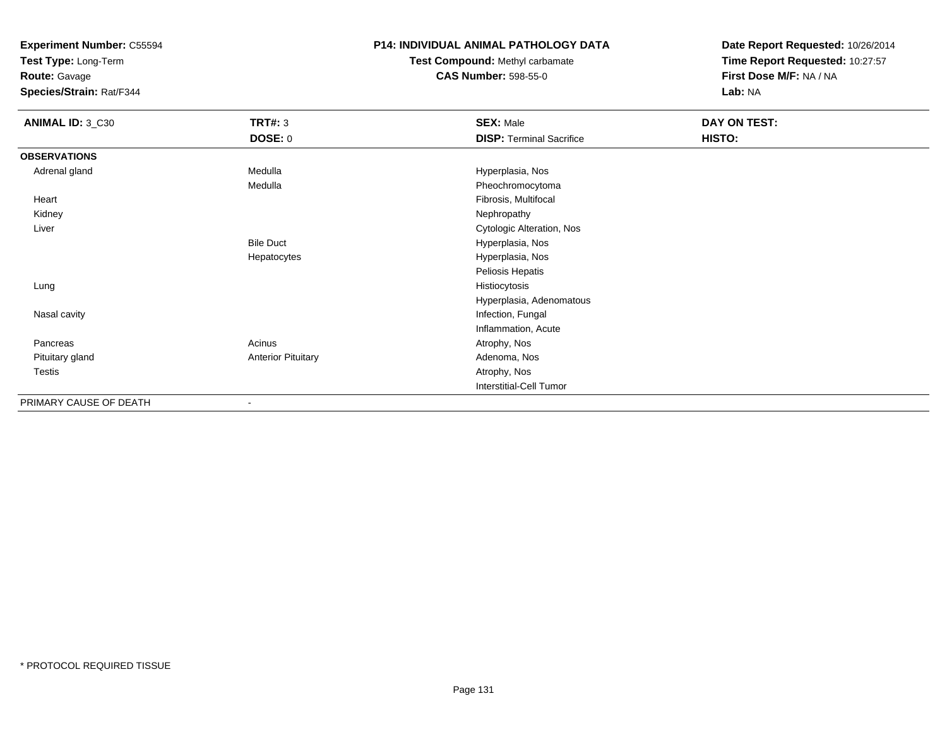**Test Type:** Long-Term

**Route:** Gavage

**Species/Strain:** Rat/F344

# **P14: INDIVIDUAL ANIMAL PATHOLOGY DATA**

**Test Compound:** Methyl carbamate**CAS Number:** 598-55-0

| ANIMAL ID: 3_C30       | <b>TRT#: 3</b>            | <b>SEX: Male</b>                | <b>DAY ON TEST:</b> |  |
|------------------------|---------------------------|---------------------------------|---------------------|--|
|                        | <b>DOSE: 0</b>            | <b>DISP: Terminal Sacrifice</b> | HISTO:              |  |
| <b>OBSERVATIONS</b>    |                           |                                 |                     |  |
| Adrenal gland          | Medulla                   | Hyperplasia, Nos                |                     |  |
|                        | Medulla                   | Pheochromocytoma                |                     |  |
| Heart                  |                           | Fibrosis, Multifocal            |                     |  |
| Kidney                 |                           | Nephropathy                     |                     |  |
| Liver                  |                           | Cytologic Alteration, Nos       |                     |  |
|                        | <b>Bile Duct</b>          | Hyperplasia, Nos                |                     |  |
|                        | Hepatocytes               | Hyperplasia, Nos                |                     |  |
|                        |                           | Peliosis Hepatis                |                     |  |
| Lung                   |                           | Histiocytosis                   |                     |  |
|                        |                           | Hyperplasia, Adenomatous        |                     |  |
| Nasal cavity           |                           | Infection, Fungal               |                     |  |
|                        |                           | Inflammation, Acute             |                     |  |
| Pancreas               | Acinus                    | Atrophy, Nos                    |                     |  |
| Pituitary gland        | <b>Anterior Pituitary</b> | Adenoma, Nos                    |                     |  |
| Testis                 |                           | Atrophy, Nos                    |                     |  |
|                        |                           | Interstitial-Cell Tumor         |                     |  |
| PRIMARY CAUSE OF DEATH |                           |                                 |                     |  |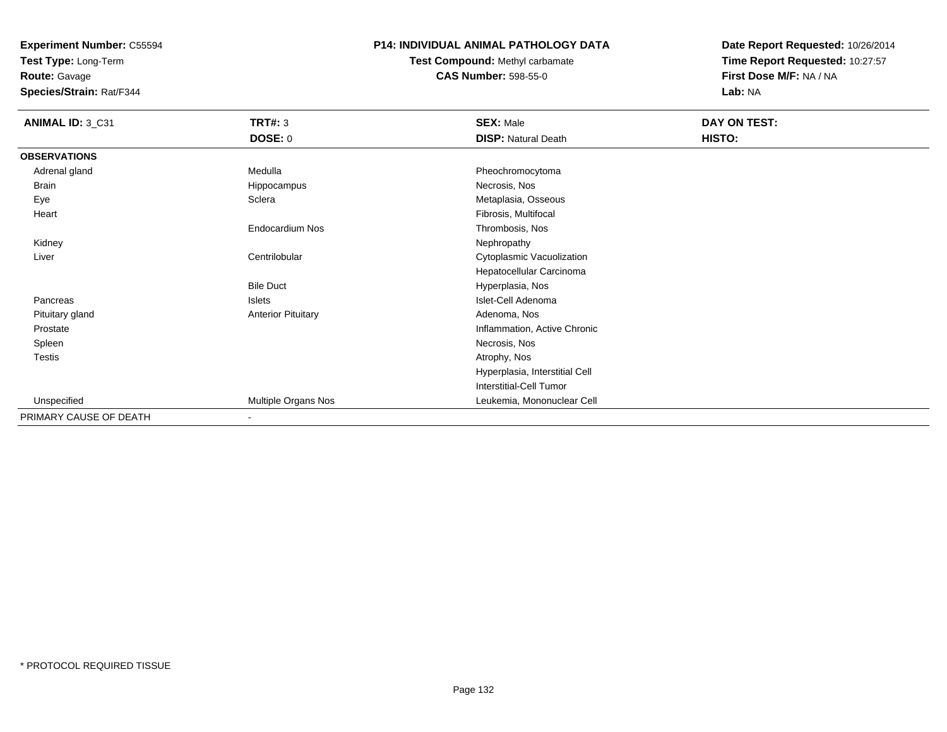**Test Type:** Long-Term

**Route:** Gavage

**Species/Strain:** Rat/F344

# **P14: INDIVIDUAL ANIMAL PATHOLOGY DATA**

# **Test Compound:** Methyl carbamate**CAS Number:** 598-55-0

| <b>ANIMAL ID: 3_C31</b> | <b>TRT#: 3</b>            | <b>SEX: Male</b>               | DAY ON TEST: |
|-------------------------|---------------------------|--------------------------------|--------------|
|                         | <b>DOSE: 0</b>            | <b>DISP: Natural Death</b>     | HISTO:       |
| <b>OBSERVATIONS</b>     |                           |                                |              |
| Adrenal gland           | Medulla                   | Pheochromocytoma               |              |
| Brain                   | Hippocampus               | Necrosis, Nos                  |              |
| Eye                     | Sclera                    | Metaplasia, Osseous            |              |
| Heart                   |                           | Fibrosis, Multifocal           |              |
|                         | Endocardium Nos           | Thrombosis, Nos                |              |
| Kidney                  |                           | Nephropathy                    |              |
| Liver                   | Centrilobular             | Cytoplasmic Vacuolization      |              |
|                         |                           | Hepatocellular Carcinoma       |              |
|                         | <b>Bile Duct</b>          | Hyperplasia, Nos               |              |
| Pancreas                | Islets                    | Islet-Cell Adenoma             |              |
| Pituitary gland         | <b>Anterior Pituitary</b> | Adenoma, Nos                   |              |
| Prostate                |                           | Inflammation, Active Chronic   |              |
| Spleen                  |                           | Necrosis, Nos                  |              |
| <b>Testis</b>           |                           | Atrophy, Nos                   |              |
|                         |                           | Hyperplasia, Interstitial Cell |              |
|                         |                           | <b>Interstitial-Cell Tumor</b> |              |
| Unspecified             | Multiple Organs Nos       | Leukemia, Mononuclear Cell     |              |
| PRIMARY CAUSE OF DEATH  | $\blacksquare$            |                                |              |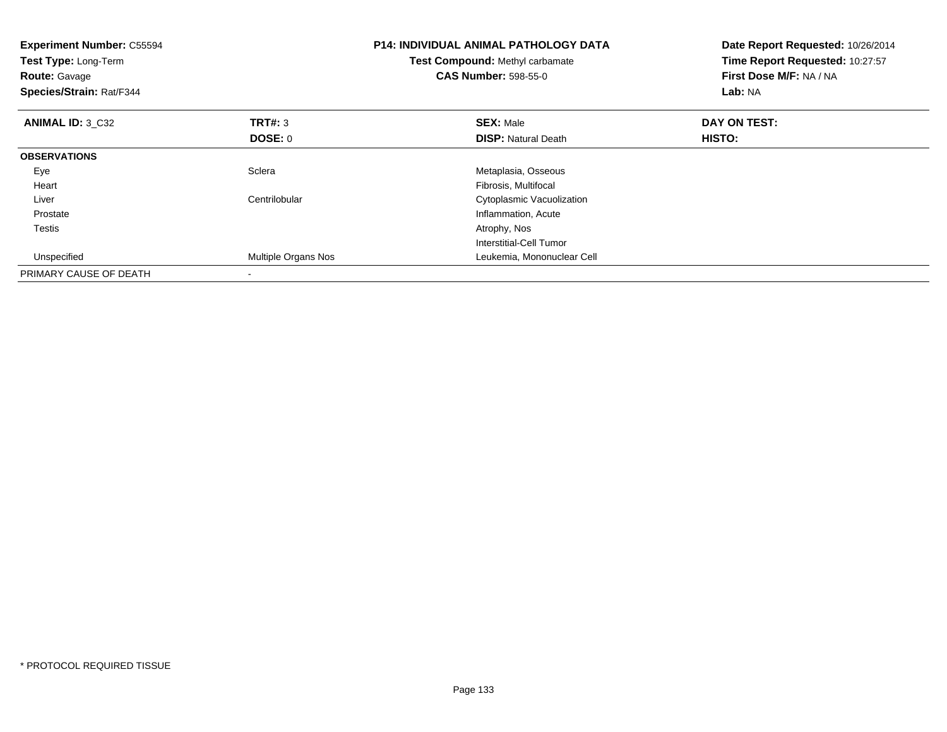| <b>Experiment Number: C55594</b><br>Test Type: Long-Term<br><b>Route: Gavage</b><br>Species/Strain: Rat/F344 |                     | <b>P14: INDIVIDUAL ANIMAL PATHOLOGY DATA</b><br>Test Compound: Methyl carbamate<br><b>CAS Number: 598-55-0</b> | Date Report Requested: 10/26/2014<br>Time Report Requested: 10:27:57<br>First Dose M/F: NA / NA<br>Lab: NA |
|--------------------------------------------------------------------------------------------------------------|---------------------|----------------------------------------------------------------------------------------------------------------|------------------------------------------------------------------------------------------------------------|
| <b>ANIMAL ID: 3 C32</b>                                                                                      | <b>TRT#: 3</b>      | <b>SEX: Male</b>                                                                                               | DAY ON TEST:                                                                                               |
|                                                                                                              | <b>DOSE: 0</b>      | <b>DISP: Natural Death</b>                                                                                     | HISTO:                                                                                                     |
| <b>OBSERVATIONS</b>                                                                                          |                     |                                                                                                                |                                                                                                            |
| Eye                                                                                                          | Sclera              | Metaplasia, Osseous                                                                                            |                                                                                                            |
| Heart                                                                                                        |                     | Fibrosis, Multifocal                                                                                           |                                                                                                            |
| Liver                                                                                                        | Centrilobular       | Cytoplasmic Vacuolization                                                                                      |                                                                                                            |
| Prostate                                                                                                     |                     | Inflammation, Acute                                                                                            |                                                                                                            |
| <b>Testis</b>                                                                                                |                     | Atrophy, Nos                                                                                                   |                                                                                                            |
|                                                                                                              |                     | Interstitial-Cell Tumor                                                                                        |                                                                                                            |
| Unspecified                                                                                                  | Multiple Organs Nos | Leukemia, Mononuclear Cell                                                                                     |                                                                                                            |
| PRIMARY CAUSE OF DEATH                                                                                       |                     |                                                                                                                |                                                                                                            |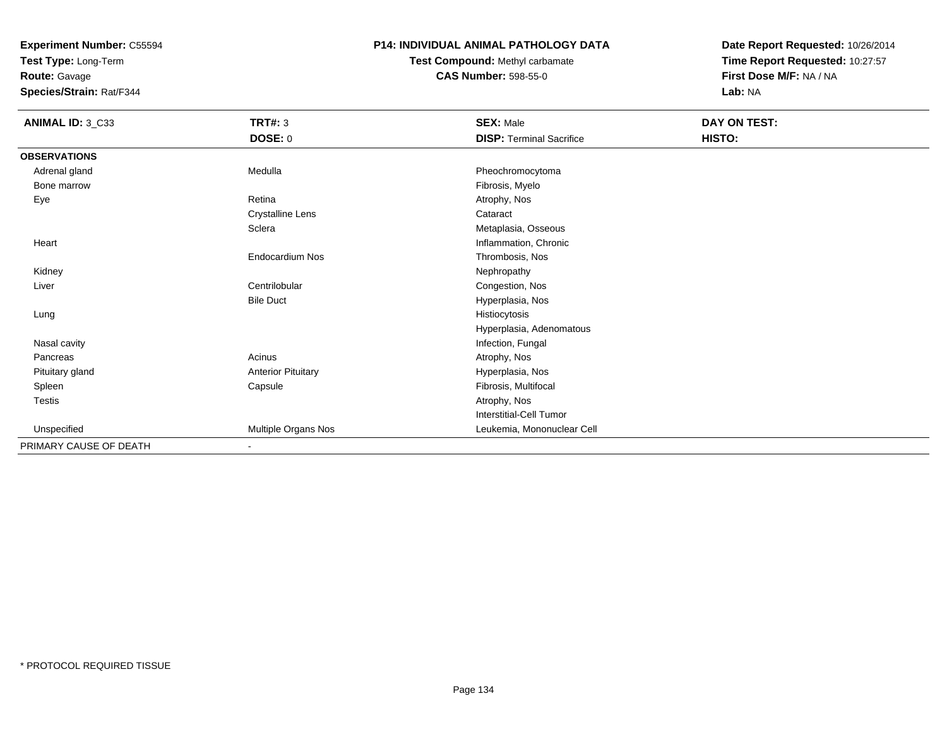**Test Type:** Long-Term

**Route:** Gavage

**Species/Strain:** Rat/F344

# **P14: INDIVIDUAL ANIMAL PATHOLOGY DATA**

**Test Compound:** Methyl carbamate**CAS Number:** 598-55-0

| ANIMAL ID: 3_C33       | TRT#: 3                   | <b>SEX: Male</b>                | DAY ON TEST: |  |
|------------------------|---------------------------|---------------------------------|--------------|--|
|                        | DOSE: 0                   | <b>DISP: Terminal Sacrifice</b> | HISTO:       |  |
| <b>OBSERVATIONS</b>    |                           |                                 |              |  |
| Adrenal gland          | Medulla                   | Pheochromocytoma                |              |  |
| Bone marrow            |                           | Fibrosis, Myelo                 |              |  |
| Eye                    | Retina                    | Atrophy, Nos                    |              |  |
|                        | Crystalline Lens          | Cataract                        |              |  |
|                        | Sclera                    | Metaplasia, Osseous             |              |  |
| Heart                  |                           | Inflammation, Chronic           |              |  |
|                        | Endocardium Nos           | Thrombosis, Nos                 |              |  |
| Kidney                 |                           | Nephropathy                     |              |  |
| Liver                  | Centrilobular             | Congestion, Nos                 |              |  |
|                        | <b>Bile Duct</b>          | Hyperplasia, Nos                |              |  |
| Lung                   |                           | Histiocytosis                   |              |  |
|                        |                           | Hyperplasia, Adenomatous        |              |  |
| Nasal cavity           |                           | Infection, Fungal               |              |  |
| Pancreas               | Acinus                    | Atrophy, Nos                    |              |  |
| Pituitary gland        | <b>Anterior Pituitary</b> | Hyperplasia, Nos                |              |  |
| Spleen                 | Capsule                   | Fibrosis, Multifocal            |              |  |
| Testis                 |                           | Atrophy, Nos                    |              |  |
|                        |                           | Interstitial-Cell Tumor         |              |  |
| Unspecified            | Multiple Organs Nos       | Leukemia, Mononuclear Cell      |              |  |
| PRIMARY CAUSE OF DEATH | $\blacksquare$            |                                 |              |  |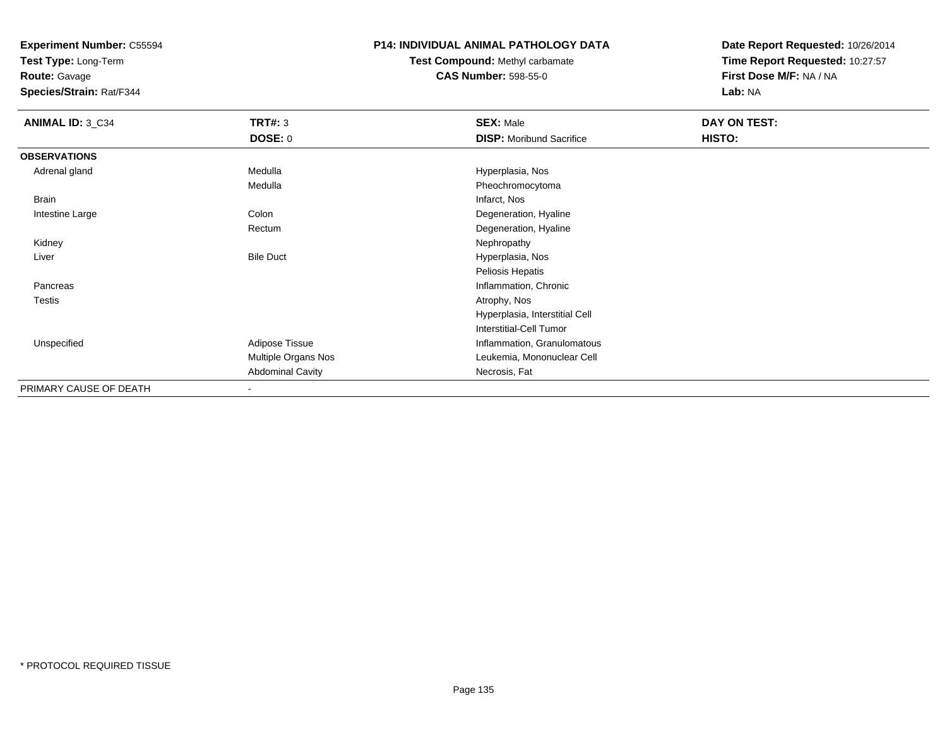**Test Type:** Long-Term

# **Route:** Gavage

**Species/Strain:** Rat/F344

#### **P14: INDIVIDUAL ANIMAL PATHOLOGY DATA**

# **Test Compound:** Methyl carbamate**CAS Number:** 598-55-0

| <b>ANIMAL ID: 3_C34</b> | <b>TRT#: 3</b>           | <b>SEX: Male</b>                | DAY ON TEST: |  |
|-------------------------|--------------------------|---------------------------------|--------------|--|
|                         | DOSE: 0                  | <b>DISP:</b> Moribund Sacrifice | HISTO:       |  |
| <b>OBSERVATIONS</b>     |                          |                                 |              |  |
| Adrenal gland           | Medulla                  | Hyperplasia, Nos                |              |  |
|                         | Medulla                  | Pheochromocytoma                |              |  |
| Brain                   |                          | Infarct, Nos                    |              |  |
| Intestine Large         | Colon                    | Degeneration, Hyaline           |              |  |
|                         | Rectum                   | Degeneration, Hyaline           |              |  |
| Kidney                  |                          | Nephropathy                     |              |  |
| Liver                   | <b>Bile Duct</b>         | Hyperplasia, Nos                |              |  |
|                         |                          | Peliosis Hepatis                |              |  |
| Pancreas                |                          | Inflammation, Chronic           |              |  |
| Testis                  |                          | Atrophy, Nos                    |              |  |
|                         |                          | Hyperplasia, Interstitial Cell  |              |  |
|                         |                          | <b>Interstitial-Cell Tumor</b>  |              |  |
| Unspecified             | Adipose Tissue           | Inflammation, Granulomatous     |              |  |
|                         | Multiple Organs Nos      | Leukemia, Mononuclear Cell      |              |  |
|                         | <b>Abdominal Cavity</b>  | Necrosis, Fat                   |              |  |
| PRIMARY CAUSE OF DEATH  | $\overline{\phantom{a}}$ |                                 |              |  |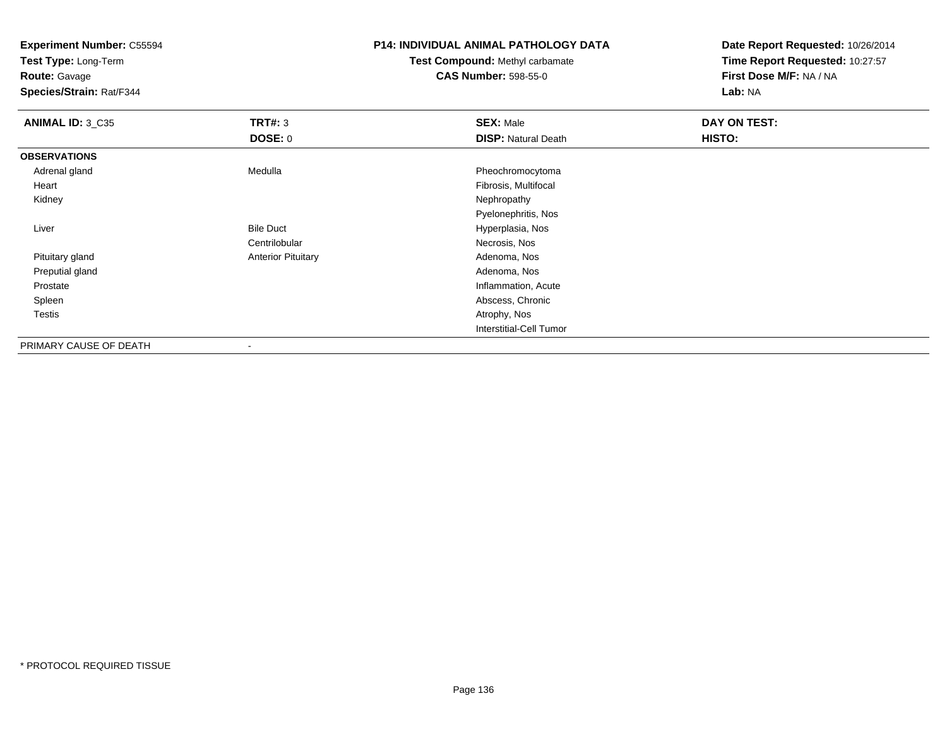**Test Type:** Long-Term

**Route:** Gavage

**Species/Strain:** Rat/F344

# **P14: INDIVIDUAL ANIMAL PATHOLOGY DATA**

**Test Compound:** Methyl carbamate**CAS Number:** 598-55-0

| ANIMAL ID: 3_C35       | TRT#: 3                   | <b>SEX: Male</b>           | DAY ON TEST: |
|------------------------|---------------------------|----------------------------|--------------|
|                        | <b>DOSE: 0</b>            | <b>DISP: Natural Death</b> | HISTO:       |
| <b>OBSERVATIONS</b>    |                           |                            |              |
| Adrenal gland          | Medulla                   | Pheochromocytoma           |              |
| Heart                  |                           | Fibrosis, Multifocal       |              |
| Kidney                 |                           | Nephropathy                |              |
|                        |                           | Pyelonephritis, Nos        |              |
| Liver                  | <b>Bile Duct</b>          | Hyperplasia, Nos           |              |
|                        | Centrilobular             | Necrosis, Nos              |              |
| Pituitary gland        | <b>Anterior Pituitary</b> | Adenoma, Nos               |              |
| Preputial gland        |                           | Adenoma, Nos               |              |
| Prostate               |                           | Inflammation, Acute        |              |
| Spleen                 |                           | Abscess, Chronic           |              |
| <b>Testis</b>          |                           | Atrophy, Nos               |              |
|                        |                           | Interstitial-Cell Tumor    |              |
| PRIMARY CAUSE OF DEATH | $\overline{\phantom{a}}$  |                            |              |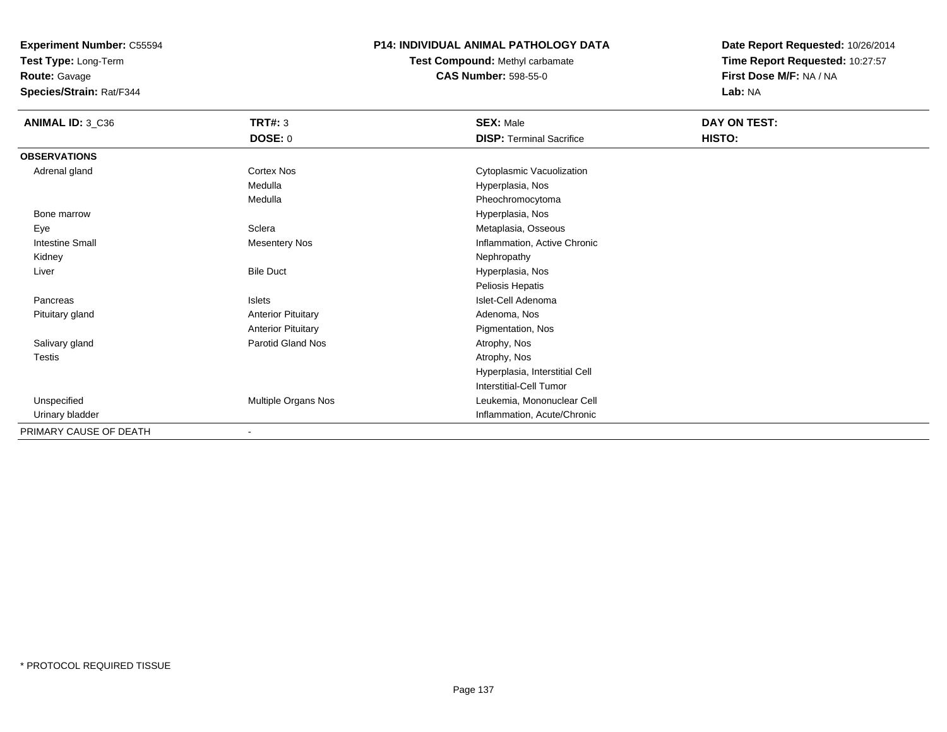**Test Type:** Long-Term

**Route:** Gavage

**Species/Strain:** Rat/F344

# **P14: INDIVIDUAL ANIMAL PATHOLOGY DATA**

**Test Compound:** Methyl carbamate**CAS Number:** 598-55-0

| ANIMAL ID: 3_C36       | TRT#: 3<br><b>DOSE: 0</b>  | <b>SEX: Male</b><br><b>DISP: Terminal Sacrifice</b> | DAY ON TEST:<br>HISTO: |
|------------------------|----------------------------|-----------------------------------------------------|------------------------|
| <b>OBSERVATIONS</b>    |                            |                                                     |                        |
| Adrenal gland          | <b>Cortex Nos</b>          | Cytoplasmic Vacuolization                           |                        |
|                        | Medulla                    | Hyperplasia, Nos                                    |                        |
|                        | Medulla                    | Pheochromocytoma                                    |                        |
| Bone marrow            |                            | Hyperplasia, Nos                                    |                        |
| Eye                    | Sclera                     | Metaplasia, Osseous                                 |                        |
| <b>Intestine Small</b> | <b>Mesentery Nos</b>       | Inflammation, Active Chronic                        |                        |
| Kidney                 |                            | Nephropathy                                         |                        |
| Liver                  | <b>Bile Duct</b>           | Hyperplasia, Nos                                    |                        |
|                        |                            | Peliosis Hepatis                                    |                        |
| Pancreas               | Islets                     | Islet-Cell Adenoma                                  |                        |
| Pituitary gland        | <b>Anterior Pituitary</b>  | Adenoma, Nos                                        |                        |
|                        | <b>Anterior Pituitary</b>  | Pigmentation, Nos                                   |                        |
| Salivary gland         | Parotid Gland Nos          | Atrophy, Nos                                        |                        |
| Testis                 |                            | Atrophy, Nos                                        |                        |
|                        |                            | Hyperplasia, Interstitial Cell                      |                        |
|                        |                            | <b>Interstitial-Cell Tumor</b>                      |                        |
| Unspecified            | <b>Multiple Organs Nos</b> | Leukemia, Mononuclear Cell                          |                        |
| Urinary bladder        |                            | Inflammation, Acute/Chronic                         |                        |
| PRIMARY CAUSE OF DEATH |                            |                                                     |                        |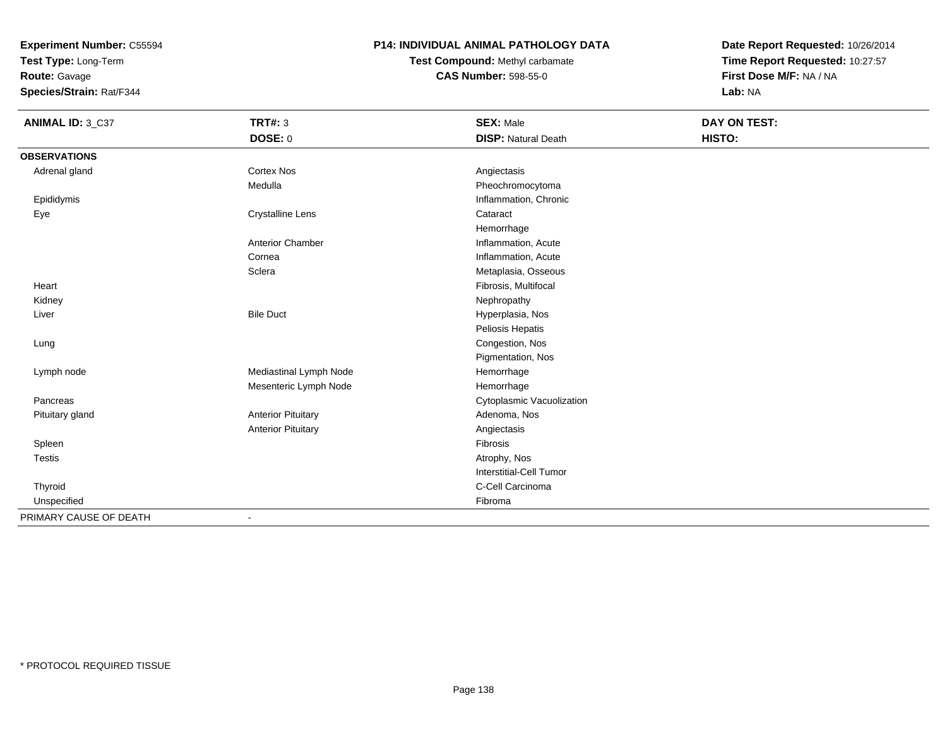**Test Type:** Long-Term

**Route:** Gavage

**Species/Strain:** Rat/F344

# **P14: INDIVIDUAL ANIMAL PATHOLOGY DATA**

# **Test Compound:** Methyl carbamate**CAS Number:** 598-55-0

| ANIMAL ID: 3_C37       | <b>TRT#: 3</b>            | <b>SEX: Male</b>               | DAY ON TEST: |  |
|------------------------|---------------------------|--------------------------------|--------------|--|
|                        | DOSE: 0                   | <b>DISP: Natural Death</b>     | HISTO:       |  |
| <b>OBSERVATIONS</b>    |                           |                                |              |  |
| Adrenal gland          | Cortex Nos                | Angiectasis                    |              |  |
|                        | Medulla                   | Pheochromocytoma               |              |  |
| Epididymis             |                           | Inflammation, Chronic          |              |  |
| Eye                    | <b>Crystalline Lens</b>   | Cataract                       |              |  |
|                        |                           | Hemorrhage                     |              |  |
|                        | <b>Anterior Chamber</b>   | Inflammation, Acute            |              |  |
|                        | Cornea                    | Inflammation, Acute            |              |  |
|                        | Sclera                    | Metaplasia, Osseous            |              |  |
| Heart                  |                           | Fibrosis, Multifocal           |              |  |
| Kidney                 |                           | Nephropathy                    |              |  |
| Liver                  | <b>Bile Duct</b>          | Hyperplasia, Nos               |              |  |
|                        |                           | Peliosis Hepatis               |              |  |
| Lung                   |                           | Congestion, Nos                |              |  |
|                        |                           | Pigmentation, Nos              |              |  |
| Lymph node             | Mediastinal Lymph Node    | Hemorrhage                     |              |  |
|                        | Mesenteric Lymph Node     | Hemorrhage                     |              |  |
| Pancreas               |                           | Cytoplasmic Vacuolization      |              |  |
| Pituitary gland        | <b>Anterior Pituitary</b> | Adenoma, Nos                   |              |  |
|                        | <b>Anterior Pituitary</b> | Angiectasis                    |              |  |
| Spleen                 |                           | Fibrosis                       |              |  |
| <b>Testis</b>          |                           | Atrophy, Nos                   |              |  |
|                        |                           | <b>Interstitial-Cell Tumor</b> |              |  |
| Thyroid                |                           | C-Cell Carcinoma               |              |  |
| Unspecified            |                           | Fibroma                        |              |  |
| PRIMARY CAUSE OF DEATH | $\blacksquare$            |                                |              |  |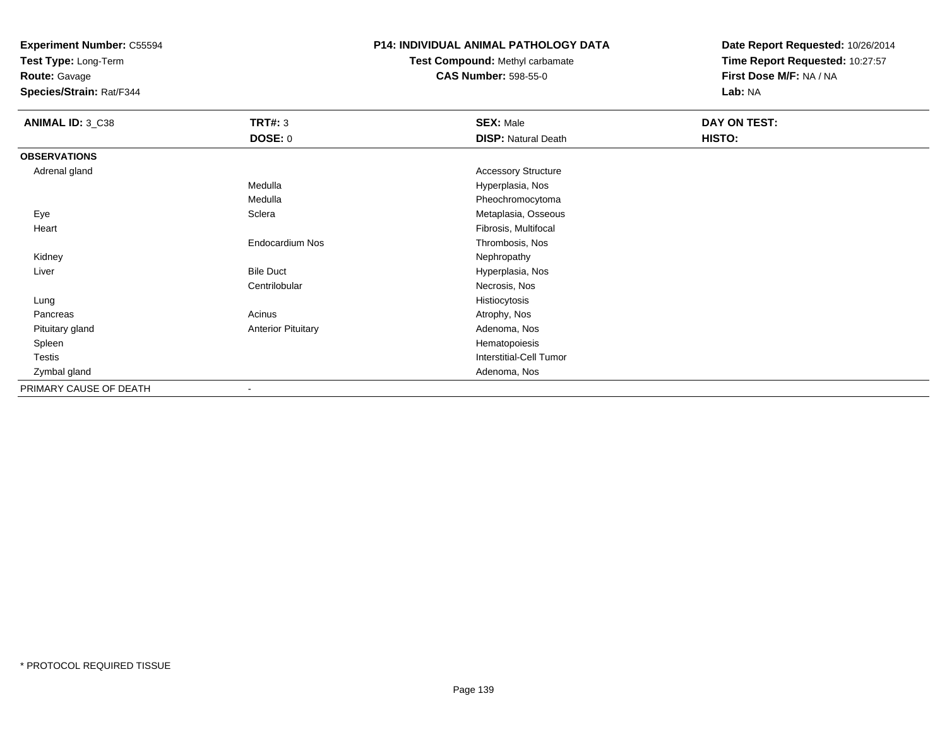**Test Type:** Long-Term

**Route:** Gavage

**Species/Strain:** Rat/F344

# **P14: INDIVIDUAL ANIMAL PATHOLOGY DATA**

# **Test Compound:** Methyl carbamate**CAS Number:** 598-55-0

| ANIMAL ID: 3_C38       | <b>TRT#: 3</b>            | <b>SEX: Male</b>           | DAY ON TEST: |  |
|------------------------|---------------------------|----------------------------|--------------|--|
|                        | <b>DOSE: 0</b>            | <b>DISP: Natural Death</b> | HISTO:       |  |
| <b>OBSERVATIONS</b>    |                           |                            |              |  |
| Adrenal gland          |                           | <b>Accessory Structure</b> |              |  |
|                        | Medulla                   | Hyperplasia, Nos           |              |  |
|                        | Medulla                   | Pheochromocytoma           |              |  |
| Eye                    | Sclera                    | Metaplasia, Osseous        |              |  |
| Heart                  |                           | Fibrosis, Multifocal       |              |  |
|                        | Endocardium Nos           | Thrombosis, Nos            |              |  |
| Kidney                 |                           | Nephropathy                |              |  |
| Liver                  | <b>Bile Duct</b>          | Hyperplasia, Nos           |              |  |
|                        | Centrilobular             | Necrosis, Nos              |              |  |
| Lung                   |                           | Histiocytosis              |              |  |
| Pancreas               | Acinus                    | Atrophy, Nos               |              |  |
| Pituitary gland        | <b>Anterior Pituitary</b> | Adenoma, Nos               |              |  |
| Spleen                 |                           | Hematopoiesis              |              |  |
| Testis                 |                           | Interstitial-Cell Tumor    |              |  |
| Zymbal gland           |                           | Adenoma, Nos               |              |  |
| PRIMARY CAUSE OF DEATH |                           |                            |              |  |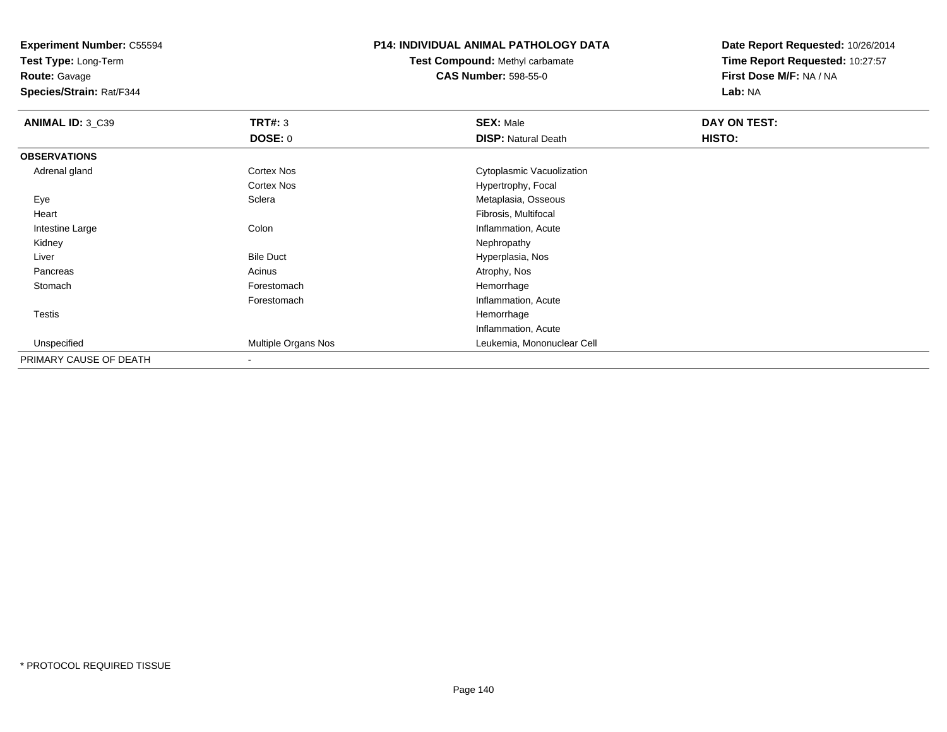**Test Type:** Long-Term

**Route:** Gavage

**Species/Strain:** Rat/F344

## **P14: INDIVIDUAL ANIMAL PATHOLOGY DATA**

**Test Compound:** Methyl carbamate**CAS Number:** 598-55-0

| ANIMAL ID: 3_C39       | <b>TRT#: 3</b>      | <b>SEX: Male</b>           | <b>DAY ON TEST:</b> |  |
|------------------------|---------------------|----------------------------|---------------------|--|
|                        | <b>DOSE: 0</b>      | <b>DISP: Natural Death</b> | HISTO:              |  |
| <b>OBSERVATIONS</b>    |                     |                            |                     |  |
| Adrenal gland          | <b>Cortex Nos</b>   | Cytoplasmic Vacuolization  |                     |  |
|                        | <b>Cortex Nos</b>   | Hypertrophy, Focal         |                     |  |
| Eye                    | Sclera              | Metaplasia, Osseous        |                     |  |
| Heart                  |                     | Fibrosis, Multifocal       |                     |  |
| Intestine Large        | Colon               | Inflammation, Acute        |                     |  |
| Kidney                 |                     | Nephropathy                |                     |  |
| Liver                  | <b>Bile Duct</b>    | Hyperplasia, Nos           |                     |  |
| Pancreas               | Acinus              | Atrophy, Nos               |                     |  |
| Stomach                | Forestomach         | Hemorrhage                 |                     |  |
|                        | Forestomach         | Inflammation, Acute        |                     |  |
| Testis                 |                     | Hemorrhage                 |                     |  |
|                        |                     | Inflammation, Acute        |                     |  |
| Unspecified            | Multiple Organs Nos | Leukemia, Mononuclear Cell |                     |  |
| PRIMARY CAUSE OF DEATH |                     |                            |                     |  |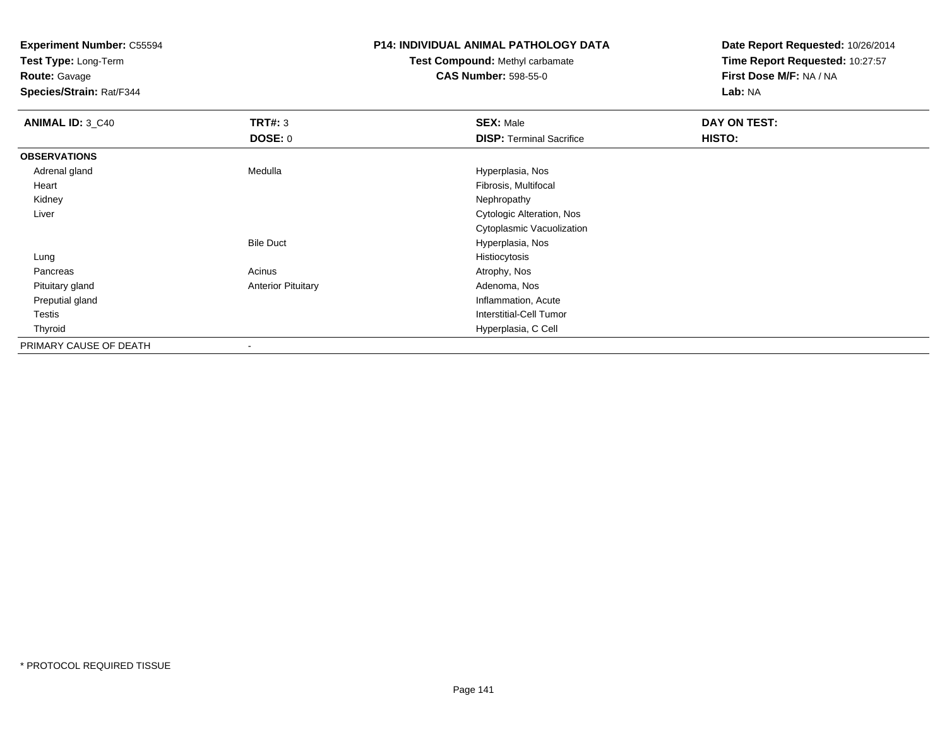**Test Type:** Long-Term

**Route:** Gavage

**Species/Strain:** Rat/F344

# **P14: INDIVIDUAL ANIMAL PATHOLOGY DATA**

**Test Compound:** Methyl carbamate**CAS Number:** 598-55-0

| <b>ANIMAL ID: 3_C40</b> | TRT#: 3                   | <b>SEX: Male</b>                | DAY ON TEST: |  |
|-------------------------|---------------------------|---------------------------------|--------------|--|
|                         | <b>DOSE: 0</b>            | <b>DISP: Terminal Sacrifice</b> | HISTO:       |  |
| <b>OBSERVATIONS</b>     |                           |                                 |              |  |
| Adrenal gland           | Medulla                   | Hyperplasia, Nos                |              |  |
| Heart                   |                           | Fibrosis, Multifocal            |              |  |
| Kidney                  |                           | Nephropathy                     |              |  |
| Liver                   |                           | Cytologic Alteration, Nos       |              |  |
|                         |                           | Cytoplasmic Vacuolization       |              |  |
|                         | <b>Bile Duct</b>          | Hyperplasia, Nos                |              |  |
| Lung                    |                           | Histiocytosis                   |              |  |
| Pancreas                | Acinus                    | Atrophy, Nos                    |              |  |
| Pituitary gland         | <b>Anterior Pituitary</b> | Adenoma, Nos                    |              |  |
| Preputial gland         |                           | Inflammation, Acute             |              |  |
| Testis                  |                           | <b>Interstitial-Cell Tumor</b>  |              |  |
| Thyroid                 |                           | Hyperplasia, C Cell             |              |  |
| PRIMARY CAUSE OF DEATH  |                           |                                 |              |  |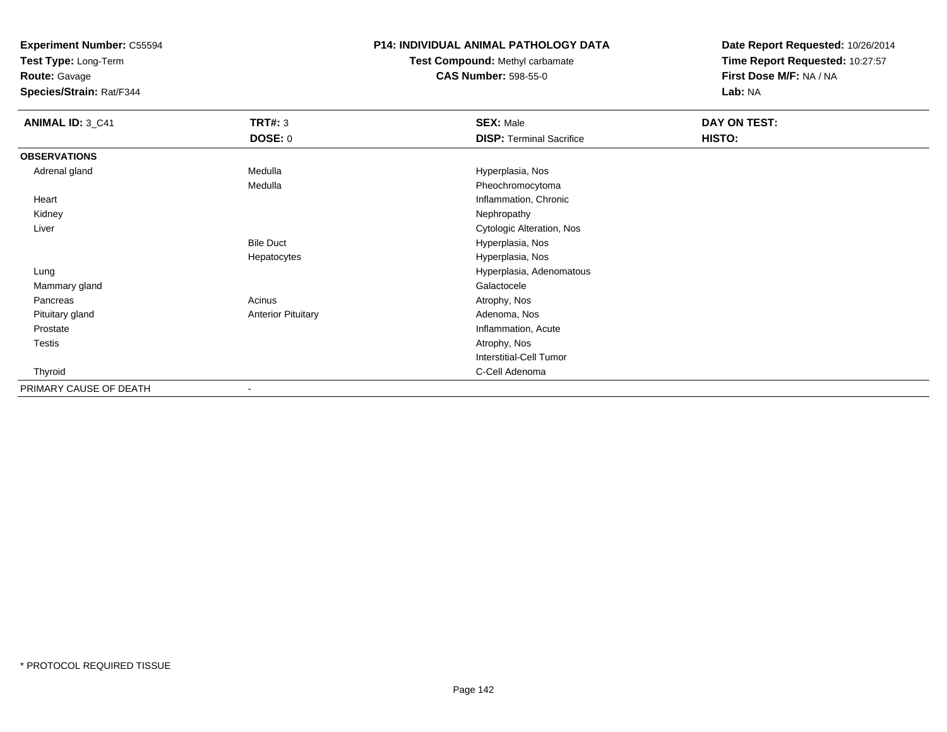**Test Type:** Long-Term

**Route:** Gavage

**Species/Strain:** Rat/F344

# **P14: INDIVIDUAL ANIMAL PATHOLOGY DATA**

**Test Compound:** Methyl carbamate**CAS Number:** 598-55-0

| <b>ANIMAL ID: 3_C41</b> | <b>TRT#: 3</b>            | <b>SEX: Male</b>                | DAY ON TEST: |  |
|-------------------------|---------------------------|---------------------------------|--------------|--|
|                         | <b>DOSE: 0</b>            | <b>DISP: Terminal Sacrifice</b> | HISTO:       |  |
| <b>OBSERVATIONS</b>     |                           |                                 |              |  |
| Adrenal gland           | Medulla                   | Hyperplasia, Nos                |              |  |
|                         | Medulla                   | Pheochromocytoma                |              |  |
| Heart                   |                           | Inflammation, Chronic           |              |  |
| Kidney                  |                           | Nephropathy                     |              |  |
| Liver                   |                           | Cytologic Alteration, Nos       |              |  |
|                         | <b>Bile Duct</b>          | Hyperplasia, Nos                |              |  |
|                         | Hepatocytes               | Hyperplasia, Nos                |              |  |
| Lung                    |                           | Hyperplasia, Adenomatous        |              |  |
| Mammary gland           |                           | Galactocele                     |              |  |
| Pancreas                | Acinus                    | Atrophy, Nos                    |              |  |
| Pituitary gland         | <b>Anterior Pituitary</b> | Adenoma, Nos                    |              |  |
| Prostate                |                           | Inflammation, Acute             |              |  |
| Testis                  |                           | Atrophy, Nos                    |              |  |
|                         |                           | <b>Interstitial-Cell Tumor</b>  |              |  |
| Thyroid                 |                           | C-Cell Adenoma                  |              |  |
| PRIMARY CAUSE OF DEATH  |                           |                                 |              |  |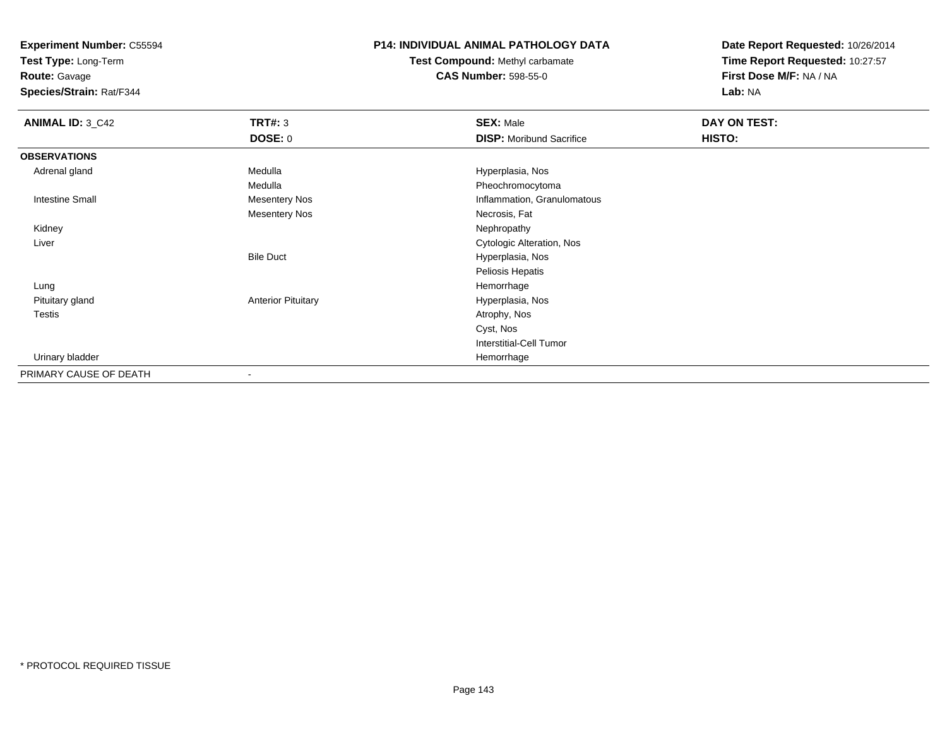**Test Type:** Long-Term

**Route:** Gavage

**Species/Strain:** Rat/F344

# **P14: INDIVIDUAL ANIMAL PATHOLOGY DATA**

**Test Compound:** Methyl carbamate**CAS Number:** 598-55-0

| <b>ANIMAL ID: 3_C42</b> | <b>TRT#: 3</b>            | <b>SEX: Male</b>                | DAY ON TEST: |  |
|-------------------------|---------------------------|---------------------------------|--------------|--|
|                         | <b>DOSE: 0</b>            | <b>DISP:</b> Moribund Sacrifice | HISTO:       |  |
| <b>OBSERVATIONS</b>     |                           |                                 |              |  |
| Adrenal gland           | Medulla                   | Hyperplasia, Nos                |              |  |
|                         | Medulla                   | Pheochromocytoma                |              |  |
| <b>Intestine Small</b>  | <b>Mesentery Nos</b>      | Inflammation, Granulomatous     |              |  |
|                         | <b>Mesentery Nos</b>      | Necrosis, Fat                   |              |  |
| Kidney                  |                           | Nephropathy                     |              |  |
| Liver                   |                           | Cytologic Alteration, Nos       |              |  |
|                         | <b>Bile Duct</b>          | Hyperplasia, Nos                |              |  |
|                         |                           | Peliosis Hepatis                |              |  |
| Lung                    |                           | Hemorrhage                      |              |  |
| Pituitary gland         | <b>Anterior Pituitary</b> | Hyperplasia, Nos                |              |  |
| Testis                  |                           | Atrophy, Nos                    |              |  |
|                         |                           | Cyst, Nos                       |              |  |
|                         |                           | <b>Interstitial-Cell Tumor</b>  |              |  |
| Urinary bladder         |                           | Hemorrhage                      |              |  |
| PRIMARY CAUSE OF DEATH  | $\blacksquare$            |                                 |              |  |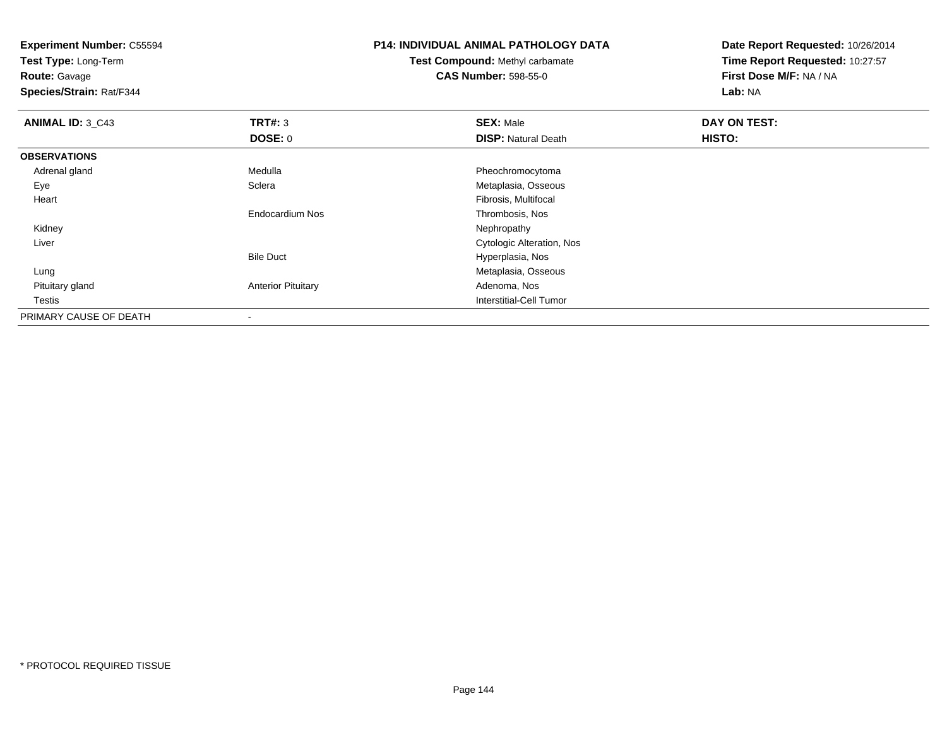**Test Type:** Long-Term

**Route:** Gavage

**Species/Strain:** Rat/F344

# **P14: INDIVIDUAL ANIMAL PATHOLOGY DATA**

# **Test Compound:** Methyl carbamate**CAS Number:** 598-55-0

| <b>ANIMAL ID: 3 C43</b> | TRT#: 3                   | <b>SEX: Male</b>           | DAY ON TEST: |  |
|-------------------------|---------------------------|----------------------------|--------------|--|
|                         | DOSE: 0                   | <b>DISP: Natural Death</b> | HISTO:       |  |
| <b>OBSERVATIONS</b>     |                           |                            |              |  |
| Adrenal gland           | Medulla                   | Pheochromocytoma           |              |  |
| Eye                     | Sclera                    | Metaplasia, Osseous        |              |  |
| Heart                   |                           | Fibrosis, Multifocal       |              |  |
|                         | <b>Endocardium Nos</b>    | Thrombosis, Nos            |              |  |
| Kidney                  |                           | Nephropathy                |              |  |
| Liver                   |                           | Cytologic Alteration, Nos  |              |  |
|                         | <b>Bile Duct</b>          | Hyperplasia, Nos           |              |  |
| Lung                    |                           | Metaplasia, Osseous        |              |  |
| Pituitary gland         | <b>Anterior Pituitary</b> | Adenoma, Nos               |              |  |
| Testis                  |                           | Interstitial-Cell Tumor    |              |  |
| PRIMARY CAUSE OF DEATH  | $\overline{\phantom{a}}$  |                            |              |  |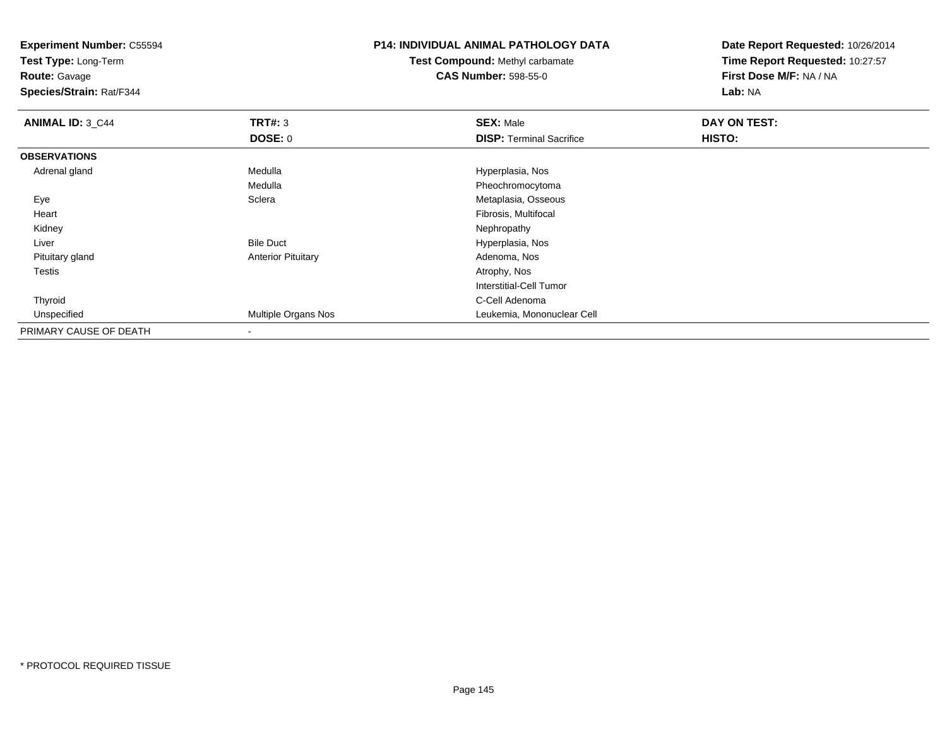**Test Type:** Long-Term

**Route:** Gavage

**Species/Strain:** Rat/F344

### **P14: INDIVIDUAL ANIMAL PATHOLOGY DATA**

### **Test Compound:** Methyl carbamate**CAS Number:** 598-55-0

| <b>ANIMAL ID: 3_C44</b> | TRT#: 3                   | <b>SEX: Male</b>                | DAY ON TEST: |  |
|-------------------------|---------------------------|---------------------------------|--------------|--|
|                         | <b>DOSE: 0</b>            | <b>DISP: Terminal Sacrifice</b> | HISTO:       |  |
| <b>OBSERVATIONS</b>     |                           |                                 |              |  |
| Adrenal gland           | Medulla                   | Hyperplasia, Nos                |              |  |
|                         | Medulla                   | Pheochromocytoma                |              |  |
| Eye                     | Sclera                    | Metaplasia, Osseous             |              |  |
| Heart                   |                           | Fibrosis, Multifocal            |              |  |
| Kidney                  |                           | Nephropathy                     |              |  |
| Liver                   | <b>Bile Duct</b>          | Hyperplasia, Nos                |              |  |
| Pituitary gland         | <b>Anterior Pituitary</b> | Adenoma, Nos                    |              |  |
| Testis                  |                           | Atrophy, Nos                    |              |  |
|                         |                           | Interstitial-Cell Tumor         |              |  |
| Thyroid                 |                           | C-Cell Adenoma                  |              |  |
| Unspecified             | Multiple Organs Nos       | Leukemia, Mononuclear Cell      |              |  |
| PRIMARY CAUSE OF DEATH  |                           |                                 |              |  |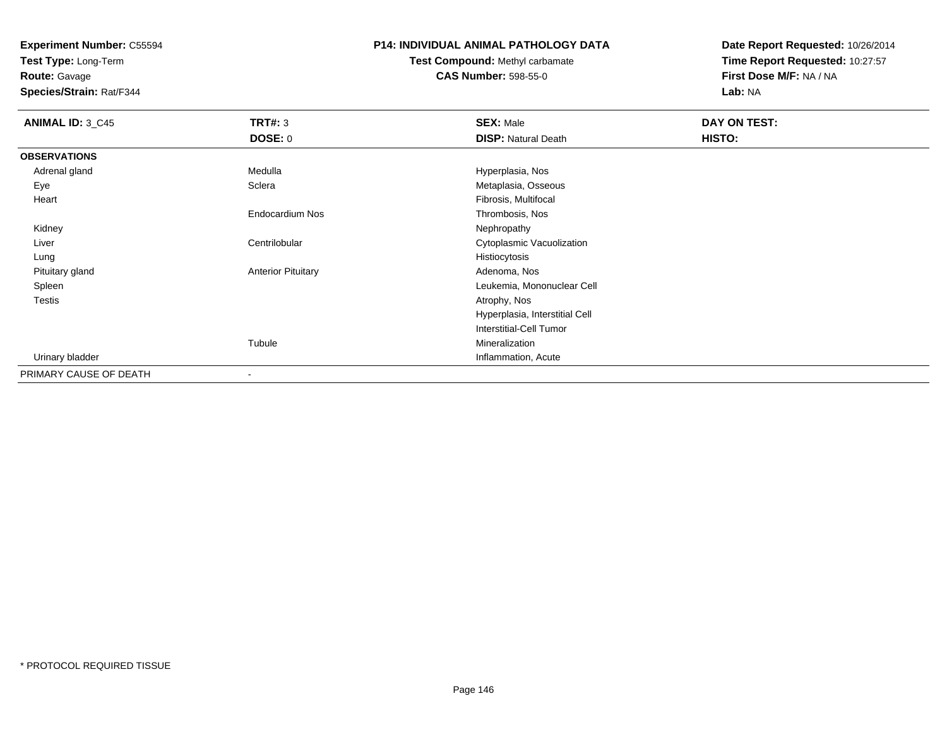**Test Type:** Long-Term

**Route:** Gavage

**Species/Strain:** Rat/F344

#### **P14: INDIVIDUAL ANIMAL PATHOLOGY DATA**

# **Test Compound:** Methyl carbamate**CAS Number:** 598-55-0

| <b>ANIMAL ID: 3_C45</b> | <b>TRT#: 3</b>            | <b>SEX: Male</b>               | DAY ON TEST: |  |
|-------------------------|---------------------------|--------------------------------|--------------|--|
|                         | <b>DOSE: 0</b>            | <b>DISP: Natural Death</b>     | HISTO:       |  |
| <b>OBSERVATIONS</b>     |                           |                                |              |  |
| Adrenal gland           | Medulla                   | Hyperplasia, Nos               |              |  |
| Eye                     | Sclera                    | Metaplasia, Osseous            |              |  |
| Heart                   |                           | Fibrosis, Multifocal           |              |  |
|                         | Endocardium Nos           | Thrombosis, Nos                |              |  |
| Kidney                  |                           | Nephropathy                    |              |  |
| Liver                   | Centrilobular             | Cytoplasmic Vacuolization      |              |  |
| Lung                    |                           | Histiocytosis                  |              |  |
| Pituitary gland         | <b>Anterior Pituitary</b> | Adenoma, Nos                   |              |  |
| Spleen                  |                           | Leukemia, Mononuclear Cell     |              |  |
| <b>Testis</b>           |                           | Atrophy, Nos                   |              |  |
|                         |                           | Hyperplasia, Interstitial Cell |              |  |
|                         |                           | <b>Interstitial-Cell Tumor</b> |              |  |
|                         | Tubule                    | Mineralization                 |              |  |
| Urinary bladder         |                           | Inflammation, Acute            |              |  |
| PRIMARY CAUSE OF DEATH  | ٠                         |                                |              |  |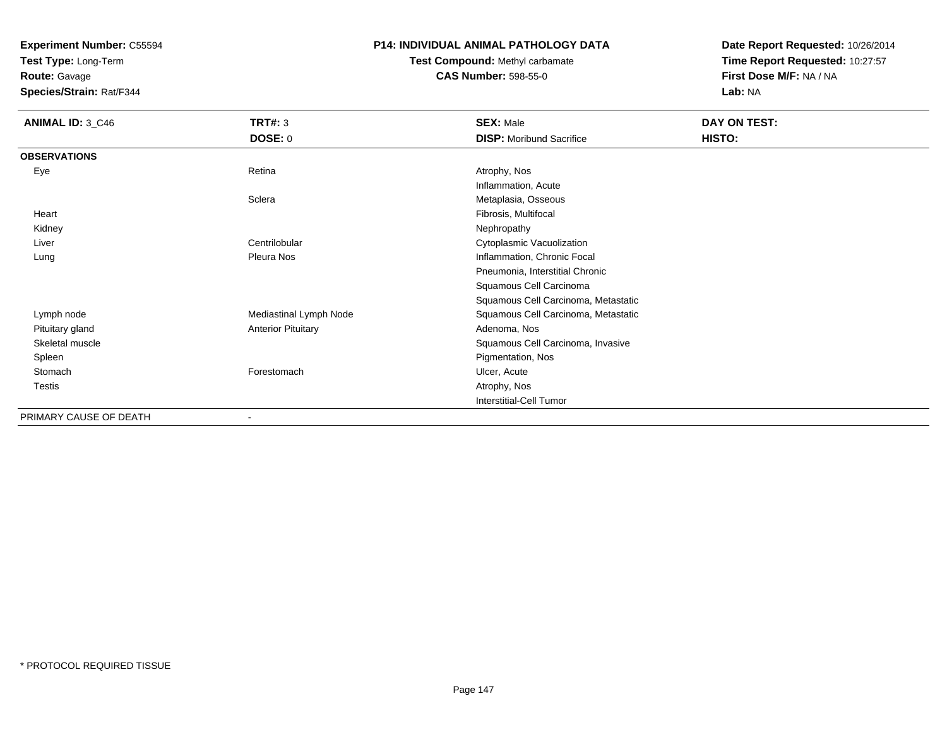**Test Type:** Long-Term

**Route:** Gavage

**Species/Strain:** Rat/F344

#### **P14: INDIVIDUAL ANIMAL PATHOLOGY DATA**

# **Test Compound:** Methyl carbamate**CAS Number:** 598-55-0

| <b>ANIMAL ID: 3_C46</b> | <b>TRT#: 3</b>            | <b>SEX: Male</b>                    | DAY ON TEST: |
|-------------------------|---------------------------|-------------------------------------|--------------|
|                         | <b>DOSE: 0</b>            | <b>DISP:</b> Moribund Sacrifice     | HISTO:       |
| <b>OBSERVATIONS</b>     |                           |                                     |              |
| Eye                     | Retina                    | Atrophy, Nos                        |              |
|                         |                           | Inflammation, Acute                 |              |
|                         | Sclera                    | Metaplasia, Osseous                 |              |
| Heart                   |                           | Fibrosis, Multifocal                |              |
| Kidney                  |                           | Nephropathy                         |              |
| Liver                   | Centrilobular             | Cytoplasmic Vacuolization           |              |
| Lung                    | Pleura Nos                | Inflammation, Chronic Focal         |              |
|                         |                           | Pneumonia, Interstitial Chronic     |              |
|                         |                           | Squamous Cell Carcinoma             |              |
|                         |                           | Squamous Cell Carcinoma, Metastatic |              |
| Lymph node              | Mediastinal Lymph Node    | Squamous Cell Carcinoma, Metastatic |              |
| Pituitary gland         | <b>Anterior Pituitary</b> | Adenoma, Nos                        |              |
| Skeletal muscle         |                           | Squamous Cell Carcinoma, Invasive   |              |
| Spleen                  |                           | Pigmentation, Nos                   |              |
| Stomach                 | Forestomach               | Ulcer, Acute                        |              |
| Testis                  |                           | Atrophy, Nos                        |              |
|                         |                           | Interstitial-Cell Tumor             |              |
| PRIMARY CAUSE OF DEATH  |                           |                                     |              |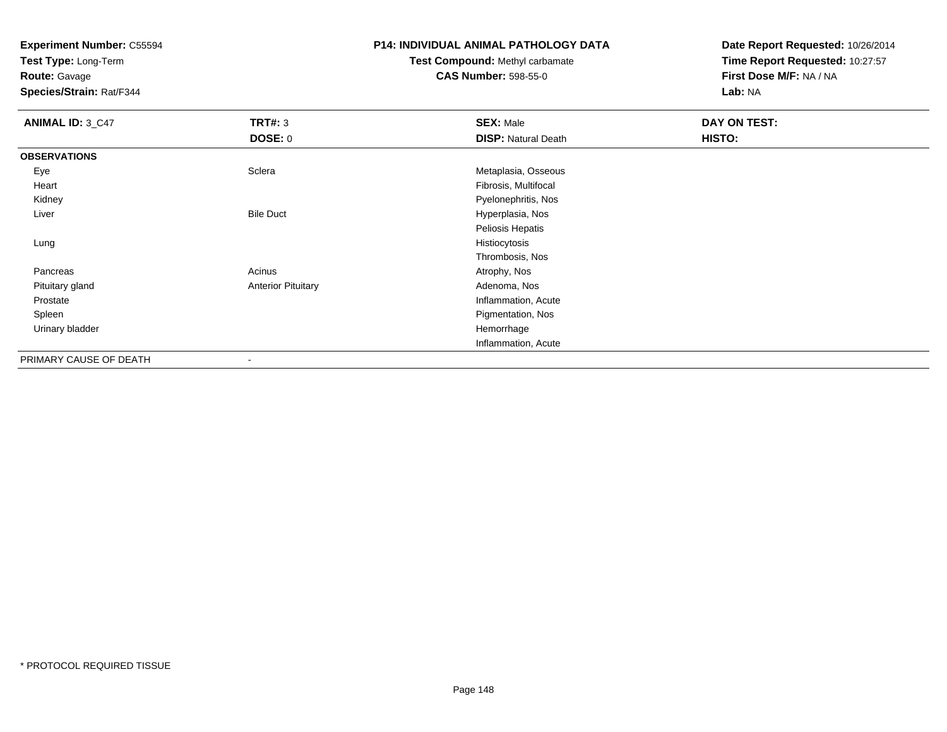**Test Type:** Long-Term

**Route:** Gavage

**Species/Strain:** Rat/F344

#### **P14: INDIVIDUAL ANIMAL PATHOLOGY DATA**

# **Test Compound:** Methyl carbamate**CAS Number:** 598-55-0

| <b>ANIMAL ID: 3_C47</b> | <b>TRT#: 3</b>            | <b>SEX: Male</b>           | <b>DAY ON TEST:</b> |  |
|-------------------------|---------------------------|----------------------------|---------------------|--|
|                         | <b>DOSE: 0</b>            | <b>DISP: Natural Death</b> | HISTO:              |  |
| <b>OBSERVATIONS</b>     |                           |                            |                     |  |
| Eye                     | Sclera                    | Metaplasia, Osseous        |                     |  |
| Heart                   |                           | Fibrosis, Multifocal       |                     |  |
| Kidney                  |                           | Pyelonephritis, Nos        |                     |  |
| Liver                   | <b>Bile Duct</b>          | Hyperplasia, Nos           |                     |  |
|                         |                           | Peliosis Hepatis           |                     |  |
| Lung                    |                           | Histiocytosis              |                     |  |
|                         |                           | Thrombosis, Nos            |                     |  |
| Pancreas                | Acinus                    | Atrophy, Nos               |                     |  |
| Pituitary gland         | <b>Anterior Pituitary</b> | Adenoma, Nos               |                     |  |
| Prostate                |                           | Inflammation, Acute        |                     |  |
| Spleen                  |                           | Pigmentation, Nos          |                     |  |
| Urinary bladder         |                           | Hemorrhage                 |                     |  |
|                         |                           | Inflammation, Acute        |                     |  |
| PRIMARY CAUSE OF DEATH  |                           |                            |                     |  |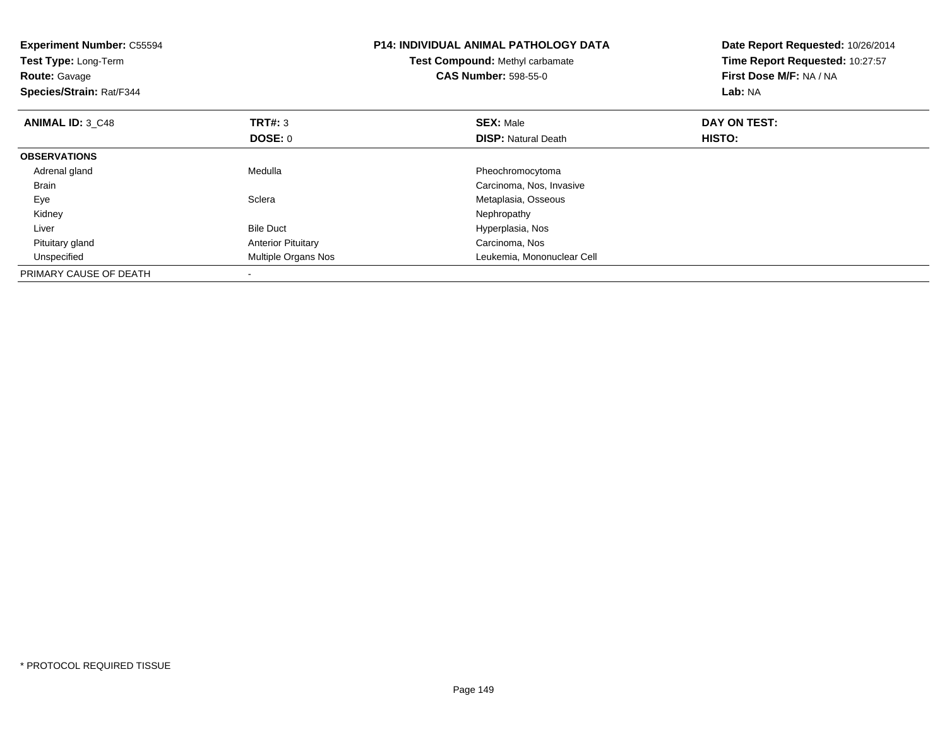| <b>Experiment Number: C55594</b><br>Test Type: Long-Term<br><b>Route: Gavage</b><br>Species/Strain: Rat/F344 |                           | <b>P14: INDIVIDUAL ANIMAL PATHOLOGY DATA</b><br>Test Compound: Methyl carbamate<br><b>CAS Number: 598-55-0</b> | Date Report Requested: 10/26/2014<br>Time Report Requested: 10:27:57<br>First Dose M/F: NA / NA<br>Lab: NA |  |
|--------------------------------------------------------------------------------------------------------------|---------------------------|----------------------------------------------------------------------------------------------------------------|------------------------------------------------------------------------------------------------------------|--|
| <b>ANIMAL ID: 3 C48</b>                                                                                      | <b>TRT#: 3</b>            | <b>SEX: Male</b>                                                                                               | DAY ON TEST:                                                                                               |  |
|                                                                                                              | DOSE: 0                   | <b>DISP:</b> Natural Death                                                                                     | HISTO:                                                                                                     |  |
| <b>OBSERVATIONS</b>                                                                                          |                           |                                                                                                                |                                                                                                            |  |
| Adrenal gland                                                                                                | Medulla                   | Pheochromocytoma                                                                                               |                                                                                                            |  |
| <b>Brain</b>                                                                                                 |                           | Carcinoma, Nos, Invasive                                                                                       |                                                                                                            |  |
| Eye                                                                                                          | Sclera                    | Metaplasia, Osseous                                                                                            |                                                                                                            |  |
| Kidney                                                                                                       |                           | Nephropathy                                                                                                    |                                                                                                            |  |
| Liver                                                                                                        | <b>Bile Duct</b>          | Hyperplasia, Nos                                                                                               |                                                                                                            |  |
| Pituitary gland                                                                                              | <b>Anterior Pituitary</b> | Carcinoma, Nos                                                                                                 |                                                                                                            |  |
| Unspecified                                                                                                  | Multiple Organs Nos       | Leukemia, Mononuclear Cell                                                                                     |                                                                                                            |  |
| PRIMARY CAUSE OF DEATH                                                                                       |                           |                                                                                                                |                                                                                                            |  |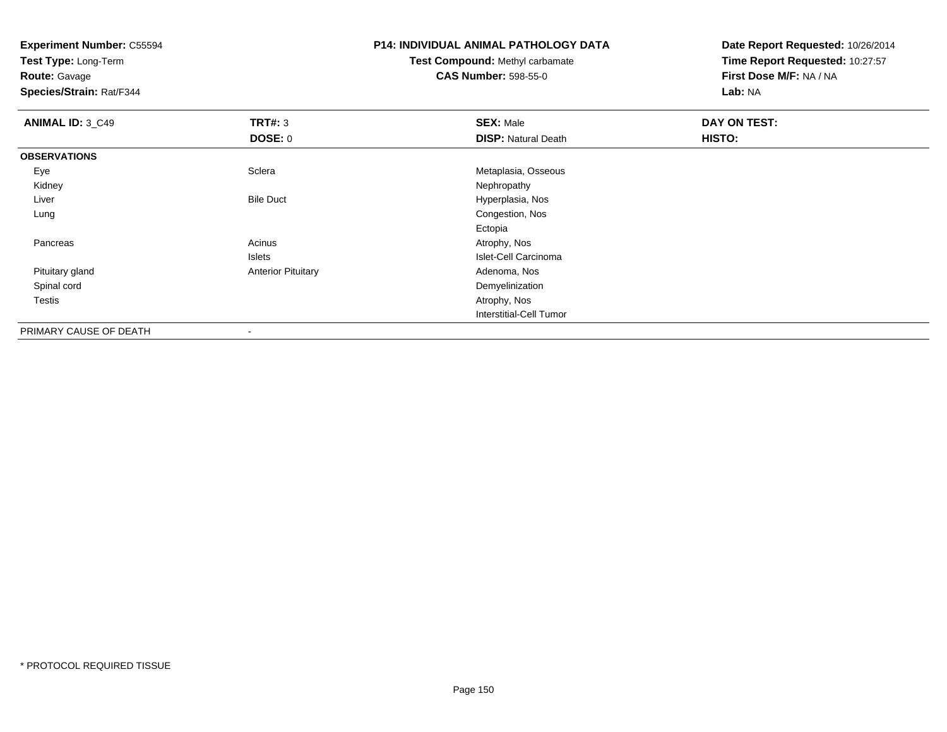**Test Type:** Long-Term

**Route:** Gavage

**Species/Strain:** Rat/F344

### **P14: INDIVIDUAL ANIMAL PATHOLOGY DATA**

# **Test Compound:** Methyl carbamate**CAS Number:** 598-55-0

| <b>ANIMAL ID: 3_C49</b> | TRT#: 3                   | <b>SEX: Male</b>               | DAY ON TEST: |
|-------------------------|---------------------------|--------------------------------|--------------|
|                         | DOSE: 0                   | <b>DISP: Natural Death</b>     | HISTO:       |
| <b>OBSERVATIONS</b>     |                           |                                |              |
| Eye                     | Sclera                    | Metaplasia, Osseous            |              |
| Kidney                  |                           | Nephropathy                    |              |
| Liver                   | <b>Bile Duct</b>          | Hyperplasia, Nos               |              |
| Lung                    |                           | Congestion, Nos                |              |
|                         |                           | Ectopia                        |              |
| Pancreas                | Acinus                    | Atrophy, Nos                   |              |
|                         | Islets                    | Islet-Cell Carcinoma           |              |
| Pituitary gland         | <b>Anterior Pituitary</b> | Adenoma, Nos                   |              |
| Spinal cord             |                           | Demyelinization                |              |
| <b>Testis</b>           |                           | Atrophy, Nos                   |              |
|                         |                           | <b>Interstitial-Cell Tumor</b> |              |
| PRIMARY CAUSE OF DEATH  | $\,$                      |                                |              |